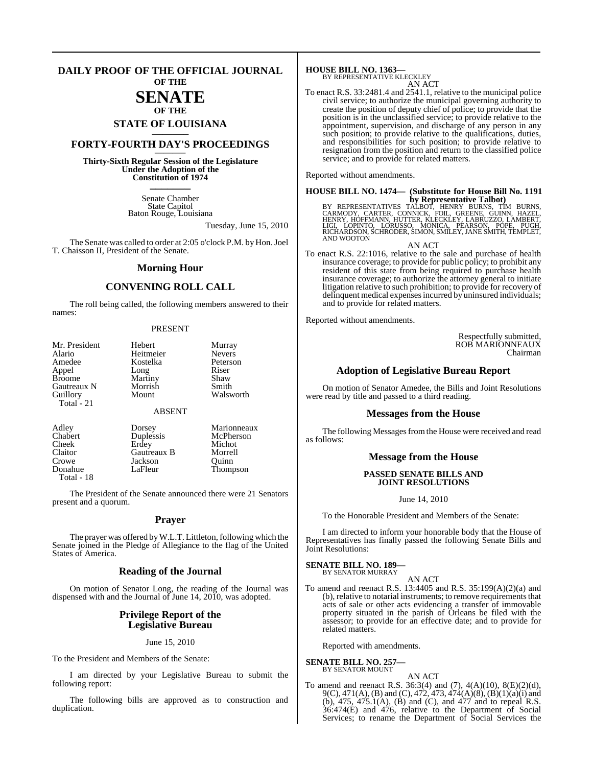# **DAILY PROOF OF THE OFFICIAL JOURNAL OF THE**

# **SENATE OF THE**

# **STATE OF LOUISIANA \_\_\_\_\_\_\_**

# **FORTY-FOURTH DAY'S PROCEEDINGS \_\_\_\_\_\_\_**

**Thirty-Sixth Regular Session of the Legislature Under the Adoption of the Constitution of 1974 \_\_\_\_\_\_\_**

> Senate Chamber State Capitol Baton Rouge, Louisiana

> > Tuesday, June 15, 2010

The Senate was called to order at 2:05 o'clock P.M. by Hon. Joel T. Chaisson II, President of the Senate.

# **Morning Hour**

# **CONVENING ROLL CALL**

The roll being called, the following members answered to their names:

### PRESENT

| Mr. President | Hebert        | Murray        |
|---------------|---------------|---------------|
| Alario        | Heitmeier     | <b>Nevers</b> |
| Amedee        | Kostelka      | Peterson      |
| Appel         | Long          | Riser         |
| <b>Broome</b> | Martiny       | Shaw          |
| Gautreaux N   | Morrish       | Smith         |
| Guillory      | Mount         | Walsworth     |
| Total $-21$   | <b>ABSENT</b> |               |

| Adley      | Dorsey      | Marionneaux |
|------------|-------------|-------------|
| Chabert    | Duplessis   | McPherson   |
| Cheek      | Erdey       | Michot      |
| Claitor    | Gautreaux B | Morrell     |
| Crowe      | Jackson     | Ouinn       |
| Donahue    | LaFleur     | Thompson    |
| Total - 18 |             |             |

The President of the Senate announced there were 21 Senators present and a quorum.

# **Prayer**

The prayer was offered byW.L.T. Littleton, following which the Senate joined in the Pledge of Allegiance to the flag of the United States of America.

# **Reading of the Journal**

On motion of Senator Long, the reading of the Journal was dispensed with and the Journal of June 14, 2010, was adopted.

# **Privilege Report of the Legislative Bureau**

June 15, 2010

To the President and Members of the Senate:

I am directed by your Legislative Bureau to submit the following report:

The following bills are approved as to construction and duplication.

**HOUSE BILL NO. 1363—** BY REPRESENTATIVE KLECKLEY

AN ACT

To enact R.S. 33:2481.4 and 2541.1, relative to the municipal police civil service; to authorize the municipal governing authority to create the position of deputy chief of police; to provide that the position is in the unclassified service; to provide relative to the appointment, supervision, and discharge of any person in any such position; to provide relative to the qualifications, duties, and responsibilities for such position; to provide relative to resignation from the position and return to the classified police service; and to provide for related matters.

Reported without amendments.

# **HOUSE BILL NO. 1474— (Substitute for House Bill No. 1191**

**by Representative Talbot)**<br>BY REPRESENTATIVES TALBOT, HENRY BURNS, TIM BURNS,<br>CARMODY, CARTER, CONNICK, FOIL, GREENE, GUINN, HAZEL,<br>HENRY, HOFFMANN, HUTTER, KLECKLEY, LABRUZZO, LAMBERT,<br>RICHARDSON, SCHRODER, SIMON, SMILEY

AN ACT

To enact R.S. 22:1016, relative to the sale and purchase of health insurance coverage; to provide for public policy; to prohibit any resident of this state from being required to purchase health insurance coverage; to authorize the attorney general to initiate litigation relative to such prohibition; to provide for recovery of delinquent medical expenses incurred by uninsured individuals; and to provide for related matters.

Reported without amendments.

Respectfully submitted, ROB MARIONNEAUX Chairman

# **Adoption of Legislative Bureau Report**

On motion of Senator Amedee, the Bills and Joint Resolutions were read by title and passed to a third reading.

# **Messages from the House**

The following Messages from the House were received and read as follows:

# **Message from the House**

# **PASSED SENATE BILLS AND JOINT RESOLUTIONS**

June 14, 2010

To the Honorable President and Members of the Senate:

I am directed to inform your honorable body that the House of Representatives has finally passed the following Senate Bills and Joint Resolutions:

#### **SENATE BILL NO. 189—** BY SENATOR MURRAY

AN ACT

To amend and reenact R.S. 13:4405 and R.S. 35:199(A)(2)(a) and (b), relative to notarial instruments; to remove requirements that acts of sale or other acts evidencing a transfer of immovable property situated in the parish of Orleans be filed with the assessor; to provide for an effective date; and to provide for related matters.

Reported with amendments.

#### **SENATE BILL NO. 257—** BY SENATOR MOUNT

- AN ACT
- To amend and reenact R.S.  $36:3(4)$  and (7),  $4(A)(10)$ ,  $8(E)(2)(d)$ , 9(C), 471(A), (B) and (C), 472, 473, 474(A)(8), (B)(1)(a)(i) and (b),  $475$ ,  $475.1(A)$ , (B) and (C), and  $477$  and to repeal R.S. 36:474(E) and 476, relative to the Department of Social Services; to rename the Department of Social Services the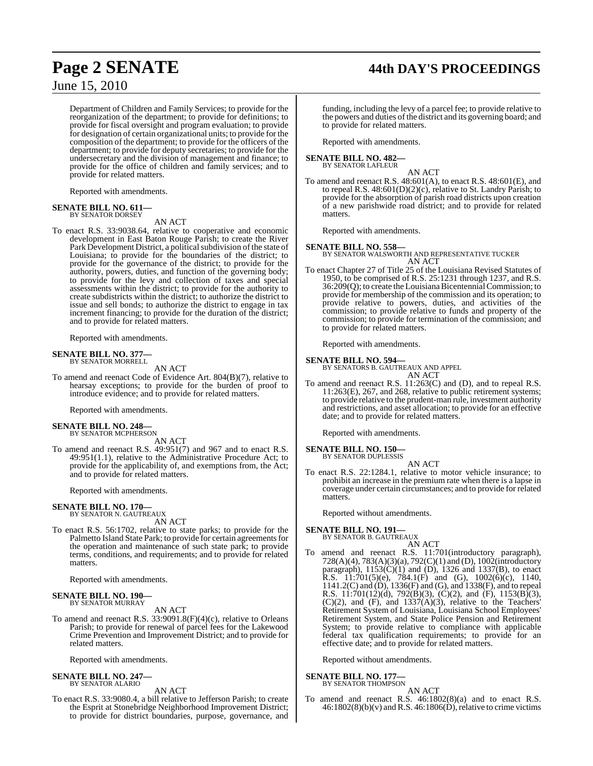# **Page 2 SENATE 44th DAY'S PROCEEDINGS**

June 15, 2010

Department of Children and Family Services; to provide for the reorganization of the department; to provide for definitions; to provide for fiscal oversight and program evaluation; to provide for designation of certain organizational units; to provide for the composition of the department; to provide for the officers of the department; to provide for deputy secretaries; to provide for the undersecretary and the division of management and finance; to provide for the office of children and family services; and to provide for related matters.

Reported with amendments.

#### **SENATE BILL NO. 611—** BY SENATOR DORSEY

AN ACT

To enact R.S. 33:9038.64, relative to cooperative and economic development in East Baton Rouge Parish; to create the River Park Development District, a political subdivision of the state of Louisiana; to provide for the boundaries of the district; to provide for the governance of the district; to provide for the authority, powers, duties, and function of the governing body; to provide for the levy and collection of taxes and special assessments within the district; to provide for the authority to create subdistricts within the district; to authorize the district to issue and sell bonds; to authorize the district to engage in tax increment financing; to provide for the duration of the district; and to provide for related matters.

Reported with amendments.

#### **SENATE BILL NO. 377** BY SENATOR MORRELL

AN ACT

To amend and reenact Code of Evidence Art. 804(B)(7), relative to hearsay exceptions; to provide for the burden of proof to introduce evidence; and to provide for related matters.

Reported with amendments.

#### **SENATE BILL NO. 248—** BY SENATOR MCPHERSON

AN ACT

To amend and reenact R.S. 49:951(7) and 967 and to enact R.S. 49:951(1.1), relative to the Administrative Procedure Act; to provide for the applicability of, and exemptions from, the Act; and to provide for related matters.

Reported with amendments.

# **SENATE BILL NO. 170—**

BY SENATOR N. GAUTREAUX AN ACT

To enact R.S. 56:1702, relative to state parks; to provide for the Palmetto Island State Park; to provide for certain agreements for the operation and maintenance of such state park; to provide terms, conditions, and requirements; and to provide for related matters.

Reported with amendments.

# **SENATE BILL NO. 190—** BY SENATOR MURRAY

# AN ACT

To amend and reenact R.S. 33:9091.8(F)(4)(c), relative to Orleans Parish; to provide for renewal of parcel fees for the Lakewood Crime Prevention and Improvement District; and to provide for related matters.

Reported with amendments.

#### **SENATE BILL NO. 247—** BY SENATOR ALARIO

AN ACT

To enact R.S. 33:9080.4, a bill relative to Jefferson Parish; to create the Esprit at Stonebridge Neighborhood Improvement District; to provide for district boundaries, purpose, governance, and

funding, including the levy of a parcel fee; to provide relative to the powers and duties of the district and its governing board; and to provide for related matters.

Reported with amendments.

#### **SENATE BILL NO. 482—** BY SENATOR LAFLEUR

- AN ACT
- To amend and reenact R.S. 48:601(A), to enact R.S. 48:601(E), and to repeal R.S. 48:601(D)(2)(c), relative to St. Landry Parish; to provide for the absorption of parish road districts upon creation of a new parishwide road district; and to provide for related matters.

Reported with amendments.

**SENATE BILL NO. 558—** BY SENATOR WALSWORTH AND REPRESENTATIVE TUCKER AN ACT

To enact Chapter 27 of Title 25 of the Louisiana Revised Statutes of 1950, to be comprised of R.S. 25:1231 through 1237, and R.S.  $36:209(Q)$ ; to create the Louisiana Bicentennial Commission; to provide for membership of the commission and its operation; to provide relative to powers, duties, and activities of the commission; to provide relative to funds and property of the commission; to provide for termination of the commission; and to provide for related matters.

Reported with amendments.

# **SENATE BILL NO. 594—**

BY SENATORS B. GAUTREAUX AND APPEL AN ACT

To amend and reenact R.S. 11:263(C) and (D), and to repeal R.S. 11:263(E), 267, and 268, relative to public retirement systems; to provide relative to the prudent-man rule, investment authority and restrictions, and asset allocation; to provide for an effective date; and to provide for related matters.

Reported with amendments.

**SENATE BILL NO. 150—**

BY SENATOR DUPLESSIS AN ACT

To enact R.S. 22:1284.1, relative to motor vehicle insurance; to prohibit an increase in the premium rate when there is a lapse in coverage under certain circumstances; and to provide for related matters.

Reported without amendments.

# **SENATE BILL NO. 191—**

BY SENATOR B. GAUTREAUX

AN ACT To amend and reenact R.S. 11:701(introductory paragraph), 728(A)(4), 783(A)(3)(a), 792(C)(1) and (D), 1002(introductory paragraph),  $1153(C)(1)$  and (D), 1326 and 1337(B), to enact **R.S.** 11:701(5)(e), 784.1(F) and (G), 1002(6)(c), 1140, 1141.2(C) and (D), 1336(F) and (G), and 1338(F), and to repeal R.S. 11:701(12)(d), 792(B)(3), (C)(2), and (F), 1153(B)(3),  $(C)(2)$ , and  $(F)$ , and  $1337(A)(3)$ , relative to the Teachers Retirement System of Louisiana, Louisiana School Employees' Retirement System, and State Police Pension and Retirement System; to provide relative to compliance with applicable federal tax qualification requirements; to provide for an effective date; and to provide for related matters.

Reported without amendments.

#### **SENATE BILL NO. 177—** BY SENATOR THOMPSON

AN ACT

To amend and reenact R.S. 46:1802(8)(a) and to enact R.S.  $46:1802(8)(b)(v)$  and R.S.  $46:1806(D)$ , relative to crime victims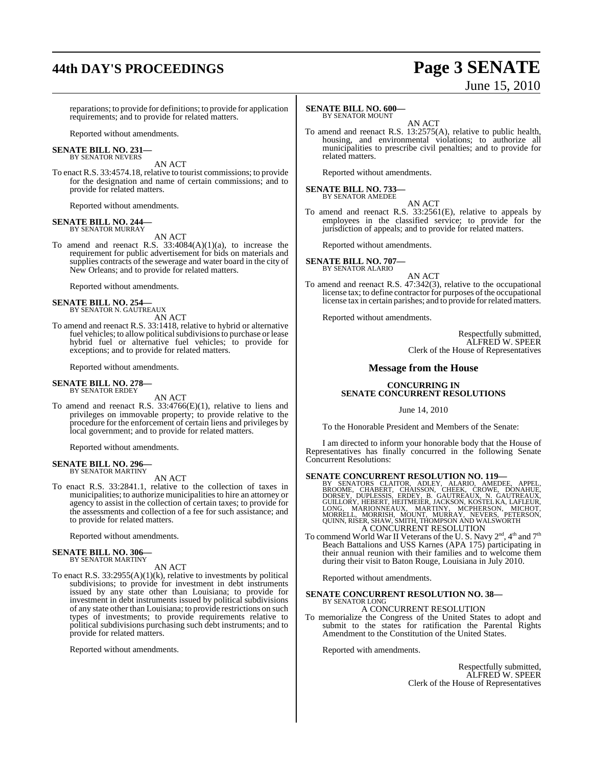# **44th DAY'S PROCEEDINGS Page 3 SENATE**

# June 15, 2010

reparations; to provide for definitions; to provide for application requirements; and to provide for related matters.

Reported without amendments.

#### **SENATE BILL NO. 231—** BY SENATOR NEVERS

AN ACT

To enact R.S. 33:4574.18, relative to tourist commissions; to provide for the designation and name of certain commissions; and to provide for related matters.

Reported without amendments.

## **SENATE BILL NO. 244—** BY SENATOR MURRAY

AN ACT

To amend and reenact R.S. 33:4084(A)(1)(a), to increase the requirement for public advertisement for bids on materials and supplies contracts of the sewerage and water board in the city of New Orleans; and to provide for related matters.

Reported without amendments.

# **SENATE BILL NO. 254—** BY SENATOR N. GAUTREAUX

AN ACT

To amend and reenact R.S. 33:1418, relative to hybrid or alternative fuel vehicles; to allow political subdivisions to purchase or lease hybrid fuel or alternative fuel vehicles; to provide for exceptions; and to provide for related matters.

Reported without amendments.

# **SENATE BILL NO. 278—** BY SENATOR ERDEY

AN ACT

To amend and reenact R.S. 33:4766(E)(1), relative to liens and privileges on immovable property; to provide relative to the procedure for the enforcement of certain liens and privileges by local government; and to provide for related matters.

Reported without amendments.

# **SENATE BILL NO. 296—** BY SENATOR MARTINY

AN ACT

To enact R.S. 33:2841.1, relative to the collection of taxes in municipalities; to authorize municipalitiesto hire an attorney or agency to assist in the collection of certain taxes; to provide for the assessments and collection of a fee for such assistance; and to provide for related matters.

Reported without amendments.

# **SENATE BILL NO. 306—** BY SENATOR MARTINY

AN ACT

To enact R.S. 33:2955(A)(1)(k), relative to investments by political subdivisions; to provide for investment in debt instruments issued by any state other than Louisiana; to provide for investment in debt instruments issued by political subdivisions of any state other than Louisiana; to provide restrictions on such types of investments; to provide requirements relative to political subdivisions purchasing such debt instruments; and to provide for related matters.

Reported without amendments.

#### **SENATE BILL NO. 600—** BY SENATOR MOUNT

AN ACT

To amend and reenact R.S. 13:2575(A), relative to public health, housing, and environmental violations; to authorize all municipalities to prescribe civil penalties; and to provide for related matters.

Reported without amendments.

# **SENATE BILL NO. 733—** BY SENATOR AMEDEE

AN ACT

To amend and reenact R.S. 33:2561(E), relative to appeals by employees in the classified service; to provide for the jurisdiction of appeals; and to provide for related matters.

Reported without amendments.

# **SENATE BILL NO. 707—** BY SENATOR ALARIO

AN ACT

To amend and reenact R.S. 47:342(3), relative to the occupational license tax; to define contractor for purposes of the occupational license tax in certain parishes; and to provide for related matters.

Reported without amendments.

Respectfully submitted, ALFRED W. SPEER Clerk of the House of Representatives

# **Message from the House**

# **CONCURRING IN SENATE CONCURRENT RESOLUTIONS**

June 14, 2010

To the Honorable President and Members of the Senate:

I am directed to inform your honorable body that the House of Representatives has finally concurred in the following Senate Concurrent Resolutions:

SENATE CONCURRENT RESOLUTION NO. 119—BY SENATORS CLAITOR, ADLEY, ALARIO, AMEDEE, APPEL, BROOME, CHABERT, CHABERT, CHABERT, DORSEY, DUPLESSIS, ERDEY, B. GAUTREAUX, N. GAUTREAUX, GUILLORY, HEBERT, HEITMEIER, JACKSON, KOSTELK A CONCURRENT RESOLUTION

To commend World War II Veterans of the U.S. Navy  $2^{\text{nd}}$ , 4<sup>th</sup> and  $7^{\text{th}}$ Beach Battalions and USS Karnes (APA 175) participating in their annual reunion with their families and to welcome them during their visit to Baton Rouge, Louisiana in July 2010.

Reported without amendments.

## **SENATE CONCURRENT RESOLUTION NO. 38—** BY SENATOR LONG

# A CONCURRENT RESOLUTION

To memorialize the Congress of the United States to adopt and submit to the states for ratification the Parental Rights Amendment to the Constitution of the United States.

Reported with amendments.

Respectfully submitted, ALFRED W. SPEER Clerk of the House of Representatives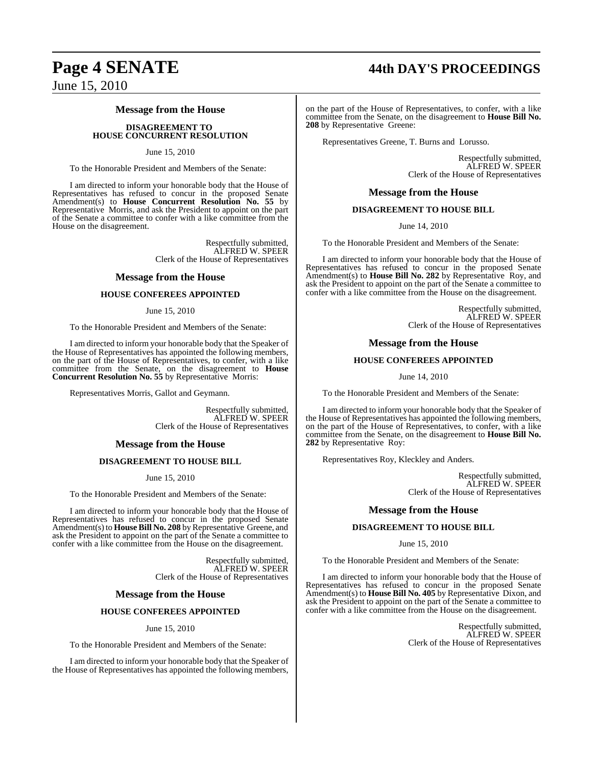# **Page 4 SENATE 44th DAY'S PROCEEDINGS**

June 15, 2010

# **Message from the House**

# **DISAGREEMENT TO HOUSE CONCURRENT RESOLUTION**

# June 15, 2010

To the Honorable President and Members of the Senate:

I am directed to inform your honorable body that the House of Representatives has refused to concur in the proposed Senate Amendment(s) to **House Concurrent Resolution No. 55** by Representative Morris, and ask the President to appoint on the part of the Senate a committee to confer with a like committee from the House on the disagreement.

> Respectfully submitted, ALFRED W. SPEER Clerk of the House of Representatives

# **Message from the House**

# **HOUSE CONFEREES APPOINTED**

# June 15, 2010

To the Honorable President and Members of the Senate:

I am directed to inform your honorable body that the Speaker of the House of Representatives has appointed the following members, on the part of the House of Representatives, to confer, with a like committee from the Senate, on the disagreement to **House Concurrent Resolution No. 55** by Representative Morris:

Representatives Morris, Gallot and Geymann.

Respectfully submitted, ALFRED W. SPEER Clerk of the House of Representatives

# **Message from the House**

# **DISAGREEMENT TO HOUSE BILL**

June 15, 2010

To the Honorable President and Members of the Senate:

I am directed to inform your honorable body that the House of Representatives has refused to concur in the proposed Senate Amendment(s) to **House Bill No. 208** by Representative Greene, and ask the President to appoint on the part of the Senate a committee to confer with a like committee from the House on the disagreement.

> Respectfully submitted, ALFRED W. SPEER Clerk of the House of Representatives

# **Message from the House**

# **HOUSE CONFEREES APPOINTED**

June 15, 2010

To the Honorable President and Members of the Senate:

I am directed to inform your honorable body that the Speaker of the House of Representatives has appointed the following members,

on the part of the House of Representatives, to confer, with a like committee from the Senate, on the disagreement to **House Bill No. 208** by Representative Greene:

Representatives Greene, T. Burns and Lorusso.

Respectfully submitted, ALFRED W. SPEER Clerk of the House of Representatives

# **Message from the House**

# **DISAGREEMENT TO HOUSE BILL**

June 14, 2010

To the Honorable President and Members of the Senate:

I am directed to inform your honorable body that the House of Representatives has refused to concur in the proposed Senate Amendment(s) to **House Bill No. 282** by Representative Roy, and ask the President to appoint on the part of the Senate a committee to confer with a like committee from the House on the disagreement.

> Respectfully submitted, ALFRED W. SPEER Clerk of the House of Representatives

# **Message from the House**

# **HOUSE CONFEREES APPOINTED**

June 14, 2010

To the Honorable President and Members of the Senate:

I am directed to inform your honorable body that the Speaker of the House of Representatives has appointed the following members, on the part of the House of Representatives, to confer, with a like committee from the Senate, on the disagreement to **House Bill No. 282** by Representative Roy:

Representatives Roy, Kleckley and Anders.

Respectfully submitted, ALFRED W. SPEER Clerk of the House of Representatives

# **Message from the House**

# **DISAGREEMENT TO HOUSE BILL**

June 15, 2010

To the Honorable President and Members of the Senate:

I am directed to inform your honorable body that the House of Representatives has refused to concur in the proposed Senate Amendment(s) to **House Bill No. 405** by Representative Dixon, and ask the President to appoint on the part of the Senate a committee to confer with a like committee from the House on the disagreement.

> Respectfully submitted, ALFRED W. SPEER Clerk of the House of Representatives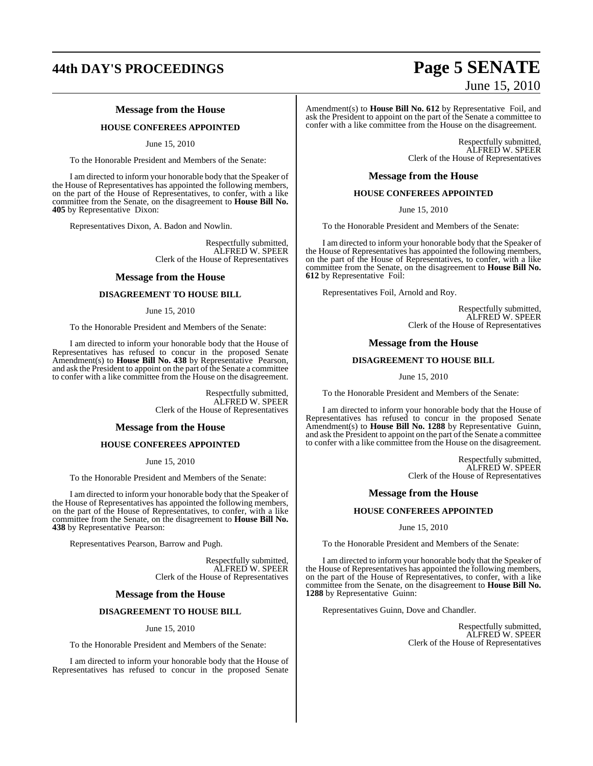# **44th DAY'S PROCEEDINGS Page 5 SENATE**

# **Message from the House**

# **HOUSE CONFEREES APPOINTED**

June 15, 2010

To the Honorable President and Members of the Senate:

I am directed to inform your honorable body that the Speaker of the House of Representatives has appointed the following members, on the part of the House of Representatives, to confer, with a like committee from the Senate, on the disagreement to **House Bill No. 405** by Representative Dixon:

Representatives Dixon, A. Badon and Nowlin.

Respectfully submitted, ALFRED W. SPEER Clerk of the House of Representatives

# **Message from the House**

# **DISAGREEMENT TO HOUSE BILL**

## June 15, 2010

To the Honorable President and Members of the Senate:

I am directed to inform your honorable body that the House of Representatives has refused to concur in the proposed Senate Amendment(s) to **House Bill No. 438** by Representative Pearson, and ask the President to appoint on the part of the Senate a committee to confer with a like committee from the House on the disagreement.

> Respectfully submitted, ALFRED W. SPEER Clerk of the House of Representatives

# **Message from the House**

# **HOUSE CONFEREES APPOINTED**

June 15, 2010

To the Honorable President and Members of the Senate:

I am directed to inform your honorable body that the Speaker of the House of Representatives has appointed the following members, on the part of the House of Representatives, to confer, with a like committee from the Senate, on the disagreement to **House Bill No. 438** by Representative Pearson:

Representatives Pearson, Barrow and Pugh.

Respectfully submitted, ALFRED W. SPEER Clerk of the House of Representatives

# **Message from the House**

# **DISAGREEMENT TO HOUSE BILL**

# June 15, 2010

To the Honorable President and Members of the Senate:

I am directed to inform your honorable body that the House of Representatives has refused to concur in the proposed Senate

# June 15, 2010

Amendment(s) to **House Bill No. 612** by Representative Foil, and ask the President to appoint on the part of the Senate a committee to confer with a like committee from the House on the disagreement.

> Respectfully submitted, ALFRED W. SPEER Clerk of the House of Representatives

# **Message from the House**

# **HOUSE CONFEREES APPOINTED**

June 15, 2010

To the Honorable President and Members of the Senate:

I am directed to inform your honorable body that the Speaker of the House of Representatives has appointed the following members, on the part of the House of Representatives, to confer, with a like committee from the Senate, on the disagreement to **House Bill No. 612** by Representative Foil:

Representatives Foil, Arnold and Roy.

Respectfully submitted, ALFRED W. SPEER Clerk of the House of Representatives

# **Message from the House**

# **DISAGREEMENT TO HOUSE BILL**

June 15, 2010

To the Honorable President and Members of the Senate:

I am directed to inform your honorable body that the House of Representatives has refused to concur in the proposed Senate Amendment(s) to **House Bill No. 1288** by Representative Guinn, and ask the President to appoint on the part of the Senate a committee to confer with a like committee from the House on the disagreement.

> Respectfully submitted, ALFRED W. SPEER Clerk of the House of Representatives

# **Message from the House**

# **HOUSE CONFEREES APPOINTED**

June 15, 2010

To the Honorable President and Members of the Senate:

I am directed to inform your honorable body that the Speaker of the House of Representatives has appointed the following members, on the part of the House of Representatives, to confer, with a like committee from the Senate, on the disagreement to **House Bill No. 1288** by Representative Guinn:

Representatives Guinn, Dove and Chandler.

Respectfully submitted, ALFRED W. SPEER Clerk of the House of Representatives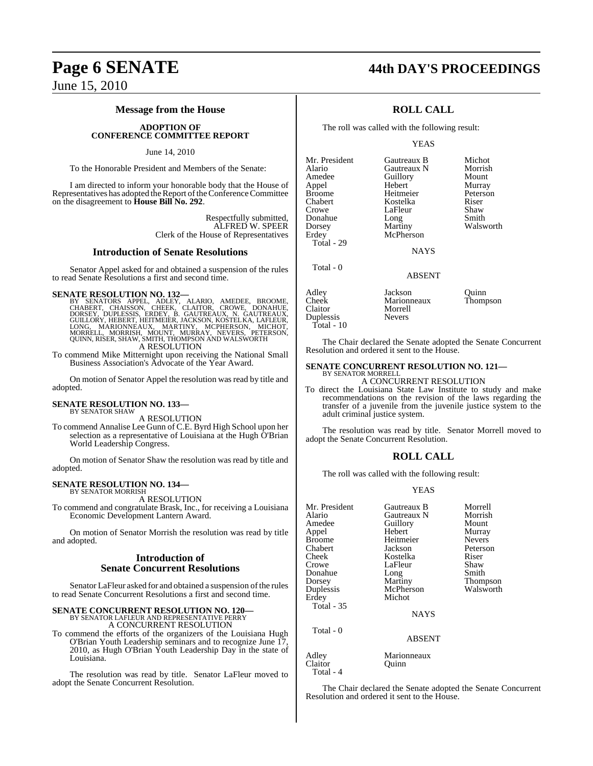# **Message from the House**

# **ADOPTION OF CONFERENCE COMMITTEE REPORT**

# June 14, 2010

To the Honorable President and Members of the Senate:

I am directed to inform your honorable body that the House of Representatives has adopted the Report of the Conference Committee on the disagreement to **House Bill No. 292**.

> Respectfully submitted, ALFRED W. SPEER Clerk of the House of Representatives

# **Introduction of Senate Resolutions**

Senator Appel asked for and obtained a suspension of the rules to read Senate Resolutions a first and second time.

SENATE RESOLUTION NO. 132—<br>BY SENATORS APPEL, ADLEY, ALARIO, AMEDEE, BROOME, CHABERT, CHAISSON, CHEEK, CLAITOR, CROWE, DONAHUE,<br>DORSEY, DUPLESSIS, ERDEY, B. GAUTREAUX, N. GAUTREAUX,<br>GUILLORY, HEBERT, HEITMEIER, JACKSON, KO A RESOLUTION

To commend Mike Mitternight upon receiving the National Small Business Association's Advocate of the Year Award.

On motion of Senator Appel the resolution was read by title and adopted.

# **SENATE RESOLUTION NO. 133—** BY SENATOR SHAW

A RESOLUTION

To commend Annalise Lee Gunn of C.E. Byrd High School upon her selection as a representative of Louisiana at the Hugh O'Brian World Leadership Congress.

On motion of Senator Shaw the resolution was read by title and adopted.

#### **SENATE RESOLUTION NO. 134—** BY SENATOR MORRISH

A RESOLUTION

To commend and congratulate Brask, Inc., for receiving a Louisiana Economic Development Lantern Award.

On motion of Senator Morrish the resolution was read by title and adopted.

# **Introduction of Senate Concurrent Resolutions**

Senator LaFleur asked for and obtained a suspension of the rules to read Senate Concurrent Resolutions a first and second time.

# **SENATE CONCURRENT RESOLUTION NO. 120—** BY SENATOR LAFLEUR AND REPRESENTATIVE PERRY A CONCURRENT RESOLUTION

To commend the efforts of the organizers of the Louisiana Hugh O'Brian Youth Leadership seminars and to recognize June 17, 2010, as Hugh O'Brian Youth Leadership Day in the state of Louisiana.

The resolution was read by title. Senator LaFleur moved to adopt the Senate Concurrent Resolution.

# **Page 6 SENATE 44th DAY'S PROCEEDINGS**

# **ROLL CALL**

The roll was called with the following result:

# YEAS

Mr. President Gautreaux B Michot<br>Alario Gautreaux N Morrish Amedee Guillory Mount<br>Appel Hebert Murray Appel Hebert Murray Broome Heitmeier Peters<br>
Chabert Kostelka Riser Chabert Kostelka Riser Donahue Long<br>Dorsey Martiny Dorsey Martiny Walsworth<br>
Erdey McPherson

Total - 29

Total - 0

Gautreaux N LaFleur Shaw<br>Long Smith McPherson

**NAYS** 

# ABSENT

| Adley        | Jackson       | Ouinn    |
|--------------|---------------|----------|
| Cheek        | Marionneaux   | Thompson |
| Claitor      | Morrell       |          |
| Duplessis    | <b>Nevers</b> |          |
| Total - $10$ |               |          |

The Chair declared the Senate adopted the Senate Concurrent Resolution and ordered it sent to the House.

#### **SENATE CONCURRENT RESOLUTION NO. 121—** BY SENATOR MORRELL

A CONCURRENT RESOLUTION

To direct the Louisiana State Law Institute to study and make recommendations on the revision of the laws regarding the transfer of a juvenile from the juvenile justice system to the adult criminal justice system.

The resolution was read by title. Senator Morrell moved to adopt the Senate Concurrent Resolution.

# **ROLL CALL**

The roll was called with the following result:

### YEAS

| Mr. President     | Gautreaux B   | Morrell       |
|-------------------|---------------|---------------|
| Alario            | Gautreaux N   | Morrish       |
| Amedee            | Guillory      | Mount         |
| Appel             | Hebert        | Murray        |
| <b>Broome</b>     | Heitmeier     | <b>Nevers</b> |
| Chabert           | Jackson       | Peterson      |
| Cheek             | Kostelka      | Riser         |
| Crowe             | LaFleur       | Shaw          |
| Donahue           | Long          | Smith         |
| Dorsey            | Martiny       | Thompson      |
| Duplessis         | McPherson     | Walsworth     |
| Erdey             | Michot        |               |
| <b>Total - 35</b> |               |               |
|                   | <b>NAYS</b>   |               |
| Total - 0         |               |               |
|                   | <b>ABSENT</b> |               |
| Adley             | Marionneaux   |               |

Claitor Quinn Total - 4

The Chair declared the Senate adopted the Senate Concurrent Resolution and ordered it sent to the House.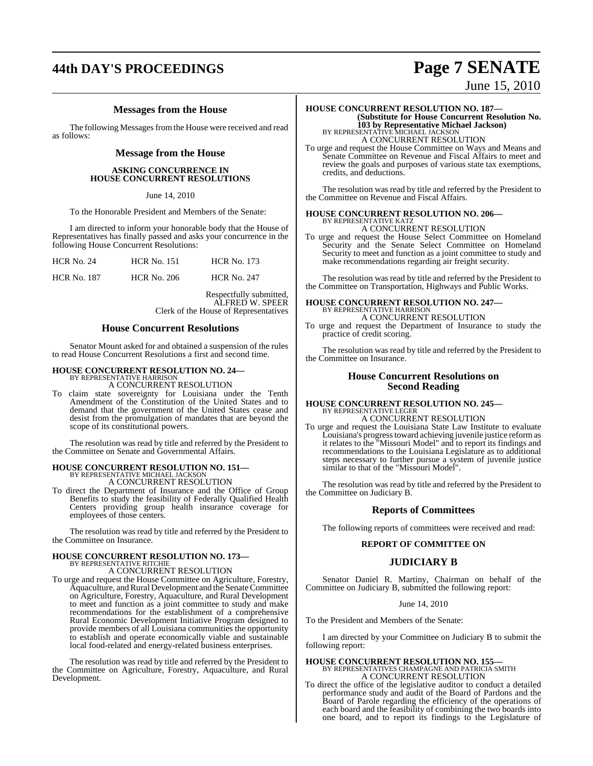# **44th DAY'S PROCEEDINGS Page 7 SENATE**

# **Messages from the House**

The following Messages from the House were received and read as follows:

# **Message from the House**

# **ASKING CONCURRENCE IN HOUSE CONCURRENT RESOLUTIONS**

June 14, 2010

To the Honorable President and Members of the Senate:

I am directed to inform your honorable body that the House of Representatives has finally passed and asks your concurrence in the following House Concurrent Resolutions:

| <b>HCR No. 24</b>  | <b>HCR No. 151</b> | <b>HCR No. 173</b> |
|--------------------|--------------------|--------------------|
| <b>HCR No. 187</b> | <b>HCR No. 206</b> | <b>HCR No. 247</b> |

Respectfully submitted, ALFRED W. SPEER Clerk of the House of Representatives

# **House Concurrent Resolutions**

Senator Mount asked for and obtained a suspension of the rules to read House Concurrent Resolutions a first and second time.

# **HOUSE CONCURRENT RESOLUTION NO. 24—** BY REPRESENTATIVE HARRISON

A CONCURRENT RESOLUTION

To claim state sovereignty for Louisiana under the Tenth Amendment of the Constitution of the United States and to demand that the government of the United States cease and desist from the promulgation of mandates that are beyond the scope of its constitutional powers.

The resolution was read by title and referred by the President to the Committee on Senate and Governmental Affairs.

#### **HOUSE CONCURRENT RESOLUTION NO. 151—** BY REPRESENTATIVE MICHAEL JACKSON A CONCURRENT RESOLUTION

To direct the Department of Insurance and the Office of Group Benefits to study the feasibility of Federally Qualified Health Centers providing group health insurance coverage for employees of those centers.

The resolution was read by title and referred by the President to the Committee on Insurance.

# **HOUSE CONCURRENT RESOLUTION NO. 173—**

BY REPRESENTATIVE RITCHIE A CONCURRENT RESOLUTION

To urge and request the House Committee on Agriculture, Forestry, Aquaculture, andRural Development and the SenateCommittee on Agriculture, Forestry, Aquaculture, and Rural Development to meet and function as a joint committee to study and make recommendations for the establishment of a comprehensive Rural Economic Development Initiative Program designed to provide members of all Louisiana communities the opportunity to establish and operate economically viable and sustainable local food-related and energy-related business enterprises.

The resolution was read by title and referred by the President to the Committee on Agriculture, Forestry, Aquaculture, and Rural Development.

June 15, 2010

# **HOUSE CONCURRENT RESOLUTION NO. 187— (Substitute for House Concurrent Resolution No. 103 by Representative Michael Jackson)** BY REPRESENTATIVE MICHAEL JACKSON A CONCURRENT RESOLUTION

To urge and request the House Committee on Ways and Means and Senate Committee on Revenue and Fiscal Affairs to meet and review the goals and purposes of various state tax exemptions, credits, and deductions.

The resolution was read by title and referred by the President to the Committee on Revenue and Fiscal Affairs.

# **HOUSE CONCURRENT RESOLUTION NO. 206—** BY REPRESENTATIVE KATZ A CONCURRENT RESOLUTION

To urge and request the House Select Committee on Homeland Security and the Senate Select Committee on Homeland Security to meet and function as a joint committee to study and make recommendations regarding air freight security.

The resolution was read by title and referred by the President to the Committee on Transportation, Highways and Public Works.

# **HOUSE CONCURRENT RESOLUTION NO. 247—** BY REPRESENTATIVE HARRISON

A CONCURRENT RESOLUTION

To urge and request the Department of Insurance to study the practice of credit scoring.

The resolution was read by title and referred by the President to the Committee on Insurance.

# **House Concurrent Resolutions on Second Reading**

#### **HOUSE CONCURRENT RESOLUTION NO. 245—** BY REPRESENTATIVE LEGER A CONCURRENT RESOLUTION

To urge and request the Louisiana State Law Institute to evaluate Louisiana's progress toward achieving juvenile justice reform as it relates to the "Missouri Model" and to report its findings and recommendations to the Louisiana Legislature as to additional steps necessary to further pursue a system of juvenile justice similar to that of the "Missouri Model".

The resolution was read by title and referred by the President to the Committee on Judiciary B.

# **Reports of Committees**

The following reports of committees were received and read:

# **REPORT OF COMMITTEE ON**

# **JUDICIARY B**

Senator Daniel R. Martiny, Chairman on behalf of the Committee on Judiciary B, submitted the following report:

June 14, 2010

To the President and Members of the Senate:

I am directed by your Committee on Judiciary B to submit the following report:

**HOUSE CONCURRENT RESOLUTION NO. 155—** BY REPRESENTATIVES CHAMPAGNE AND PATRICIA SMITH A CONCURRENT RESOLUTION

To direct the office of the legislative auditor to conduct a detailed performance study and audit of the Board of Pardons and the Board of Parole regarding the efficiency of the operations of each board and the feasibility of combining the two boards into one board, and to report its findings to the Legislature of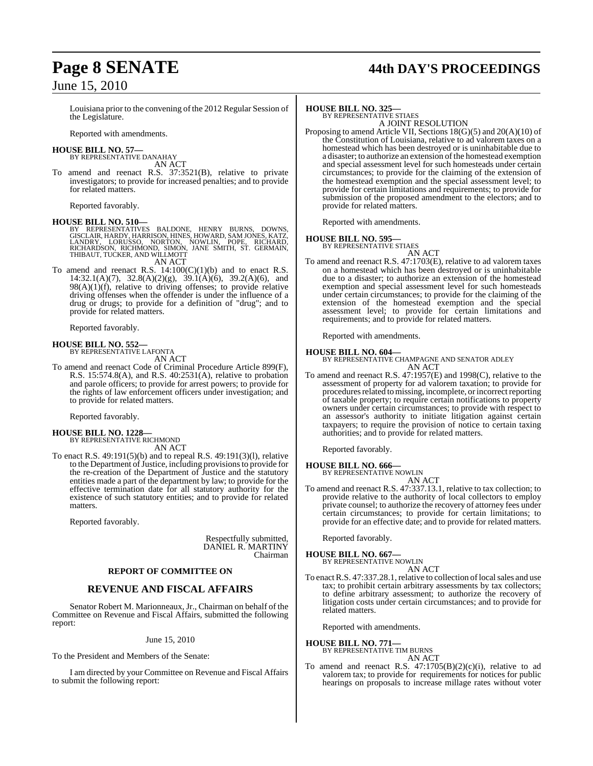# **Page 8 SENATE 44th DAY'S PROCEEDINGS**

# June 15, 2010

Louisiana prior to the convening of the 2012 Regular Session of the Legislature.

Reported with amendments.

#### **HOUSE BILL NO. 57—** BY REPRESENTATIVE DANAHAY

AN ACT

To amend and reenact R.S. 37:3521(B), relative to private investigators; to provide for increased penalties; and to provide for related matters.

Reported favorably.

# **HOUSE BILL NO. 510—**

BY REPRESENTATIVES BALDONE, HENRY BURNS, DOWNS,<br>GISCLAIR,HARDY,HARRISON,HINES,HOWARD,SAMJONES,KATZ,<br>LANDRY, LORUSSO, NORTON, NOWLIN, POPE, RICHARD,<br>RICHARDSON,RICHMOND,SIMON,JANE SMITH,ST.GERMAIN,<br>THIBAUT,TUCKER,ANDWILLMOT AN ACT

To amend and reenact R.S.  $14:100(C)(1)(b)$  and to enact R.S. 14:32.1(A)(7), 32.8(A)(2)(g), 39.1(A)(6), 39.2(A)(6), and  $98(A)(1)(f)$ , relative to driving offenses; to provide relative driving offenses when the offender is under the influence of a drug or drugs; to provide for a definition of "drug"; and to provide for related matters.

Reported favorably.

## **HOUSE BILL NO. 552—** BY REPRESENTATIVE LAFONTA

AN ACT

To amend and reenact Code of Criminal Procedure Article 899(F), R.S. 15:574.8(A), and R.S. 40:2531(A), relative to probation and parole officers; to provide for arrest powers; to provide for the rights of law enforcement officers under investigation; and to provide for related matters.

Reported favorably.

# **HOUSE BILL NO. 1228—** BY REPRESENTATIVE RICHMOND

AN ACT

To enact R.S. 49:191(5)(b) and to repeal R.S. 49:191(3)(l), relative to the Department of Justice, including provisions to provide for the re-creation of the Department of Justice and the statutory entities made a part of the department by law; to provide for the effective termination date for all statutory authority for the existence of such statutory entities; and to provide for related matters.

Reported favorably.

Respectfully submitted, DANIEL R. MARTINY Chairman

# **REPORT OF COMMITTEE ON**

# **REVENUE AND FISCAL AFFAIRS**

Senator Robert M. Marionneaux, Jr., Chairman on behalf of the Committee on Revenue and Fiscal Affairs, submitted the following report:

June 15, 2010

To the President and Members of the Senate:

I am directed by your Committee on Revenue and Fiscal Affairs to submit the following report:

# **HOUSE BILL NO. 325—**

BY REPRESENTATIVE STIAES A JOINT RESOLUTION

Proposing to amend Article VII, Sections 18(G)(5) and 20(A)(10) of the Constitution of Louisiana, relative to ad valorem taxes on a homestead which has been destroyed or is uninhabitable due to a disaster; to authorize an extension of the homestead exemption and special assessment level for such homesteads under certain circumstances; to provide for the claiming of the extension of the homestead exemption and the special assessment level; to provide for certain limitations and requirements; to provide for submission of the proposed amendment to the electors; and to provide for related matters.

Reported with amendments.

# **HOUSE BILL NO. 595—** BY REPRESENTATIVE STIAES

AN ACT

To amend and reenact R.S. 47:1703(E), relative to ad valorem taxes on a homestead which has been destroyed or is uninhabitable due to a disaster; to authorize an extension of the homestead exemption and special assessment level for such homesteads under certain circumstances; to provide for the claiming of the extension of the homestead exemption and the special assessment level; to provide for certain limitations and requirements; and to provide for related matters.

Reported with amendments.

# **HOUSE BILL NO. 604—**

BY REPRESENTATIVE CHAMPAGNE AND SENATOR ADLEY AN ACT

To amend and reenact R.S. 47:1957(E) and 1998(C), relative to the assessment of property for ad valorem taxation; to provide for procedures related to missing, incomplete, or incorrect reporting of taxable property; to require certain notifications to property owners under certain circumstances; to provide with respect to an assessor's authority to initiate litigation against certain taxpayers; to require the provision of notice to certain taxing authorities; and to provide for related matters.

Reported favorably.

#### **HOUSE BILL NO. 666—** BY REPRESENTATIVE NOWLIN

AN ACT

To amend and reenact R.S. 47:337.13.1, relative to tax collection; to provide relative to the authority of local collectors to employ private counsel; to authorize the recovery of attorney fees under certain circumstances; to provide for certain limitations; to provide for an effective date; and to provide for related matters.

Reported favorably.

#### **HOUSE BILL NO. 667—** BY REPRESENTATIVE NOWLIN

AN ACT

To enact R.S. 47:337.28.1, relative to collection of local sales and use tax; to prohibit certain arbitrary assessments by tax collectors; to define arbitrary assessment; to authorize the recovery of litigation costs under certain circumstances; and to provide for related matters.

Reported with amendments.

# **HOUSE BILL NO. 771—**

BY REPRESENTATIVE TIM BURNS

- AN ACT
- To amend and reenact R.S.  $47:1705(B)(2)(c)(i)$ , relative to ad valorem tax; to provide for requirements for notices for public hearings on proposals to increase millage rates without voter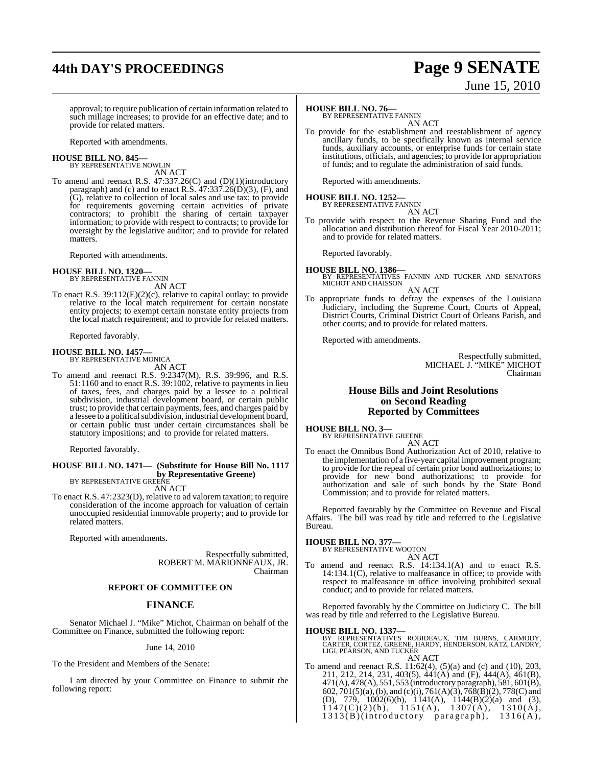# **44th DAY'S PROCEEDINGS Page 9 SENATE**

# June 15, 2010

approval; to require publication of certain information related to such millage increases; to provide for an effective date; and to provide for related matters.

Reported with amendments.

#### **HOUSE BILL NO. 845—** BY REPRESENTATIVE NOWLIN

AN ACT

To amend and reenact R.S. 47:337.26(C) and (D)(1)(introductory paragraph) and (c) and to enact R.S.  $47:337.26(D)(3)$ , (F), and (G), relative to collection of local sales and use tax; to provide for requirements governing certain activities of private contractors; to prohibit the sharing of certain taxpayer information; to provide with respect to contracts; to provide for oversight by the legislative auditor; and to provide for related matters.

Reported with amendments.

# **HOUSE BILL NO. 1320—** BY REPRESENTATIVE FANNIN

AN ACT

To enact R.S. 39:112(E)(2)(c), relative to capital outlay; to provide relative to the local match requirement for certain nonstate entity projects; to exempt certain nonstate entity projects from the local match requirement; and to provide for related matters.

Reported favorably.

# **HOUSE BILL NO. 1457—**

BY REPRESENTATIVE MONICA AN ACT

To amend and reenact R.S. 9:2347(M), R.S. 39:996, and R.S. 51:1160 and to enact R.S. 39:1002, relative to payments in lieu of taxes, fees, and charges paid by a lessee to a political subdivision, industrial development board, or certain public trust; to provide that certain payments, fees, and charges paid by a lessee to a political subdivision, industrial development board, or certain public trust under certain circumstances shall be statutory impositions; and to provide for related matters.

Reported favorably.

#### **HOUSE BILL NO. 1471— (Substitute for House Bill No. 1117 by Representative Greene)** BY REPRESENTATIVE GREENE

AN ACT

To enact R.S. 47:2323(D), relative to ad valorem taxation; to require consideration of the income approach for valuation of certain unoccupied residential immovable property; and to provide for related matters.

Reported with amendments.

Respectfully submitted, ROBERT M. MARIONNEAUX, JR. Chairman

# **REPORT OF COMMITTEE ON**

# **FINANCE**

Senator Michael J. "Mike" Michot, Chairman on behalf of the Committee on Finance, submitted the following report:

June 14, 2010

To the President and Members of the Senate:

I am directed by your Committee on Finance to submit the following report:

# **HOUSE BILL NO. 76—**

BY REPRESENTATIVE FANNIN AN ACT

To provide for the establishment and reestablishment of agency ancillary funds, to be specifically known as internal service funds, auxiliary accounts, or enterprise funds for certain state institutions, officials, and agencies; to provide for appropriation of funds; and to regulate the administration of said funds.

Reported with amendments.

# **HOUSE BILL NO. 1252—** BY REPRESENTATIVE FANNIN

- AN ACT
- To provide with respect to the Revenue Sharing Fund and the allocation and distribution thereof for Fiscal Year 2010-2011; and to provide for related matters.

Reported favorably.

**HOUSE BILL NO. 1386—** BY REPRESENTATIVES FANNIN AND TUCKER AND SENATORS MICHOT AND CHAISSON

AN ACT

To appropriate funds to defray the expenses of the Louisiana Judiciary, including the Supreme Court, Courts of Appeal, District Courts, Criminal District Court of Orleans Parish, and other courts; and to provide for related matters.

Reported with amendments.

Respectfully submitted, MICHAEL J. "MIKE" MICHOT Chairman

# **House Bills and Joint Resolutions on Second Reading Reported by Committees**

**HOUSE BILL NO. 3—** BY REPRESENTATIVE GREENE

AN ACT

To enact the Omnibus Bond Authorization Act of 2010, relative to the implementation of a five-year capital improvement program; to provide for the repeal of certain prior bond authorizations; to provide for new bond authorizations; to provide for authorization and sale of such bonds by the State Bond Commission; and to provide for related matters.

Reported favorably by the Committee on Revenue and Fiscal Affairs. The bill was read by title and referred to the Legislative Bureau.

# **HOUSE BILL NO. 377—** BY REPRESENTATIVE WOOTON

- AN ACT
- To amend and reenact R.S. 14:134.1(A) and to enact R.S. 14:134.1(C), relative to malfeasance in office; to provide with respect to malfeasance in office involving prohibited sexual conduct; and to provide for related matters.

Reported favorably by the Committee on Judiciary C. The bill was read by title and referred to the Legislative Bureau.

# **HOUSE BILL NO. 1337—**

BY REPRESENTATIVES ROBIDEAUX, TIM BURNS, CARMODY,<br>CARTER, CORTEZ, GREENE, HARDY, HENDERSON, KATZ, LANDRY,<br>LIGI, PEARSON, AND TUCKER AN ACT

To amend and reenact R.S. 11:62(4), (5)(a) and (c) and (10), 203, 211, 212, 214, 231, 403(5), 441(A) and (F), 444(A), 461(B), 471(A), 478(A), 551, 553 (introductory paragraph), 581, 601(B), 602, 701(5)(a), (b), and (c)(i), 761(A)(3), 768(B)(2), 778(C) and (D), 779, 1002(6)(b), 1141(A), 1144(B)(2)(a) and (3),  $1147(C)(2)(b)$ ,  $1151(A)$ ,  $1307(A)$ ,  $1310(A)$ ,  $1313(B)$ (introductory paragraph),  $1316(A)$ ,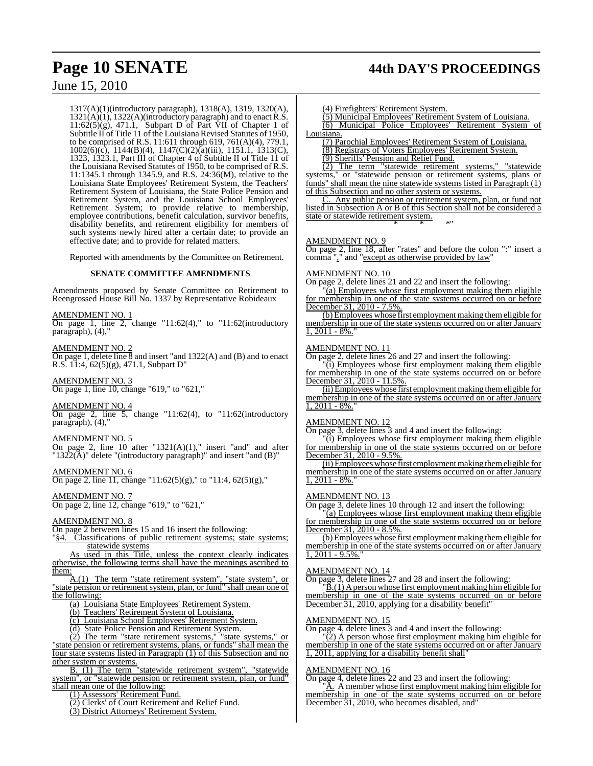1317(A)(1)(introductory paragraph), 1318(A), 1319, 1320(A), 1321(A)(1), 1322(A)(introductory paragraph) and to enact R.S.  $11:62(5)(g)$ , 471.1, Subpart D of Part VII of Chapter 1 of Subtitle II of Title 11 of the Louisiana Revised Statutes of 1950, to be comprised of R.S. 11:611 through 619, 761(A)(4), 779.1, 1002(6)(c), 1144(B)(4), 1147(C)(2)(a)(iii), 1151.1, 1313(C), 1323, 1323.1, Part III of Chapter 4 of Subtitle II of Title 11 of the Louisiana Revised Statutes of 1950, to be comprised of R.S. 11:1345.1 through 1345.9, and R.S. 24:36(M), relative to the Louisiana State Employees' Retirement System, the Teachers' Retirement System of Louisiana, the State Police Pension and Retirement System, and the Louisiana School Employees' Retirement System; to provide relative to membership, employee contributions, benefit calculation, survivor benefits, disability benefits, and retirement eligibility for members of such systems newly hired after a certain date; to provide an effective date; and to provide for related matters.

Reported with amendments by the Committee on Retirement.

# **SENATE COMMITTEE AMENDMENTS**

Amendments proposed by Senate Committee on Retirement to Reengrossed House Bill No. 1337 by Representative Robideaux

# AMENDMENT NO. 1

On page 1, line 2, change "11:62(4)," to "11:62(introductory paragraph), (4),

AMENDMENT NO. 2

On page 1, delete line 8 and insert "and 1322(A) and (B) and to enact R.S. 11:4, 62(5)(g), 471.1, Subpart D"

AMENDMENT NO. 3 On page 1, line 10, change "619," to "621,"

# AMENDMENT NO. 4

On page 2, line 5, change "11:62(4), to "11:62(introductory paragraph), (4),"

# AMENDMENT NO. 5

On page 2, line  $10$  after "1321(A)(1)," insert "and" and after " $1322(A)$ " delete "(introductory paragraph)" and insert "and (B)"

# AMENDMENT NO. 6

On page 2, line 11, change "11:62(5)(g)," to "11:4, 62(5)(g),"

AMENDMENT NO. 7 On page 2, line 12, change "619," to "621,"

# AMENDMENT NO. 8

On page 2 between lines 15 and 16 insert the following:

"§4. Classifications of public retirement systems; state systems; statewide systems

As used in this Title, unless the context clearly indicates otherwise, the following terms shall have the meanings ascribed to them:

A.(1) The term "state retirement system", "state system", or state pension or retirement system, plan, or fund" shall mean one of the following:

(a) Louisiana State Employees' Retirement System.

(b) Teachers' Retirement System of Louisiana.

(c) Louisiana School Employees' Retirement System.

(d) State Police Pension and Retirement System.

(2) The term "state retirement systems," "state systems," or  $\frac{2}{2}$  The term "state retirement systems," "state systems," or "state pension or retirement systems, plans, or funds" shall mean the four state systems listed in Paragraph (1) of this Subsection and no other system or systems.

B. (1) The term "statewide retirement system", "statewide system", or "statewide pension or retirement system, plan, or fund" shall mean one of the following:

(1) Assessors' Retirement Fund.

(2) Clerks' of Court Retirement and Relief Fund.

(3) District Attorneys' Retirement System.

# **Page 10 SENATE 44th DAY'S PROCEEDINGS**

(4) Firefighters' Retirement System.

(5) Municipal Employees' Retirement System of Louisiana. (6) Municipal Police Employees' Retirement System of Louisiana.

(7) Parochial Employees' Retirement System of Louisiana. (8) Registrars of Voters Employees' Retirement System.

(9) Sheriffs' Pension and Relief Fund.

(2) The term "statewide retirement systems," "statewide systems," or "statewide pension or retirement systems, plans or funds" shall mean the nine statewide systems listed in Paragraph  $(1)$ of this Subsection and no other system or systems.

Any public pension or retirement system, plan, or fund not listed in Subsection A or B of this Section shall not be considered a state or statewide retirement system. \* \* \*"

# AMENDMENT NO. 9

On page 2, line 18, after "rates" and before the colon ":" insert a comma "," and "except as otherwise provided by law"

# AMENDMENT NO. 10

On page 2, delete lines 21 and 22 and insert the following:

 $\overline{(a)}$  Employees whose first employment making them eligible for membership in one of the state systems occurred on or before December 31, 2010 - 7.5%.

(b) Employees whose first employment making themeligible for membership in one of the state systems occurred on or after January  $1, 2011 - 8\%$ .

# AMENDMENT NO. 11

On page 2, delete lines 26 and 27 and insert the following:

"(i) Employees whose first employment making them eligible for membership in one of the state systems occurred on or before December 31, 2010 - 11.5%.

(ii) Employees whose first employment making them eligible for membership in one of the state systems occurred on or after January  $, 2011 - 8\%$ .

# AMENDMENT NO. 12

On page 3, delete lines 3 and 4 and insert the following:

"(i) Employees whose first employment making them eligible for membership in one of the state systems occurred on or before December 31, 2010 - 9.5%.

(ii) Employees whose first employment making them eligible for membership in one of the state systems occurred on or after January  $1, 2011 - 8\%$ .

# AMENDMENT NO. 13

On page 3, delete lines 10 through 12 and insert the following:

"(a) Employees whose first employment making them eligible for membership in one of the state systems occurred on or before December 31, 2010 - 8.5%.

(b)Employees whose first employment making themeligible for membership in one of the state systems occurred on or after January  $\frac{1}{1,}$  2011 - 9.5%.

# AMENDMENT NO. 14

On page 3, delete lines 27 and 28 and insert the following:

 $\overline{B}(1)$  A person whose first employment making himeligible for membership in one of the state systems occurred on or before December 31, 2010, applying for a disability benefit"

# AMENDMENT NO. 15

On page 4, delete lines 3 and 4 and insert the following:

(2) A person whose first employment making him eligible for membership in one of the state systems occurred on or after January 2011, applying for a disability benefit shall

# AMENDMENT NO. 16

On page 4, delete lines 22 and 23 and insert the following:

A. A member whose first employment making him eligible for membership in one of the state systems occurred on or before December 31, 2010, who becomes disabled, and"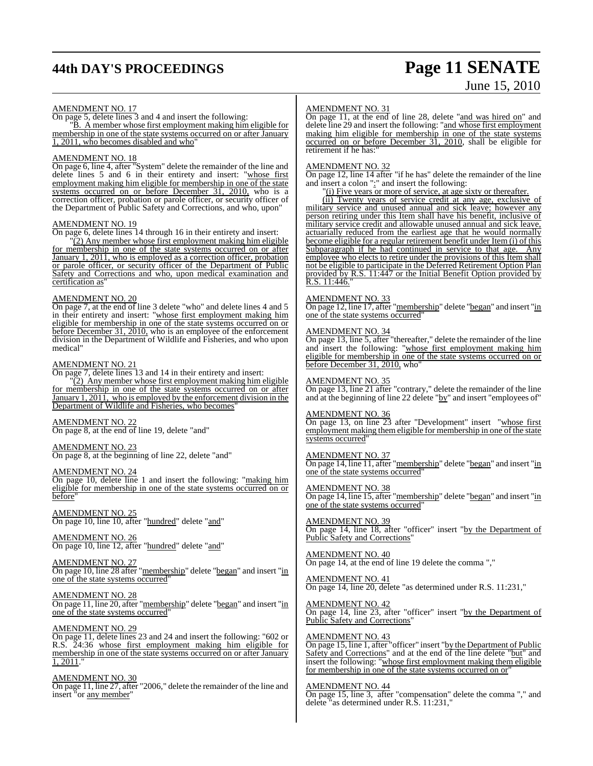# **44th DAY'S PROCEEDINGS Page 11 SENATE**

# June 15, 2010

# AMENDMENT NO. 17

On page 5, delete lines 3 and 4 and insert the following:

"B. A member whose first employment making him eligible for membership in one of the state systems occurred on or after January 1, 2011, who becomes disabled and who"

# AMENDMENT NO. 18

On page 6, line 4, after "System" delete the remainder of the line and delete lines 5 and 6 in their entirety and insert: "whose first employment making him eligible for membership in one of the state systems occurred on or before December 31, 2010, who is a correction officer, probation or parole officer, or security officer of the Department of Public Safety and Corrections, and who, upon"

### AMENDMENT NO. 19

On page 6, delete lines 14 through 16 in their entirety and insert:

"(2) Any member whose first employment making him eligible for membership in one of the state systems occurred on or after January 1, 2011, who is employed as a correction officer, probation or parole officer, or security officer of the Department of Public Safety and Corrections and who, upon medical examination and certification as"

## AMENDMENT NO. 20

On page 7, at the end of line 3 delete "who" and delete lines 4 and 5 In their entirety and insert: "whose first employment making him eligible for membership in one of the state systems occurred on or before December 31, 2010, who is an employee of the enforcement division in the Department of Wildlife and Fisheries, and who upon medical"

# AMENDMENT NO. 21

On page 7, delete lines 13 and 14 in their entirety and insert:

"(2) Any member whose first employment making him eligible for membership in one of the state systems occurred on or after January 1, 2011, who is employed by the enforcement division in the Department of Wildlife and Fisheries, who becomes'

# AMENDMENT NO. 22

On page 8, at the end of line 19, delete "and"

# AMENDMENT NO. 23

On page 8, at the beginning of line 22, delete "and"

# AMENDMENT NO. 24

On page 10, delete line 1 and insert the following: "making him eligible for membership in one of the state systems occurred on or before

AMENDMENT NO. 25 On page 10, line 10, after "hundred" delete "and"

AMENDMENT NO. 26 On page 10, line 12, after "hundred" delete "and"

# AMENDMENT NO. 27

On page 10, line 28 after "membership" delete "began" and insert "in one of the state systems occurred"

# AMENDMENT NO. 28

On page 11, line 20, after "membership" delete "began" and insert "in one of the state systems occurred"

# AMENDMENT NO. 29

On page 11, delete lines 23 and 24 and insert the following: "602 or R.S. 24:36 whose first employment making him eligible for membership in one of the state systems occurred on or after January 1, 2011."

# AMENDMENT NO. 30

On page 11, line 27, after "2006," delete the remainder of the line and insert "or any member"

# AMENDMENT NO. 31

On page 11, at the end of line 28, delete "and was hired on" and delete line 29 and insert the following: "and whose first employment making him eligible for membership in one of the state systems occurred on or before December 31, 2010, shall be eligible for retirement if he has:"

# AMENDMENT NO. 32

On page 12, line 14 after "if he has" delete the remainder of the line and insert a colon ":" and insert the following:

"(i) Five years or more of service, at age sixty or thereafter.

(ii) Twenty years of service credit at any age, exclusive of military service and unused annual and sick leave; however any person retiring under this Item shall have his benefit, inclusive of military service credit and allowable unused annual and sick leave, actuarially reduced from the earliest age that he would normally become eligible for a regular retirement benefit under Item (i) of this Subparagraph if he had continued in service to that age. Any employee who elects to retire under the provisions of this Item shall not be eligible to participate in the Deferred Retirement Option Plan provided by R.S. 11:447 or the Initial Benefit Option provided by R.S. 11:446."

# AMENDMENT NO. 33

On page 12, line 17, after "<u>membership</u>" delete "began" and insert "in one of the state systems occurred"

# AMENDMENT NO. 34

On page 13, line 5, after "thereafter," delete the remainder of the line and insert the following: "whose first employment making him eligible for membership in one of the state systems occurred on or before December 31, 2010, who"

# AMENDMENT NO. 35

On page 13, line 21 after "contrary," delete the remainder of the line and at the beginning of line 22 delete "by" and insert "employees of"

# AMENDMENT NO. 36

On page 13, on line 23 after "Development" insert "whose first employment making them eligible for membership in one of the state systems occurred

# AMENDMENT NO. 37

On page 14, line 11, after "membership" delete "began" and insert "in one of the state systems occurred"

# AMENDMENT NO. 38

On page 14, line 15, after "membership" delete "began" and insert "in one of the state systems occurred"

AMENDMENT NO. 39 On page 14, line 18, after "officer" insert "by the Department of Public Safety and Corrections"

AMENDMENT NO. 40 On page 14, at the end of line 19 delete the comma ","

AMENDMENT NO. 41 On page 14, line 20, delete "as determined under R.S. 11:231,"

AMENDMENT NO. 42 On page 14, line 23, after "officer" insert "by the Department of Public Safety and Corrections"

# AMENDMENT NO. 43

On page 15, line 1, after "officer" insert "by the Department of Public Safety and Corrections" and at the end of the line delete "but" and insert the following: "whose first employment making them eligible for membership in one of the state systems occurred on or"

# AMENDMENT NO. 44

On page 15, line 3, after "compensation" delete the comma "," and delete "as determined under R.S. 11:231,"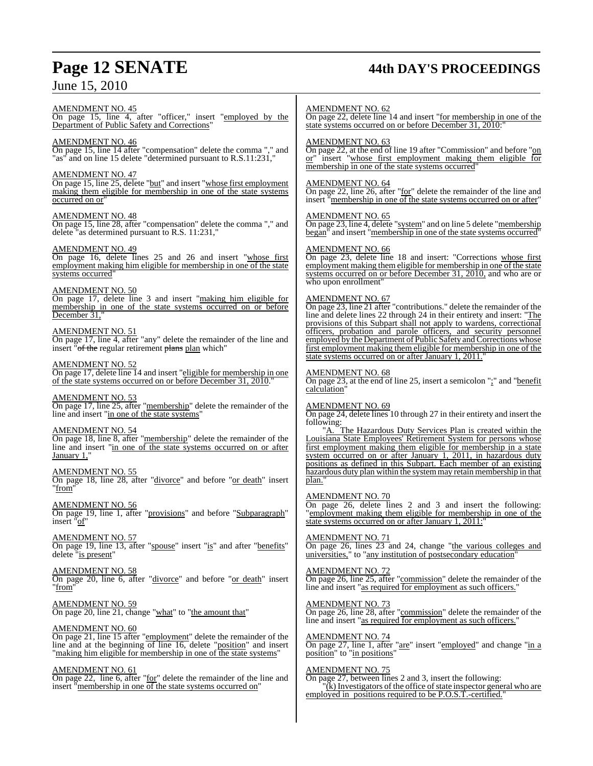# **Page 12 SENATE 44th DAY'S PROCEEDINGS**

AMENDMENT NO. 45 On page 15, line 4, after "officer," insert "employed by the Department of Public Safety and Corrections"

# AMENDMENT NO. 46

On page 15, line 14 after "compensation" delete the comma "," and "as" and on line 15 delete "determined pursuant to R.S.11:231,"

# AMENDMENT NO. 47

On page 15, line 25, delete "but" and insert "whose first employment making them eligible for membership in one of the state systems occurred on or"

# AMENDMENT NO. 48

On page 15, line 28, after "compensation" delete the comma "," and delete "as determined pursuant to R.S. 11:231,"

# AMENDMENT NO. 49

On page 16, delete lines 25 and 26 and insert "whose first employment making him eligible for membership in one of the state systems occurred"

# AMENDMENT NO. 50

On page 17, delete line 3 and insert "making him eligible for membership in one of the state systems occurred on or before December 31.

# AMENDMENT NO. 51

On page 17, line 4, after "any" delete the remainder of the line and insert "of the regular retirement plans plan which"

# AMENDMENT NO. 52

On page 17, delete line 14 and insert "eligible for membership in one of the state systems occurred on or before December 31, 2010."

# AMENDMENT NO. 53

On page 17, line 25, after "membership" delete the remainder of the line and insert "in one of the state systems"

# AMENDMENT NO. 54

On page 18, line 8, after "membership" delete the remainder of the line and insert "in one of the state systems occurred on or after January 1,

# AMENDMENT NO. 55

On page 18, line 28, after "divorce" and before "or death" insert "from"

# AMENDMENT NO. 56

On page 19, line 1, after "provisions" and before "Subparagraph" insert "of"

# AMENDMENT NO. 57

On page 19, line 13, after "spouse" insert "is" and after "benefits" delete "is present"

# AMENDMENT NO. 58

On page 20, line 6, after "divorce" and before "or death" insert "from"

## AMENDMENT NO. 59 On page 20, line 21, change "what" to "the amount that"

# AMENDMENT NO. 60

On page 21, line 15 after "employment" delete the remainder of the line and at the beginning of line 16, delete "position" and insert "making him eligible for membership in one of the state systems"

# AMENDMENT NO. 61

On page 22, line 6, after "for" delete the remainder of the line and insert "membership in one of the state systems occurred on"

# AMENDMENT NO. 62

On page 22, delete line 14 and insert "for membership in one of the state systems occurred on or before December 31, 2010:

# AMENDMENT NO. 63

On page 22, at the end of line 19 after "Commission" and before "on or" insert "whose first employment making them eligible for membership in one of the state systems occurred"

# AMENDMENT NO. 64

On page 22, line 26, after "for" delete the remainder of the line and insert "membership in one of the state systems occurred on or after"

# AMENDMENT NO. 65

On page 23, line 4, delete "system" and on line 5 delete "membership" began" and insert "membership in one of the state systems occurred

# AMENDMENT NO. 66

On page 23, delete line 18 and insert: "Corrections whose first employment making them eligible for membership in one of the state systems occurred on or before December 31, 2010, and who are or who upon enrollment"

# AMENDMENT NO. 67

On page 23, line 21 after "contributions." delete the remainder of the line and delete lines 22 through 24 in their entirety and insert: "The provisions of this Subpart shall not apply to wardens, correctional officers, probation and parole officers, and security personnel employed by the Department of Public Safety and Corrections whose first employment making them eligible for membership in one of the state systems occurred on or after January 1, 2011."

# AMENDMENT NO. 68

 $\overline{\text{On page 23}}$ , at the end of line 25, insert a semicolon ";" and "benefit calculation'

# AMENDMENT NO. 69

On page 24, delete lines 10 through 27 in their entirety and insert the following:

"A. The Hazardous Duty Services Plan is created within the Louisiana State Employees' Retirement System for persons whose first employment making them eligible for membership in a state system occurred on or after January 1, 2011, in hazardous duty positions as defined in this Subpart. Each member of an existing hazardous duty plan within the systemmay retain membership in that plan."

# AMENDMENT NO. 70

On page 26, delete lines 2 and 3 and insert the following: "employment making them eligible for membership in one of the state systems occurred on or after January 1, 2011:"

# AMENDMENT NO. 71

On page 26, lines 23 and 24, change "the various colleges and universities," to "any institution of postsecondary education"

# AMENDMENT NO. 72

On page 26, line 25, after "commission" delete the remainder of the line and insert "as required for employment as such officers."

# AMENDMENT NO. 73

On page 26, line 28, after "commission" delete the remainder of the line and insert "as required for employment as such officers."

# AMENDMENT NO. 74 On page 27, line 1, after "are" insert "employed" and change "in a

# position" to "in positions"

# AMENDMENT NO. 75

On page 27, between lines 2 and 3, insert the following:  $\chi$ <sup>"</sup>(k) Investigators of the office of state inspector general who are employed in positions required to be P.O.S.T.-certified."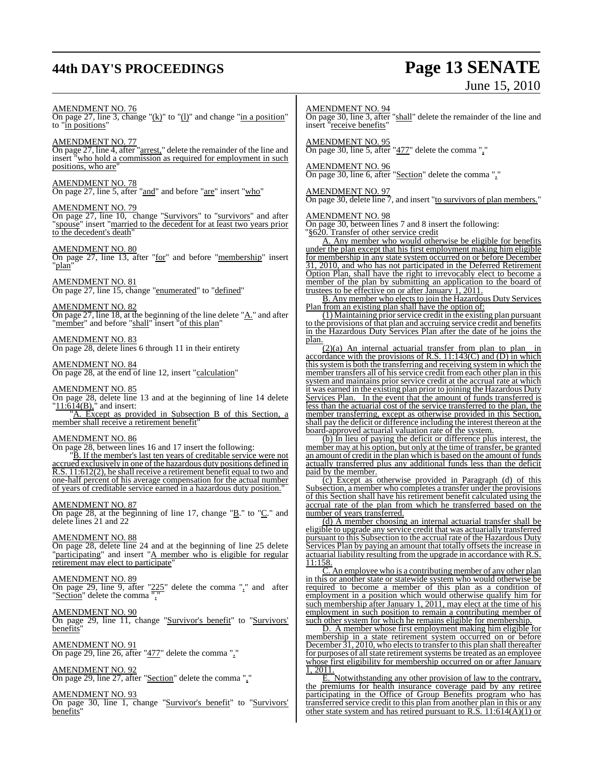# **44th DAY'S PROCEEDINGS Page 13 SENATE**

# June 15, 2010

# AMENDMENT NO. 76

On page 27, line 3, change " $(k)$ " to " $(l)$ " and change "in a position" to "in positions"

# AMENDMENT NO. 77

On page 27, line 4, after "arrest," delete the remainder of the line and insert "who hold a commission as required for employment in such positions, who are"

# AMENDMENT NO. 78

On page 27, line 5, after "and" and before "are" insert "who"

# AMENDMENT NO. 79

On page 27, line 10, change "Survivors" to "survivors" and after "spouse" insert "married to the decedent for at least two years prior to the decedent's death"

# AMENDMENT NO. 80

On page 27, line 13, after "for" and before "membership" insert "plan"

# AMENDMENT NO. 81

On page 27, line 15, change "enumerated" to "defined"

# AMENDMENT NO. 82

On page 27, line 18, at the beginning of the line delete " $\underline{A}$ ." and after "member" and before "shall" insert "of this plan"

# AMENDMENT NO. 83

On page 28, delete lines 6 through 11 in their entirety

# AMENDMENT NO. 84

On page 28, at the end of line 12, insert "calculation"

# AMENDMENT NO. 85

On page 28, delete line 13 and at the beginning of line 14 delete " $11:61\,(B)$ , " and insert:

A. Except as provided in Subsection B of this Section, a member shall receive a retirement benefit"

# AMENDMENT NO. 86

On page 28, between lines 16 and 17 insert the following:

"B. If the member's last ten years of creditable service were not accrued exclusively in one of the hazardous duty positions defined in R.S. 11:612(2), he shall receive a retirement benefit equal to two and one-half percent of his average compensation for the actual number of years of creditable service earned in a hazardous duty position."

# AMENDMENT NO. 87

On page 28, at the beginning of line 17, change " $\underline{B}$ ." to " $\underline{C}$ ." and delete lines 21 and 22

# AMENDMENT NO. 88

On page 28, delete line 24 and at the beginning of line 25 delete "participating" and insert "A member who is eligible for regular retirement may elect to participate

## AMENDMENT NO. 89

On page 29, line 9, after " $225$ " delete the comma "," and after "Section" delete the comma","

# AMENDMENT NO. 90

On page 29, line 11, change "Survivor's benefit" to "Survivors' benefits'

# AMENDMENT NO. 91

On page 29, line 26, after "477" delete the comma ","

# AMENDMENT NO. 92

On page 29, line 27, after "Section" delete the comma ","

#### AMENDMENT NO. 93 On page 30, line 1, change "Survivor's benefit" to "Survivors' **benefits**

# AMENDMENT NO. 94

On page 30, line 3, after "shall" delete the remainder of the line and insert "receive benefits"

AMENDMENT NO. 95 On page 30, line 5, after "477" delete the comma ","

# AMENDMENT NO. 96

On page 30, line 6, after "Section" delete the comma ","

# AMENDMENT NO. 97

On page 30, delete line 7, and insert "to survivors of plan members."

# AMENDMENT NO. 98

On page 30, between lines 7 and 8 insert the following: §620. Transfer of other service credit

A. Any member who would otherwise be eligible for benefits under the plan except that his first employment making him eligible for membership in any state system occurred on or before December 31, 2010, and who has not participated in the Deferred Retirement Option Plan, shall have the right to irrevocably elect to become a member of the plan by submitting an application to the board of trustees to be effective on or after January 1, 2011.

B. Any member who elects to join the Hazardous Duty Services Plan from an existing plan shall have the option of:

 $(1)$  Maintaining prior service credit in the existing plan pursuant to the provisions of that plan and accruing service credit and benefits in the Hazardous Duty Services Plan after the date of he joins the plan.

(2)(a) An internal actuarial transfer from plan to plan in accordance with the provisions of R.S.  $11:143(C)$  and (D) in which thissystem is both the transferring and receiving system in which the member transfers all of his service credit from each other plan in this system and maintains prior service credit at the accrual rate at which it was earned in the existing plan prior to joining the Hazardous Duty Services Plan. In the event that the amount of funds transferred is less than the actuarial cost of the service transferred to the plan, the member transferring, except as otherwise provided in this Section, shall pay the deficit or difference including the interest thereon at the board-approved actuarial valuation rate of the system.

(b) In lieu of paying the deficit or difference plus interest, the member may at his option, but only at the time of transfer, be granted an amount of credit in the plan which is based on the amount of funds actually transferred plus any additional funds less than the deficit paid by the member.

(c) Except as otherwise provided in Paragraph (d) of this Subsection, a member who completes a transfer under the provisions of this Section shall have his retirement benefit calculated using the accrual rate of the plan from which he transferred based on the number of years transferred.

(d) A member choosing an internal actuarial transfer shall be eligible to upgrade any service credit that was actuarially transferred pursuant to this Subsection to the accrual rate of the Hazardous Duty Services Plan by paying an amount that totally offsets the increase in actuarial liability resulting from the upgrade in accordance with R.S. 11:158.

C. An employee who is a contributing member of any other plan in this or another state or statewide system who would otherwise be required to become a member of this plan as a condition of employment in a position which would otherwise qualify him for such membership after January 1, 2011, may elect at the time of his employment in such position to remain a contributing member of such other system for which he remains eligible for membership.

D. A member whose first employment making him eligible for membership in a state retirement system occurred on or before December 31, 2010, who elects to transfer to this plan shall thereafter for purposes of all state retirement systems be treated as an employee whose first eligibility for membership occurred on or after January 1, 2011.

E. Notwithstanding any other provision of law to the contrary, the premiums for health insurance coverage paid by any retiree participating in the Office of Group Benefits program who has transferred service credit to this plan from another plan in this or any other state system and has retired pursuant to R.S.  $11:614(A)(1)$  or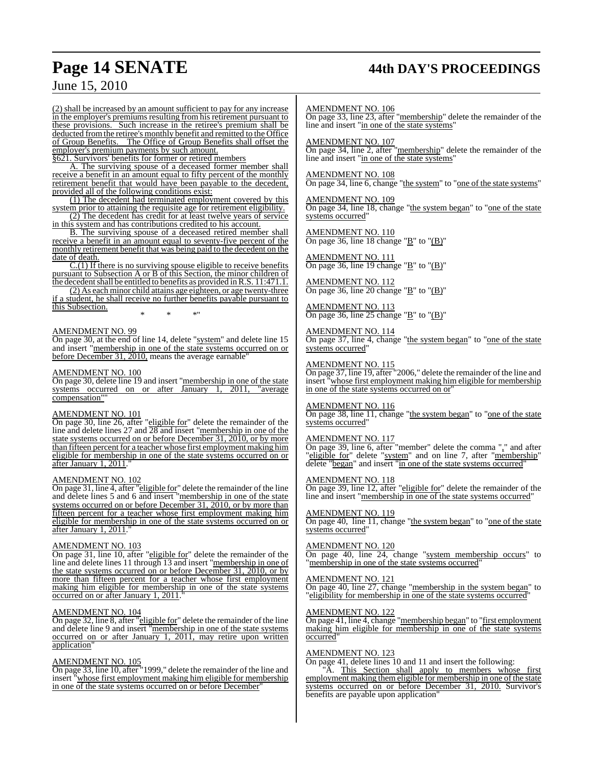# **Page 14 SENATE 44th DAY'S PROCEEDINGS**

# June 15, 2010

(2) shall be increased by an amount sufficient to pay for any increase in the employer's premiums resulting from his retirement pursuant to these provisions. Such increase in the retiree's premium shall be deducted from the retiree's monthly benefit and remitted to the Office of Group Benefits. The Office of Group Benefits shall offset the employer's premium payments by such amount.

§621. Survivors' benefits for former or retired members

A. The surviving spouse of a deceased former member shall receive a benefit in an amount equal to fifty percent of the monthly retirement benefit that would have been payable to the decedent, provided all of the following conditions exist:

(1) The decedent had terminated employment covered by this system prior to attaining the requisite age for retirement eligibility. (2) The decedent has credit for at least twelve years of service

in this system and has contributions credited to his account.

B. The surviving spouse of a deceased retired member shall receive a benefit in an amount equal to seventy-five percent of the monthly retirement benefit that was being paid to the decedent on the date of death.

C.(1) If there is no surviving spouse eligible to receive benefits pursuant to Subsection A or B of this Section, the minor children of the decedent shall be entitled to benefits as provided in R.S. 11:471.1.

(2) As each minor child attains age eighteen, or age twenty-three if a student, he shall receive no further benefits payable pursuant to this Subsection.

\* \* \*"

# AMENDMENT NO. 99

On page 30, at the end of line 14, delete "system" and delete line 15 and insert "membership in one of the state systems occurred on or before December 31, 2010, means the average earnable"

#### AMENDMENT NO. 100

On page 30, delete line 19 and insert "<u>membership in one of the state</u> systems occurred on or after January 1, 2011, "average compensation""

# AMENDMENT NO. 101

On page 30, line 26, after "eligible for" delete the remainder of the line and delete lines 27 and 28 and insert "membership in one of the state systems occurred on or before December 31, 2010, or by more than fifteen percent for a teacher whose first employment making him eligible for membership in one of the state systems occurred on or after January 1, 2011."

# AMENDMENT NO. 102

On page 31, line 4, after "eligible for" delete the remainder of the line and delete lines 5 and 6 and insert "membership in one of the state systems occurred on or before December 31, 2010, or by more than fifteen percent for a teacher whose first employment making him eligible for membership in one of the state systems occurred on or after January 1, 2011."

# AMENDMENT NO. 103

On page 31, line 10, after "eligible for" delete the remainder of the line and delete lines 11 through 13 and insert "membership in one of the state systems occurred on or before December 31, 2010, or by more than fifteen percent for a teacher whose first employment making him eligible for membership in one of the state systems occurred on or after January 1, 2011.

# AMENDMENT NO. 104

On page 32, line 8, after "eligible for" delete the remainder of the line and delete line 9 and insert "membership in one of the state systems occurred on or after January 1, 2011, may retire upon written application"

### AMENDMENT NO. 105

On page 33, line 10, after "1999," delete the remainder of the line and insert "whose first employment making him eligible for membership in one of the state systems occurred on or before December"

AMENDMENT NO. 106

On page 33, line 23, after "membership" delete the remainder of the line and insert "in one of the state systems"

AMENDMENT NO. 107

On page 34, line 2, after "membership" delete the remainder of the line and insert "in one of the state systems"

AMENDMENT NO. 108 On page 34, line 6, change "the system" to "one of the state systems"

AMENDMENT NO. 109 On page 34, line 18, change "the system began" to "one of the state systems occurred"

AMENDMENT NO. 110 On page 36, line 18 change " $\underline{B}$ " to " $\underline{(B)}$ "

AMENDMENT NO. 111 On page 36, line 19 change "B" to "(B)"

AMENDMENT NO. 112 On page 36, line 20 change " $\underline{B}$ " to " $\underline{B}$ "

AMENDMENT NO. 113 On page 36, line  $25$  change "B" to "(B)"

AMENDMENT NO. 114 On page 37, line 4, change "the system began" to "one of the state systems occurred"

AMENDMENT NO. 115

On page 37, line 19, after "2006," delete the remainder of the line and insert "whose first employment making him eligible for membership in one of the state systems occurred on or"

# AMENDMENT NO. 116

On page 38, line 11, change "the system began" to "one of the state systems occurred

# AMENDMENT NO. 117

On page 39, line 6, after "member" delete the comma "," and after "eligible for" delete "system" and on line 7, after "membership" delete "began" and insert "in one of the state systems occurred"

# AMENDMENT NO. 118

On page 39, line 12, after "eligible for" delete the remainder of the line and insert "membership in one of the state systems occurred"

# AMENDMENT NO. 119

On page 40, line 11, change "the system began" to "one of the state systems occurred"

#### AMENDMENT NO. 120

On page 40, line 24, change "system membership occurs" to "membership in one of the state systems occurred"

### AMENDMENT NO. 121

On page 40, line 27, change "membership in the system began" to "eligibility for membership in one of the state systems occurred"

# AMENDMENT NO. 122

On page 41, line 4, change "membership began" to "first employment making him eligible for membership in one of the state systems occurred

# AMENDMENT NO. 123

On page 41, delete lines 10 and 11 and insert the following:

"A. This Section shall apply to members whose first employment making them eligible for membership in one of the state systems occurred on or before December 31, 2010. Survivor's benefits are payable upon application"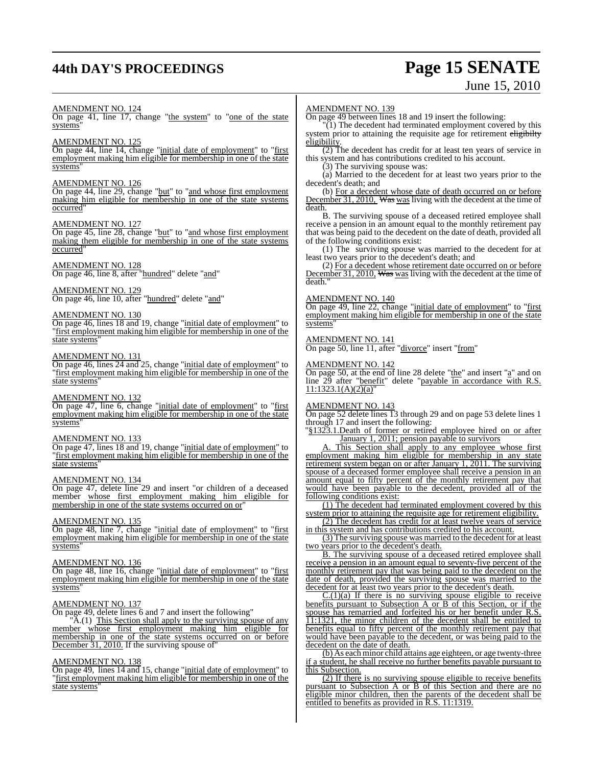# **44th DAY'S PROCEEDINGS Page 15 SENATE**

# June 15, 2010

# AMENDMENT NO. 124

On page 41, line 17, change "the system" to "one of the state systems"

# AMENDMENT NO. 125

On page 44, line 14, change "initial date of employment" to "first employment making him eligible for membership in one of the state systems"

# AMENDMENT NO. 126

On page 44, line 29, change "but" to "and whose first employment making him eligible for membership in one of the state systems occurred"

## AMENDMENT NO. 127

On page 45, line 28, change "but" to "and whose first employment making them eligible for membership in one of the state systems occurred"

# AMENDMENT NO. 128

On page 46, line 8, after "hundred" delete "and"

# AMENDMENT NO. 129

On page 46, line 10, after "hundred" delete "and"

# AMENDMENT NO. 130

On page 46, lines 18 and 19, change "initial date of employment" to "first employment making him eligible for membership in one of the state systems"

# AMENDMENT NO. 131

On page 46, lines 24 and 25, change "initial date of employment" to "first employment making him eligible for membership in one of the state systems"

## AMENDMENT NO. 132

On page 47, line 6, change "initial date of employment" to "first employment making him eligible for membership in one of the state systems"

# AMENDMENT NO. 133

On page 47, lines 18 and 19, change "initial date of employment" to "first employment making him eligible for membership in one of the state systems"

## AMENDMENT NO. 134

On page 47, delete line 29 and insert "or children of a deceased member whose first employment making him eligible for membership in one of the state systems occurred on or

# AMENDMENT NO. 135

On page 48, line 7, change "initial date of employment" to "first employment making him eligible for membership in one of the state systems"

# AMENDMENT NO. 136

On page 48, line 16, change "initial date of employment" to "first employment making him eligible for membership in one of the state systems"

# <u>AMENDMENT NO. 137</u>

On page 49, delete lines 6 and 7 and insert the following"

"A.(1) This Section shall apply to the surviving spouse of any member whose first employment making him eligible for membership in one of the state systems occurred on or before December 31, 2010. If the surviving spouse of"

# AMENDMENT NO. 138

On page 49, lines 14 and 15, change "initial date of employment" to "first employment making him eligible for membership in one of the state systems'

# AMENDMENT NO. 139

On page 49 between lines 18 and 19 insert the following:

 $\widetilde{f(1)}$  The decedent had terminated employment covered by this system prior to attaining the requisite age for retirement eligibilty eligibility.

(2) The decedent has credit for at least ten years of service in this system and has contributions credited to his account.

(3) The surviving spouse was:

(a) Married to the decedent for at least two years prior to the decedent's death; and

(b) For a decedent whose date of death occurred on or before December 31, 2010. Was was living with the decedent at the time of death.

B. The surviving spouse of a deceased retired employee shall receive a pension in an amount equal to the monthly retirement pay that was being paid to the decedent on the date of death, provided all of the following conditions exist:

(1) The surviving spouse was married to the decedent for at least two years prior to the decedent's death; and

(2) For a decedent whose retirement date occurred on or before December 31, 2010, Was was living with the decedent at the time of death<sup>1</sup>

# AMENDMENT NO. 140

On page 49, line 22, change "initial date of employment" to "first employment making him eligible for membership in one of the state systems"

# AMENDMENT NO. 141

On page 50, line 11, after "divorce" insert "from"

# AMENDMENT NO. 142

On page 50, at the end of line 28 delete "the" and insert "a" and on line 29 after "<u>benefit</u>" delete "<u>payable in accordance with R.S.</u>  $11:1323.1(A)(2)(a)$ 

## AMENDMENT NO. 143

On page 52 delete lines 13 through 29 and on page 53 delete lines 1 through 17 and insert the following:

"§1323.1.Death of former or retired employee hired on or after January 1, 2011; pension payable to survivors

This Section shall apply to any employee whose first employment making him eligible for membership in any state retirement system began on or after January 1, 2011. The surviving spouse of a deceased former employee shall receive a pension in an amount equal to fifty percent of the monthly retirement pay that would have been payable to the decedent, provided all of the following conditions exist:

(1) The decedent had terminated employment covered by this system prior to attaining the requisite age for retirement eligibility.

(2) The decedent has credit for at least twelve years of service in this system and has contributions credited to his account.

(3) The surviving spouse was married to the decedent for at least two years prior to the decedent's death.

B. The surviving spouse of a deceased retired employee shall receive a pension in an amount equal to seventy-five percent of the monthly retirement pay that was being paid to the decedent on the date of death, provided the surviving spouse was married to the decedent for at least two years prior to the decedent's death.

 $C(1)(a)$  If there is no surviving spouse eligible to receive benefits pursuant to Subsection A or B of this Section, or if the spouse has remarried and forfeited his or her benefit under R.S. 11:1321, the minor children of the decedent shall be entitled to benefits equal to fifty percent of the monthly retirement pay that would have been payable to the decedent, or was being paid to the decedent on the date of death.

(b) As each minor child attains age eighteen, or age twenty-three if a student, he shall receive no further benefits payable pursuant to this Subsection.

(2) If there is no surviving spouse eligible to receive benefits pursuant to Subsection A or B of this Section and there are no eligible minor children, then the parents of the decedent shall be entitled to benefits as provided in R.S. 11:1319.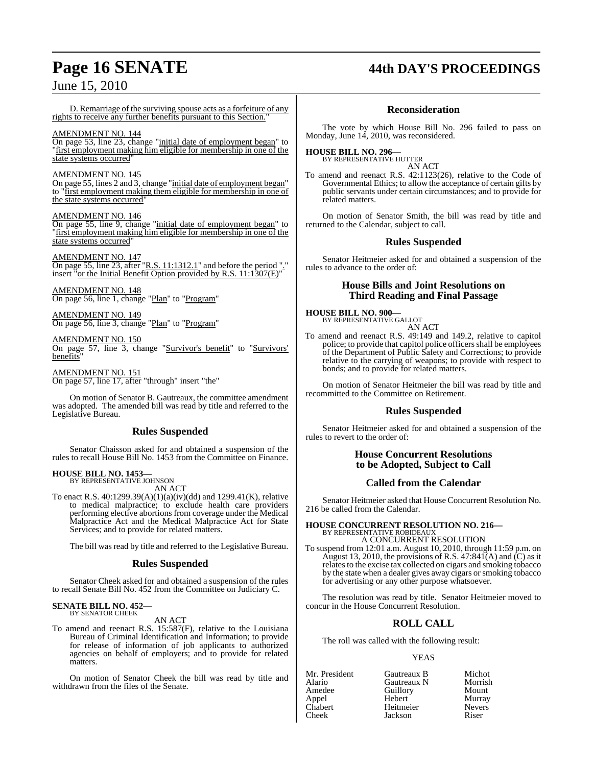# **Page 16 SENATE 44th DAY'S PROCEEDINGS**

D. Remarriage of the surviving spouse acts as a forfeiture of any rights to receive any further benefits pursuant to this Section."

# AMENDMENT NO. 144

On page 53, line 23, change "initial date of employment began" to "first employment making him eligible for membership in one of the state systems occurred"

# AMENDMENT NO. 145

On page 55, lines 2 and 3, change "initial date of employment began" to "first employment making them eligible for membership in one of the state systems occurred"

# AMENDMENT NO. 146

On page 55, line 9, change "initial date of employment began" to "first employment making him eligible for membership in one of the state systems occurred

# AMENDMENT NO. 147

On page 55, line 23, after  $"R.S. 11:1312.1"$  and before the period "." insert "or the Initial Benefit Option provided by R.S. 11:1307(E)"

AMENDMENT NO. 148 On page 56, line 1, change "Plan" to "Program"

AMENDMENT NO. 149 On page 56, line 3, change "Plan" to "Program"

AMENDMENT NO. 150 On page 57, line 3, change "Survivor's benefit" to "Survivors' benefits"

AMENDMENT NO. 151 On page 57, line 17, after "through" insert "the"

On motion of Senator B. Gautreaux, the committee amendment was adopted. The amended bill was read by title and referred to the Legislative Bureau.

# **Rules Suspended**

Senator Chaisson asked for and obtained a suspension of the rules to recall House Bill No. 1453 from the Committee on Finance.

# **HOUSE BILL NO. 1453—** BY REPRESENTATIVE JOHNSON

AN ACT

To enact R.S. 40:1299.39(A)(1)(a)(iv)(dd) and 1299.41(K), relative to medical malpractice; to exclude health care providers performing elective abortions from coverage under the Medical Malpractice Act and the Medical Malpractice Act for State Services; and to provide for related matters.

The bill was read by title and referred to the Legislative Bureau.

# **Rules Suspended**

Senator Cheek asked for and obtained a suspension of the rules to recall Senate Bill No. 452 from the Committee on Judiciary C.

#### **SENATE BILL NO. 452—** BY SENATOR CHEEK

AN ACT

To amend and reenact R.S. 15:587(F), relative to the Louisiana Bureau of Criminal Identification and Information; to provide for release of information of job applicants to authorized agencies on behalf of employers; and to provide for related matters.

On motion of Senator Cheek the bill was read by title and withdrawn from the files of the Senate.

# **Reconsideration**

The vote by which House Bill No. 296 failed to pass on Monday, June 14, 2010, was reconsidered.

## **HOUSE BILL NO. 296—** BY REPRESENTATIVE HUTTER

AN ACT

To amend and reenact R.S. 42:1123(26), relative to the Code of Governmental Ethics; to allow the acceptance of certain gifts by public servants under certain circumstances; and to provide for related matters.

On motion of Senator Smith, the bill was read by title and returned to the Calendar, subject to call.

# **Rules Suspended**

Senator Heitmeier asked for and obtained a suspension of the rules to advance to the order of:

# **House Bills and Joint Resolutions on Third Reading and Final Passage**

# **HOUSE BILL NO. 900—** BY REPRESENTATIVE GALLOT

AN ACT

To amend and reenact R.S. 49:149 and 149.2, relative to capitol police; to provide that capitol police officers shall be employees of the Department of Public Safety and Corrections; to provide relative to the carrying of weapons; to provide with respect to bonds; and to provide for related matters.

On motion of Senator Heitmeier the bill was read by title and recommitted to the Committee on Retirement.

# **Rules Suspended**

Senator Heitmeier asked for and obtained a suspension of the rules to revert to the order of:

# **House Concurrent Resolutions to be Adopted, Subject to Call**

# **Called from the Calendar**

Senator Heitmeier asked that House Concurrent Resolution No. 216 be called from the Calendar.

#### **HOUSE CONCURRENT RESOLUTION NO. 216—** BY REPRESENTATIVE ROBIDEAUX A CONCURRENT RESOLUTION

To suspend from 12:01 a.m. August 10, 2010, through 11:59 p.m. on August 13, 2010, the provisions of R.S.  $47:841(A)$  and  $(C)$  as it relatesto the excise tax collected on cigars and smoking tobacco by the state when a dealer gives away cigars or smoking tobacco for advertising or any other purpose whatsoever.

The resolution was read by title. Senator Heitmeier moved to concur in the House Concurrent Resolution.

# **ROLL CALL**

The roll was called with the following result:

# YEAS

| Mr. President    | Gautreaux B | Michot        |
|------------------|-------------|---------------|
| Alario           | Gautreaux N | Morrish       |
| Amedee           | Guillory    | Mount         |
|                  | Hebert      | Murray        |
| Appel<br>Chabert | Heitmeier   | <b>Nevers</b> |
| Cheek            | Jackson     | Riser         |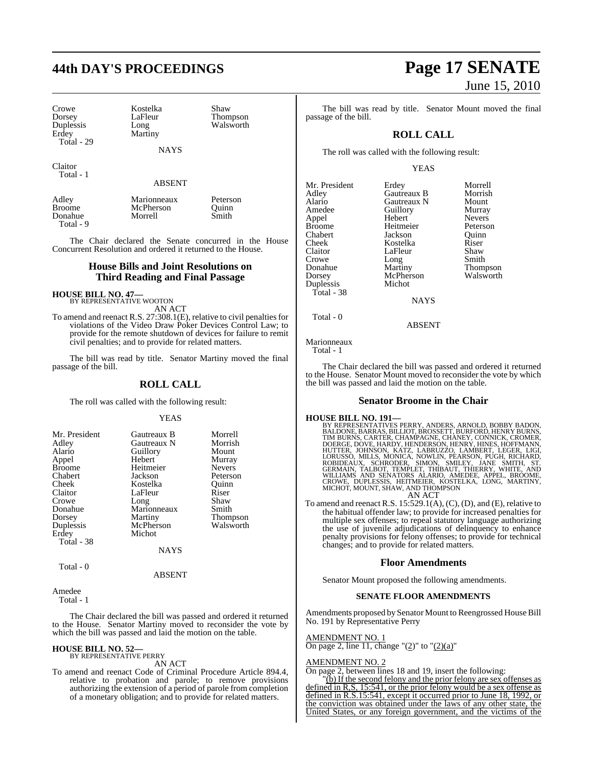# **44th DAY'S PROCEEDINGS Page 17 SENATE**

Crowe Kostelka Shaw Duplessis<br>Erdev Total - 29

LaFleur Thompson<br>
Long Walsworth Martiny

NAYS

Claitor Total - 1

# ABSENT

Adley Marionneaux Peterson Donahue Total - 9

Broome McPherson Quinn<br>
Donahue Morrell Smith

The Chair declared the Senate concurred in the House Concurrent Resolution and ordered it returned to the House.

# **House Bills and Joint Resolutions on Third Reading and Final Passage**

# **HOUSE BILL NO. 47—** BY REPRESENTATIVE WOOTON

AN ACT

To amend and reenact R.S. 27:308.1(E), relative to civil penaltiesfor violations of the Video Draw Poker Devices Control Law; to provide for the remote shutdown of devices for failure to remit civil penalties; and to provide for related matters.

The bill was read by title. Senator Martiny moved the final passage of the bill.

# **ROLL CALL**

The roll was called with the following result:

# YEAS

| Mr. President<br>Adley<br>Alario<br>Appel<br><b>Broome</b><br>Chabert<br>Cheek<br>Claitor<br>Crowe<br>Donahue<br>Dorsey<br>Duplessis<br>Erdey<br>Total - 38 | Gautreaux B<br>Gautreaux N<br>Guillory<br>Hebert<br>Heitmeier<br>Jackson<br>Kostelka<br>LaFleur<br>Long<br>Marionneaux<br>Martiny<br>McPherson<br>Michot | Morrell<br>Morrish<br>Mount<br>Murray<br><b>Nevers</b><br>Peterson<br>Ouinn<br>Riser<br>Shaw<br>Smith<br><b>Thompson</b><br>Walsworth |
|-------------------------------------------------------------------------------------------------------------------------------------------------------------|----------------------------------------------------------------------------------------------------------------------------------------------------------|---------------------------------------------------------------------------------------------------------------------------------------|
|                                                                                                                                                             | NAYS                                                                                                                                                     |                                                                                                                                       |
| Total - 0                                                                                                                                                   |                                                                                                                                                          |                                                                                                                                       |

#### ABSENT

Amedee Total - 1

The Chair declared the bill was passed and ordered it returned to the House. Senator Martiny moved to reconsider the vote by which the bill was passed and laid the motion on the table.

# **HOUSE BILL NO. 52—** BY REPRESENTATIVE PERRY

AN ACT

To amend and reenact Code of Criminal Procedure Article 894.4, relative to probation and parole; to remove provisions authorizing the extension of a period of parole from completion of a monetary obligation; and to provide for related matters.

# June 15, 2010

The bill was read by title. Senator Mount moved the final passage of the bill.

# **ROLL CALL**

The roll was called with the following result:

# YEAS

| Mr. President | Erdey       | Morrell         |
|---------------|-------------|-----------------|
| Adley         | Gautreaux B | Morrish         |
| Alario        | Gautreaux N | Mount           |
| Amedee        | Guillory    | Murray          |
| Appel         | Hebert      | <b>Nevers</b>   |
| <b>Broome</b> | Heitmeier   | Peterson        |
| Chabert       | Jackson     | Ouinn           |
| Cheek         | Kostelka    | Riser           |
| Claitor       | LaFleur     | Shaw            |
| Crowe         | Long        | Smith           |
| Donahue       | Martiny     | <b>Thompson</b> |
| Dorsey        | McPherson   | Walsworth       |
| Duplessis     | Michot      |                 |
| Total - 38    |             |                 |
|               | NAYS        |                 |

# ABSENT

Marionneaux

Total - 0

Total - 1

The Chair declared the bill was passed and ordered it returned to the House. Senator Mount moved to reconsider the vote by which the bill was passed and laid the motion on the table.

# **Senator Broome in the Chair**

HOUSE BILL NO. 191—<br>BY REPRESENTATIVES PERRY, ANDERS, ARNOLD, BOBBY BADON,<br>BALDONE, BARRAS, BILLIOT, BROSSETT, BURFORD, HENRY BURNS, TIM BURNS, CARTER, CHAMPAGNE, CHANEY, CONNICK, CROMER,<br>DOERGE, DOVE, HARDY, HENDERSON, HE

AN ACT

To amend and reenact R.S. 15:529.1(A), (C), (D), and (E), relative to the habitual offender law; to provide for increased penalties for multiple sex offenses; to repeal statutory language authorizing the use of juvenile adjudications of delinquency to enhance penalty provisions for felony offenses; to provide for technical changes; and to provide for related matters.

# **Floor Amendments**

Senator Mount proposed the following amendments.

# **SENATE FLOOR AMENDMENTS**

Amendments proposed by Senator Mount to Reengrossed House Bill No. 191 by Representative Perry

# AMENDMENT NO. 1

On page 2, line 11, change " $(2)$ " to " $(2)(a)$ "

# AMENDMENT NO. 2

On page 2, between lines 18 and 19, insert the following:

"(b) If the second felony and the prior felony are sex offenses as defined in R,S, 15:541, or the prior felony would be a sex offense as defined in R.S.15:541, except it occurred prior to June 18, 1992, or the conviction was obtained under the laws of any other state, the United States, or any foreign government, and the victims of the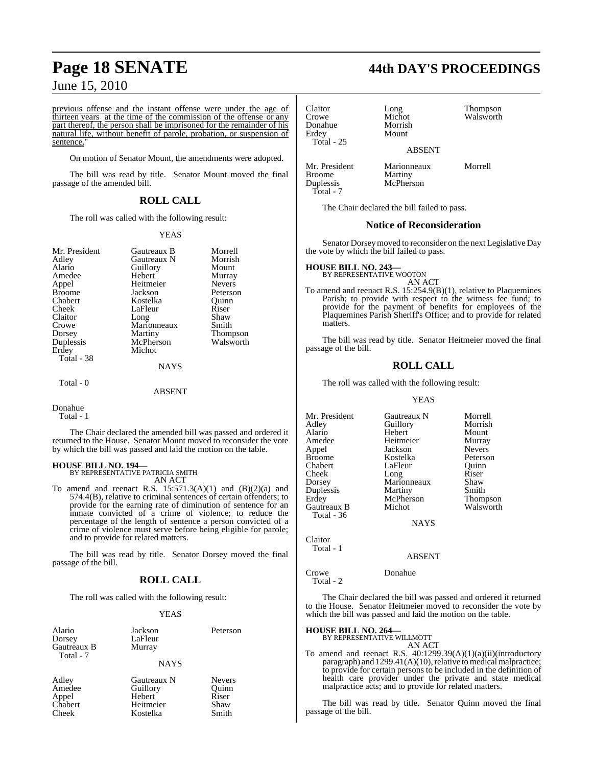previous offense and the instant offense were under the age of thirteen years at the time of the commission of the offense or any part thereof, the person shall be imprisoned for the remainder of his natural life, without benefit of parole, probation, or suspension of sentence.

On motion of Senator Mount, the amendments were adopted.

The bill was read by title. Senator Mount moved the final passage of the amended bill.

# **ROLL CALL**

The roll was called with the following result:

# YEAS

| Mr. President | Gautreaux B | Morrell       |
|---------------|-------------|---------------|
| Adley         | Gautreaux N | Morrish       |
| Alario        | Guillory    | Mount         |
| Amedee        | Hebert      | Murray        |
| Appel         | Heitmeier   | <b>Nevers</b> |
| <b>Broome</b> | Jackson     | Peterson      |
| Chabert       | Kostelka    | Ouinn         |
| Cheek         | LaFleur     | Riser         |
| Claitor       | Long        | Shaw          |
| Crowe         | Marionneaux | Smith         |
| Dorsey        | Martiny     | Thompson      |
| Duplessis     | McPherson   | Walsworth     |
| Erdey         | Michot      |               |
| Total - 38    |             |               |
|               | <b>NAYS</b> |               |
| Total - 0     |             |               |
|               | ARSENT      |               |

Donahue

Total - 1

The Chair declared the amended bill was passed and ordered it returned to the House. Senator Mount moved to reconsider the vote by which the bill was passed and laid the motion on the table.

# **HOUSE BILL NO. 194—**

BY REPRESENTATIVE PATRICIA SMITH AN ACT

To amend and reenact R.S.  $15:571.3(A)(1)$  and  $(B)(2)(a)$  and 574.4(B), relative to criminal sentences of certain offenders; to provide for the earning rate of diminution of sentence for an inmate convicted of a crime of violence; to reduce the percentage of the length of sentence a person convicted of a crime of violence must serve before being eligible for parole; and to provide for related matters.

The bill was read by title. Senator Dorsey moved the final passage of the bill.

# **ROLL CALL**

The roll was called with the following result:

# YEAS

| Alario      | Jackson     | Peterson |
|-------------|-------------|----------|
| Dorsey      | LaFleur     |          |
| Gautreaux B | Murray      |          |
| Total - 7   |             |          |
|             | <b>NAYS</b> |          |
|             |             |          |

Kostelka

Appel Hebert Riser<br>Chabert Heitmeier Shaw Chabert Heitmeier Shaw<br>Cheek Kostelka Smith

Adley Gautreaux N Nevers Guillory Quinn<br>
Hebert Riser

**Page 18 SENATE 44th DAY'S PROCEEDINGS**

Michot Walsworth<br>Morrish

Claitor Long Thompson Donahue<br>Erdey Total - 25

ABSENT

Mr. President Marionneaux Morrell Broome Martiny<br>
Duplessis McPhers Total - 7

The Chair declared the bill failed to pass.

McPherson

Mount

# **Notice of Reconsideration**

Senator Dorseymoved to reconsider on the next Legislative Day the vote by which the bill failed to pass.

**HOUSE BILL NO. 243—** BY REPRESENTATIVE WOOTON

AN ACT To amend and reenact R.S. 15:254.9(B)(1), relative to Plaquemines Parish; to provide with respect to the witness fee fund; to provide for the payment of benefits for employees of the Plaquemines Parish Sheriff's Office; and to provide for related matters.

The bill was read by title. Senator Heitmeier moved the final passage of the bill.

# **ROLL CALL**

The roll was called with the following result:

# YEAS

Mr. President Gautreaux N Morrell<br>Adley Guillory Morrish Guillory Morris<br>
Hebert Mount Alario Hebert Mount Amedee Heitmeier Murray<br>Appel Jackson Nevers Appel Jackson Nevers Broome Kostelka Peterson<br>Chabert LaFleur Cuinn LaFleur Quinn<br>Long Riser Cheek Long Riser<br>Dorsey Marionneaux Shaw Marionneaux Shaw<br>Martiny Smith Duplessis Erdey McPherson Thompson<br>
Gautreaux B Michot Walsworth Gautreaux B Total - 36

NAYS

Claitor Total - 1

## ABSENT

Crowe Donahue Total - 2

The Chair declared the bill was passed and ordered it returned to the House. Senator Heitmeier moved to reconsider the vote by which the bill was passed and laid the motion on the table.

#### **HOUSE BILL NO. 264—** BY REPRESENTATIVE WILLMOTT

AN ACT

To amend and reenact R.S. 40:1299.39(A)(1)(a)(ii)(introductory paragraph) and 1299.41(A)(10), relative to medical malpractice; to provide for certain persons to be included in the definition of health care provider under the private and state medical malpractice acts; and to provide for related matters.

The bill was read by title. Senator Quinn moved the final passage of the bill.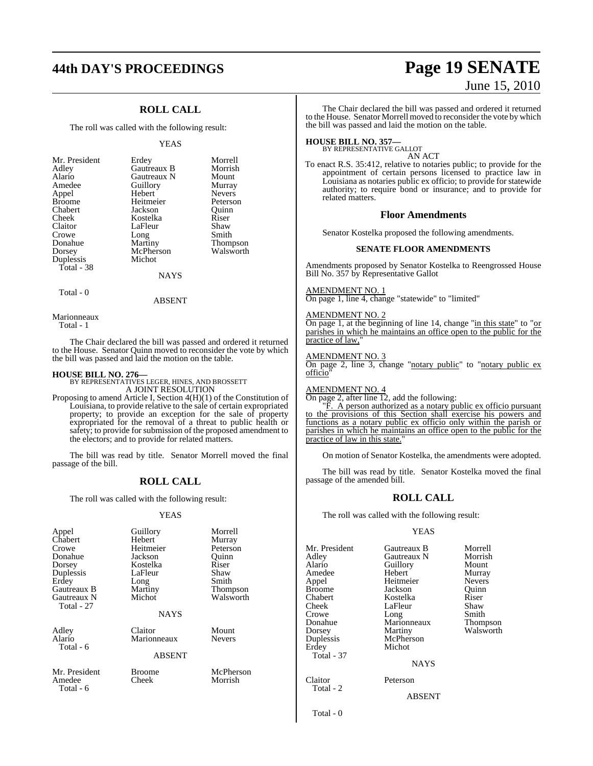# **44th DAY'S PROCEEDINGS Page 19 SENATE**

# **ROLL CALL**

The roll was called with the following result:

### YEAS

Morrell **Morrish** Mount Murray Nevers Peterson<br>Ouinn

Shaw Smith **Thompson** Walsworth

| Mr. President | Erdey         | Morre  |
|---------------|---------------|--------|
| Adley         | Gautreaux B   | Morris |
| Alario        | Gautreaux N   | Moun   |
| Amedee        | Guillory      | Murra  |
| Appel         | Hebert        | Never: |
| <b>Broome</b> | Heitmeier     | Peters |
| Chabert       | Jackson       | Ouinn  |
| Cheek         | Kostelka      | Riser  |
| Claitor       | LaFleur       | Shaw   |
| Crowe         | Long          | Smith  |
| Donahue       | Martiny       | Thom   |
| Dorsey        | McPherson     | Walsw  |
| Duplessis     | Michot        |        |
| Total - 38    |               |        |
|               | <b>NTANZO</b> |        |

NAYS

Total - 0

ABSENT

Marionneaux Total - 1

The Chair declared the bill was passed and ordered it returned to the House. Senator Quinn moved to reconsider the vote by which

the bill was passed and laid the motion on the table.

**HOUSE BILL NO. 276—** BY REPRESENTATIVES LEGER, HINES, AND BROSSETT A JOINT RESOLUTION

Proposing to amend Article I, Section 4(H)(1) of the Constitution of Louisiana, to provide relative to the sale of certain expropriated property; to provide an exception for the sale of property expropriated for the removal of a threat to public health or safety; to provide for submission of the proposed amendment to the electors; and to provide for related matters.

The bill was read by title. Senator Morrell moved the final passage of the bill.

# **ROLL CALL**

The roll was called with the following result:

# YEAS

| Appel<br>Chabert<br>Crowe<br>Donahue<br>Dorsey<br>Duplessis<br>Erdey<br>Gautreaux B<br>Gautreaux N<br>Total - 27 | Guillory<br>Hebert<br>Heitmeier<br>Jackson<br>Kostelka<br>LaFleur<br>Long<br>Martiny<br>Michot<br><b>NAYS</b> | Morrell<br>Murray<br>Peterson<br>Ouinn<br>Riser<br>Shaw<br>Smith<br>Thompson<br>Walsworth |
|------------------------------------------------------------------------------------------------------------------|---------------------------------------------------------------------------------------------------------------|-------------------------------------------------------------------------------------------|
| Adley<br>Alario<br>Total - 6                                                                                     | Claitor<br>Marionneaux<br><b>ABSENT</b>                                                                       | Mount<br><b>Nevers</b>                                                                    |
| Mr. President<br>Amedee<br>Total - 6                                                                             | <b>Broome</b><br>Cheek                                                                                        | McPherson<br>Morrish                                                                      |

# June 15, 2010

The Chair declared the bill was passed and ordered it returned to the House. Senator Morrell moved to reconsider the vote by which the bill was passed and laid the motion on the table.

# **HOUSE BILL NO. 357—** BY REPRESENTATIVE GALLOT

AN ACT

To enact R.S. 35:412, relative to notaries public; to provide for the appointment of certain persons licensed to practice law in Louisiana as notaries public ex officio; to provide for statewide authority; to require bond or insurance; and to provide for related matters.

# **Floor Amendments**

Senator Kostelka proposed the following amendments.

# **SENATE FLOOR AMENDMENTS**

Amendments proposed by Senator Kostelka to Reengrossed House Bill No. 357 by Representative Gallot

# AMENDMENT NO. 1

On page 1, line 4, change "statewide" to "limited"

# AMENDMENT NO. 2

On page 1, at the beginning of line 14, change "in this state" to "or parishes in which he maintains an office open to the public for the practice of law,

### AMENDMENT NO. 3

On page 2, line 3, change "notary public" to "notary public exofficio"

# AMENDMENT NO. 4

On page 2, after line 12, add the following:

F. A person authorized as a notary public ex officio pursuant to the provisions of this Section shall exercise his powers and functions as a notary public ex officio only within the parish or parishes in which he maintains an office open to the public for the practice of law in this state."

On motion of Senator Kostelka, the amendments were adopted.

The bill was read by title. Senator Kostelka moved the final passage of the amended bill.

# **ROLL CALL**

The roll was called with the following result:

# YEAS

| Mr. President     | Gautreaux B | Morrell       |
|-------------------|-------------|---------------|
| Adley             | Gautreaux N | Morrish       |
| Alario            | Guillory    | Mount         |
| Amedee            | Hebert      | Murray        |
| Appel             | Heitmeier   | <b>Nevers</b> |
| Broome            | Jackson     | Ouinn         |
| Chabert           | Kostelka    | Riser         |
| Cheek             | LaFleur     | Shaw          |
| Crowe             | Long        | Smith         |
| Donahue           | Marionneaux | Thompson      |
| Dorsey            | Martiny     | Walsworth     |
| Duplessis         | McPherson   |               |
| Erdey             | Michot      |               |
| <b>Total - 37</b> |             |               |
|                   | <b>NAYS</b> |               |
|                   |             |               |
|                   |             |               |

Total - 2

ABSENT

Total - 0

Claitor Peterson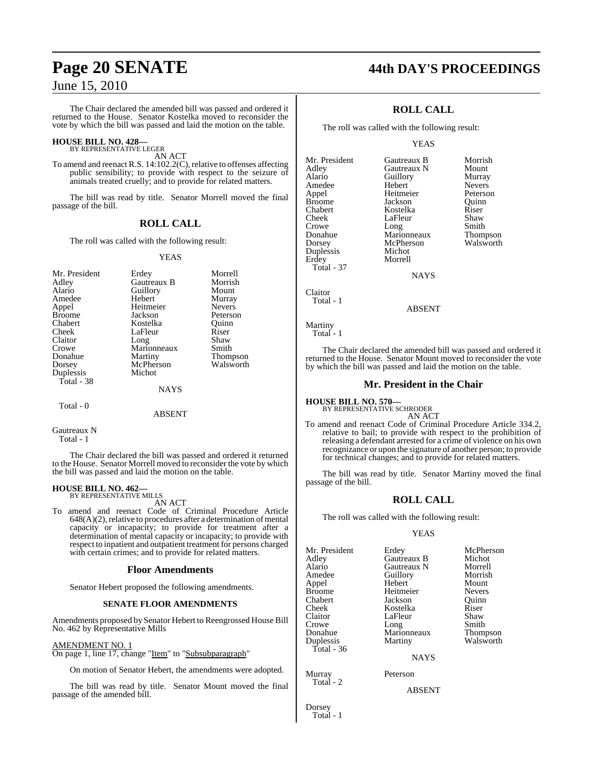The Chair declared the amended bill was passed and ordered it returned to the House. Senator Kostelka moved to reconsider the vote by which the bill was passed and laid the motion on the table.

# **HOUSE BILL NO. 428—** BY REPRESENTATIVE LEGER

AN ACT

To amend and reenact R.S. 14:102.2(C), relative to offenses affecting public sensibility; to provide with respect to the seizure of animals treated cruelly; and to provide for related matters.

The bill was read by title. Senator Morrell moved the final passage of the bill.

# **ROLL CALL**

The roll was called with the following result:

# YEAS

| Mr. President | Erdey       | Morrell         |
|---------------|-------------|-----------------|
| Adley         | Gautreaux B | Morrish         |
| Alario        | Guillory    | Mount           |
| Amedee        | Hebert      | Murray          |
| Appel         | Heitmeier   | <b>Nevers</b>   |
| <b>Broome</b> | Jackson     | Peterson        |
| Chabert       | Kostelka    | Ouinn           |
| Cheek         | LaFleur     | Riser           |
| Claitor       | Long        | Shaw            |
| Crowe         | Marionneaux | Smith           |
| Donahue       | Martiny     | <b>Thompson</b> |
| Dorsey        | McPherson   | Walsworth       |
| Duplessis     | Michot      |                 |
| Total - 38    |             |                 |
|               | <b>NAYS</b> |                 |
| Total - 0     |             |                 |

ABSENT

Gautreaux N Total - 1

The Chair declared the bill was passed and ordered it returned to the House. Senator Morrell moved to reconsider the vote by which the bill was passed and laid the motion on the table.

# **HOUSE BILL NO. 462—** BY REPRESENTATIVE MILLS

AN ACT

To amend and reenact Code of Criminal Procedure Article  $648(A)(2)$ , relative to procedures after a determination of mental capacity or incapacity; to provide for treatment after a determination of mental capacity or incapacity; to provide with respect to inpatient and outpatient treatment for persons charged with certain crimes; and to provide for related matters.

# **Floor Amendments**

Senator Hebert proposed the following amendments.

# **SENATE FLOOR AMENDMENTS**

Amendments proposed by Senator Hebert to Reengrossed House Bill No. 462 by Representative Mills

# AMENDMENT NO. 1

On page 1, line 17, change "Item" to "Subsubparagraph"

On motion of Senator Hebert, the amendments were adopted.

The bill was read by title. Senator Mount moved the final passage of the amended bill.

# **Page 20 SENATE 44th DAY'S PROCEEDINGS**

# **ROLL CALL**

The roll was called with the following result:

# YEAS

Mr. President Gautreaux B Morrish<br>Adley Gautreaux N Mount Gautreaux N Mount<br> **Guillory** Murray Alario Guillory Murray Amedee Hebert Nevers<br>
Appel Heitmeier Peterson Appel Heitmeier Peterson Broome **Jackson** Quinn<br>Chabert **Chaber** Kostelka Riser Chabert Kostelka Riser LaFleur Shaw<br>Long Smith Crowe Long Smith<br>
Donahue Marionneaux Thompson Donahue Marionneaux Thompson McPherson<br>Michot Duplessis<br>Erdey Morrell Total - 37

**NAYS** 

Claitor Total - 1

ABSENT

Martiny Total - 1

The Chair declared the amended bill was passed and ordered it returned to the House. Senator Mount moved to reconsider the vote by which the bill was passed and laid the motion on the table.

# **Mr. President in the Chair**

**HOUSE BILL NO. 570—**

BY REPRESENTATIVE SCHRODER AN ACT

To amend and reenact Code of Criminal Procedure Article 334.2, relative to bail; to provide with respect to the prohibition of releasing a defendant arrested for a crime of violence on his own recognizance or upon the signature of another person; to provide for technical changes; and to provide for related matters.

The bill was read by title. Senator Martiny moved the final passage of the bill.

# **ROLL CALL**

The roll was called with the following result:

# YEAS

|             | McPherson                                       |
|-------------|-------------------------------------------------|
|             | Michot                                          |
|             | Morrell                                         |
|             | Morrish                                         |
| Hebert      | Mount                                           |
| Heitmeier   | <b>Nevers</b>                                   |
| Jackson     | Ouinn                                           |
| Kostelka    | Riser                                           |
| LaFleur     | Shaw                                            |
| Long        | Smith                                           |
| Marionneaux | <b>Thompson</b>                                 |
| Martiny     | Walsworth                                       |
|             |                                                 |
| <b>NAYS</b> |                                                 |
| Peterson    |                                                 |
|             | Erdey<br>Gautreaux B<br>Gautreaux N<br>Guillory |

Total - 2

**ABSENT** 

Dorsey Total - 1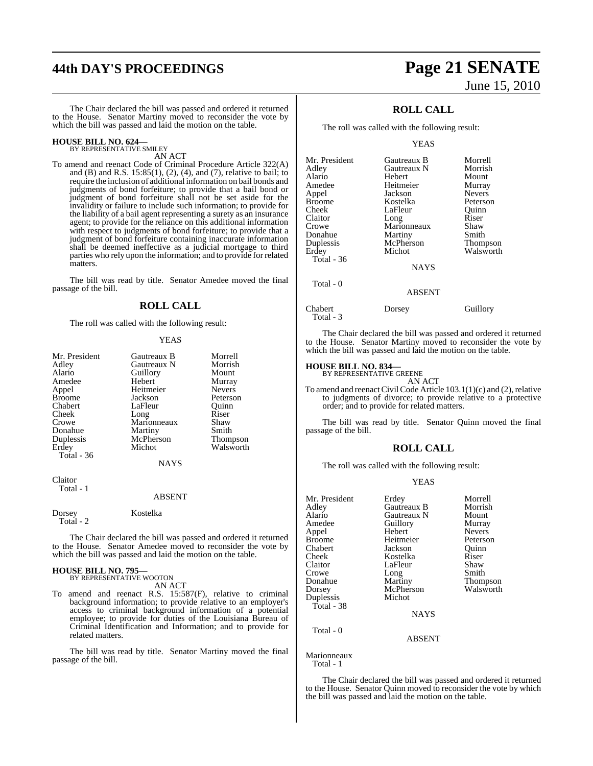# **44th DAY'S PROCEEDINGS Page 21 SENATE**

The Chair declared the bill was passed and ordered it returned to the House. Senator Martiny moved to reconsider the vote by which the bill was passed and laid the motion on the table.

# **HOUSE BILL NO. 624—** BY REPRESENTATIVE SMILEY

AN ACT

To amend and reenact Code of Criminal Procedure Article 322(A) and (B) and R.S. 15:85(1), (2), (4), and (7), relative to bail; to require the inclusion of additional information on bail bonds and judgments of bond forfeiture; to provide that a bail bond or judgment of bond forfeiture shall not be set aside for the invalidity or failure to include such information; to provide for the liability of a bail agent representing a surety as an insurance agent; to provide for the reliance on this additional information with respect to judgments of bond forfeiture; to provide that a judgment of bond forfeiture containing inaccurate information shall be deemed ineffective as a judicial mortgage to third parties who rely upon the information; and to provide for related matters.

The bill was read by title. Senator Amedee moved the final passage of the bill.

# **ROLL CALL**

The roll was called with the following result:

### YEAS

| Mr. President<br>Adlev<br>Alario<br>Amedee<br>Appel<br><b>Broome</b><br>Chabert<br>Cheek<br>Crowe<br>Donahue<br>Duplessis<br>Erdey<br>Total - 36 | Gautreaux B<br>Gautreaux N<br>Guillory<br>Hebert<br>Heitmeier<br>Jackson<br>LaFleur<br>Long<br>Marionneaux<br>Martiny<br>McPherson<br>Michot | Morrell<br>Morrish<br>Mount<br>Murray<br><b>Nevers</b><br>Peterson<br>Ouinn<br>Riser<br>Shaw<br>Smith<br><b>Thompson</b><br>Walsworth |
|--------------------------------------------------------------------------------------------------------------------------------------------------|----------------------------------------------------------------------------------------------------------------------------------------------|---------------------------------------------------------------------------------------------------------------------------------------|
|                                                                                                                                                  | <b>NAYS</b>                                                                                                                                  |                                                                                                                                       |
| Claitor<br>Total - 1                                                                                                                             |                                                                                                                                              |                                                                                                                                       |

## ABSENT

Dorsey Kostelka Total - 2

The Chair declared the bill was passed and ordered it returned to the House. Senator Amedee moved to reconsider the vote by which the bill was passed and laid the motion on the table.

# **HOUSE BILL NO. 795—** BY REPRESENTATIVE WOOTON

AN ACT

To amend and reenact R.S. 15:587(F), relative to criminal background information; to provide relative to an employer's access to criminal background information of a potential employee; to provide for duties of the Louisiana Bureau of Criminal Identification and Information; and to provide for related matters.

The bill was read by title. Senator Martiny moved the final passage of the bill.

# June 15, 2010

# **ROLL CALL**

The roll was called with the following result:

### YEAS

| Mr. President | Gautreaux B | Morrell         |
|---------------|-------------|-----------------|
| Adley         | Gautreaux N | Morrish         |
| Alario        | Hebert      | Mount           |
| Amedee        | Heitmeier   | Murray          |
| Appel         | Jackson     | <b>Nevers</b>   |
| <b>Broome</b> | Kostelka    | Peterson        |
| Cheek         | LaFleur     | Ouinn           |
| Claitor       | Long        | Riser           |
| Crowe         | Marionneaux | Shaw            |
| Donahue       | Martiny     | Smith           |
| Duplessis     | McPherson   | <b>Thompson</b> |
| Erdey         | Michot      | Walsworth       |
| Total - 36    |             |                 |
|               | <b>NAYS</b> |                 |
| Total - 0     |             |                 |

ABSENT

#### Chabert Dorsey Guillory Total - 3

The Chair declared the bill was passed and ordered it returned to the House. Senator Martiny moved to reconsider the vote by which the bill was passed and laid the motion on the table.

# **HOUSE BILL NO. 834—**

BY REPRESENTATIVE GREENE AN ACT

To amend and reenact Civil Code Article  $103.1(1)(c)$  and  $(2)$ , relative to judgments of divorce; to provide relative to a protective order; and to provide for related matters.

The bill was read by title. Senator Quinn moved the final passage of the bill.

# **ROLL CALL**

The roll was called with the following result:

# YEAS

| Mr. President | Erdey         | Morrell       |
|---------------|---------------|---------------|
| Adley         | Gautreaux B   | Morrish       |
| Alario        | Gautreaux N   | Mount         |
| Amedee        | Guillory      | Murray        |
| Appel         | Hebert        | <b>Nevers</b> |
| <b>Broome</b> | Heitmeier     | Peterson      |
| Chabert       | Jackson       | Ouinn         |
| Cheek         | Kostelka      | Riser         |
| Claitor       | LaFleur       | Shaw          |
| Crowe         | Long          | Smith         |
| Donahue       | Martiny       | Thompson      |
| Dorsey        | McPherson     | Walsworth     |
| Duplessis     | Michot        |               |
| Total - 38    |               |               |
|               | <b>NAYS</b>   |               |
| Total - 0     |               |               |
|               | <b>ABSENT</b> |               |
|               |               |               |

Marionneaux Total - 1

The Chair declared the bill was passed and ordered it returned to the House. Senator Quinn moved to reconsider the vote by which the bill was passed and laid the motion on the table.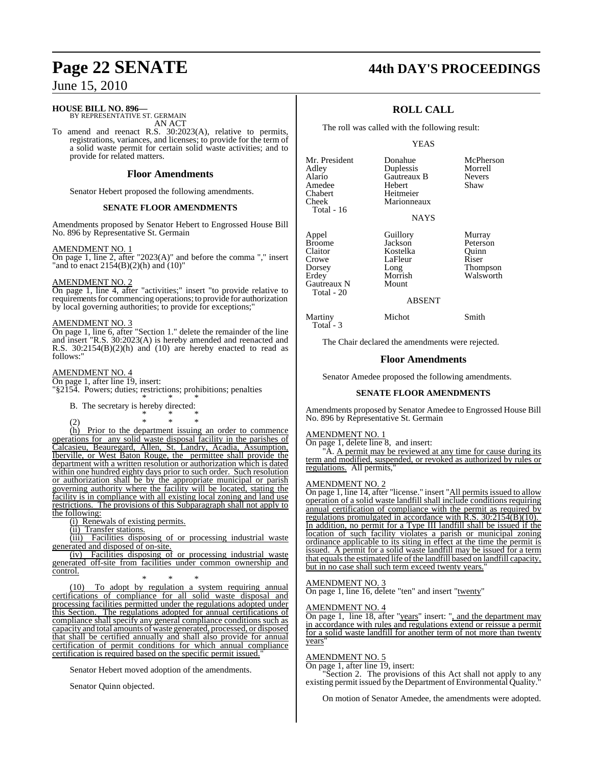# **HOUSE BILL NO. 896—**

BY REPRESENTATIVE ST. GERMAIN AN ACT

To amend and reenact R.S. 30:2023(A), relative to permits, registrations, variances, and licenses; to provide for the term of a solid waste permit for certain solid waste activities; and to provide for related matters.

# **Floor Amendments**

Senator Hebert proposed the following amendments.

# **SENATE FLOOR AMENDMENTS**

Amendments proposed by Senator Hebert to Engrossed House Bill No. 896 by Representative St. Germain

## AMENDMENT NO. 1

 $\overline{On}$  page 1, line 2, after "2023(A)" and before the comma "," insert "and to enact  $2154(B)(2)(h)$  and  $(10)$ "

# AMENDMENT NO. 2

On page 1, line 4, after "activities;" insert "to provide relative to requirements for commencing operations; to provide for authorization by local governing authorities; to provide for exceptions;"

# AMENDMENT NO. 3

On page 1, line 6, after "Section 1." delete the remainder of the line and insert "R.S. 30:2023(A) is hereby amended and reenacted and R.S.  $30:2154(B)(2)(h)$  and  $(10)$  are hereby enacted to read as follows:"

# AMENDMENT NO. 4

On page 1, after line 19, insert: "§2154. Powers; duties; restrictions; prohibitions; penalties \* \* \*

B. The secretary is hereby directed: \* \* \*

(2) \* \* \* (h) Prior to the department issuing an order to commence operations for any solid waste disposal facility in the parishes of Calcasieu, Beauregard, Allen, St. Landry, Acadia, Assumption, Iberville, or West Baton Rouge, the permittee shall provide the department with a written resolution or authorization which is dated within one hundred eighty days prior to such order. Such resolution or authorization shall be by the appropriate municipal or parish governing authority where the facility will be located, stating the facility is in compliance with all existing local zoning and land use restrictions. The provisions of this Subparagraph shall not apply to the following:

(i) Renewals of existing permits.

(ii) Transfer stations.

(iii) Facilities disposing of or processing industrial waste generated and disposed of on-site.

(iv) Facilities disposing of or processing industrial waste generated off-site from facilities under common ownership and control.

\* \* \* (10) To adopt by regulation a system requiring annual certifications of compliance for all solid waste disposal and processing facilities permitted under the regulations adopted under this Section. The regulations adopted for annual certifications of compliance shall specify any general compliance conditions such as capacity and total amounts of waste generated, processed, or disposed that shall be certified annually and shall also provide for annual certification of permit conditions for which annual compliance certification is required based on the specific permit issued."

Senator Hebert moved adoption of the amendments.

Senator Quinn objected.

# **Page 22 SENATE 44th DAY'S PROCEEDINGS**

# **ROLL CALL**

The roll was called with the following result:

# YEAS

**Duplessis** Morrell<br> **Gautreaux B** Nevers

Mr. President Donahue McPherson<br>Adley Duplessis Morrell Alario Gautreaux B Never<br>Amedee Hebert Shaw Amedee<br>Chabert Chabert Heitmeier<br>Cheek Marionnea Total - 16

Gautreaux N Total - 20

Total - 3

Marionneaux NAYS

Crowe LaFleur<br>Dorsey Long<br>Erdey Morrish

Appel Guillory Murray Broome Jackson Peterson<br>Claitor Kostelka Ouinn Claitor Kostelka Quinn Dorsey Long Thompson<br>Erdey Morrish Walsworth Morrish Walsworth

# ABSENT

Martiny Michot Smith

The Chair declared the amendments were rejected.

# **Floor Amendments**

Senator Amedee proposed the following amendments.

# **SENATE FLOOR AMENDMENTS**

Amendments proposed by Senator Amedee to Engrossed House Bill No. 896 by Representative St. Germain

# AMENDMENT NO. 1

On page 1, delete line 8, and insert:

A. A permit may be reviewed at any time for cause during its term and modified, suspended, or revoked as authorized by rules or regulations. All permits,

# AMENDMENT NO. 2

On page 1, line 14, after "license." insert "All permits issued to allow operation of a solid waste landfill shall include conditions requiring annual certification of compliance with the permit as required by regulations promulgated in accordance with R.S. 30:2154(B)(10). In addition, no permit for a Type III landfill shall be issued if the location of such facility violates a parish or municipal zoning ordinance applicable to its siting in effect at the time the permit is issued. A permit for a solid waste landfill may be issued for a term that equals the estimated life of the landfill based on landfill capacity, but in no case shall such term exceed twenty years.

# AMENDMENT NO. 3

On page 1, line 16, delete "ten" and insert "twenty"

# AMENDMENT NO. 4

On page 1, line 18, after "years" insert: ", and the department may in accordance with rules and regulations extend or reissue a permit for a solid waste landfill for another term of not more than twenty years"

# AMENDMENT NO. 5

On page 1, after line 19, insert:

Section 2. The provisions of this Act shall not apply to any existing permit issued by the Department of Environmental Quality.

On motion of Senator Amedee, the amendments were adopted.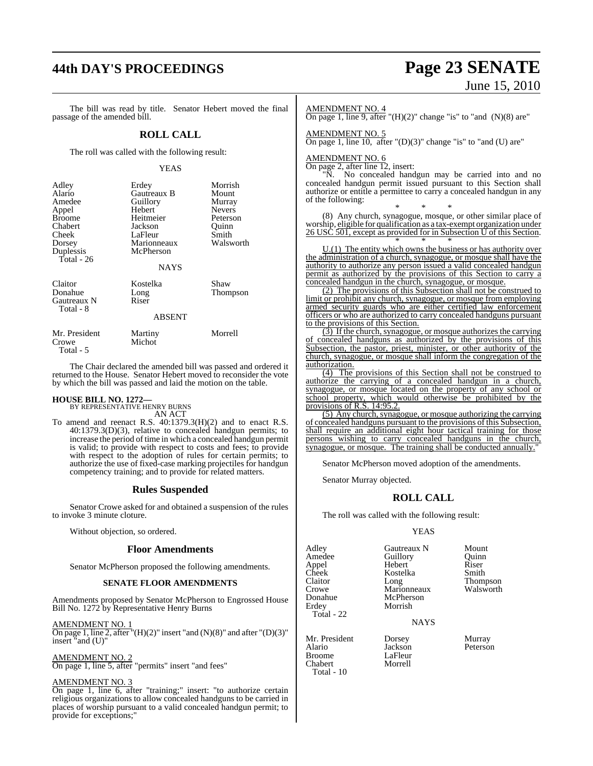# **44th DAY'S PROCEEDINGS Page 23 SENATE**

# June 15, 2010

The bill was read by title. Senator Hebert moved the final passage of the amended bill.

# **ROLL CALL**

The roll was called with the following result:

# YEAS

| Adley<br>Alario<br>Amedee<br>Appel<br><b>Broome</b><br>Chabert<br>Cheek<br>Dorsey<br>Duplessis<br>Total - $26$ | Erdey<br>Gautreaux B<br>Guillory<br>Hebert<br>Heitmeier<br>Jackson<br>LaFleur<br>Marionneaux<br>McPherson<br><b>NAYS</b> | Morrish<br>Mount<br>Murray<br><b>Nevers</b><br>Peterson<br>Ouinn<br>Smith<br>Walsworth |
|----------------------------------------------------------------------------------------------------------------|--------------------------------------------------------------------------------------------------------------------------|----------------------------------------------------------------------------------------|
| Claitor<br>Donahue<br>Gautreaux N<br>Total - 8                                                                 | Kostelka<br>Long<br>Riser<br><b>ABSENT</b>                                                                               | Shaw<br>Thompson                                                                       |

| Mr. President | Martiny | Morrell |
|---------------|---------|---------|
| Crowe         | Michot  |         |
| Total - 5     |         |         |

The Chair declared the amended bill was passed and ordered it returned to the House. Senator Hebert moved to reconsider the vote by which the bill was passed and laid the motion on the table.

**HOUSE BILL NO. 1272—** BY REPRESENTATIVE HENRY BURNS AN ACT

To amend and reenact R.S. 40:1379.3(H)(2) and to enact R.S. 40:1379.3(D)(3), relative to concealed handgun permits; to increase the period of time in which a concealed handgun permit is valid; to provide with respect to costs and fees; to provide with respect to the adoption of rules for certain permits; to authorize the use of fixed-case marking projectiles for handgun competency training; and to provide for related matters.

# **Rules Suspended**

Senator Crowe asked for and obtained a suspension of the rules to invoke 3 minute cloture.

Without objection, so ordered.

# **Floor Amendments**

Senator McPherson proposed the following amendments.

# **SENATE FLOOR AMENDMENTS**

Amendments proposed by Senator McPherson to Engrossed House Bill No. 1272 by Representative Henry Burns

AMENDMENT NO. 1

On page 1, line 2, after " $(H)(2)$ " insert "and  $(N)(8)$ " and after " $(D)(3)$ " insert "and (U)"

### AMENDMENT NO. 2

On page 1, line 5, after "permits" insert "and fees"

# AMENDMENT NO. 3

On page 1, line 6, after "training;" insert: "to authorize certain religious organizations to allow concealed handguns to be carried in places of worship pursuant to a valid concealed handgun permit; to provide for exceptions;"

# AMENDMENT NO. 4

On page 1, line 9, after " $(H)(2)$ " change "is" to "and  $(N)(8)$  are"

AMENDMENT NO. 5

On page 1, line 10, after "(D)(3)" change "is" to "and (U) are"

# AMENDMENT NO. 6

On page 2, after line 12, insert:

"N. No concealed handgun may be carried into and no concealed handgun permit issued pursuant to this Section shall authorize or entitle a permittee to carry a concealed handgun in any of the following:

\* \* \* (8) Any church, synagogue, mosque, or other similar place of worship, eligible for qualification as a tax-exempt organization under 26 USC 501, except as provided for in Subsection U of this Section. \* \* \*

 $U(1)$  The entity which owns the business or has authority over the administration of a church, synagogue, or mosque shall have the authority to authorize any person issued a valid concealed handgun permit as authorized by the provisions of this Section to carry a concealed handgun in the church, synagogue, or mosque.

(2) The provisions of this Subsection shall not be construed to limit or prohibit any church, synagogue, or mosque from employing armed security guards who are either certified law enforcement officers or who are authorized to carry concealed handguns pursuant to the provisions of this Section.

(3) If the church, synagogue, or mosque authorizes the carrying of concealed handguns as authorized by the provisions of this Subsection, the pastor, priest, minister, or other authority of the church, synagogue, or mosque shall inform the congregation of the authorization.

(4) The provisions of this Section shall not be construed to authorize the carrying of a concealed handgun in a church, synagogue, or mosque located on the property of any school or school property, which would otherwise be prohibited by the provisions of R.S. 14:95.2.

(5) Any church, synagogue, or mosque authorizing the carrying of concealed handguns pursuant to the provisions of this Subsection, shall require an additional eight hour tactical training for those persons wishing to carry concealed handguns in the church, synagogue, or mosque. The training shall be conducted annually.'

Senator McPherson moved adoption of the amendments.

Senator Murray objected.

# **ROLL CALL**

The roll was called with the following result:

Jackson<br>LaFleur

# YEAS

| Adley      |  |
|------------|--|
| Amedee     |  |
| Appel      |  |
| Cheek      |  |
| Claitor    |  |
| Crowe      |  |
| Donahue    |  |
| Erdey      |  |
| Total - 22 |  |
|            |  |

Mr. President Dorsey Murray<br>Alario Iackson Peterson Broome LaFleur<br>Chabert Morrell Chabert Total - 10

Gautreaux N Mount<br>
Guillory Duinn Amedeuthory<br>
Hebert Riser Hebert Riser<br>Kostelka Smith Kostelka<br>Long Marionneaux McPherson Morrish

NAYS

Thompson<br>Walsworth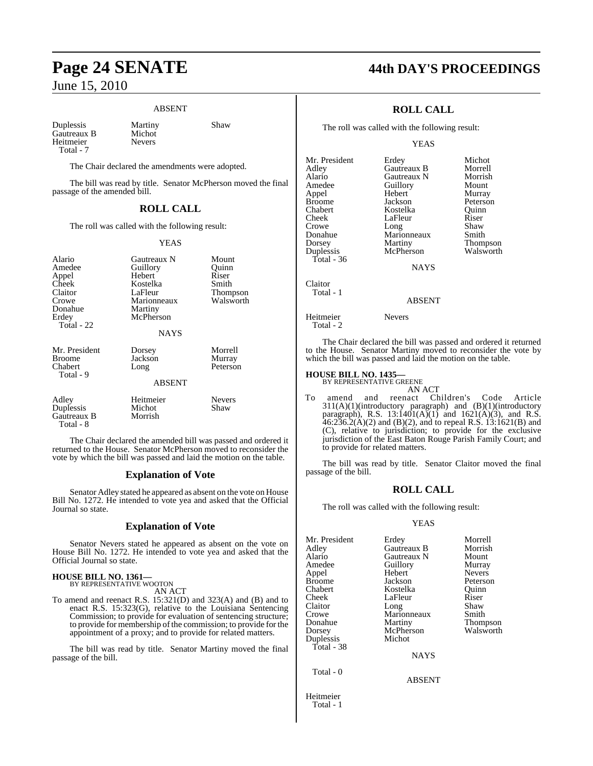# ABSENT

Duplessis Martiny Shaw Gautreaux B Michot<br>Heitmeier Nevers Heitmeier Total - 7

The Chair declared the amendments were adopted.

The bill was read by title. Senator McPherson moved the final passage of the amended bill.

# **ROLL CALL**

The roll was called with the following result:

# YEAS

| Alario<br>Amedee<br>Appel<br>Cheek<br>Claitor<br>Crowe<br>Donahue<br>Erdev<br>Total - 22 | Gautreaux N<br>Guillory<br>Hebert<br>Kostelka<br>LaFleur<br>Marionneaux<br>Martiny<br>McPherson<br><b>NAYS</b> | Mount<br>Quinn<br>Riser<br>Smith<br>Thompson<br>Walsworth |
|------------------------------------------------------------------------------------------|----------------------------------------------------------------------------------------------------------------|-----------------------------------------------------------|
| Mr. President<br>Broome<br>Chabert<br>Total - 9                                          | Dorsey<br>Jackson<br>Long<br><b>ABSENT</b>                                                                     | Morrell<br>Murray<br>Peterson                             |
| Adley<br>Duplessis<br>Gautreaux B<br>Total - 8                                           | Heitmeier<br>Michot<br>Morrish                                                                                 | <b>Nevers</b><br>Shaw                                     |

The Chair declared the amended bill was passed and ordered it returned to the House. Senator McPherson moved to reconsider the vote by which the bill was passed and laid the motion on the table.

# **Explanation of Vote**

Senator Adley stated he appeared as absent on the vote on House Bill No. 1272. He intended to vote yea and asked that the Official Journal so state.

# **Explanation of Vote**

Senator Nevers stated he appeared as absent on the vote on House Bill No. 1272. He intended to vote yea and asked that the Official Journal so state.

# **HOUSE BILL NO. 1361—** BY REPRESENTATIVE WOOTON

AN ACT

To amend and reenact R.S. 15:321(D) and 323(A) and (B) and to enact R.S. 15:323(G), relative to the Louisiana Sentencing Commission; to provide for evaluation of sentencing structure; to provide for membership of the commission; to provide for the appointment of a proxy; and to provide for related matters.

The bill was read by title. Senator Martiny moved the final passage of the bill.

# **Page 24 SENATE 44th DAY'S PROCEEDINGS**

# **ROLL CALL**

The roll was called with the following result:

YEAS

| Mr. President | Erdey           | Michot    |
|---------------|-----------------|-----------|
| Adley         | Gautreaux B     | Morrell   |
| Alario        | Gautreaux N     | Morrish   |
| Amedee        | Guillory        | Mount     |
| Appel         | Hebert          | Murray    |
| <b>Broome</b> | Jackson         | Peterson  |
| Chabert       | Kostelka        | Ouinn     |
| Cheek         | LaFleur         | Riser     |
| Crowe         | Long            | Shaw      |
| Donahue       | Marionneaux     | Smith     |
| Dorsey        | Martiny         | Thompson  |
| Duplessis     | McPherson       | Walsworth |
| Total - 36    |                 |           |
|               | <b>NAYS</b>     |           |
| Claitor       |                 |           |
| Total - 1     |                 |           |
|               | <b>A R SENT</b> |           |

## ABSENT

Heitmeier Nevers Total - 2

The Chair declared the bill was passed and ordered it returned to the House. Senator Martiny moved to reconsider the vote by which the bill was passed and laid the motion on the table.

# **HOUSE BILL NO. 1435—** BY REPRESENTATIVE GREENE

AN ACT

To amend and reenact Children's Code Article 311(A)(1)(introductory paragraph) and (B)(1)(introductory paragraph), R.S. 13:1401(A)(1) and 1621(A)(3), and R.S.  $46:236.2(A)(2)$  and (B)(2), and to repeal R.S. 13:1621(B) and (C), relative to jurisdiction; to provide for the exclusive jurisdiction of the East Baton Rouge Parish Family Court; and to provide for related matters.

The bill was read by title. Senator Claitor moved the final passage of the bill.

# **ROLL CALL**

The roll was called with the following result:

# YEAS

| Mr. President | Erdey       | Morrell         |
|---------------|-------------|-----------------|
| Adley         | Gautreaux B | Morrish         |
| Alario        | Gautreaux N | Mount           |
| Amedee        | Guillory    | Murray          |
| Appel         | Hebert      | <b>Nevers</b>   |
| Broome        | Jackson     | Peterson        |
| Chabert       | Kostelka    | Ouinn           |
| Cheek         | LaFleur     | Riser           |
| Claitor       | Long        | Shaw            |
| Crowe         | Marionneaux | Smith           |
| Donahue       | Martiny     | <b>Thompson</b> |
| Dorsey        | McPherson   | Walsworth       |
| Duplessis     | Michot      |                 |
| Total - 38    |             |                 |
|               | <b>NAYS</b> |                 |
| Total - 0     |             |                 |
|               | $\sqrt{2}$  |                 |

ABSENT

Heitmeier Total - 1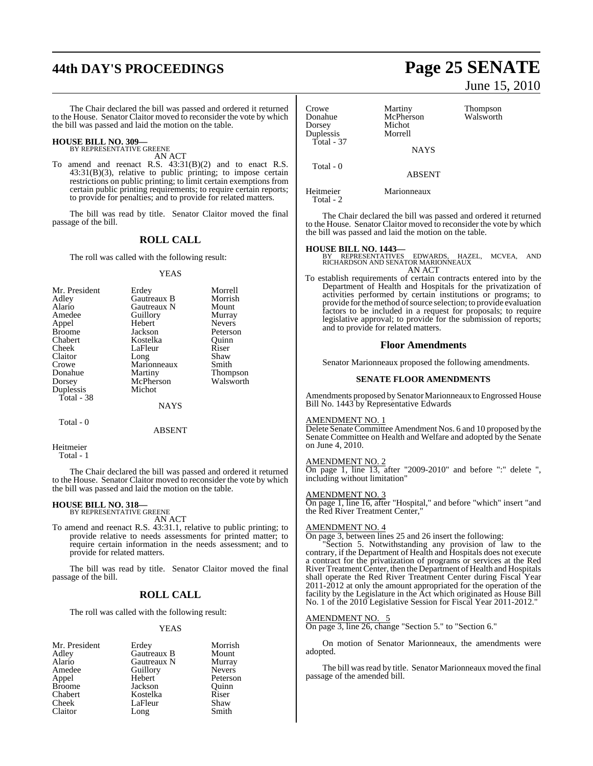# **44th DAY'S PROCEEDINGS Page 25 SENATE**

The Chair declared the bill was passed and ordered it returned to the House. Senator Claitor moved to reconsider the vote by which the bill was passed and laid the motion on the table.

# **HOUSE BILL NO. 309—** BY REPRESENTATIVE GREENE

AN ACT

To amend and reenact R.S. 43:31(B)(2) and to enact R.S. 43:31(B)(3), relative to public printing; to impose certain restrictions on public printing; to limit certain exemptions from certain public printing requirements; to require certain reports; to provide for penalties; and to provide for related matters.

The bill was read by title. Senator Claitor moved the final passage of the bill.

# **ROLL CALL**

The roll was called with the following result:

### YEAS

| Mr. President | Erdey       | Morrell         |
|---------------|-------------|-----------------|
| Adley         | Gautreaux B | Morrish         |
| Alario        | Gautreaux N | Mount           |
| Amedee        | Guillory    | Murray          |
| Appel         | Hebert      | <b>Nevers</b>   |
| <b>Broome</b> | Jackson     | Peterson        |
| Chabert       | Kostelka    | Ouinn           |
| Cheek         | LaFleur     | Riser           |
| Claitor       | Long        | Shaw            |
| Crowe         | Marionneaux | Smith           |
| Donahue       | Martiny     | <b>Thompson</b> |
| Dorsey        | McPherson   | Walsworth       |
| Duplessis     | Michot      |                 |
| Total - 38    |             |                 |
|               | NAYS        |                 |

Total - 0

ABSENT

Heitmeier Total - 1

The Chair declared the bill was passed and ordered it returned to the House. Senator Claitor moved to reconsider the vote by which the bill was passed and laid the motion on the table.

# **HOUSE BILL NO. 318—** BY REPRESENTATIVE GREENE

AN ACT

To amend and reenact R.S. 43:31.1, relative to public printing; to provide relative to needs assessments for printed matter; to require certain information in the needs assessment; and to provide for related matters.

The bill was read by title. Senator Claitor moved the final passage of the bill.

# **ROLL CALL**

The roll was called with the following result:

# YEAS

| Mr. President | Erdey       | Morrish       |
|---------------|-------------|---------------|
| Adley         | Gautreaux B | Mount         |
| Alario        | Gautreaux N | Murray        |
| Amedee        | Guillory    | <b>Nevers</b> |
| Appel         | Hebert      | Peterson      |
| <b>Broome</b> | Jackson     | Ouinn         |
| Chabert       | Kostelka    | Riser         |
| Cheek         | LaFleur     | Shaw          |
| Claitor       | Long        | Smith         |

# June 15, 2010

| Crowe<br>Donahue<br>Dorsey<br>Duplessis<br>Total - 37 | Martiny<br>McPherson<br>Michot<br>Morrell | Thompson<br>Walsworth |
|-------------------------------------------------------|-------------------------------------------|-----------------------|
|                                                       | <b>NAYS</b>                               |                       |
| Total - 0                                             | <b>ABSENT</b>                             |                       |
| Heitmeier<br>Total - 2                                | Marionneaux                               |                       |

The Chair declared the bill was passed and ordered it returned to the House. Senator Claitor moved to reconsider the vote by which the bill was passed and laid the motion on the table.

**HOUSE BILL NO. 1443—** BY REPRESENTATIVES EDWARDS, HAZEL, MCVEA, AND RICHARDSON AND SENATOR MARIONNEAUX AN ACT

To establish requirements of certain contracts entered into by the Department of Health and Hospitals for the privatization of activities performed by certain institutions or programs; to provide for the method of source selection; to provide evaluation factors to be included in a request for proposals; to require legislative approval; to provide for the submission of reports; and to provide for related matters.

# **Floor Amendments**

Senator Marionneaux proposed the following amendments.

# **SENATE FLOOR AMENDMENTS**

Amendments proposed by Senator Marionneaux to Engrossed House Bill No. 1443 by Representative Edwards

# AMENDMENT NO. 1

Delete Senate Committee Amendment Nos. 6 and 10 proposed by the Senate Committee on Health and Welfare and adopted by the Senate on June 4, 2010.

# AMENDMENT NO. 2

On page 1, line 13, after "2009-2010" and before ":" delete ", including without limitation"

# AMENDMENT NO. 3

On page 1, line 16, after "Hospital," and before "which" insert "and the Red River Treatment Center,"

# AMENDMENT NO. 4

On page 3, between lines 25 and 26 insert the following:

"Section 5. Notwithstanding any provision of law to the contrary, if the Department of Health and Hospitals does not execute a contract for the privatization of programs or services at the Red River Treatment Center, then the Department of Health and Hospitals shall operate the Red River Treatment Center during Fiscal Year 2011-2012 at only the amount appropriated for the operation of the facility by the Legislature in the Act which originated as House Bill No. 1 of the 2010 Legislative Session for Fiscal Year 2011-2012.

# AMENDMENT NO. 5

On page 3, line 26, change "Section 5." to "Section 6."

On motion of Senator Marionneaux, the amendments were adopted.

The bill was read by title. Senator Marionneaux moved the final passage of the amended bill.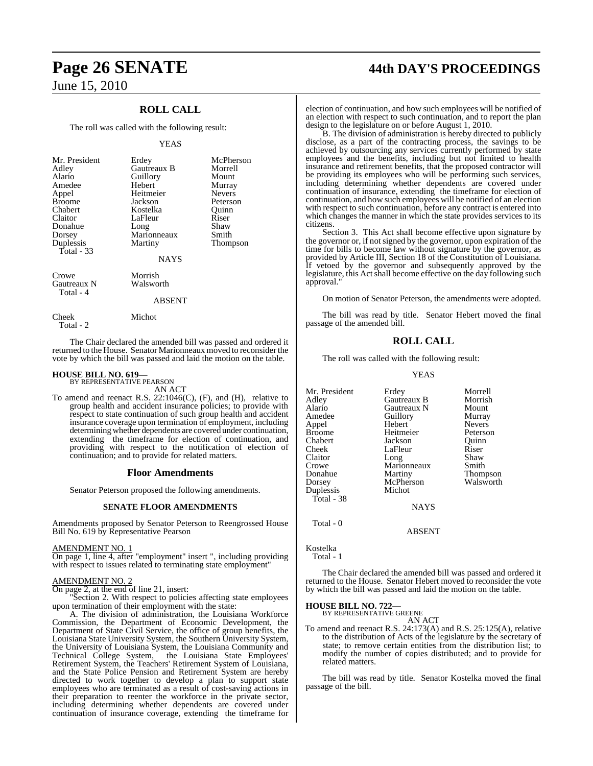# **ROLL CALL**

The roll was called with the following result:

# YEAS

| Mr. President<br>Adley<br>Alario<br>Amedee<br>Appel<br><b>Broome</b><br>Chabert<br>Claitor<br>Donahue<br>Dorsey<br>Duplessis<br><b>Total - 33</b> | Erdey<br>Gautreaux B<br>Guillory<br>Hebert<br>Heitmeier<br>Jackson<br>Kostelka<br>LaFleur<br>Long<br>Marionneaux<br>Martiny<br><b>NAYS</b> | McPherson<br>Morrell<br>Mount<br>Murray<br><b>Nevers</b><br>Peterson<br>Ouinn<br>Riser<br>Shaw<br>Smith<br><b>Thompson</b> |
|---------------------------------------------------------------------------------------------------------------------------------------------------|--------------------------------------------------------------------------------------------------------------------------------------------|----------------------------------------------------------------------------------------------------------------------------|
| Crowe<br>Gautreaux N<br>Total - 4                                                                                                                 | Morrish<br>Walsworth<br><b>ABSENT</b>                                                                                                      |                                                                                                                            |
| Cheek                                                                                                                                             | Michot                                                                                                                                     |                                                                                                                            |

Total - 2

The Chair declared the amended bill was passed and ordered it returned to the House. Senator Marionneaux moved to reconsider the

# vote by which the bill was passed and laid the motion on the table.

## **HOUSE BILL NO. 619—** BY REPRESENTATIVE PEARSON

AN ACT

To amend and reenact R.S. 22:1046(C), (F), and (H), relative to group health and accident insurance policies; to provide with respect to state continuation of such group health and accident insurance coverage upon termination of employment, including determining whether dependents are covered under continuation, extending the timeframe for election of continuation, and providing with respect to the notification of election of continuation; and to provide for related matters.

# **Floor Amendments**

Senator Peterson proposed the following amendments.

# **SENATE FLOOR AMENDMENTS**

Amendments proposed by Senator Peterson to Reengrossed House Bill No. 619 by Representative Pearson

# AMENDMENT NO. 1

On page 1, line 4, after "employment" insert ", including providing with respect to issues related to terminating state employment"

# AMENDMENT NO. 2

On page 2, at the end of line 21, insert:

Section 2. With respect to policies affecting state employees upon termination of their employment with the state:

A. The division of administration, the Louisiana Workforce Commission, the Department of Economic Development, the Department of State Civil Service, the office of group benefits, the Louisiana State University System, the Southern University System, the University of Louisiana System, the Louisiana Community and Technical College System, the Louisiana State Employees' Retirement System, the Teachers' Retirement System of Louisiana, and the State Police Pension and Retirement System are hereby directed to work together to develop a plan to support state employees who are terminated as a result of cost-saving actions in their preparation to reenter the workforce in the private sector, including determining whether dependents are covered under continuation of insurance coverage, extending the timeframe for

# **Page 26 SENATE 44th DAY'S PROCEEDINGS**

election of continuation, and how such employees will be notified of an election with respect to such continuation, and to report the plan design to the legislature on or before August 1, 2010.

B. The division of administration is hereby directed to publicly disclose, as a part of the contracting process, the savings to be achieved by outsourcing any services currently performed by state employees and the benefits, including but not limited to health insurance and retirement benefits, that the proposed contractor will be providing its employees who will be performing such services, including determining whether dependents are covered under continuation of insurance, extending the timeframe for election of continuation, and how such employees will be notified of an election with respect to such continuation, before any contract is entered into which changes the manner in which the state provides services to its citizens.

Section 3. This Act shall become effective upon signature by the governor or, if notsigned by the governor, upon expiration of the time for bills to become law without signature by the governor, as provided by Article III, Section 18 of the Constitution of Louisiana. If vetoed by the governor and subsequently approved by the legislature, this Act shall become effective on the day following such approval."

On motion of Senator Peterson, the amendments were adopted.

The bill was read by title. Senator Hebert moved the final passage of the amended bill.

# **ROLL CALL**

The roll was called with the following result:

YEAS

| Mr. President | Erdey       | Morrell         |
|---------------|-------------|-----------------|
| Adley         | Gautreaux B | Morrish         |
| Alario        | Gautreaux N | Mount           |
| Amedee        | Guillory    | Murray          |
| Appel         | Hebert      | <b>Nevers</b>   |
| <b>Broome</b> | Heitmeier   | Peterson        |
| Chabert       | Jackson     | Ouinn           |
| Cheek         | LaFleur     | Riser           |
| Claitor       | Long        | Shaw            |
| Crowe         | Marionneaux | Smith           |
| Donahue       | Martiny     | <b>Thompson</b> |
| Dorsey        | McPherson   | Walsworth       |
| Duplessis     | Michot      |                 |
| Total - 38    |             |                 |
|               | <b>NAYS</b> |                 |
| Total - 0     |             |                 |

ABSENT

Kostelka Total - 1

The Chair declared the amended bill was passed and ordered it returned to the House. Senator Hebert moved to reconsider the vote by which the bill was passed and laid the motion on the table.

# **HOUSE BILL NO. 722—**

BY REPRESENTATIVE GREENE AN ACT

To amend and reenact R.S. 24:173(A) and R.S. 25:125(A), relative to the distribution of Acts of the legislature by the secretary of state; to remove certain entities from the distribution list; to modify the number of copies distributed; and to provide for related matters.

The bill was read by title. Senator Kostelka moved the final passage of the bill.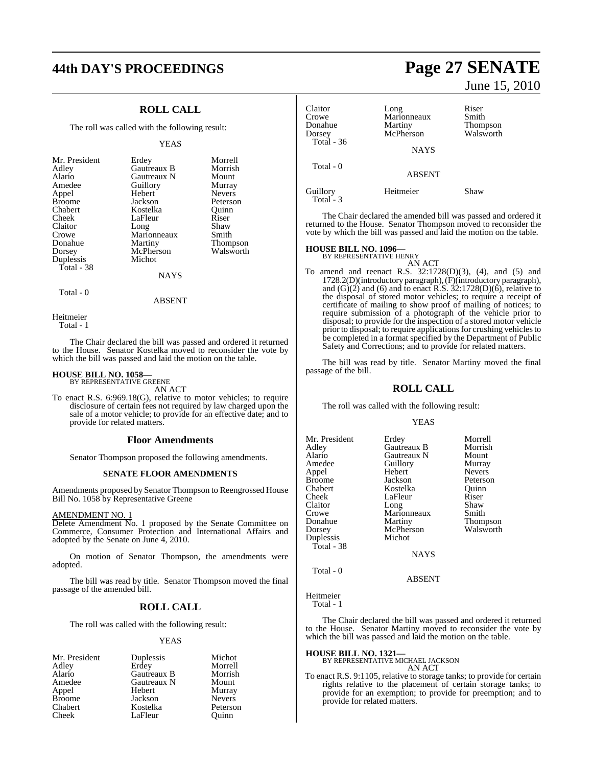# **ROLL CALL**

The roll was called with the following result:

#### YEAS

| Mr. President<br>Adley<br>Alario<br>Amedee<br>Appel | Erdey<br>Gautreaux B<br>Gautreaux N<br>Guillory<br>Hebert | Morrell<br>Morrish<br>Mount<br>Murray<br><b>Nevers</b> |
|-----------------------------------------------------|-----------------------------------------------------------|--------------------------------------------------------|
| <b>Broome</b>                                       | Jackson                                                   | Peterson                                               |
| Chabert                                             | Kostelka                                                  | Ouinn                                                  |
| Cheek                                               | LaFleur                                                   | Riser                                                  |
| Claitor                                             | Long                                                      | Shaw                                                   |
| Crowe                                               | Marionneaux                                               | Smith                                                  |
| Donahue                                             | Martiny                                                   | Thompson                                               |
| Dorsey                                              | McPherson                                                 | Walsworth                                              |
| Duplessis                                           | Michot                                                    |                                                        |
| Total - 38                                          |                                                           |                                                        |
|                                                     | <b>NAYS</b>                                               |                                                        |

Total - 0

Heitmeier Total - 1

The Chair declared the bill was passed and ordered it returned to the House. Senator Kostelka moved to reconsider the vote by which the bill was passed and laid the motion on the table.

ABSENT

# **HOUSE BILL NO. 1058—** BY REPRESENTATIVE GREENE

AN ACT

To enact R.S. 6:969.18(G), relative to motor vehicles; to require disclosure of certain fees not required by law charged upon the sale of a motor vehicle; to provide for an effective date; and to provide for related matters.

### **Floor Amendments**

Senator Thompson proposed the following amendments.

### **SENATE FLOOR AMENDMENTS**

Amendments proposed by Senator Thompson to Reengrossed House Bill No. 1058 by Representative Greene

# AMENDMENT NO. 1

Delete Amendment No. 1 proposed by the Senate Committee on Commerce, Consumer Protection and International Affairs and adopted by the Senate on June 4, 2010.

On motion of Senator Thompson, the amendments were adopted.

The bill was read by title. Senator Thompson moved the final passage of the amended bill.

# **ROLL CALL**

The roll was called with the following result:

### YEAS

| Duplessis   | Michot        |
|-------------|---------------|
| Erdey       | Morrell       |
| Gautreaux B | Morrish       |
| Gautreaux N | Mount         |
| Hebert      | Murray        |
| Jackson     | <b>Nevers</b> |
| Kostelka    | Peterson      |
| LaFleur     | Ouinn         |
|             |               |

# **44th DAY'S PROCEEDINGS Page 27 SENATE** June 15, 2010

| Claitor<br>Crowe<br>Donahue<br>Dorsey<br>Total - 36 | Long<br>Marionneaux<br>Martiny<br>McPherson<br><b>NAYS</b> | Riser<br>Smith<br>Thompson<br>Walsworth |
|-----------------------------------------------------|------------------------------------------------------------|-----------------------------------------|
| Total - 0                                           | <b>ABSENT</b>                                              |                                         |
| Guillory<br>Total - 3                               | Heitmeier                                                  | Shaw                                    |

The Chair declared the amended bill was passed and ordered it returned to the House. Senator Thompson moved to reconsider the vote by which the bill was passed and laid the motion on the table.

# **HOUSE BILL NO. 1096—** BY REPRESENTATIVE HENRY

AN ACT To amend and reenact R.S. 32:1728(D)(3), (4), and (5) and 1728.2(D)(introductory paragraph), (F)(introductory paragraph), and  $(G)(2)$  and  $(6)$  and to enact R.S. 32:1728 $(D)(6)$ , relative to the disposal of stored motor vehicles; to require a receipt of certificate of mailing to show proof of mailing of notices; to require submission of a photograph of the vehicle prior to disposal; to provide for the inspection of a stored motor vehicle prior to disposal; to require applications for crushing vehicles to be completed in a format specified by the Department of Public Safety and Corrections; and to provide for related matters.

The bill was read by title. Senator Martiny moved the final passage of the bill.

# **ROLL CALL**

The roll was called with the following result:

# YEAS

| Mr. President | Erdey       | Morrell         |
|---------------|-------------|-----------------|
| Adley         | Gautreaux B | Morrish         |
| Alario        | Gautreaux N | Mount           |
| Amedee        | Guillory    | Murray          |
| Appel         | Hebert      | <b>Nevers</b>   |
| Broome        | Jackson     | Peterson        |
| Chabert       | Kostelka    | Quinn           |
| Cheek         | LaFleur     | Riser           |
| Claitor       | Long        | Shaw            |
| Crowe         | Marionneaux | Smith           |
| Donahue       | Martiny     | <b>Thompson</b> |
| Dorsey        | McPherson   | Walsworth       |
| Duplessis     | Michot      |                 |
| Total - 38    |             |                 |
|               | <b>NAYS</b> |                 |
|               |             |                 |

 $Total - 0$ 

ABSENT

Heitmeier

Total - 1

The Chair declared the bill was passed and ordered it returned to the House. Senator Martiny moved to reconsider the vote by which the bill was passed and laid the motion on the table.

# **HOUSE BILL NO. 1321—**

#### BY REPRESENTATIVE MICHAEL JACKSON AN ACT

To enact R.S. 9:1105, relative to storage tanks; to provide for certain rights relative to the placement of certain storage tanks; to provide for an exemption; to provide for preemption; and to provide for related matters.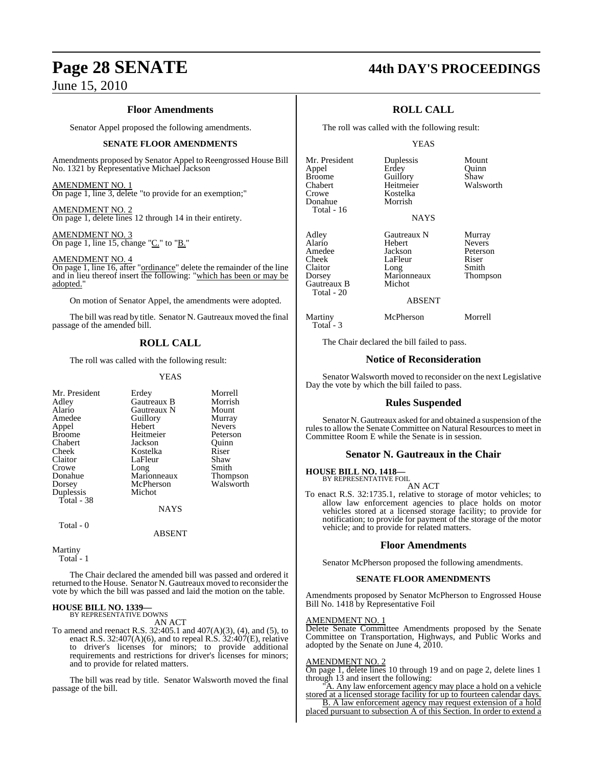# **Floor Amendments**

Senator Appel proposed the following amendments.

# **SENATE FLOOR AMENDMENTS**

Amendments proposed by Senator Appel to Reengrossed House Bill No. 1321 by Representative Michael Jackson

# AMENDMENT NO. 1

On page 1, line 3, delete "to provide for an exemption;"

## AMENDMENT NO. 2 On page 1, delete lines 12 through 14 in their entirety.

AMENDMENT NO. 3 On page 1, line 15, change "C." to "B."

# AMENDMENT NO. 4

On page 1, line 16, after "ordinance" delete the remainder of the line and in lieu thereof insert the following: "which has been or may be adopted.

On motion of Senator Appel, the amendments were adopted.

The bill was read by title. Senator N. Gautreaux moved the final passage of the amended bill.

# **ROLL CALL**

The roll was called with the following result:

# YEAS

| Mr. President | Erdey       | Morrell         |
|---------------|-------------|-----------------|
| Adley         | Gautreaux B | Morrish         |
| Alario        | Gautreaux N | Mount           |
| Amedee        | Guillory    | Murray          |
| Appel         | Hebert      | <b>Nevers</b>   |
| <b>Broome</b> | Heitmeier   | Peterson        |
| Chabert       | Jackson     | Ouinn           |
| Cheek         | Kostelka    | Riser           |
| Claitor       | LaFleur     | Shaw            |
| Crowe         | Long        | Smith           |
| Donahue       | Marionneaux | <b>Thompson</b> |
| Dorsey        | McPherson   | Walsworth       |
| Duplessis     | Michot      |                 |
| Total - 38    |             |                 |
|               | <b>NAYS</b> |                 |
|               |             |                 |

Total - 0

ABSENT

Martiny Total - 1

The Chair declared the amended bill was passed and ordered it returned to the House. Senator N. Gautreaux moved to reconsider the vote by which the bill was passed and laid the motion on the table.

#### **HOUSE BILL NO. 1339—** BY REPRESENTATIVE DOWNS

AN ACT

To amend and reenact R.S. 32:405.1 and 407(A)(3), (4), and (5), to enact R.S. 32:407(A)(6), and to repeal R.S. 32:407(E), relative to driver's licenses for minors; to provide additional requirements and restrictions for driver's licenses for minors; and to provide for related matters.

The bill was read by title. Senator Walsworth moved the final passage of the bill.

# **Page 28 SENATE 44th DAY'S PROCEEDINGS**

# **ROLL CALL**

The roll was called with the following result:

Kostelka<br>Morrish

# YEAS

NAYS

Mr. President Duplessis Mount<br>
Appel Brdey Cuinn Appel Erdey<br>Broome Guillorv Broome Guillory Shaw<br>Chabert Heitmeier Walsworth Chabert Heitmeier<br>Crowe Kostelka Donahue Total - 16

Total - 20

Total - 3

Gautreaux B Michot

Adley Gautreaux N Murray Hebert Nevers<br>
Jackson Peterson Amedee Jackson Peters<br>Cheek LaFleur Riser Cheek LaFleur Riser<br>Claitor Long Smith Claitor Long Smith Dorsey Marionneaux Thompson

ABSENT

Martiny McPherson Morrell

The Chair declared the bill failed to pass.

# **Notice of Reconsideration**

Senator Walsworth moved to reconsider on the next Legislative Day the vote by which the bill failed to pass.

# **Rules Suspended**

Senator N. Gautreaux asked for and obtained a suspension of the rules to allow the Senate Committee on Natural Resources to meet in Committee Room E while the Senate is in session.

# **Senator N. Gautreaux in the Chair**

#### **HOUSE BILL NO. 1418—** BY REPRESENTATIVE FOIL

AN ACT

To enact R.S. 32:1735.1, relative to storage of motor vehicles; to allow law enforcement agencies to place holds on motor vehicles stored at a licensed storage facility; to provide for notification; to provide for payment of the storage of the motor vehicle; and to provide for related matters.

# **Floor Amendments**

Senator McPherson proposed the following amendments.

# **SENATE FLOOR AMENDMENTS**

Amendments proposed by Senator McPherson to Engrossed House Bill No. 1418 by Representative Foil

# AMENDMENT NO. 1

Delete Senate Committee Amendments proposed by the Senate Committee on Transportation, Highways, and Public Works and adopted by the Senate on June 4, 2010.

# AMENDMENT NO. 2

On page 1, delete lines 10 through 19 and on page 2, delete lines 1 through 13 and insert the following:

A. Any law enforcement agency may place a hold on a vehicle stored at a licensed storage facility for up to fourteen calendar days. B. A law enforcement agency may request extension of a hold placed pursuant to subsection A of this Section. In order to extend a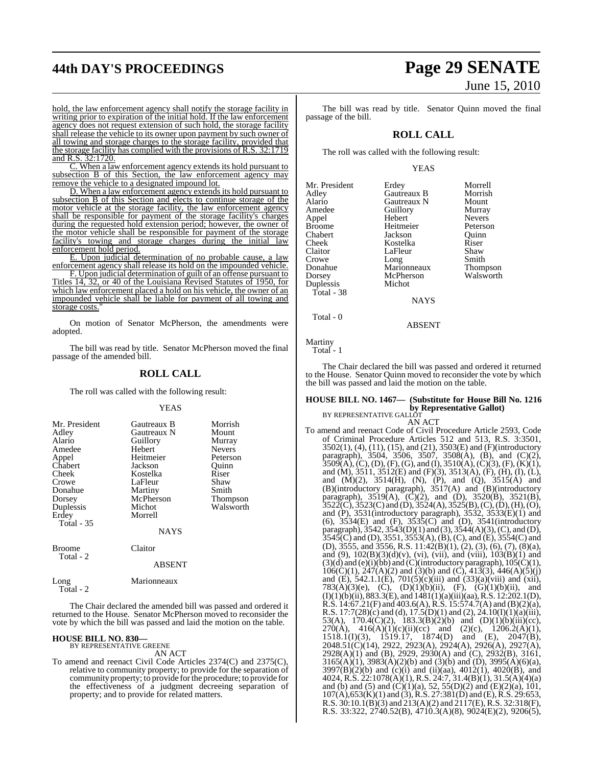hold, the law enforcement agency shall notify the storage facility in writing prior to expiration of the initial hold. If the law enforcement agency does not request extension of such hold, the storage facility shall release the vehicle to its owner upon payment by such owner of all towing and storage charges to the storage facility, provided that the storage facility has complied with the provisions of R.S. 32:1719 and R.S. 32:1720.

C. When a law enforcement agency extends its hold pursuant to subsection B of this Section, the law enforcement agency may remove the vehicle to a designated impound lot.

D. When a law enforcement agency extends its hold pursuant to subsection B of this Section and elects to continue storage of the motor vehicle at the storage facility, the law enforcement agency shall be responsible for payment of the storage facility's charges during the requested hold extension period; however, the owner of the motor vehicle shall be responsible for payment of the storage facility's towing and storage charges during the initial law enforcement hold period.

E. Upon judicial determination of no probable cause, a law enforcement agency shall release its hold on the impounded vehicle.

F. Upon judicial determination of guilt of an offense pursuant to Titles 14, 32, or 40 of the Louisiana Revised Statutes of 1950, for which law enforcement placed a hold on his vehicle, the owner of an impounded vehicle shall be liable for payment of all towing and storage costs."

On motion of Senator McPherson, the amendments were adopted.

The bill was read by title. Senator McPherson moved the final passage of the amended bill.

# **ROLL CALL**

The roll was called with the following result:

# YEAS

| Mr. President<br>Adley<br>Alario<br>Amedee<br>Appel<br>Chabert<br>Cheek<br>Crowe<br>Donahue<br>Dorsey<br>Duplessis<br>Erdey<br>Total - 35 | Gautreaux B<br>Gautreaux N<br>Guillory<br>Hebert<br>Heitmeier<br>Jackson<br>Kostelka<br>LaFleur<br>Martiny<br>McPherson<br>Michot<br>Morrell | Morrish<br>Mount<br>Murray<br><b>Nevers</b><br>Peterson<br>Ouinn<br>Riser<br>Shaw<br>Smith<br><b>Thompson</b><br>Walsworth |
|-------------------------------------------------------------------------------------------------------------------------------------------|----------------------------------------------------------------------------------------------------------------------------------------------|----------------------------------------------------------------------------------------------------------------------------|
|                                                                                                                                           | <b>NAYS</b>                                                                                                                                  |                                                                                                                            |

| <b>Broome</b> |  |
|---------------|--|
| `otal         |  |

ABSENT

Long Marionneaux Total - 2

The Chair declared the amended bill was passed and ordered it returned to the House. Senator McPherson moved to reconsider the vote by which the bill was passed and laid the motion on the table.

Claitor

# **HOUSE BILL NO. 830—** BY REPRESENTATIVE GREENE

AN ACT

To amend and reenact Civil Code Articles 2374(C) and 2375(C), relative to community property; to provide for the separation of community property; to provide for the procedure; to provide for the effectiveness of a judgment decreeing separation of property; and to provide for related matters.

# **44th DAY'S PROCEEDINGS Page 29 SENATE** June 15, 2010

The bill was read by title. Senator Quinn moved the final passage of the bill.

# **ROLL CALL**

The roll was called with the following result:

Guillory<br>Hebert

McPherson Michot

# YEAS

| Mr. President |
|---------------|
| Adley         |
| Alario        |
| Amedee        |
| Appel         |
| Broome        |
| Chabert       |
| Cheek         |
| Claitor       |
| Crowe         |
| Donahue       |
| Dorsey        |
| Duplessis     |
| Total - 38    |
|               |

Erdey Morrell<br>Gautreaux B Morrish Gautreaux B Morrisl<br>Gautreaux N Mount Gautreaux N Mount<br>
Guillory Murray Nevers<br>Peterson Heitmeier Peterson<br>Jackson Quinn Jackson Quinn<br>Kostelka Riser Kostelka Riser<br>LaFleur Shaw LaFleur Shaw<br>Long Smith Long Smith<br>
Marionneaux Thompson Marionneaux Thompson<br>McPherson Walsworth

**NAYS** 

# ABSENT

Martiny Total - 1

Total - 0

The Chair declared the bill was passed and ordered it returned to the House. Senator Quinn moved to reconsider the vote by which the bill was passed and laid the motion on the table.

## **HOUSE BILL NO. 1467— (Substitute for House Bill No. 1216 by Representative Gallot)**

BY REPRESENTATIVE GALLOT AN ACT

To amend and reenact Code of Civil Procedure Article 2593, Code of Criminal Procedure Articles 512 and 513, R.S. 3:3501, 3502(1), (4), (11), (15), and (21), 3503(E) and (F)(introductory paragraph), 3504, 3506, 3507, 3508(A), (B), and (C)(2),  $3509(A), (C), (D), (F), (G),$  and  $(I), 3510(A), (C)(3), (F), (K)(1),$ and (M), 3511, 3512(E) and (F)(3), 3513(A), (F), (H), (I), (L), and  $(M)(2)$ ,  $3514(H)$ ,  $(N)$ ,  $(P)$ , and  $(Q)$ ,  $3515(A)$  and (B)(introductory paragraph), 3517(A) and (B)(introductory paragraph),  $3519(A)$ ,  $(C)(2)$ , and  $(D)$ ,  $3520(B)$ ,  $3521(B)$ ,  $3522(\overline{C})$ ,  $3523(\overline{C})$  and  $(\overline{D})$ ,  $3524(\overline{A})$ ,  $3525(\overline{B})$ ,  $(\overline{C})$ ,  $(\overline{D})$ ,  $(\overline{H})$ ,  $(\overline{O})$ , and (P), 3531(introductory paragraph), 3532, 3533(E)(1) and (6), 3534(E) and (F), 3535(C) and (D), 3541(introductory paragraph),  $3542$ ,  $3543(D)(1)$  and  $(3)$ ,  $3544(A)(3)$ ,  $(C)$ , and  $(D)$ ,  $3545(C)$  and (D),  $3551, 3553(A)$ , (B), (C), and (E),  $3554(C)$  and (D),  $3555$ , and  $3556$ , R.S.  $11:42(B)(1)$ ,  $(2)$ ,  $(3)$ ,  $(6)$ ,  $(7)$ ,  $(8)(a)$ , and (9), 102(B)(3)(d)(v), (vi), (vii), and (viii), 103(B)(1) and  $(3)(d)$  and  $(e)(i)(bb)$  and  $(C)(introducing a graph)$ ,  $105(C)(1)$ ,  $106(C)(1)$ ,  $247(A)(2)$  and  $(3)(b)$  and  $(C)$ ,  $413(3)$ ,  $446(A)(5)(j)$ and (E), 542.1.1(E), 701(5)(c)(iii) and (33)(a)(viii) and (xii), 783(A)(3)(e), (C), (D)(1)(b)(ii), (F), (G)(1)(b)(ii), and  $(I)(1)(b)(ii)$ , 883.3 $(E)$ , and 1481 $(1)(a)(iii)(aa)$ , R.S. 12:202.1(D), R.S. 14:67.21(F) and 403.6(A), R.S. 15:574.7(A) and (B)(2)(a), R.S. 17:7(28)(c) and (d), 17.5(D)(1) and (2), 24.10(I)(1)(a)(iii), 53(A), 170.4(C)(2), 183.3(B)(2)(b) and (D)(1)(b)(iii)(cc), 270(A),  $416(A)(1)(c)(ii)(cc)$  and  $(2)(c)$ ,  $1206.2(A)(1)$ , 1518.1(I)(3), 1519.17, 1874(D) and (E), 2047(B), 2048.51(C)(14), 2922, 2923(A), 2924(A), 2926(A), 2927(A), 2928(A)(1) and (B), 2929, 2930(A) and (C), 2932(B), 3161,  $3165(A)(1)$ ,  $3983(A)(2)(b)$  and  $(3)(b)$  and  $(D)$ ,  $3995(A)(6)(a)$ ,  $3997(B)(2)(b)$  and (c)(i) and (ii)(aa),  $4012(1)$ ,  $4020(B)$ , and 4024, R.S. 22:1078(A)(1), R.S. 24:7, 31.4(B)(1), 31.5(A)(4)(a) and (b) and (5) and  $(C)(1)(a)$ , 52, 55(D)(2) and (E)(2)(a), 101,  $107(A)$ ,653(K)(1) and (3), R.S. 27:381(D) and (E), R.S. 29:653, R.S. 30:10.1(B)(3) and 213(A)(2) and 2117(E), R.S. 32:318(F), R.S. 33:322,  $2740.52(B)$ ,  $4710.3(A)(8)$ ,  $9024(E)(2)$ ,  $9206(5)$ ,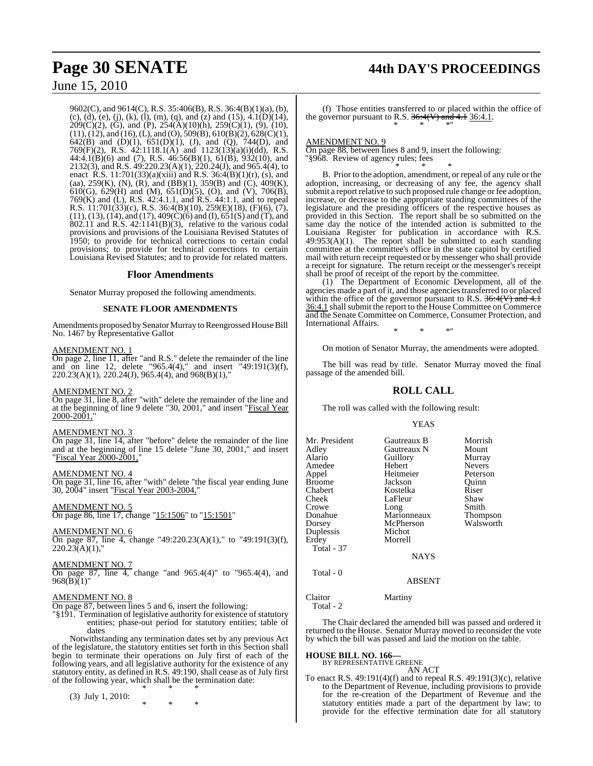9602(C), and 9614(C), R.S. 35:406(B), R.S. 36:4(B)(1)(a), (b), (c), (d), (e), (j), (k), (l), (m), (q), and (z) and (15),  $4.1(D)(14)$ ,  $209(C)(2)$ , (G), and (P),  $254(A)(10)(h)$ ,  $259(C)(1)$ , (9), (10),  $(11)$ ,  $(12)$ , and  $(16)$ ,  $(L)$ , and  $(O)$ ,  $509(B)$ ,  $610(B)(2)$ ,  $628(C)(1)$ , 642(B) and (D)(1), 651(D)(1), (J), and (Q), 744(D), and 769(F)(2), R.S. 42:1118.1(A) and 1123(13)(a)(i)(dd), R.S. 44:4.1(B)(6) and (7), R.S. 46:56(B)(1), 61(B), 932(10), and 2132(3), and R.S. 49:220.23(A)(1), 220.24(J), and 965.4(4), to enact R.S. 11:701(33)(a)(xiii) and R.S. 36:4(B)(1)(r), (s), and (aa), 259(K), (N), (R), and (BB)(1), 359(B) and (C), 409(K), 610(G), 629(H) and (M), 651(D)(5), (O), and (V), 706(B), 769(K) and (L), R.S. 42:4.1.1, and R.S. 44:1.1, and to repeal R.S. 11:701(33)(c), R.S. 36:4(B)(10), 259(E)(18), (F)(6), (7), (11), (13), (14), and (17), 409(C)(6) and (I), 651(S) and (T), and  $802.11$  and R.S.  $42:1141(B)(3)$ , relative to the various codal provisions and provisions of the Louisiana Revised Statutes of 1950; to provide for technical corrections to certain codal provisions; to provide for technical corrections to certain Louisiana Revised Statutes; and to provide for related matters.

# **Floor Amendments**

Senator Murray proposed the following amendments.

# **SENATE FLOOR AMENDMENTS**

Amendments proposed by Senator Murray to Reengrossed House Bill No. 1467 by Representative Gallot

# AMENDMENT NO. 1

On page 2, line 11, after "and R.S." delete the remainder of the line and on line 12, delete "965.4(4)," and insert "49:191(3)(f), 220.23(A)(1), 220.24(J), 965.4(4), and 968(B)(1),"

# AMENDMENT NO. 2

On page 31, line 8, after "with" delete the remainder of the line and at the beginning of line 9 delete "30, 2001," and insert "Fiscal Year 2000-2001,"

# AMENDMENT NO. 3

On page 31, line 14, after "before" delete the remainder of the line and at the beginning of line 15 delete "June 30, 2001," and insert "Fiscal Year 2000-2001,"

# AMENDMENT NO. 4

On page 31, line 16, after "with" delete "the fiscal year ending June 30, 2004" insert "Fiscal Year 2003-2004,"

AMENDMENT NO. 5 On page 86, line 17, change "15:1506" to "15:1501"

# AMENDMENT NO. 6

On page 87, line 4, change "49:220.23(A)(1)," to "49:191(3)(f),  $220.23(A)(1)$ ,"

# AMENDMENT NO. 7

On page 87, line 4, change "and 965.4(4)" to "965.4(4), and 968(B)(1)"

# AMENDMENT NO. 8

On page 87, between lines 5 and 6, insert the following:

"§191. Termination of legislative authority for existence of statutory entities; phase-out period for statutory entities; table of dates

Notwithstanding any termination dates set by any previous Act of the legislature, the statutory entities set forth in this Section shall begin to terminate their operations on July first of each of the following years, and all legislative authority for the existence of any statutory entity, as defined in R.S. 49:190, shall cease as of July first of the following year, which shall be the termination date: \* \* \*

(3) July 1, 2010:

\* \* \*

# **Page 30 SENATE 44th DAY'S PROCEEDINGS**

(f) Those entities transferred to or placed within the office of the governor pursuant to R.S.  $36:4(V)$  and  $4.1$  36:4.1. \* \* \*"

# AMENDMENT NO. 9

On page 88, between lines 8 and 9, insert the following: "§968. Review of agency rules; fees

\* \* \* B. Prior to the adoption, amendment, or repeal of any rule or the adoption, increasing, or decreasing of any fee, the agency shall submit a report relative to such proposed rule change or fee adoption, increase, or decrease to the appropriate standing committees of the legislature and the presiding officers of the respective houses as provided in this Section. The report shall be so submitted on the same day the notice of the intended action is submitted to the Louisiana Register for publication in accordance with R.S.  $49:953(A)(1)$ . The report shall be submitted to each standing committee at the committee's office in the state capitol by certified mail with return receipt requested or by messenger who shall provide a receipt for signature. The return receipt or the messenger's receipt shall be proof of receipt of the report by the committee.

(1) The Department of Economic Development, all of the agencies made a part of it, and those agencies transferred to or placed within the office of the governor pursuant to R.S.  $36:4(V)$  and 4.1  $36:4.1$  shall submit the report to the House Committee on Commerce and the Senate Committee on Commerce, Consumer Protection, and International Affairs.

\* \* \*"

On motion of Senator Murray, the amendments were adopted.

The bill was read by title. Senator Murray moved the final passage of the amended bill.

# **ROLL CALL**

The roll was called with the following result:

### YEAS

| Mr. President<br>Adley<br>Alario<br>Amedee<br>Appel<br>Broome<br>Chabert<br>Cheek<br>Crowe<br>Donahue<br>Dorsey<br>Duplessis<br>Erdey<br><b>Total - 37</b> | Gautreaux B<br>Gautreaux N<br>Guillory<br>Hebert<br>Heitmeier<br>Jackson<br>Kostelka<br>LaFleur<br>Long<br>Marionneaux<br>McPherson<br>Michot<br>Morrell<br><b>NAYS</b> | Morrish<br>Mount<br>Murray<br><b>Nevers</b><br>Peterson<br>Quinn<br>Riser<br>Shaw<br>Smith<br>Thompson<br>Walsworth |
|------------------------------------------------------------------------------------------------------------------------------------------------------------|-------------------------------------------------------------------------------------------------------------------------------------------------------------------------|---------------------------------------------------------------------------------------------------------------------|
|                                                                                                                                                            |                                                                                                                                                                         |                                                                                                                     |
| Total - 0                                                                                                                                                  | <b>ABSENT</b>                                                                                                                                                           |                                                                                                                     |

# Claitor Martiny Total - 2

The Chair declared the amended bill was passed and ordered it returned to the House. Senator Murray moved to reconsider the vote by which the bill was passed and laid the motion on the table.

# **HOUSE BILL NO. 166—**

BY REPRESENTATIVE GREENE AN ACT

To enact R.S. 49:191(4)(f) and to repeal R.S. 49:191(3)(c), relative to the Department of Revenue, including provisions to provide for the re-creation of the Department of Revenue and the statutory entities made a part of the department by law; to provide for the effective termination date for all statutory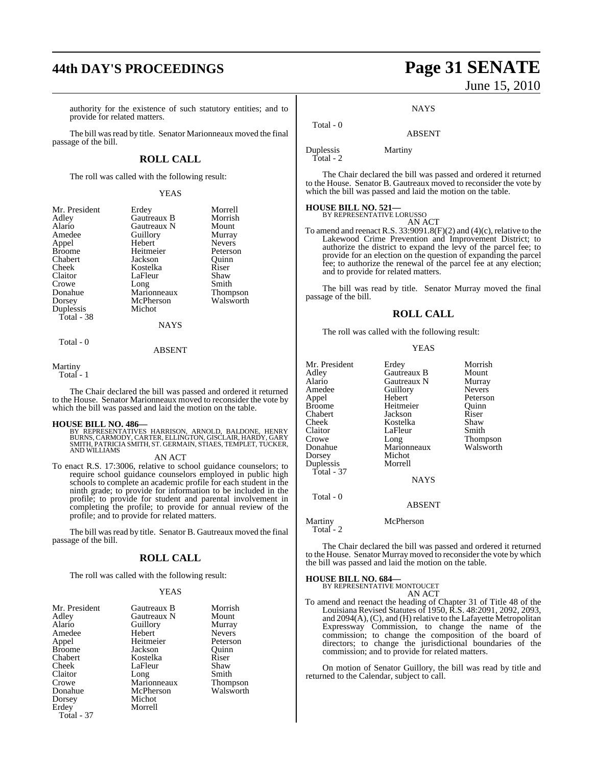# **44th DAY'S PROCEEDINGS Page 31 SENATE**

authority for the existence of such statutory entities; and to provide for related matters.

The bill was read by title. Senator Marionneaux moved the final passage of the bill.

# **ROLL CALL**

The roll was called with the following result:

YEAS

| Mr. President | Erdey       | Morrell       |
|---------------|-------------|---------------|
| Adley         | Gautreaux B | Morrish       |
| Alario        | Gautreaux N | Mount         |
| Amedee        | Guillory    | Murray        |
| Appel         | Hebert      | <b>Nevers</b> |
| <b>Broome</b> | Heitmeier   | Peterson      |
| Chabert       | Jackson     | Quinn         |
| Cheek         | Kostelka    | Riser         |
| Claitor       | LaFleur     | Shaw          |
| Crowe         | Long        | Smith         |
| Donahue       | Marionneaux | Thompson      |
| Dorsey        | McPherson   | Walsworth     |
| Duplessis     | Michot      |               |
| Total - 38    |             |               |
|               | <b>NAYS</b> |               |
| Total - 0     |             |               |
|               | ABSENT      |               |

Martiny

The Chair declared the bill was passed and ordered it returned to the House. Senator Marionneaux moved to reconsider the vote by which the bill was passed and laid the motion on the table.

# **HOUSE BILL NO. 486—**

BY REPRESENTATIVES HARRISON, ARNOLD, BALDONE, HENRY BURNS, CARMODY, CARTER, ELLINGTON, GISCLAIR, HARDY, GARY SMITH, PATRICIA SMITH, ST. GERMAIN, STIAES, TEMPLET, TUCKER, AND WILLIAMS

AN ACT

To enact R.S. 17:3006, relative to school guidance counselors; to require school guidance counselors employed in public high schools to complete an academic profile for each student in the ninth grade; to provide for information to be included in the profile; to provide for student and parental involvement in completing the profile; to provide for annual review of the profile; and to provide for related matters.

The bill was read by title. Senator B. Gautreaux moved the final passage of the bill.

# **ROLL CALL**

The roll was called with the following result:

### YEAS

| Mr. President | Gautreaux B | Morrish         |
|---------------|-------------|-----------------|
| Adley         | Gautreaux N | Mount           |
| Alario        | Guillory    | Murray          |
| Amedee        | Hebert      | <b>Nevers</b>   |
| Appel         | Heitmeier   | Peterson        |
| <b>Broome</b> | Jackson     | Ouinn           |
| Chabert       | Kostelka    | Riser           |
| Cheek         | LaFleur     | Shaw            |
| Claitor       | Long        | Smith           |
| Crowe         | Marionneaux | <b>Thompson</b> |
| Donahue       | McPherson   | Walsworth       |
| Dorsey        | Michot      |                 |
| Erdey         | Morrell     |                 |
| Total - 37    |             |                 |

# June 15, 2010

**NAYS** 

ABSENT

Duplessis Martiny

Total - 0

Total - 2

The Chair declared the bill was passed and ordered it returned to the House. Senator B. Gautreaux moved to reconsider the vote by which the bill was passed and laid the motion on the table.

# **HOUSE BILL NO. 521—** BY REPRESENTATIVE LORUSSO

AN ACT

To amend and reenact R.S. 33:9091.8(F)(2) and (4)(c), relative to the Lakewood Crime Prevention and Improvement District; to authorize the district to expand the levy of the parcel fee; to provide for an election on the question of expanding the parcel fee; to authorize the renewal of the parcel fee at any election; and to provide for related matters.

The bill was read by title. Senator Murray moved the final passage of the bill.

# **ROLL CALL**

The roll was called with the following result:

YEAS

| Mr. President         | Erdey         | Morrish       |
|-----------------------|---------------|---------------|
| Adley                 | Gautreaux B   | Mount         |
| Alario                | Gautreaux N   | Murray        |
| Amedee                | Guillory      | <b>Nevers</b> |
| Appel                 | Hebert        | Peterson      |
| <b>Broome</b>         | Heitmeier     | Ouinn         |
| Chabert               | Jackson       | Riser         |
| Cheek                 | Kostelka      | Shaw          |
| Claitor               | LaFleur       | Smith         |
| Crowe                 | Long          | Thompson      |
| Donahue               | Marionneaux   | Walsworth     |
| Dorsey                | Michot        |               |
| Duplessis             | Morrell       |               |
| Total - 37            |               |               |
|                       | <b>NAYS</b>   |               |
| Total - 0             |               |               |
|                       | <b>ABSENT</b> |               |
| Martiny<br>Total $-2$ | McPherson     |               |

The Chair declared the bill was passed and ordered it returned to the House. Senator Murray moved to reconsider the vote by which the bill was passed and laid the motion on the table.

**HOUSE BILL NO. 684—**

BY REPRESENTATIVE MONTOUCET AN ACT

To amend and reenact the heading of Chapter 31 of Title 48 of the Louisiana Revised Statutes of 1950, R.S. 48:2091, 2092, 2093, and 2094(A), (C), and (H) relative to the Lafayette Metropolitan Expressway Commission, to change the name of the commission; to change the composition of the board of directors; to change the jurisdictional boundaries of the commission; and to provide for related matters.

On motion of Senator Guillory, the bill was read by title and returned to the Calendar, subject to call.

Total - 1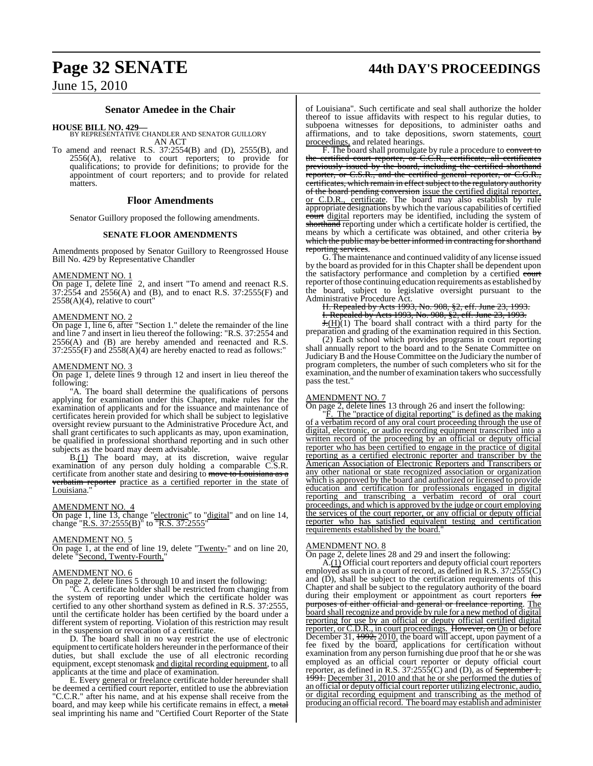# **Page 32 SENATE 44th DAY'S PROCEEDINGS**

# **Senator Amedee in the Chair**

**HOUSE BILL NO. 429—** BY REPRESENTATIVE CHANDLER AND SENATOR GUILLORY AN ACT

To amend and reenact R.S. 37:2554(B) and (D), 2555(B), and 2556(A), relative to court reporters; to provide for qualifications; to provide for definitions; to provide for the appointment of court reporters; and to provide for related matters.

# **Floor Amendments**

Senator Guillory proposed the following amendments.

# **SENATE FLOOR AMENDMENTS**

Amendments proposed by Senator Guillory to Reengrossed House Bill No. 429 by Representative Chandler

# AMENDMENT NO. 1

On page 1, delete line 2, and insert "To amend and reenact R.S. 37:2554 and 2556(A) and (B), and to enact R.S. 37:2555(F) and  $2558(A)(4)$ , relative to court"

# AMENDMENT NO. 2

On page 1, line 6, after "Section 1." delete the remainder of the line and line 7 and insert in lieu thereof the following: "R.S. 37:2554 and  $2556(A)$  and  $(B)$  are hereby amended and reenacted and R.S.  $37:2555(F)$  and  $2558(A)(4)$  are hereby enacted to read as follows:"

# AMENDMENT NO. 3

On page 1, delete lines 9 through 12 and insert in lieu thereof the following:

"A. The board shall determine the qualifications of persons applying for examination under this Chapter, make rules for the examination of applicants and for the issuance and maintenance of certificates herein provided for which shall be subject to legislative oversight review pursuant to the Administrative Procedure Act, and shall grant certificates to such applicants as may, upon examination, be qualified in professional shorthand reporting and in such other subjects as the board may deem advisable.

B.(1) The board may, at its discretion, waive regular examination of any person duly holding a comparable C.S.R. certificate from another state and desiring to move to Louisiana as a verbatim reporter practice as a certified reporter in the state of Louisiana.'

## AMENDMENT NO. 4

On page 1, line 13, change "electronic" to "digital" and on line 14, change "R.S. 37:2555(B)" to TR.S. 37:2555

#### AMENDMENT NO. 5

On page 1, at the end of line 19, delete "Twenty-" and on line 20, delete "Second, Twenty-Fourth,"

# AMENDMENT NO. 6

On page 2, delete lines 5 through 10 and insert the following:

"C. A certificate holder shall be restricted from changing from the system of reporting under which the certificate holder was certified to any other shorthand system as defined in R.S. 37:2555, until the certificate holder has been certified by the board under a different system of reporting. Violation of this restriction may result in the suspension or revocation of a certificate.

D. The board shall in no way restrict the use of electronic equipment to certificate holders hereunder in the performance of their duties, but shall exclude the use of all electronic recording equipment, except stenomask and digital recording equipment, to all applicants at the time and place of examination.

E. Every general or freelance certificate holder hereunder shall be deemed a certified court reporter, entitled to use the abbreviation "C.C.R." after his name, and at his expense shall receive from the board, and may keep while his certificate remains in effect, a metal seal imprinting his name and "Certified Court Reporter of the State

of Louisiana". Such certificate and seal shall authorize the holder thereof to issue affidavits with respect to his regular duties, to subpoena witnesses for depositions, to administer oaths and affirmations, and to take depositions, sworn statements, court proceedings, and related hearings.

F. The board shall promulgate by rule a procedure to convert to the certified court reporter, or C.C.R., certificate, all certificates previously issued by the board, including the certified shorthand reporter, or C.S.R., and the certified general reporter, or C.G.R., certificates, which remain in effect subject to the regulatory authority of the board pending conversion issue the certified digital reporter, or C.D.R., certificate. The board may also establish by rule appropriate designations bywhich the various capabilities of certified court digital reporters may be identified, including the system of shorthand reporting under which a certificate holder is certified, the means by which a certificate was obtained, and other criteria by which the public may be better informed in contracting for shorthand reporting services.

G. The maintenance and continued validity of any license issued by the board as provided for in this Chapter shall be dependent upon the satisfactory performance and completion by a certified court reporter of those continuing education requirements as established by the board, subject to legislative oversight pursuant to the Administrative Procedure Act.

H. Repealed by Acts 1993, No. 908, §2, eff. June 23, 1993.

I. Repealed by Acts 1993, No. 908, §2, eff. June 23, 1993.

 $H(H)(1)$  The board shall contract with a third party for the preparation and grading of the examination required in this Section.

(2) Each school which provides programs in court reporting shall annually report to the board and to the Senate Committee on Judiciary B and the House Committee on the Judiciary the number of program completers, the number of such completers who sit for the examination, and the number of examination takers who successfully pass the test."

## AMENDMENT NO. 7

On page 2, delete lines 13 through 26 and insert the following:

The "practice of digital reporting" is defined as the making of a verbatim record of any oral court proceeding through the use of digital, electronic, or audio recording equipment transcribed into a written record of the proceeding by an official or deputy official reporter who has been certified to engage in the practice of digital reporting as a certified electronic reporter and transcriber by the American Association of Electronic Reporters and Transcribers or any other national or state recognized association or organization which is approved by the board and authorized or licensed to provide education and certification for professionals engaged in digital reporting and transcribing a verbatim record of oral court proceedings, and which is approved by the judge or court employing the services of the court reporter, or any official or deputy official reporter who has satisfied equivalent testing and certification requirements established by the board."

#### AMENDMENT NO. 8

On page 2, delete lines 28 and 29 and insert the following:

A.(1) Official court reporters and deputy official court reporters employed as such in a court of record, as defined in R.S. 37:2555(C) and  $(D)$ , shall be subject to the certification requirements of this Chapter and shall be subject to the regulatory authority of the board during their employment or appointment as court reporters for purposes of either official and general or freelance reporting. The board shall recognize and provide by rule for a new method of digital reporting for use by an official or deputy official certified digital reporter, or C.D.R., in court proceedings. However, on On or before December 31, 1992, 2010, the board will accept, upon payment of a fee fixed by the board, applications for certification without examination from any person furnishing due proof that he or she was employed as an official court reporter or deputy official court reporter, as defined in R.S. 37:2555(C) and (D), as of <del>September 1,</del> 1991. December 31, 2010 and that he or she performed the duties of an official or deputy official court reporter utilizing electronic, audio, or digital recording equipment and transcribing as the method of producing an official record. The board may establish and administer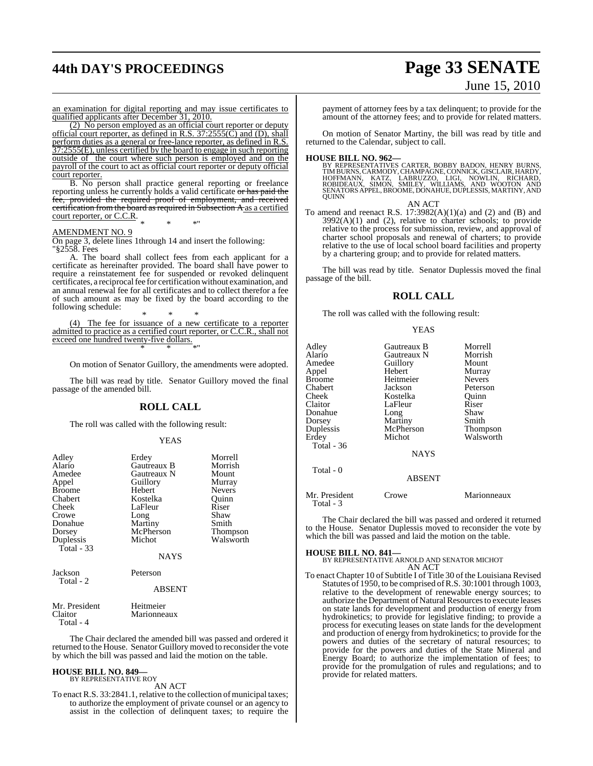# **44th DAY'S PROCEEDINGS Page 33 SENATE**

# June 15, 2010

an examination for digital reporting and may issue certificates to qualified applicants after December 31, 2010.

(2) No person employed as an official court reporter or deputy official court reporter, as defined in R.S. 37:2555(C) and (D), shall perform duties as a general or free-lance reporter, as defined in R.S. 37:2555(E), unless certified by the board to engage in such reporting outside of the court where such person is employed and on the payroll of the court to act as official court reporter or deputy official court reporter.

B. No person shall practice general reporting or freelance reporting unless he currently holds a valid certificate  $\overline{or}$  has paid the fee, provided the required proof of employment, and received certification from the board as required in Subsection A as a certified court reporter, or C.C.R.

\* \* \*"

# AMENDMENT NO. 9

On page 3, delete lines 1through 14 and insert the following: "§2558. Fees

A. The board shall collect fees from each applicant for a certificate as hereinafter provided. The board shall have power to require a reinstatement fee for suspended or revoked delinquent certificates, a reciprocalfee for certification without examination, and an annual renewal fee for all certificates and to collect therefor a fee of such amount as may be fixed by the board according to the following schedule:

\* \* \* (4) The fee for issuance of a new certificate to a reporter admitted to practice as a certified court reporter, or C.C.R., shall not exceed one hundred twenty-five dollars. \* \* \*"

On motion of Senator Guillory, the amendments were adopted.

The bill was read by title. Senator Guillory moved the final passage of the amended bill.

# **ROLL CALL**

The roll was called with the following result:

### YEAS

| Adley<br>Alario<br>Amedee<br>Appel<br><b>Broome</b><br>Chabert<br>Cheek<br>Crowe<br>Donahue<br>Dorsey<br>Duplessis<br>Total $-33$ | Erdey<br>Gautreaux B<br>Gautreaux N<br>Guillory<br>Hebert<br>Kostelka<br>LaFleur<br>Long<br>Martiny<br>McPherson<br>Michot | Morrell<br>Morrish<br>Mount<br>Murray<br><b>Nevers</b><br>Ouinn<br>Riser<br>Shaw<br>Smith<br><b>Thompson</b><br>Walsworth |
|-----------------------------------------------------------------------------------------------------------------------------------|----------------------------------------------------------------------------------------------------------------------------|---------------------------------------------------------------------------------------------------------------------------|
|                                                                                                                                   | <b>NAYS</b>                                                                                                                |                                                                                                                           |
| Jackson<br>Total - 2                                                                                                              | Peterson                                                                                                                   |                                                                                                                           |
|                                                                                                                                   | <b>ABSENT</b>                                                                                                              |                                                                                                                           |

| Mr. President | Heitmeier   |
|---------------|-------------|
| Claitor       | Marionneaux |
| Total - 4     |             |

The Chair declared the amended bill was passed and ordered it returned to the House. Senator Guillory moved to reconsider the vote by which the bill was passed and laid the motion on the table.

#### **HOUSE BILL NO. 849—** BY REPRESENTATIVE ROY

AN ACT

To enact R.S. 33:2841.1, relative to the collection of municipal taxes; to authorize the employment of private counsel or an agency to assist in the collection of delinquent taxes; to require the payment of attorney fees by a tax delinquent; to provide for the amount of the attorney fees; and to provide for related matters.

On motion of Senator Martiny, the bill was read by title and returned to the Calendar, subject to call.

**HOUSE BILL NO. 962—**<br>BY REPRESENTATIVES CARTER, BOBBY BADON, HENRY BURNS, TIMBURNS, CARMODY, CHAMPAGNE, CONNICK, GISCLAIR, HARDY,<br>HOFFMANN, KATZ, LABRUZZO, LIGI, NOWLIN, RICHARD,<br>ROBIDEAUX, SIMON, SMILEY, WILLIAMS, AND WO

# AN ACT

To amend and reenact R.S.  $17:3982(A)(1)(a)$  and  $(2)$  and  $(B)$  and  $3992(A)(1)$  and  $(2)$ , relative to charter schools; to provide relative to the process for submission, review, and approval of charter school proposals and renewal of charters; to provide relative to the use of local school board facilities and property by a chartering group; and to provide for related matters.

The bill was read by title. Senator Duplessis moved the final passage of the bill.

# **ROLL CALL**

The roll was called with the following result:

#### YEAS

| Adley<br>Alario<br>Amedee<br>Appel<br>Broome<br>Chabert<br>Cheek<br>Claitor<br>Donahue<br>Dorsey<br>Duplessis<br>Erdey<br>Total - 36 | Gautreaux B<br>Gautreaux N<br>Guillory<br>Hebert<br>Heitmeier<br>Jackson<br>Kostelka<br>LaFleur<br>Long<br>Martiny<br>McPherson<br>Michot<br><b>NAYS</b> | Morrell<br>Morrish<br>Mount<br>Murray<br><b>Nevers</b><br>Peterson<br>Ouinn<br>Riser<br>Shaw<br>Smith<br>Thompson<br>Walsworth |
|--------------------------------------------------------------------------------------------------------------------------------------|----------------------------------------------------------------------------------------------------------------------------------------------------------|--------------------------------------------------------------------------------------------------------------------------------|
| Total - 0                                                                                                                            | <b>ABSENT</b>                                                                                                                                            |                                                                                                                                |
| Mr. President                                                                                                                        | Crowe                                                                                                                                                    | Marionneaux                                                                                                                    |

The Chair declared the bill was passed and ordered it returned to the House. Senator Duplessis moved to reconsider the vote by which the bill was passed and laid the motion on the table.

Total - 3

**HOUSE BILL NO. 841—** BY REPRESENTATIVE ARNOLD AND SENATOR MICHOT AN ACT

To enact Chapter 10 of Subtitle I of Title 30 of the Louisiana Revised Statutes of 1950, to be comprised ofR.S. 30:1001 through 1003, relative to the development of renewable energy sources; to authorize the Department of Natural Resources to execute leases on state lands for development and production of energy from hydrokinetics; to provide for legislative finding; to provide a process for executing leases on state lands for the development and production of energy from hydrokinetics; to provide for the powers and duties of the secretary of natural resources; to provide for the powers and duties of the State Mineral and Energy Board; to authorize the implementation of fees; to provide for the promulgation of rules and regulations; and to provide for related matters.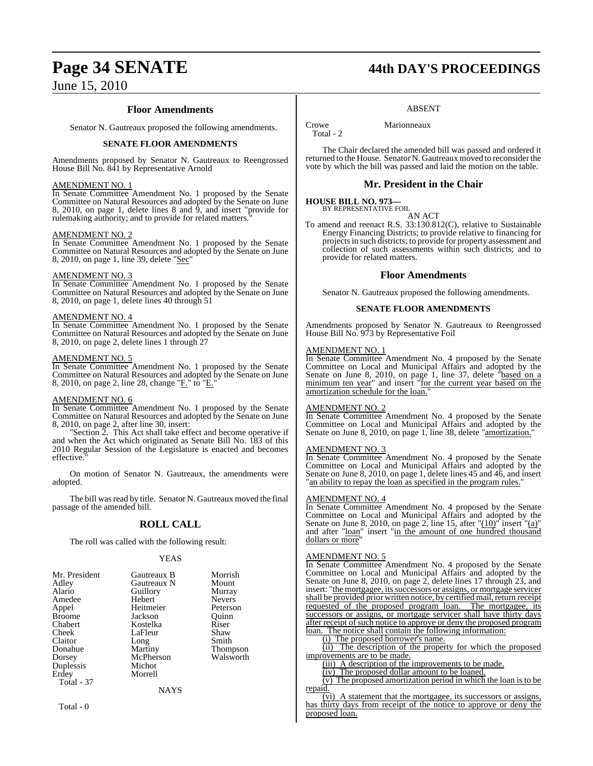# **Floor Amendments**

Senator N. Gautreaux proposed the following amendments.

# **SENATE FLOOR AMENDMENTS**

Amendments proposed by Senator N. Gautreaux to Reengrossed House Bill No. 841 by Representative Arnold

# AMENDMENT NO. 1

In Senate Committee Amendment No. 1 proposed by the Senate Committee on Natural Resources and adopted by the Senate on June 8, 2010, on page 1, delete lines 8 and 9, and insert "provide for rulemaking authority; and to provide for related matters.

# AMENDMENT NO. 2

In Senate Committee Amendment No. 1 proposed by the Senate Committee on Natural Resources and adopted by the Senate on June 8, 2010, on page 1, line 39, delete "Sec"

# AMENDMENT NO. 3

In Senate Committee Amendment No. 1 proposed by the Senate Committee on Natural Resources and adopted by the Senate on June 8, 2010, on page 1, delete lines 40 through 51

# AMENDMENT NO. 4

In Senate Committee Amendment No. 1 proposed by the Senate Committee on Natural Resources and adopted by the Senate on June 8, 2010, on page 2, delete lines 1 through 27

# AMENDMENT NO. 5

In Senate Committee Amendment No. 1 proposed by the Senate Committee on Natural Resources and adopted by the Senate on June 8, 2010, on page 2, line 28, change "E' to "E'

# AMENDMENT NO. 6

In Senate Committee Amendment No. 1 proposed by the Senate Committee on Natural Resources and adopted by the Senate on June 8, 2010, on page 2, after line 30, insert:

"Section 2. This Act shall take effect and become operative if and when the Act which originated as Senate Bill No. 183 of this 2010 Regular Session of the Legislature is enacted and becomes effective.

On motion of Senator N. Gautreaux, the amendments were adopted.

The bill was read by title. Senator N. Gautreaux moved the final passage of the amended bill.

# **ROLL CALL**

The roll was called with the following result:

# YEAS

| Mr. President | Gautreaux B | Morrish       |
|---------------|-------------|---------------|
| Adley         | Gautreaux N | Mount         |
|               |             |               |
| Alario        | Guillory    | Murray        |
| Amedee        | Hebert      | <b>Nevers</b> |
| Appel         | Heitmeier   | Peterson      |
| <b>Broome</b> | Jackson     | Ouinn         |
| Chabert       | Kostelka    | Riser         |
| Cheek         | LaFleur     | Shaw          |
| Claitor       | Long        | Smith         |
| Donahue       | Martiny     | Thompson      |
| Dorsey        | McPherson   | Walsworth     |
| Duplessis     | Michot      |               |
| Erdey         | Morrell     |               |
| Total - 37    |             |               |
|               | NAYS        |               |

Total - 0

# **Page 34 SENATE 44th DAY'S PROCEEDINGS**

# ABSENT

Crowe Marionneaux Total - 2

The Chair declared the amended bill was passed and ordered it returned to the House. Senator N. Gautreaux moved to reconsider the vote by which the bill was passed and laid the motion on the table.

# **Mr. President in the Chair**

# **HOUSE BILL NO. 973—**

BY REPRESENTATIVE FOIL

AN ACT To amend and reenact R.S. 33:130.812(C), relative to Sustainable Energy Financing Districts; to provide relative to financing for projectsin such districts; to provide for property assessment and collection of such assessments within such districts; and to provide for related matters.

# **Floor Amendments**

Senator N. Gautreaux proposed the following amendments.

# **SENATE FLOOR AMENDMENTS**

Amendments proposed by Senator N. Gautreaux to Reengrossed House Bill No. 973 by Representative Foil

# AMENDMENT NO. 1

In Senate Committee Amendment No. 4 proposed by the Senate Committee on Local and Municipal Affairs and adopted by the Senate on June 8, 2010, on page 1, line 37, delete "based on a minimum ten year" and insert "for the current year based on the amortization schedule for the loan."

# AMENDMENT NO. 2

In Senate Committee Amendment No. 4 proposed by the Senate Committee on Local and Municipal Affairs and adopted by the Senate on June 8, 2010, on page 1, line 38, delete "amortization."

### AMENDMENT NO. 3

In Senate Committee Amendment No. 4 proposed by the Senate Committee on Local and Municipal Affairs and adopted by the Senate on June 8, 2010, on page 1, delete lines 45 and 46, and insert "an ability to repay the loan as specified in the program rules."

# AMENDMENT NO. 4

In Senate Committee Amendment No. 4 proposed by the Senate Committee on Local and Municipal Affairs and adopted by the Senate on June 8, 2010, on page 2, line 15, after " $(10)$ " insert " $(a)$ " and after "loan" insert "in the amount of one hundred thousand dollars or more

### AMENDMENT NO. 5

In Senate Committee Amendment No. 4 proposed by the Senate Committee on Local and Municipal Affairs and adopted by the Senate on June 8, 2010, on page 2, delete lines 17 through 23, and insert: "the mortgagee, its successors or assigns, or mortgage servicer shall be provided prior written notice, by certified mail, return receipt requested of the proposed program loan. The mortgagee, its successors or assigns, or mortgage servicer shall have thirty days after receipt of such notice to approve or deny the proposed program loan. The notice shall contain the following information:

(i) The proposed borrower's name.

(ii) The description of the property for which the proposed improvements are to be made.

(iii) A description of the improvements to be made.

(iv) The proposed dollar amount to be loaned.

(v) The proposed amortization period in which the loan is to be repaid.

(vi) A statement that the mortgagee, its successors or assigns, has thirty days from receipt of the notice to approve or deny the proposed loan.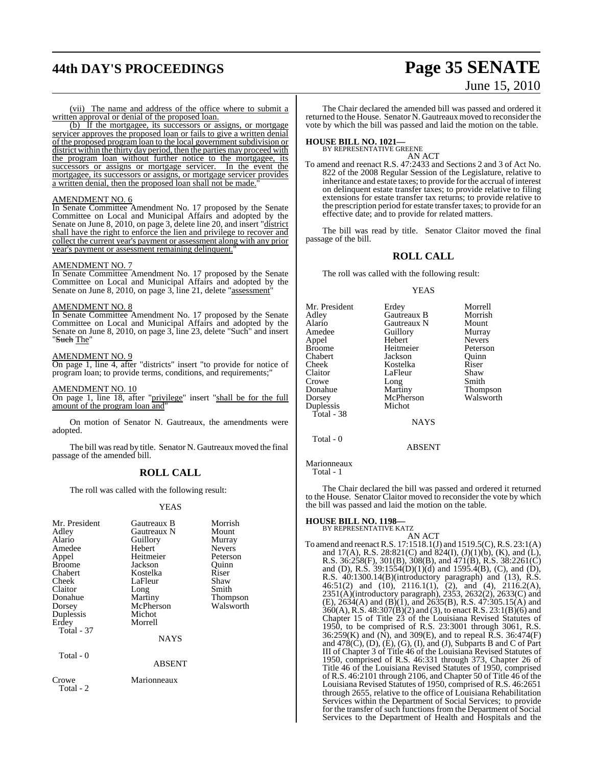# **44th DAY'S PROCEEDINGS Page 35 SENATE**

# June 15, 2010

(vii) The name and address of the office where to submit a written approval or denial of the proposed loan.

(b) If the mortgagee, its successors or assigns, or mortgage servicer approves the proposed loan or fails to give a written denial of the proposed program loan to the local government subdivision or district within the thirty day period, then the parties may proceed with the program loan without further notice to the mortgagee, its successors or assigns or mortgage servicer. In the event the mortgagee, its successors or assigns, or mortgage servicer provides a written denial, then the proposed loan shall not be made."

# AMENDMENT NO. 6

In Senate Committee Amendment No. 17 proposed by the Senate Committee on Local and Municipal Affairs and adopted by the Senate on June 8, 2010, on page 3, delete line 20, and insert "district shall have the right to enforce the lien and privilege to recover and collect the current year's payment or assessment along with any prior year's payment or assessment remaining delinquent.

## AMENDMENT NO. 7

In Senate Committee Amendment No. 17 proposed by the Senate Committee on Local and Municipal Affairs and adopted by the Senate on June 8, 2010, on page 3, line 21, delete "assessment"

# AMENDMENT NO. 8

In Senate Committee Amendment No. 17 proposed by the Senate Committee on Local and Municipal Affairs and adopted by the Senate on June 8, 2010, on page 3, line 23, delete "Such" and insert "Such The"

# AMENDMENT NO. 9

On page 1, line 4, after "districts" insert "to provide for notice of program loan; to provide terms, conditions, and requirements;"

# AMENDMENT NO. 10

On page 1, line 18, after "privilege" insert "shall be for the full amount of the program loan and"

On motion of Senator N. Gautreaux, the amendments were adopted.

The bill was read by title. Senator N. Gautreaux moved the final passage of the amended bill.

# **ROLL CALL**

The roll was called with the following result:

# YEAS

| Mr. President<br>Adley<br>Alario<br>Amedee<br>Appel<br><b>Broome</b><br>Chabert<br>Cheek<br>Claitor<br>Donahue<br>Dorsey<br>Duplessis<br>Erdey<br><b>Total - 37</b> | Gautreaux B<br>Gautreaux N<br>Guillory<br>Hebert<br>Heitmeier<br>Jackson<br>Kostelka<br>LaFleur<br>Long<br>Martiny<br>McPherson<br>Michot<br>Morrell<br><b>NAYS</b> | Morrish<br>Mount<br>Murray<br><b>Nevers</b><br>Peterson<br>Ouinn<br>Riser<br>Shaw<br>Smith<br>Thompson<br>Walsworth |
|---------------------------------------------------------------------------------------------------------------------------------------------------------------------|---------------------------------------------------------------------------------------------------------------------------------------------------------------------|---------------------------------------------------------------------------------------------------------------------|
|                                                                                                                                                                     |                                                                                                                                                                     |                                                                                                                     |
| Total - 0                                                                                                                                                           | ABSENT                                                                                                                                                              |                                                                                                                     |
| Crowe<br>Total - 2                                                                                                                                                  | Marionneaux                                                                                                                                                         |                                                                                                                     |

The Chair declared the amended bill was passed and ordered it returned to the House. Senator N. Gautreaux moved to reconsider the vote by which the bill was passed and laid the motion on the table.

# **HOUSE BILL NO. 1021—** BY REPRESENTATIVE GREENE

AN ACT

To amend and reenact R.S. 47:2433 and Sections 2 and 3 of Act No. 822 of the 2008 Regular Session of the Legislature, relative to inheritance and estate taxes; to provide for the accrual of interest on delinquent estate transfer taxes; to provide relative to filing extensions for estate transfer tax returns; to provide relative to the prescription period for estate transfer taxes; to provide for an effective date; and to provide for related matters.

The bill was read by title. Senator Claitor moved the final passage of the bill.

# **ROLL CALL**

The roll was called with the following result:

## YEAS

| Mr. President | Erdey         | Morrell         |
|---------------|---------------|-----------------|
| Adley         | Gautreaux B   | Morrish         |
| Alario        | Gautreaux N   | Mount           |
| Amedee        | Guillory      | Murray          |
| Appel         | Hebert        | <b>Nevers</b>   |
| Broome        | Heitmeier     | Peterson        |
| Chabert       | Jackson       | Ouinn           |
| Cheek         | Kostelka      | Riser           |
| Claitor       | LaFleur       | Shaw            |
| Crowe         | Long          | Smith           |
| Donahue       | Martiny       | <b>Thompson</b> |
| Dorsey        | McPherson     | Walsworth       |
| Duplessis     | Michot        |                 |
| Total - 38    |               |                 |
|               | <b>NAYS</b>   |                 |
| Total - 0     |               |                 |
|               | <b>ARSENT</b> |                 |

Marionneaux Total - 1

The Chair declared the bill was passed and ordered it returned to the House. Senator Claitor moved to reconsider the vote by which the bill was passed and laid the motion on the table.

# **HOUSE BILL NO. 1198—**

BY REPRESENTATIVE KATZ AN ACT

To amend and reenactR.S. 17:1518.1(J) and 1519.5(C),R.S. 23:1(A) and 17(A), R.S. 28:821(C) and 824(I),  $(J)(1)(b)$ ,  $(K)$ , and  $(L)$ , R.S. 36:258(F), 301(B), 308(B), and 471(B), R.S. 38:2261(C) and (D), R.S. 39:1554(D)(1)(d) and 1595.4(B), (C), and (D), R.S. 40:1300.14(B)(introductory paragraph) and (13), R.S. 46:51(2) and (10), 2116.1(1),  $(2)$ , and (4), 2116.2(A), 2351(A)(introductory paragraph), 2353, 2632(2), 2633(C) and  $(E)$ , 2634(A) and  $(B)$ (1), and 2635(B), R.S. 47:305.15(A) and  $360(A)$ , R.S.  $48:307(B)(2)$  and (3), to enact R.S.  $23:1(B)(6)$  and Chapter 15 of Title 23 of the Louisiana Revised Statutes of 1950, to be comprised of R.S. 23:3001 through 3061, R.S.  $36:259(K)$  and  $(N)$ , and  $309(E)$ , and to repeal  $\overline{R}$ . S.  $36:474(F)$ and  $478(C)$ , (D), (E), (G), (I), and (J), Subparts B and C of Part III of Chapter 3 of Title 46 of the Louisiana Revised Statutes of 1950, comprised of R.S. 46:331 through 373, Chapter 26 of Title 46 of the Louisiana Revised Statutes of 1950, comprised of R.S.  $46:2101$  through 2106, and Chapter 50 of Title  $46$  of the Louisiana Revised Statutes of 1950, comprised of R.S. 46:2651 through 2655, relative to the office of Louisiana Rehabilitation Services within the Department of Social Services; to provide for the transfer of such functions from the Department of Social Services to the Department of Health and Hospitals and the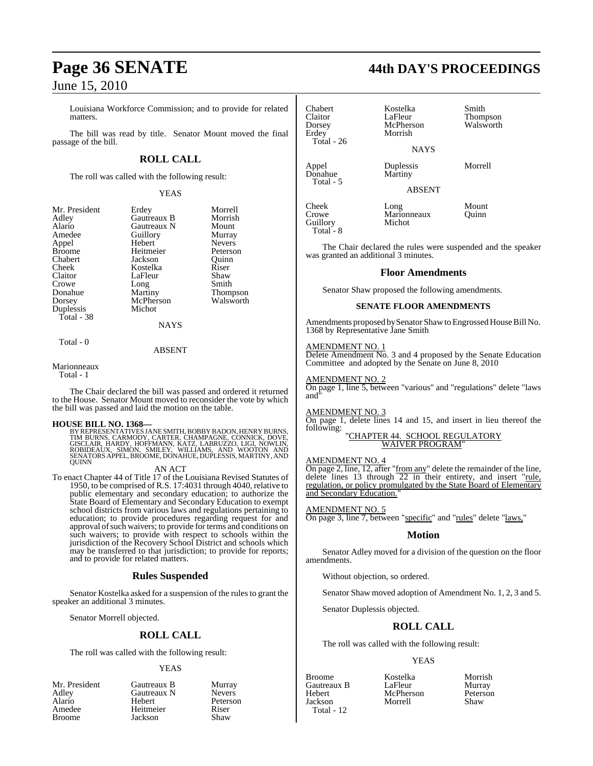Louisiana Workforce Commission; and to provide for related matters.

The bill was read by title. Senator Mount moved the final passage of the bill.

# **ROLL CALL**

The roll was called with the following result:

YEAS

| Mr. President | Erdey       | Morrell         |
|---------------|-------------|-----------------|
| Adley         | Gautreaux B | Morrish         |
| Alario        | Gautreaux N | Mount           |
| Amedee        | Guillory    | Murray          |
| Appel         | Hebert      | <b>Nevers</b>   |
| <b>Broome</b> | Heitmeier   | Peterson        |
| Chabert       | Jackson     | Ouinn           |
| Cheek         | Kostelka    | Riser           |
| Claitor       | LaFleur     | Shaw            |
| Crowe         | Long        | Smith           |
| Donahue       | Martiny     | <b>Thompson</b> |
| Dorsey        | McPherson   | Walsworth       |
| Duplessis     | Michot      |                 |
| Total - 38    |             |                 |
|               | <b>NAYS</b> |                 |
| Total - 0     |             |                 |

ABSENT

Marionneaux

Total - 1

The Chair declared the bill was passed and ordered it returned to the House. Senator Mount moved to reconsider the vote by which the bill was passed and laid the motion on the table.

# **HOUSE BILL NO. 1368—**

BY REPRESENTATIVES JANE SMITH, BOBBY BADON, HENRY BURNS, TIM BURNS, CARMODY, CARTER, CHAMPAGNE, CONNICK, DOVE,<br>GISCLAIR, HARDY, HOFFMANN, KATZ, LABRUZZO, LIGI, NOWLIN,<br>ROBIDEAUX, SIMON, SMILEY, WILLIAMS, AND WOOTON AND<br>SENATORS APPEL,BROOME,DONAHUE,DUPLESSIS,MARTINY,AND **QUINN** 

# AN ACT

To enact Chapter 44 of Title 17 of the Louisiana Revised Statutes of 1950, to be comprised of R.S. 17:4031 through 4040, relative to public elementary and secondary education; to authorize the State Board of Elementary and Secondary Education to exempt school districts from various laws and regulations pertaining to education; to provide procedures regarding request for and approval of such waivers; to provide for terms and conditions on such waivers; to provide with respect to schools within the jurisdiction of the Recovery School District and schools which may be transferred to that jurisdiction; to provide for reports; and to provide for related matters.

# **Rules Suspended**

Senator Kostelka asked for a suspension of the rules to grant the speaker an additional 3 minutes.

Senator Morrell objected.

# **ROLL CALL**

The roll was called with the following result:

# YEAS

- Mr. President Gautreaux B Murray<br>Adley Gautreaux N Nevers Adley Gautreaux N<br>Alario Hebert Alario Hebert Peterson Amedee Heitmeier Riser<br>Broome Jackson Shaw
- **Jackson**

| Chabert        | Kostelka  | Smith     |
|----------------|-----------|-----------|
| <b>Claitor</b> | LaFleur   | Thompson  |
| Dorsey         | McPherson | Walsworth |
| Erdey          | Morrish   |           |
| Total $-26$    |           |           |

 $D$ onahue Total - 5 **NAYS** 

Appel **Duplessis** Morrell<br>Donahue Martiny

ABSENT

Cheek Long Mount<br>Crowe Marionneaux Ouinn Guillory Total - 8

The Chair declared the rules were suspended and the speaker was granted an additional 3 minutes.

# **Floor Amendments**

Senator Shaw proposed the following amendments.

Marionneaux<br>Michot

# **SENATE FLOOR AMENDMENTS**

Amendments proposed by Senator Shaw to Engrossed House Bill No. 1368 by Representative Jane Smith

# AMENDMENT NO. 1

Delete Amendment No. 3 and 4 proposed by the Senate Education Committee and adopted by the Senate on June 8, 2010

# AMENDMENT NO. 2

On page 1, line 5, between "various" and "regulations" delete "laws and"

# AMENDMENT NO. 3

On page 1, delete lines 14 and 15, and insert in lieu thereof the following:

#### "CHAPTER 44. SCHOOL REGULATORY WAIVER PROGRAM"

# AMENDMENT NO. 4

On page 2, line, 12, after "from any" delete the remainder of the line, delete lines 13 through  $\overline{22}$  in their entirety, and insert "rule, regulation, or policy promulgated by the State Board of Elementary and Secondary Education.

# AMENDMENT NO. 5

On page 3, line 7, between "specific" and "rules" delete "laws,"

# **Motion**

Senator Adley moved for a division of the question on the floor amendments.

Without objection, so ordered.

Senator Shaw moved adoption of Amendment No. 1, 2, 3 and 5.

Senator Duplessis objected.

# **ROLL CALL**

The roll was called with the following result:

# YEAS

Total - 12

Morrell

Broome Kostelka Morrish Gautreaux B LaFleur Murray<br>
Hebert McPherson Peterson Hebert McPherson Peterson

**Page 36 SENATE 44th DAY'S PROCEEDINGS**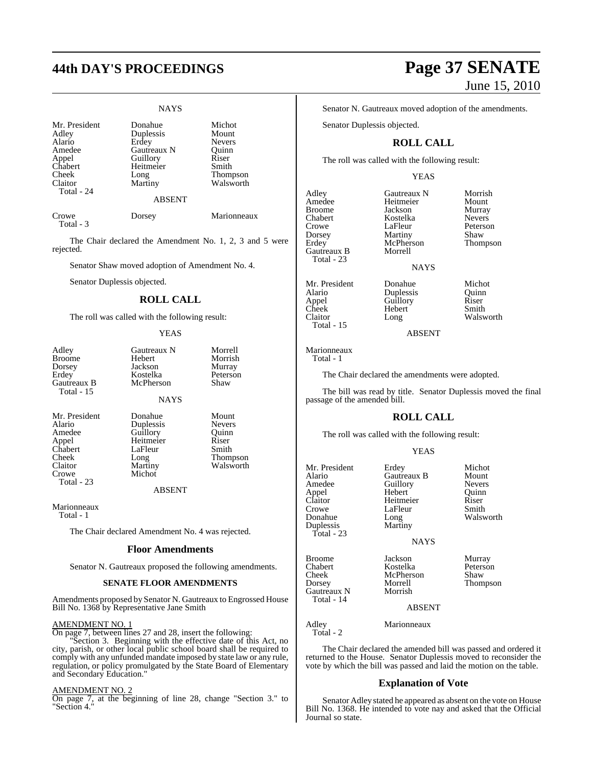### NAYS

| Mr. President<br>Adley<br>Alario<br>Amedee<br>Appel<br>Chabert<br>Cheek<br>Claitor<br>Total - 24 | Donahue<br>Duplessis<br>Erdey<br>Gautreaux N<br>Guillory<br>Heitmeier<br>Long<br>Martiny | Michot<br>Mount<br><b>Nevers</b><br>Quinn<br>Riser<br>Smith<br>Thompson<br>Walsworth |
|--------------------------------------------------------------------------------------------------|------------------------------------------------------------------------------------------|--------------------------------------------------------------------------------------|
|                                                                                                  | <b>ABSENT</b>                                                                            |                                                                                      |
| Crowe                                                                                            | Dorsev                                                                                   | Marionneaux                                                                          |

Total - 3

The Chair declared the Amendment No. 1, 2, 3 and 5 were rejected.

Senator Shaw moved adoption of Amendment No. 4.

Senator Duplessis objected.

### **ROLL CALL**

The roll was called with the following result:

### **YEAS**

| Adley<br><b>Broome</b><br>Dorsey<br>Erdey<br>Gautreaux B<br>Total - 15                           | Gautreaux N<br>Hebert<br>Jackson<br>Kostelka<br>McPherson                             | Morrell<br>Morrish<br>Murray<br>Peterson<br>Shaw                                  |
|--------------------------------------------------------------------------------------------------|---------------------------------------------------------------------------------------|-----------------------------------------------------------------------------------|
|                                                                                                  | <b>NAYS</b>                                                                           |                                                                                   |
| Mr. President<br>Alario<br>Amedee<br>Appel<br>Chabert<br>Cheek<br>Claitor<br>Crowe<br>Total - 23 | Donahue<br>Duplessis<br>Guillory<br>Heitmeier<br>LaFleur<br>Long<br>Martiny<br>Michot | Mount<br><b>Nevers</b><br>Ouinn<br>Riser<br>Smith<br><b>Thompson</b><br>Walsworth |

ABSENT

Marionneaux

Total - 1

The Chair declared Amendment No. 4 was rejected.

### **Floor Amendments**

Senator N. Gautreaux proposed the following amendments.

### **SENATE FLOOR AMENDMENTS**

Amendments proposed by Senator N. Gautreaux to Engrossed House Bill No. 1368 by Representative Jane Smith

### AMENDMENT NO. 1

On page 7, between lines 27 and 28, insert the following:

"Section 3. Beginning with the effective date of this Act, no city, parish, or other local public school board shall be required to comply with any unfunded mandate imposed by state law or any rule, regulation, or policy promulgated by the State Board of Elementary and Secondary Education."

### AMENDMENT NO. 2

On page 7, at the beginning of line 28, change "Section 3." to "Section 4."

# **44th DAY'S PROCEEDINGS Page 37 SENATE** June 15, 2010

Senator N. Gautreaux moved adoption of the amendments.

Senator Duplessis objected.

### **ROLL CALL**

The roll was called with the following result:

### YEAS

Adley Gautreaux N Morrish<br>Amedee Heitmeier Mount Amedee Heitmeier<br>Broome Jackson Broome Jackson Murray<br>Chabert Kostelka Nevers Chabert Kostelka<br>Crowe LaFleur Crowe LaFleur Peterson<br>
Dorsey Martiny Shaw Dorsey Martiny Shaw<br>Erdey McPherson Thompson Gautreaux B Total - 23

Mr. President Donahue Michot Alario Duplessis Quinn Appel Guillory Riser Cheek Hebert<br>Claitor Long Total - 15

McPherson<br>Morrell **NAYS** 

Walsworth

### ABSENT

Marionneaux Total - 1

The Chair declared the amendments were adopted.

The bill was read by title. Senator Duplessis moved the final passage of the amended bill.

### **ROLL CALL**

The roll was called with the following result:

### YEAS

Guillory Nevers<br>
Hebert Quinn

Heitmeier Riser<br>LaFleur Smith

Long Walsworth<br>Martiny

Mr. President Erdey Michot<br>Alario Gautreaux B Mount Alario Gautreaux B Mount<br>Amedee Guillory Nevers Appel Hebert Quinn Crowe LaFleur<br>Donahue Long Duplessis Total - 23

Broome Jackson Murray Chabert Kostelka Peterson McPherson<br>Morrell Dorsey Morrell Thompson<br>
Gautreaux N Morrish Thompson

ABSENT

NAYS

Adley Marionneaux

Total - 2

Gautreaux N Total - 14

The Chair declared the amended bill was passed and ordered it returned to the House. Senator Duplessis moved to reconsider the vote by which the bill was passed and laid the motion on the table.

### **Explanation of Vote**

Senator Adley stated he appeared as absent on the vote on House Bill No. 1368. He intended to vote nay and asked that the Official Journal so state.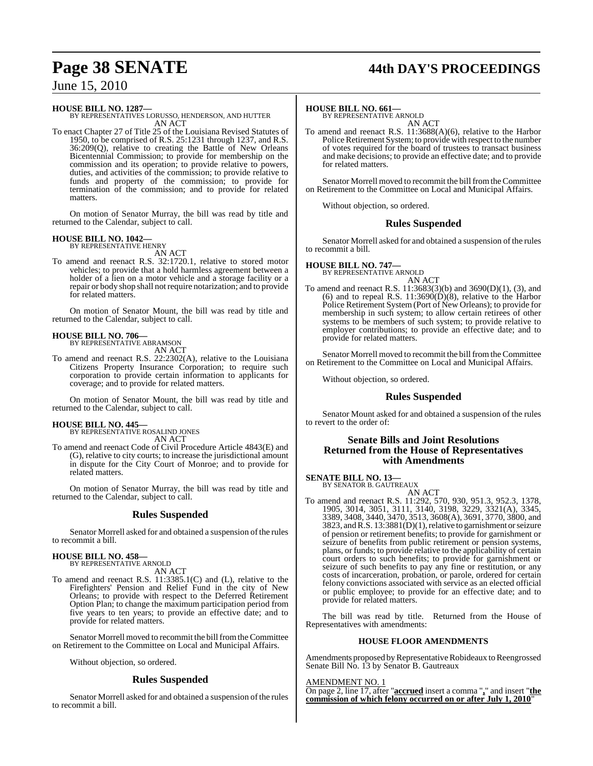# **Page 38 SENATE 44th DAY'S PROCEEDINGS**

### June 15, 2010

**HOUSE BILL NO. 1287—** BY REPRESENTATIVES LORUSSO, HENDERSON, AND HUTTER AN ACT

To enact Chapter 27 of Title 25 of the Louisiana Revised Statutes of 1950, to be comprised of R.S. 25:1231 through 1237, and R.S. 36:209(Q), relative to creating the Battle of New Orleans Bicentennial Commission; to provide for membership on the commission and its operation; to provide relative to powers, duties, and activities of the commission; to provide relative to funds and property of the commission; to provide for termination of the commission; and to provide for related matters.

On motion of Senator Murray, the bill was read by title and returned to the Calendar, subject to call.

### **HOUSE BILL NO. 1042—** BY REPRESENTATIVE HENRY

AN ACT To amend and reenact R.S. 32:1720.1, relative to stored motor vehicles; to provide that a hold harmless agreement between a holder of a lien on a motor vehicle and a storage facility or a repair or body shop shall not require notarization; and to provide for related matters.

On motion of Senator Mount, the bill was read by title and returned to the Calendar, subject to call.

### **HOUSE BILL NO. 706—**

BY REPRESENTATIVE ABRAMSON

- AN ACT
- To amend and reenact R.S. 22:2302(A), relative to the Louisiana Citizens Property Insurance Corporation; to require such corporation to provide certain information to applicants for coverage; and to provide for related matters.

On motion of Senator Mount, the bill was read by title and returned to the Calendar, subject to call.

### **HOUSE BILL NO. 445—** BY REPRESENTATIVE ROSALIND JONES

AN ACT

To amend and reenact Code of Civil Procedure Article 4843(E) and (G), relative to city courts; to increase the jurisdictional amount in dispute for the City Court of Monroe; and to provide for related matters.

On motion of Senator Murray, the bill was read by title and returned to the Calendar, subject to call.

### **Rules Suspended**

Senator Morrell asked for and obtained a suspension of the rules to recommit a bill.

### **HOUSE BILL NO. 458—** BY REPRESENTATIVE ARNOLD

AN ACT

To amend and reenact R.S. 11:3385.1(C) and (L), relative to the Firefighters' Pension and Relief Fund in the city of New Orleans; to provide with respect to the Deferred Retirement Option Plan; to change the maximum participation period from five years to ten years; to provide an effective date; and to provide for related matters.

Senator Morrell moved to recommit the bill from the Committee on Retirement to the Committee on Local and Municipal Affairs.

Without objection, so ordered.

### **Rules Suspended**

Senator Morrell asked for and obtained a suspension of the rules to recommit a bill.

### **HOUSE BILL NO. 661—**

BY REPRESENTATIVE ARNOLD AN ACT

To amend and reenact R.S. 11:3688(A)(6), relative to the Harbor Police Retirement System; to provide with respect to the number of votes required for the board of trustees to transact business and make decisions; to provide an effective date; and to provide for related matters.

Senator Morrell moved to recommit the bill from the Committee on Retirement to the Committee on Local and Municipal Affairs.

Without objection, so ordered.

### **Rules Suspended**

Senator Morrell asked for and obtained a suspension of the rules to recommit a bill.

### **HOUSE BILL NO. 747—**

BY REPRESENTATIVE ARNOLD AN ACT

To amend and reenact R.S. 11:3683(3)(b) and 3690(D)(1), (3), and (6) and to repeal R.S.  $11:3690(D)(8)$ , relative to the Harbor Police Retirement System (Port of New Orleans); to provide for membership in such system; to allow certain retirees of other systems to be members of such system; to provide relative to employer contributions; to provide an effective date; and to provide for related matters.

Senator Morrell moved to recommit the bill from the Committee on Retirement to the Committee on Local and Municipal Affairs.

Without objection, so ordered.

### **Rules Suspended**

Senator Mount asked for and obtained a suspension of the rules to revert to the order of:

### **Senate Bills and Joint Resolutions Returned from the House of Representatives with Amendments**

### **SENATE BILL NO. 13—**

BY SENATOR B. GAUTREAUX AN ACT

To amend and reenact R.S. 11:292, 570, 930, 951.3, 952.3, 1378, 1905, 3014, 3051, 3111, 3140, 3198, 3229, 3321(A), 3345, 3389, 3408, 3440, 3470, 3513, 3608(A), 3691, 3770, 3800, and 3823, and R.S. 13:3881(D)(1), relative to garnishment or seizure of pension or retirement benefits; to provide for garnishment or seizure of benefits from public retirement or pension systems, plans, or funds; to provide relative to the applicability of certain court orders to such benefits; to provide for garnishment or seizure of such benefits to pay any fine or restitution, or any costs of incarceration, probation, or parole, ordered for certain felony convictions associated with service as an elected official or public employee; to provide for an effective date; and to provide for related matters.

The bill was read by title. Returned from the House of Representatives with amendments:

### **HOUSE FLOOR AMENDMENTS**

Amendments proposed by Representative Robideaux to Reengrossed Senate Bill No. 13 by Senator B. Gautreaux

### AMENDMENT NO. 1

On page 2, line 17, after "**accrued** insert a comma "**,**" and insert "**the commission of which felony occurred on or after July 1, 2010**"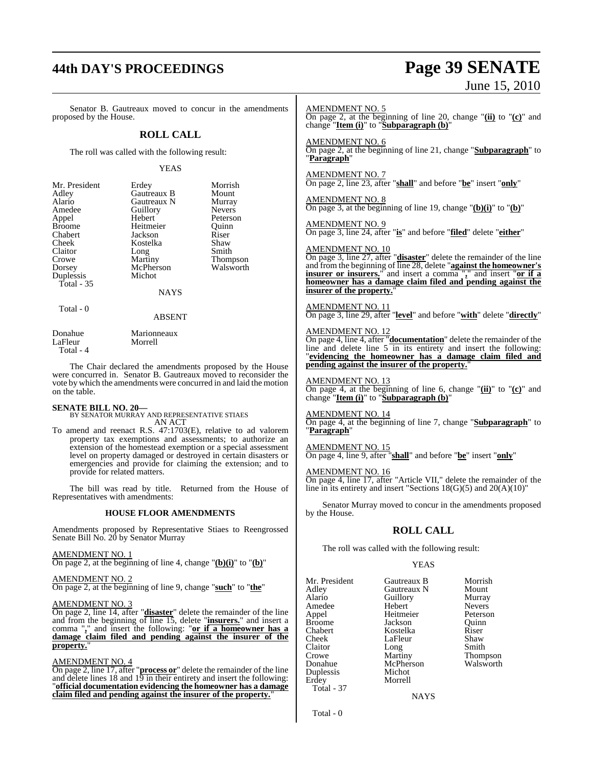# **44th DAY'S PROCEEDINGS Page 39 SENATE** June 15, 2010

| Senator B. Gautreaux moved to concur in the amendments<br>proposed by the House.                                                                                                                                                                                                                                                                                                                                                                                                                                                                 |                                                                                               | <b>AMENDMENT NO. 5</b>                                                                                                                                                                                                                                                   | change " <b>Item (i)</b> " to " <b>Subparagraph (b)</b> "                  | On page 2, at the beginning of line 20, change " $(ii)$ to " $(c)$ " and                                                                                                                                         |                                                                                                                                                                                                                                                                               |
|--------------------------------------------------------------------------------------------------------------------------------------------------------------------------------------------------------------------------------------------------------------------------------------------------------------------------------------------------------------------------------------------------------------------------------------------------------------------------------------------------------------------------------------------------|-----------------------------------------------------------------------------------------------|--------------------------------------------------------------------------------------------------------------------------------------------------------------------------------------------------------------------------------------------------------------------------|----------------------------------------------------------------------------|------------------------------------------------------------------------------------------------------------------------------------------------------------------------------------------------------------------|-------------------------------------------------------------------------------------------------------------------------------------------------------------------------------------------------------------------------------------------------------------------------------|
|                                                                                                                                                                                                                                                                                                                                                                                                                                                                                                                                                  | <b>ROLL CALL</b>                                                                              |                                                                                                                                                                                                                                                                          |                                                                            |                                                                                                                                                                                                                  |                                                                                                                                                                                                                                                                               |
| The roll was called with the following result:                                                                                                                                                                                                                                                                                                                                                                                                                                                                                                   |                                                                                               | <b>AMENDMENT NO. 6</b><br>"Paragraph"                                                                                                                                                                                                                                    |                                                                            | On page 2, at the beginning of line 21, change "Subparagraph" to                                                                                                                                                 |                                                                                                                                                                                                                                                                               |
|                                                                                                                                                                                                                                                                                                                                                                                                                                                                                                                                                  | <b>YEAS</b>                                                                                   |                                                                                                                                                                                                                                                                          |                                                                            |                                                                                                                                                                                                                  |                                                                                                                                                                                                                                                                               |
| Mr. President<br>Adley<br>Alario<br>Amedee<br>Appel<br><b>Broome</b><br>Chabert<br>Cheek                                                                                                                                                                                                                                                                                                                                                                                                                                                         | Erdey<br>Gautreaux B<br>Gautreaux N<br>Guillory<br>Hebert<br>Heitmeier<br>Jackson<br>Kostelka | Morrish<br>Mount<br>Murray<br><b>Nevers</b><br>Peterson<br>Quinn<br>Riser<br>Shaw                                                                                                                                                                                        | <b>AMENDMENT NO. 7</b><br><b>AMENDMENT NO. 8</b><br><b>AMENDMENT NO. 9</b> | On page 2, line 23, after "shall" and before "be" insert "only"<br>On page 3, at the beginning of line 19, change " $(b)(i)$ " to " $(b)$ "<br>On page 3, line 24, after "is" and before "filed" delete "either" |                                                                                                                                                                                                                                                                               |
| Claitor<br>Crowe<br>Dorsey<br>Duplessis<br>Total $-35$                                                                                                                                                                                                                                                                                                                                                                                                                                                                                           | Long<br>Martiny<br>McPherson<br>Michot<br><b>NAYS</b>                                         | Smith<br>Thompson<br>Walsworth                                                                                                                                                                                                                                           | <b>AMENDMENT NO. 10</b><br>insurer of the property.'                       |                                                                                                                                                                                                                  | On page 3, line 27, after "disaster" delete the remainder of the line<br>and from the beginning of line 28, delete "against the homeowner's<br>insurer or insurers." and insert a comma "," and insert "or if a<br>homeowner has a damage claim filed and pending against the |
| Total - 0                                                                                                                                                                                                                                                                                                                                                                                                                                                                                                                                        | <b>ABSENT</b>                                                                                 |                                                                                                                                                                                                                                                                          | <b>AMENDMENT NO. 11</b>                                                    |                                                                                                                                                                                                                  | On page 3, line 29, after "level" and before "with" delete "directly"                                                                                                                                                                                                         |
| Donahue<br>LaFleur<br>Total - 4                                                                                                                                                                                                                                                                                                                                                                                                                                                                                                                  | Marionneaux<br>Morrell                                                                        |                                                                                                                                                                                                                                                                          | <b>AMENDMENT NO. 12</b>                                                    |                                                                                                                                                                                                                  | On page 4, line 4, after " <b>documentation</b> " delete the remainder of the line and delete line $5 \text{ in its entirety}$ and insert the following:<br>"evidencing the homeowner has a damage claim filed and pending against the insurer of the property."              |
| The Chair declared the amendments proposed by the House<br>were concurred in. Senator B. Gautreaux moved to reconsider the<br>vote by which the amendments were concurred in and laid the motion<br>on the table.                                                                                                                                                                                                                                                                                                                                |                                                                                               | <b>AMENDMENT NO. 13</b>                                                                                                                                                                                                                                                  | change "Item (i)" to "Subparagraph (b)"                                    | On page 4, at the beginning of line 6, change " $(ii)'$ to " $(c)$ " and                                                                                                                                         |                                                                                                                                                                                                                                                                               |
| <b>SENATE BILL NO. 20-</b><br>BY SENATOR MURRAY AND REPRESENTATIVE STIAES<br>AN ACT<br>To amend and reenact R.S. $47:1703(E)$ , relative to ad valorem<br>property tax exemptions and assessments; to authorize an<br>extension of the homestead exemption or a special assessment<br>level on property damaged or destroyed in certain disasters or<br>emergencies and provide for claiming the extension; and to<br>provide for related matters.<br>The bill was read by title. Returned from the House of<br>Representatives with amendments: |                                                                                               | <b>AMENDMENT NO. 14</b><br>"Paragraph"                                                                                                                                                                                                                                   |                                                                            | On page 4, at the beginning of line 7, change "Subparagraph" to                                                                                                                                                  |                                                                                                                                                                                                                                                                               |
|                                                                                                                                                                                                                                                                                                                                                                                                                                                                                                                                                  |                                                                                               | <u>AMENDMENT NO. 15</u><br><b>AMENDMENT NO. 16</b>                                                                                                                                                                                                                       | On page 4, line 9, after "shall" and before "be" insert "only"             |                                                                                                                                                                                                                  |                                                                                                                                                                                                                                                                               |
|                                                                                                                                                                                                                                                                                                                                                                                                                                                                                                                                                  |                                                                                               | On page 4, line 17, after "Article VII," delete the remainder of the<br>line in its entirety and insert "Sections $18(G)(5)$ and $20(A)(10)$ "                                                                                                                           |                                                                            |                                                                                                                                                                                                                  |                                                                                                                                                                                                                                                                               |
|                                                                                                                                                                                                                                                                                                                                                                                                                                                                                                                                                  | <b>HOUSE FLOOR AMENDMENTS</b>                                                                 |                                                                                                                                                                                                                                                                          | by the House.                                                              |                                                                                                                                                                                                                  | Senator Murray moved to concur in the amendments proposed                                                                                                                                                                                                                     |
|                                                                                                                                                                                                                                                                                                                                                                                                                                                                                                                                                  |                                                                                               | Amendments proposed by Representative Stiaes to Reengrossed<br>Senate Bill No. 20 by Senator Murray                                                                                                                                                                      | <b>ROLL CALL</b>                                                           |                                                                                                                                                                                                                  |                                                                                                                                                                                                                                                                               |
| <b>AMENDMENT NO. 1</b><br>On page 2, at the beginning of line 4, change " $(b)(i)$ " to " $(b)$ "                                                                                                                                                                                                                                                                                                                                                                                                                                                |                                                                                               | The roll was called with the following result:<br><b>YEAS</b>                                                                                                                                                                                                            |                                                                            |                                                                                                                                                                                                                  |                                                                                                                                                                                                                                                                               |
| AMENDMENT NO. 2                                                                                                                                                                                                                                                                                                                                                                                                                                                                                                                                  | On page 2, at the beginning of line 9, change "such" to "the"                                 |                                                                                                                                                                                                                                                                          | Mr. President<br>Adley                                                     | Gautreaux B<br>Gautreaux N                                                                                                                                                                                       | Morrish<br>Mount                                                                                                                                                                                                                                                              |
| <b>AMENDMENT NO. 3</b><br>property."                                                                                                                                                                                                                                                                                                                                                                                                                                                                                                             |                                                                                               | On page 2, line 14, after "disaster" delete the remainder of the line<br>and from the beginning of line 15, delete "insurers." and insert a<br>comma "," and insert the following: "or if a homeowner has a<br>damage claim filed and pending against the insurer of the | Alario<br>Amedee<br>Appel<br><b>Broome</b><br>Chabert<br>Cheek<br>Claitor  | Guillory<br>Hebert<br>Heitmeier<br>Jackson<br>Kostelka<br>LaFleur<br>Long                                                                                                                                        | Murray<br><b>Nevers</b><br>Peterson<br>Quinn<br>Riser<br>Shaw<br>Smith                                                                                                                                                                                                        |
| <b>AMENDMENT NO. 4</b><br>On page 2, line 17, after " <b>process or</b> " delete the remainder of the line<br>and delete lines $18$ and $19$ in their entirety and insert the following:<br>"official documentation evidencing the homeowner has a damage<br>claim filed and pending against the insurer of the property."                                                                                                                                                                                                                       |                                                                                               | Crowe<br>Donahue<br>Duplessis<br>Erdey<br>Total - 37                                                                                                                                                                                                                     | Martiny<br>McPherson<br>Michot<br>Morrell<br><b>NAYS</b>                   | Thompson<br>Walsworth                                                                                                                                                                                            |                                                                                                                                                                                                                                                                               |

Total - 0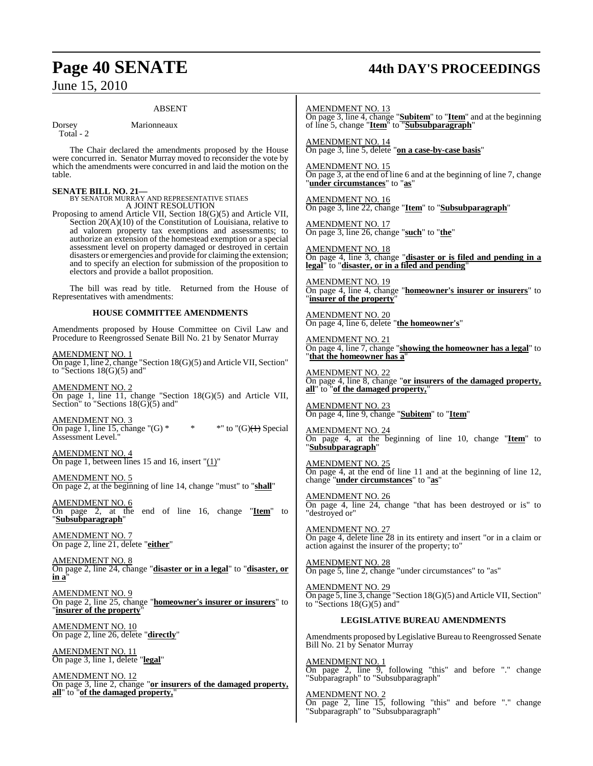## **Page 40 SENATE 44th DAY'S PROCEEDINGS**

### ABSENT

Dorsey Marionneaux

Total - 2

The Chair declared the amendments proposed by the House were concurred in. Senator Murray moved to reconsider the vote by which the amendments were concurred in and laid the motion on the table.

### **SENATE BILL NO. 21—**

BY SENATOR MURRAY AND REPRESENTATIVE STIAES A JOINT RESOLUTION

Proposing to amend Article VII, Section 18(G)(5) and Article VII, Section 20(A)(10) of the Constitution of Louisiana, relative to ad valorem property tax exemptions and assessments; to authorize an extension of the homestead exemption or a special assessment level on property damaged or destroyed in certain disasters or emergencies and provide for claiming the extension; and to specify an election for submission of the proposition to electors and provide a ballot proposition.

The bill was read by title. Returned from the House of Representatives with amendments:

### **HOUSE COMMITTEE AMENDMENTS**

Amendments proposed by House Committee on Civil Law and Procedure to Reengrossed Senate Bill No. 21 by Senator Murray

AMENDMENT NO. 1 On page 1, line 2, change "Section 18(G)(5) and Article VII, Section" to "Sections  $18(G)(5)$  and"

AMENDMENT NO. 2 On page 1, line 11, change "Section 18(G)(5) and Article VII, Section" to "Sections  $18(G)(5)$  and"

AMENDMENT NO. 3 On page 1, line 15, change " $(G)$  \* \* \*" to " $(G)(H)$  Special Assessment Level."

AMENDMENT NO. 4 On page 1, between lines 15 and 16, insert "(1)"

AMENDMENT NO. 5 On page 2, at the beginning of line 14, change "must" to "**shall**"

AMENDMENT NO. 6 On page 2, at the end of line 16, change "**Item**" to "**Subsubparagraph**"

AMENDMENT NO. 7 On page 2, line 21, delete "**either**"

AMENDMENT NO. 8 On page 2, line 24, change "**disaster or in a legal**" to "**disaster, or in a**"

AMENDMENT NO. 9 On page 2, line 25, change "**homeowner's insurer or insurers**" to "**insurer of the property**"

AMENDMENT NO. 10 On page 2, line 26, delete "**directly**"

AMENDMENT NO. 11 On page 3, line 1, delete "**legal**"

AMENDMENT NO. 12 On page 3, line 2, change "**or insurers of the damaged property, all**" to "**of the damaged property,**"

AMENDMENT NO. 13

On page 3, line 4, change "**Subitem**" to "**Item**" and at the beginning of line 5, change "**Item**" to "**Subsubparagraph**"

AMENDMENT NO. 14 On page 3, line 5, delete "**on a case-by-case basis**"

AMENDMENT NO. 15 On page 3, at the end of line 6 and at the beginning of line 7, change "**under circumstances**" to "**as**"

AMENDMENT NO. 16 On page 3, line 22, change "**Item**" to "**Subsubparagraph**"

AMENDMENT NO. 17 On page 3, line 26, change "**such**" to "**the**"

AMENDMENT NO. 18 On page 4, line 3, change "**disaster or is filed and pending in a legal**" to "**disaster, or in a filed and pending**"

AMENDMENT NO. 19 On page 4, line 4, change "**homeowner's insurer or insurers**" to "**insurer of the property**"

AMENDMENT NO. 20 On page 4, line 6, delete "**the homeowner's**"

AMENDMENT NO. 21 On page 4, line 7, change "**showing the homeowner has a legal**" to "**that the homeowner has a**"

AMENDMENT NO. 22 On page 4, line 8, change "**or insurers of the damaged property, all**" to "**of the damaged property,**"

AMENDMENT NO. 23 On page 4, line 9, change "**Subitem**" to "**Item**"

AMENDMENT NO. 24 On page 4, at the beginning of line 10, change "**Item**" to "**Subsubparagraph**"

AMENDMENT NO. 25 On page 4, at the end of line 11 and at the beginning of line 12, change "**under circumstances**" to "**as**"

AMENDMENT NO. 26 On page 4, line 24, change "that has been destroyed or is" to "destroyed or"

AMENDMENT NO. 27 On page 4, delete line 28 in its entirety and insert "or in a claim or action against the insurer of the property; to"

AMENDMENT NO. 28 On page 5, line 2, change "under circumstances" to "as"

AMENDMENT NO. 29 On page 5, line 3, change "Section 18(G)(5) and Article VII, Section" to "Sections 18(G)(5) and"

### **LEGISLATIVE BUREAU AMENDMENTS**

Amendments proposed byLegislative Bureau to Reengrossed Senate Bill No. 21 by Senator Murray

AMENDMENT NO. 1 On page 2, line 9, following "this" and before "." change "Subparagraph" to "Subsubparagraph"

AMENDMENT NO. 2 On page 2, line 15, following "this" and before "." change "Subparagraph" to "Subsubparagraph"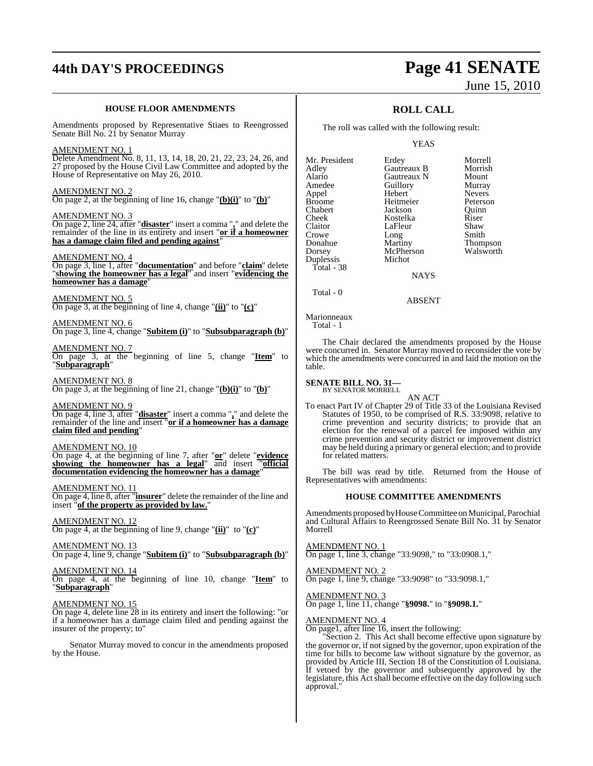# **44th DAY'S PROCEEDINGS Page 41 SENATE**

### **HOUSE FLOOR AMENDMENTS**

Amendments proposed by Representative Stiaes to Reengrossed Senate Bill No. 21 by Senator Murray

### AMENDMENT NO. 1

Delete Amendment No. 8, 11, 13, 14, 18, 20, 21, 22, 23, 24, 26, and 27 proposed by the House Civil Law Committee and adopted by the House of Representative on May 26, 2010.

### AMENDMENT NO. 2 On page 2, at the beginning of line 16, change "**(b)(i)**" to "**(b)**"

AMENDMENT NO. 3

On page 2, line 24, after "**disaster**" insert a comma "**,**" and delete the remainder of the line in its entirety and insert "**or if a homeowner has a damage claim filed and pending against**"

### AMENDMENT NO. 4

On page 3, line 1, after "**documentation**" and before "**claim**" delete "**showing the homeowner has a legal**" and insert "**evidencing the homeowner has a damage**"

AMENDMENT NO. 5 On page 3, at the beginning of line 4, change "**(ii)**" to "**(c)**"

AMENDMENT NO. 6 On page 3, line 4, change "**Subitem (i)**" to "**Subsubparagraph (b)**"

AMENDMENT NO. 7 On page 3, at the beginning of line 5, change "**Item**" to "**Subparagraph**"

AMENDMENT NO. 8 On page 3, at the beginning of line 21, change "**(b)(i)**" to "**(b)**"

AMENDMENT NO. 9 On page 4, line 3, after "**disaster**" insert a comma "**,**" and delete the remainder of the line and insert "**or if a homeowner has a damage claim filed and pending**"

### AMENDMENT NO. 10

On page 4, at the beginning of line 7, after "**or**" delete "**evidence showing the homeowner has a legal**" and insert "**official documentation evidencing the homeowner has a damage**"

AMENDMENT NO. 11 On page 4, line 8, after "**insurer**" delete the remainder of the line and insert "**of the property as provided by law.**"

AMENDMENT NO. 12 On page 4, at the beginning of line 9, change "**(ii)**" to "**(c)**"

AMENDMENT NO. 13 On page 4, line 9, change "**Subitem (i)**" to "**Subsubparagraph (b)**"

AMENDMENT NO. 14 On page 4, at the beginning of line 10, change "**Item**" to "**Subparagraph**"

### AMENDMENT NO. 15

On page 4, delete line 28 in its entirety and insert the following: "or if a homeowner has a damage claim filed and pending against the insurer of the property; to"

Senator Murray moved to concur in the amendments proposed by the House.

# June 15, 2010

### **ROLL CALL**

The roll was called with the following result:

YEAS

| Mr. President | Erdey       | Morrell       |
|---------------|-------------|---------------|
| Adley         | Gautreaux B | Morrish       |
| Alario        | Gautreaux N | Mount         |
| Amedee        | Guillory    | Murray        |
| Appel         | Hebert      | <b>Nevers</b> |
| <b>Broome</b> | Heitmeier   | Peterson      |
| Chabert       | Jackson     | Ouinn         |
| Cheek         | Kostelka    | Riser         |
| Claitor       | LaFleur     | Shaw          |
| Crowe         | Long        | Smith         |
| Donahue       | Martiny     | Thompson      |
| Dorsey        | McPherson   | Walsworth     |
| Duplessis     | Michot      |               |
| Total - 38    |             |               |
|               | NAYS        |               |

**NAYS** 

ABSENT

Marionneaux Total - 1

Total - 0

The Chair declared the amendments proposed by the House were concurred in. Senator Murray moved to reconsider the vote by which the amendments were concurred in and laid the motion on the table.

## **SENATE BILL NO. 31—** BY SENATOR MORRELL

AN ACT To enact Part IV of Chapter 29 of Title 33 of the Louisiana Revised Statutes of 1950, to be comprised of R.S. 33:9098, relative to crime prevention and security districts; to provide that an election for the renewal of a parcel fee imposed within any crime prevention and security district or improvement district may be held during a primary or general election; and to provide for related matters.

The bill was read by title. Returned from the House of Representatives with amendments:

### **HOUSE COMMITTEE AMENDMENTS**

Amendments proposed by House Committee on Municipal, Parochial and Cultural Affairs to Reengrossed Senate Bill No. 31 by Senator Morrell

### AMENDMENT NO. 1 On page 1, line 3, change "33:9098," to "33:0908.1,"

AMENDMENT NO. 2 On page 1, line 9, change "33:9098" to "33:9098.1,"

AMENDMENT NO. 3

On page 1, line 11, change "**§9098.**" to "**§9098.1.**"

### AMENDMENT NO. 4

On page1, after line 16, insert the following:

"Section 2. This Act shall become effective upon signature by the governor or, if notsigned by the governor, upon expiration of the time for bills to become law without signature by the governor, as provided by Article III, Section 18 of the Constitution of Louisiana. If vetoed by the governor and subsequently approved by the legislature, this Act shall become effective on the day following such approval."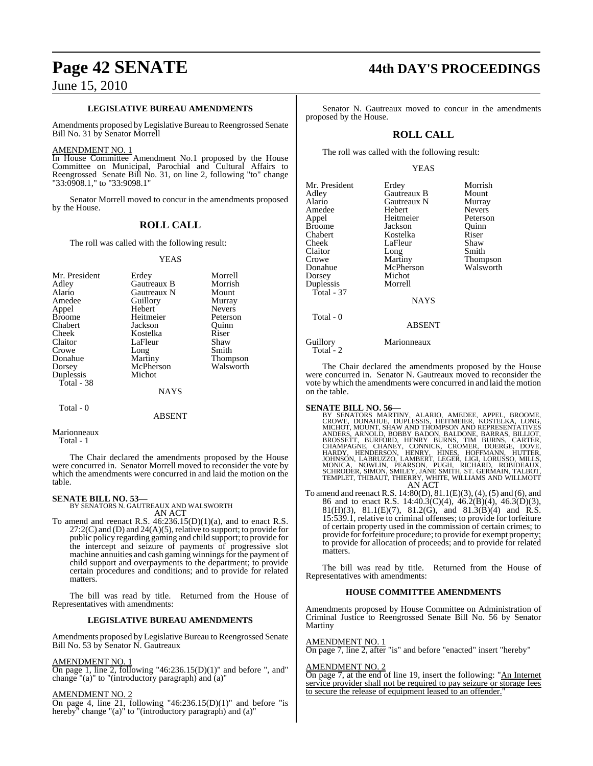### **LEGISLATIVE BUREAU AMENDMENTS**

Amendments proposed by Legislative Bureau to Reengrossed Senate Bill No. 31 by Senator Morrell

### AMENDMENT NO. 1

In House Committee Amendment No.1 proposed by the House Committee on Municipal, Parochial and Cultural Affairs to Reengrossed Senate Bill No. 31, on line 2, following "to" change "33:0908.1," to "33:9098.1"

Senator Morrell moved to concur in the amendments proposed by the House.

### **ROLL CALL**

The roll was called with the following result:

### YEAS

| Mr. President | Erdey       | Morrell         |
|---------------|-------------|-----------------|
| Adley         | Gautreaux B | Morrish         |
| Alario        | Gautreaux N | Mount           |
| Amedee        | Guillory    | Murray          |
| Appel         | Hebert      | <b>Nevers</b>   |
| <b>Broome</b> | Heitmeier   | Peterson        |
| Chabert       | Jackson     | Ouinn           |
| Cheek         | Kostelka    | Riser           |
| Claitor       | LaFleur     | Shaw            |
| Crowe         | Long        | Smith           |
| Donahue       | Martiny     | <b>Thompson</b> |
| Dorsey        | McPherson   | Walsworth       |
| Duplessis     | Michot      |                 |
| Total - 38    |             |                 |
|               | <b>NAYS</b> |                 |

Total - 0

ABSENT

Marionneaux Total - 1

The Chair declared the amendments proposed by the House were concurred in. Senator Morrell moved to reconsider the vote by which the amendments were concurred in and laid the motion on the table.

**SENATE BILL NO. 53—** BY SENATORS N. GAUTREAUX AND WALSWORTH AN ACT

To amend and reenact R.S.  $46:236.15(D)(1)(a)$ , and to enact R.S.  $27:2(C)$  and (D) and  $24(A)(5)$ , relative to support; to provide for public policy regarding gaming and child support; to provide for the intercept and seizure of payments of progressive slot machine annuities and cash gaming winnings for the payment of child support and overpayments to the department; to provide certain procedures and conditions; and to provide for related matters.

The bill was read by title. Returned from the House of Representatives with amendments:

### **LEGISLATIVE BUREAU AMENDMENTS**

Amendments proposed by Legislative Bureau to Reengrossed Senate Bill No. 53 by Senator N. Gautreaux

### AMENDMENT NO. 1

On page 1, line 2, following "46:236.15(D)(1)" and before ", and" change "(a)" to "(introductory paragraph) and (a)"

### AMENDMENT NO.

On page 4, line 21, following "46:236.15(D)(1)" and before "is hereby" change "(a)" to "(introductory paragraph) and (a)"

### **Page 42 SENATE 44th DAY'S PROCEEDINGS**

Senator N. Gautreaux moved to concur in the amendments proposed by the House.

### **ROLL CALL**

The roll was called with the following result:

### YEAS

| Erdey         | Morrish       |
|---------------|---------------|
| Gautreaux B   | Mount         |
| Gautreaux N   | Murray        |
| Hebert        | <b>Nevers</b> |
| Heitmeier     | Peterson      |
| Jackson       | Quinn         |
| Kostelka      | Riser         |
| LaFleur       | Shaw          |
| Long          | Smith         |
| Martiny       | Thompson      |
| McPherson     | Walsworth     |
| Michot        |               |
| Morrell       |               |
|               |               |
|               |               |
|               |               |
| <b>ABSENT</b> |               |
| Marionneaux   |               |
|               | <b>NAYS</b>   |

The Chair declared the amendments proposed by the House were concurred in. Senator N. Gautreaux moved to reconsider the vote by which the amendments were concurred in and laid the motion on the table.

**SENATE BILL NO. 56—**<br>
BY SENATORS MARTINY, ALARIO, AMEDEE, APPEL, BROOME,<br>
CROWE, DONAHUE, DUPLESSIS, HEITMEIER, KOSTELKA, LONG,<br>
CROWE, DONAHUE, DUPLESSIS, HEITMEIER, KOSTELKA, LONG,<br>
MICHOT, MOUNT, SHAW AND THOMPSON AND AN ACT

To amend and reenact R.S. 14:80(D), 81.1(E)(3), (4), (5) and (6), and 86 and to enact R.S. 14:40.3(C)(4), 46.2(B)(4), 46.3(D)(3), 81(H)(3), 81.1(E)(7), 81.2(G), and 81.3(B)(4) and R.S. 15:539.1, relative to criminal offenses; to provide for forfeiture of certain property used in the commission of certain crimes; to provide for forfeiture procedure; to provide for exempt property; to provide for allocation of proceeds; and to provide for related matters.

The bill was read by title. Returned from the House of Representatives with amendments:

### **HOUSE COMMITTEE AMENDMENTS**

Amendments proposed by House Committee on Administration of Criminal Justice to Reengrossed Senate Bill No. 56 by Senator Martiny

### AMENDMENT NO. 1

On page 7, line 2, after "is" and before "enacted" insert "hereby"

### AMENDMENT NO. 2

On page 7, at the end of line 19, insert the following: "An Internet service provider shall not be required to pay seizure or storage fees to secure the release of equipment leased to an offender.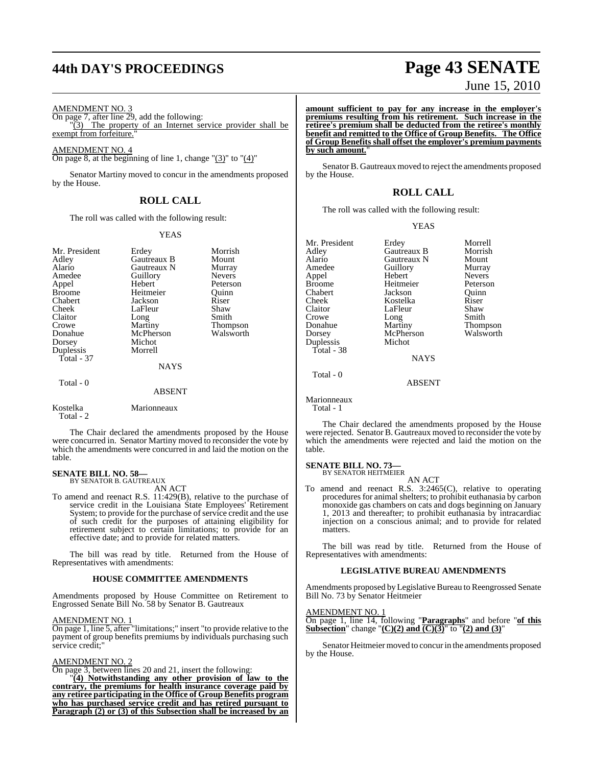# **44th DAY'S PROCEEDINGS Page 43 SENATE**

AMENDMENT NO. 3

On page 7, after line 29, add the following:  $\sqrt[1]{(3)}$  The property of an Internet service provider shall be exempt from forfeiture.

AMENDMENT NO. 4

On page 8, at the beginning of line 1, change  $\degree$ (3) $\degree$  to  $\degree$ (4) $\degree$ 

Senator Martiny moved to concur in the amendments proposed by the House.

### **ROLL CALL**

The roll was called with the following result:

### YEAS

| Mr. President<br>Adley<br>Alario<br>Amedee<br>Appel<br><b>Broome</b><br>Chabert<br>Cheek<br>Claitor<br>Crowe<br>Donahue<br>Dorsey | Erdey<br>Gautreaux B<br>Gautreaux N<br>Guillory<br>Hebert<br>Heitmeier<br>Jackson<br>LaFleur<br>Long<br>Martiny<br>McPherson<br>Michot | Morrish<br>Mount<br>Murray<br><b>Nevers</b><br>Peterson<br>Ouinn<br>Riser<br>Shaw<br>Smith<br>Thompson<br>Walsworth |
|-----------------------------------------------------------------------------------------------------------------------------------|----------------------------------------------------------------------------------------------------------------------------------------|---------------------------------------------------------------------------------------------------------------------|
| Duplessis<br><b>Total - 37</b><br>Total - 0                                                                                       | Morrell<br>NAYS<br><b>ABSENT</b>                                                                                                       |                                                                                                                     |
| Kostelka<br>Total - 2                                                                                                             | Marionneaux                                                                                                                            |                                                                                                                     |

The Chair declared the amendments proposed by the House were concurred in. Senator Martiny moved to reconsider the vote by which the amendments were concurred in and laid the motion on the table.

#### **SENATE BILL NO. 58—** BY SENATOR B. GAUTREAUX

AN ACT

To amend and reenact R.S. 11:429(B), relative to the purchase of service credit in the Louisiana State Employees' Retirement System; to provide for the purchase of service credit and the use of such credit for the purposes of attaining eligibility for retirement subject to certain limitations; to provide for an effective date; and to provide for related matters.

The bill was read by title. Returned from the House of Representatives with amendments:

### **HOUSE COMMITTEE AMENDMENTS**

Amendments proposed by House Committee on Retirement to Engrossed Senate Bill No. 58 by Senator B. Gautreaux

### AMENDMENT NO. 1

On page 1, line 5, after "limitations;" insert "to provide relative to the payment of group benefits premiums by individuals purchasing such service credit;"

### AMENDMENT NO. 2

On page 3, between lines 20 and 21, insert the following:

"**(4) Notwithstanding any other provision of law to the contrary, the premiums for health insurance coverage paid by any retiree participating in the Office of Group Benefits program who has purchased service credit and has retired pursuant to Paragraph (2) or (3) of this Subsection shall be increased by an**

# June 15, 2010

**amount sufficient to pay for any increase in the employer's premiums resulting from his retirement. Such increase in the retiree's premium shall be deducted from the retiree's monthly benefit and remitted to the Office of Group Benefits. The Office of Group Benefits shall offset the employer's premium payments by such amount.**"

Senator B. Gautreaux moved to reject the amendments proposed by the House.

### **ROLL CALL**

The roll was called with the following result:

### YEAS

| Mr. President | Erdey       | Morrell         |
|---------------|-------------|-----------------|
| Adley         | Gautreaux B | Morrish         |
| Alario        | Gautreaux N | Mount           |
| Amedee        | Guillory    | Murray          |
| Appel         | Hebert      | <b>Nevers</b>   |
| <b>Broome</b> | Heitmeier   | Peterson        |
| Chabert       | Jackson     | Ouinn           |
| Cheek         | Kostelka    | Riser           |
| Claitor       | LaFleur     | Shaw            |
| Crowe         | Long        | Smith           |
| Donahue       | Martiny     | <b>Thompson</b> |
| Dorsey        | McPherson   | Walsworth       |
| Duplessis     | Michot      |                 |
| Total - 38    |             |                 |
|               | <b>NAYS</b> |                 |
| Total - 0     |             |                 |
|               | A D CENT    |                 |

ABSENT

Marionneaux Total - 1

The Chair declared the amendments proposed by the House were rejected. Senator B. Gautreaux moved to reconsider the vote by which the amendments were rejected and laid the motion on the table.

### **SENATE BILL NO. 73—** BY SENATOR HEITMEIER

AN ACT

To amend and reenact R.S. 3:2465(C), relative to operating procedures for animal shelters; to prohibit euthanasia by carbon monoxide gas chambers on cats and dogs beginning on January 1, 2013 and thereafter; to prohibit euthanasia by intracardiac injection on a conscious animal; and to provide for related matters.

The bill was read by title. Returned from the House of Representatives with amendments:

### **LEGISLATIVE BUREAU AMENDMENTS**

Amendments proposed by Legislative Bureau to Reengrossed Senate Bill No. 73 by Senator Heitmeier

### AMENDMENT NO. 1

On page 1, line 14, following "**Paragraphs**" and before "**of this Subsection**" change "**(C)(2) and (C)(3)**" to "**(2) and (3)**"

Senator Heitmeier moved to concur in the amendments proposed by the House.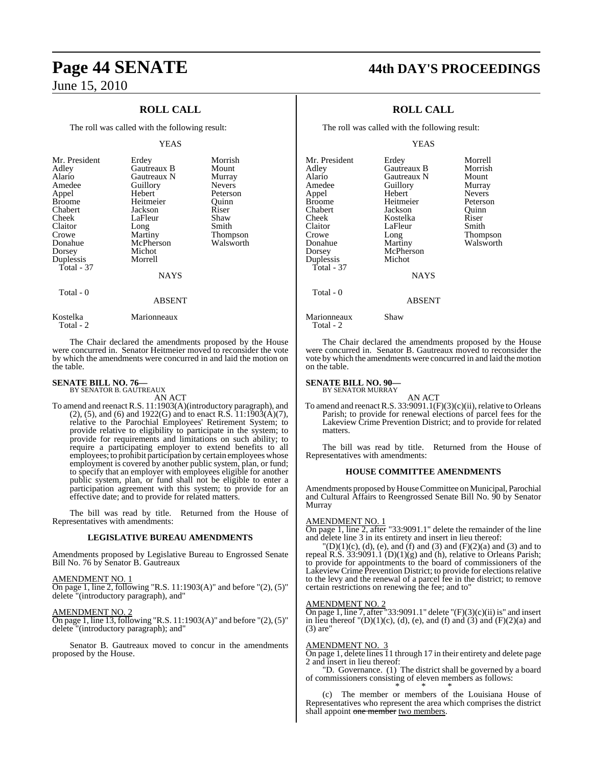### **ROLL CALL**

The roll was called with the following result:

### YEAS

| Mr. President<br>Adley<br>Alario<br>Amedee<br>Appel<br><b>Broome</b><br>Chabert<br>Cheek<br>Claitor<br>Crowe<br>Donahue<br>Dorsey<br>Duplessis<br>Total - 37 | Erdey<br>Gautreaux B<br>Gautreaux N<br>Guillory<br>Hebert<br>Heitmeier<br>Jackson<br>LaFleur<br>Long<br>Martiny<br>McPherson<br>Michot<br>Morrell | Morrish<br>Mount<br>Murray<br><b>Nevers</b><br>Peterson<br>Ouinn<br>Riser<br>Shaw<br>Smith<br>Thompson<br>Walsworth |
|--------------------------------------------------------------------------------------------------------------------------------------------------------------|---------------------------------------------------------------------------------------------------------------------------------------------------|---------------------------------------------------------------------------------------------------------------------|
|                                                                                                                                                              | <b>NAYS</b>                                                                                                                                       |                                                                                                                     |
| Total - 0                                                                                                                                                    | <b>ABSENT</b>                                                                                                                                     |                                                                                                                     |

Kostelka Marionneaux Total - 2

The Chair declared the amendments proposed by the House were concurred in. Senator Heitmeier moved to reconsider the vote by which the amendments were concurred in and laid the motion on the table.

### **SENATE BILL NO. 76—** BY SENATOR B. GAUTREAUX

AN ACT

To amend and reenact R.S. 11:1903(A)(introductory paragraph), and (2), (5), and (6) and 1922(G) and to enact R.S.  $11:1903(A)(7)$ , relative to the Parochial Employees' Retirement System; to provide relative to eligibility to participate in the system; to provide for requirements and limitations on such ability; to require a participating employer to extend benefits to all employees; to prohibit participation by certain employees whose employment is covered by another public system, plan, or fund; to specify that an employer with employees eligible for another public system, plan, or fund shall not be eligible to enter a participation agreement with this system; to provide for an effective date; and to provide for related matters.

The bill was read by title. Returned from the House of Representatives with amendments:

### **LEGISLATIVE BUREAU AMENDMENTS**

Amendments proposed by Legislative Bureau to Engrossed Senate Bill No. 76 by Senator B. Gautreaux

#### AMENDMENT NO. 1 On page 1, line 2, following "R.S. 11:1903(A)" and before "(2), (5)"

delete "(introductory paragraph), and"

### AMENDMENT NO. 2

On page 1, line 13, following "R.S. 11:1903(A)" and before "(2), (5)" delete "(introductory paragraph); and"

Senator B. Gautreaux moved to concur in the amendments proposed by the House.

### **Page 44 SENATE 44th DAY'S PROCEEDINGS**

### **ROLL CALL**

The roll was called with the following result:

### YEAS

| Mr. President<br>Adlev | Erdey<br>Gautreaux B | Morrell<br>Morrish |
|------------------------|----------------------|--------------------|
| Alario                 | Gautreaux N          | Mount              |
| Amedee                 | Guillory             | Murray             |
| Appel                  | Hebert               | <b>Nevers</b>      |
| Broome                 | Heitmeier            | Peterson           |
| Chabert                | Jackson              | Ouinn              |
| Cheek                  | Kostelka             | Riser              |
| Claitor                | LaFleur              | Smith              |
| Crowe                  | Long                 | <b>Thompson</b>    |
| Donahue                | Martiny              | Walsworth          |
| Dorsey                 | McPherson            |                    |
| Duplessis              | Michot               |                    |
| Total - 37             |                      |                    |
|                        | <b>NAYS</b>          |                    |
| Total - 0              |                      |                    |
|                        | <b>ABSENT</b>        |                    |
| . .                    | $\sim$               |                    |

Marionneaux Shaw Total - 2

The Chair declared the amendments proposed by the House were concurred in. Senator B. Gautreaux moved to reconsider the vote by which the amendments were concurred in and laid the motion on the table.

### **SENATE BILL NO. 90—** BY SENATOR MURRAY

AN ACT

To amend and reenact R.S.  $33:9091.1(F)(3)(c)(ii)$ , relative to Orleans Parish; to provide for renewal elections of parcel fees for the Lakeview Crime Prevention District; and to provide for related matters.

The bill was read by title. Returned from the House of Representatives with amendments:

### **HOUSE COMMITTEE AMENDMENTS**

Amendments proposed byHouseCommittee on Municipal, Parochial and Cultural Affairs to Reengrossed Senate Bill No. 90 by Senator Murray

### AMENDMENT NO. 1

On page 1, line 2, after "33:9091.1" delete the remainder of the line and delete line 3 in its entirety and insert in lieu thereof:

 $'(D)(1)(c)$ , (d), (e), and (f) and (3) and (F)(2)(a) and (3) and to repeal R.S. 33:9091.1 (D)(1)(g) and (h), relative to Orleans Parish; to provide for appointments to the board of commissioners of the Lakeview Crime Prevention District; to provide for elections relative to the levy and the renewal of a parcel fee in the district; to remove certain restrictions on renewing the fee; and to"

### AMENDMENT NO. 2

On page 1, line 7, after "33:9091.1" delete " $(F)(3)(c)(ii)$  is" and insert in lieu thereof  $'(D)(1)(c)$ , (d), (e), and (f) and (3) and (F)(2)(a) and (3) are"

### AMENDMENT NO. 3

On page 1, delete lines 11 through 17 in their entirety and delete page 2 and insert in lieu thereof:

"D. Governance. (1) The district shall be governed by a board of commissioners consisting of eleven members as follows: \* \* \*

(c) The member or members of the Louisiana House of Representatives who represent the area which comprises the district shall appoint one member two members.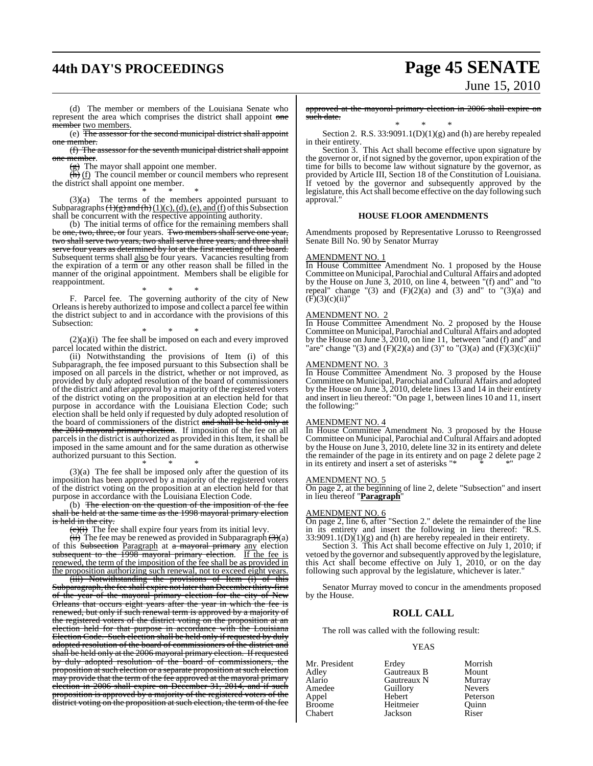# **44th DAY'S PROCEEDINGS Page 45 SENATE**

# June 15, 2010

(d) The member or members of the Louisiana Senate who represent the area which comprises the district shall appoint one member two members.

(e) The assessor for the second municipal district shall appoint member.

(f) The assessor for the seventh municipal district shall appoint one member.

 $(g)$  The mayor shall appoint one member.

 $\overrightarrow{th}$  (f) The council member or council members who represent the district shall appoint one member.

\* \* \* (3)(a) The terms of the members appointed pursuant to Subparagraphs  $\left(\frac{1}{g}\right)$  and  $\left(\frac{h}{1}\right)(1)(c)$ , (d), (e), and (f) of this Subsection shall be concurrent with the respective appointing authority.

(b) The initial terms of office for the remaining members shall be one, two, three, or four years. Two members shall serve one year, two shall serve two years, two shall serve three years, and three shall serve four years as determined by lot at the first meeting of the board. Subsequent terms shall also be four years. Vacancies resulting from the expiration of a term or any other reason shall be filled in the manner of the original appointment. Members shall be eligible for reappointment.

\* \* \* F. Parcel fee. The governing authority of the city of New Orleans is hereby authorized to impose and collect a parcel fee within the district subject to and in accordance with the provisions of this Subsection:

\* \* \* (2)(a)(i) The fee shall be imposed on each and every improved parcel located within the district.

(ii) Notwithstanding the provisions of Item (i) of this Subparagraph, the fee imposed pursuant to this Subsection shall be imposed on all parcels in the district, whether or not improved, as provided by duly adopted resolution of the board of commissioners of the district and after approval by a majority of the registered voters of the district voting on the proposition at an election held for that purpose in accordance with the Louisiana Election Code; such election shall be held only if requested by duly adopted resolution of the board of commissioners of the district and shall be held only at the 2010 mayoral primary election. If imposition of the fee on all parcels in the district is authorized as provided in this Item, it shall be imposed in the same amount and for the same duration as otherwise authorized pursuant to this Section. \* \* \*

(3)(a) The fee shall be imposed only after the question of its imposition has been approved by a majority of the registered voters of the district voting on the proposition at an election held for that purpose in accordance with the Louisiana Election Code.

(b) The election on the question of the imposition of the fee shall be held at the same time as the 1998 mayoral primary election is held in the city

 $\overline{(c)(i)}$  The fee shall expire four years from its initial levy.

 $(ii)$  The fee may be renewed as provided in Subparagraph  $(3)(a)$ of this Subsection Paragraph at a mayoral primary any election subsequent to the 1998 mayoral primary election. If the fee is renewed, the term of the imposition of the fee shall be as provided in the proposition authorizing such renewal, not to exceed eight years.

(iii) Notwithstanding the provisions of Item (i) of this Subparagraph, the fee shall expire not later than Decemberthirty-first of the year of the mayoral primary election for the city of New Orleans that occurs eight years after the year in which the fee is renewed, but only if such renewal term is approved by a majority of the registered voters of the district voting on the proposition at an election held for that purpose in accordance with the Louisiana Election Code. Such election shall be held only if requested by duly adopted resolution of the board of commissioners of the district and shall be held only at the 2006 mayoral primary election. If requested by duly adopted resolution of the board of commissioners, the proposition at such election or a separate proposition at such election may provide that the term of the fee approved at the mayoral primary election in 2006 shall expire on December 31, 2014, and if such proposition is approved by a majority of the registered voters of the district voting on the proposition at such election, the term of the fee

approved at the mayoral primary election in 2006 shall expire on such date.

\* \* \* Section 2. R.S.  $33:9091.1(D)(1)(g)$  and (h) are hereby repealed in their entirety.

Section 3. This Act shall become effective upon signature by the governor or, if notsigned by the governor, upon expiration of the time for bills to become law without signature by the governor, as provided by Article III, Section 18 of the Constitution of Louisiana. If vetoed by the governor and subsequently approved by the legislature, this Act shall become effective on the day following such approval."

### **HOUSE FLOOR AMENDMENTS**

Amendments proposed by Representative Lorusso to Reengrossed Senate Bill No. 90 by Senator Murray

### AMENDMENT NO. 1

In House Committee Amendment No. 1 proposed by the House Committee on Municipal, Parochial and Cultural Affairs and adopted by the House on June 3, 2010, on line 4, between "(f) and" and "to repeal" change "(3) and  $(F)(2)(a)$  and (3) and" to "(3)(a) and  $(F)(3)(c)(ii)$ "

### AMENDMENT NO. 2

In House Committee Amendment No. 2 proposed by the House Committee on Municipal, Parochial andCultural Affairs and adopted by the House on June 3, 2010, on line 11, between "and (f) and "and "are" change "(3) and (F)(2)(a) and (3)" to "(3)(a) and (F)(3)(c)(ii)"

### AMENDMENT NO. 3

In House Committee Amendment No. 3 proposed by the House Committee on Municipal, Parochial andCultural Affairs and adopted by the House on June 3, 2010, delete lines 13 and 14 in their entirety and insert in lieu thereof: "On page 1, between lines 10 and 11, insert the following:"

### AMENDMENT NO. 4

In House Committee Amendment No. 3 proposed by the House Committee on Municipal, Parochial and Cultural Affairs and adopted by the House on June 3, 2010, delete line 32 in its entirety and delete the remainder of the page in its entirety and on page 2 delete page 2 in its entirety and insert a set of asterisks

#### AMENDMENT NO. 5

On page 2, at the beginning of line 2, delete "Subsection" and insert in lieu thereof "**Paragraph**"

### AMENDMENT NO. 6

On page 2, line 6, after "Section 2." delete the remainder of the line in its entirety and insert the following in lieu thereof: "R.S.  $33:9091.1(D)(1)(g)$  and (h) are hereby repealed in their entirety.

Section 3. This Act shall become effective on July 1, 2010; if vetoed by the governor and subsequently approved by the legislature, this Act shall become effective on July 1, 2010, or on the day following such approval by the legislature, whichever is later."

Senator Murray moved to concur in the amendments proposed by the House.

### **ROLL CALL**

The roll was called with the following result:

#### YEAS

| Mr. President | Erdey       | Morrish       |
|---------------|-------------|---------------|
| Adley         | Gautreaux B | Mount         |
| Alario        | Gautreaux N | Murray        |
| Amedee        | Guillory    | <b>Nevers</b> |
| Appel         | Hebert      | Peterson      |
| <b>Broome</b> | Heitmeier   | Ouinn         |
| Chabert       | Jackson     | Riser         |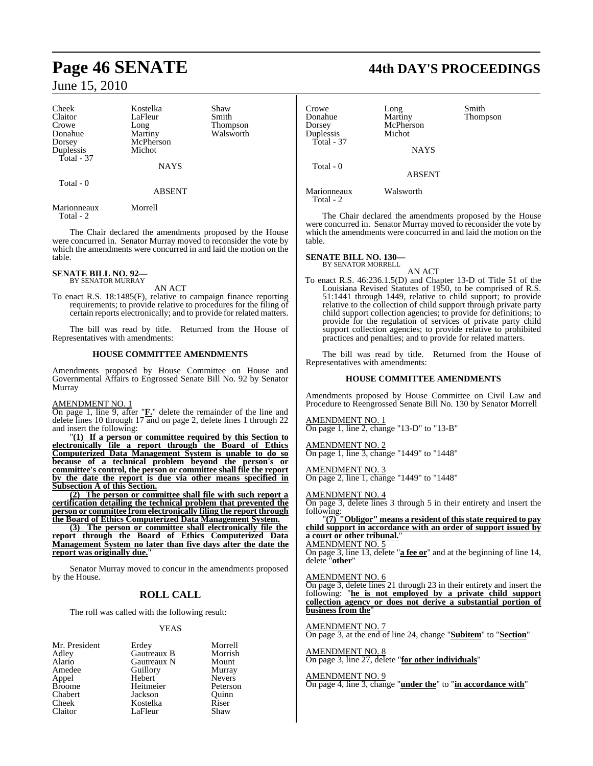Cheek Kostelka Shaw<br>Claitor LaFleur Smith Claitor LaFleur<br>Crowe Long Crowe Long Thompson<br>
Donahue Martiny Walsworth Donahue Martiny Walsworth<br>
Dorsey McPherson<br>
McPherson Duplessis Total - 37

McPherson<br>Michot

**NAYS** 

ABSENT

Total - 0

Marionneaux Morrell Total - 2

The Chair declared the amendments proposed by the House were concurred in. Senator Murray moved to reconsider the vote by which the amendments were concurred in and laid the motion on the table.

### **SENATE BILL NO. 92—** BY SENATOR MURRAY

AN ACT

To enact R.S. 18:1485(F), relative to campaign finance reporting requirements; to provide relative to procedures for the filing of certain reports electronically; and to provide for related matters.

The bill was read by title. Returned from the House of Representatives with amendments:

### **HOUSE COMMITTEE AMENDMENTS**

Amendments proposed by House Committee on House and Governmental Affairs to Engrossed Senate Bill No. 92 by Senator Murray

### AMENDMENT NO. 1

On page 1, line 9, after "**F.**" delete the remainder of the line and delete lines 10 through 17 and on page 2, delete lines 1 through 22 and insert the following:

"**(1) If a person or committee required by this Section to electronically file a report through the Board of Ethics Computerized Data Management System is unable to do so because of a technical problem beyond the person's or committee's control, the person or committee shall file the report by the date the report is due via other means specified in Subsection A of this Section.**

**(2) The person or committee shall file with such report a certification detailing the technical problem that prevented the person or committee from electronically filing the report through the Board of Ethics Computerized Data Management System.**

**(3) The person or committee shall electronically file the report through the Board of Ethics Computerized Data Management System no later than five days after the date the** report was originally due.

Senator Murray moved to concur in the amendments proposed by the House.

### **ROLL CALL**

The roll was called with the following result:

### YEAS

Mr. President Erdey Morrell<br>Adley Gautreaux B Morrish Adley Gautreaux B Morrish Alario Gautreaux N Mount Appel Hebert Nevers Broome Heitmeier Peterson<br>Chabert Jackson Ouinn Chabert Jackson<br>Cheek Kostelka Cheek Kostelka Riser<br>Claitor LaFleur Shaw LaFleur

Guillory Murray<br>
Hebert Nevers

## **Page 46 SENATE 44th DAY'S PROCEEDINGS**

Crowe Long Smith<br>
Donahue Martiny Thom Donahue Martiny Thompson McPherson<br>Michot Duplessis Total - 37 **NAYS**  Total - 0 ABSENT

Marionneaux Walsworth Total - 2

The Chair declared the amendments proposed by the House were concurred in. Senator Murray moved to reconsider the vote by which the amendments were concurred in and laid the motion on the table.

**SENATE BILL NO. 130—** BY SENATOR MORRELL

AN ACT

To enact R.S. 46:236.1.5(D) and Chapter 13-D of Title 51 of the Louisiana Revised Statutes of 1950, to be comprised of R.S. 51:1441 through 1449, relative to child support; to provide relative to the collection of child support through private party child support collection agencies; to provide for definitions; to provide for the regulation of services of private party child support collection agencies; to provide relative to prohibited practices and penalties; and to provide for related matters.

The bill was read by title. Returned from the House of Representatives with amendments:

### **HOUSE COMMITTEE AMENDMENTS**

Amendments proposed by House Committee on Civil Law and Procedure to Reengrossed Senate Bill No. 130 by Senator Morrell

### AMENDMENT NO. 1

On page 1, line 2, change "13-D" to "13-B"

AMENDMENT NO. 2 On page 1, line 3, change "1449" to "1448"

AMENDMENT NO. 3

On page 2, line 1, change "1449" to "1448"

AMENDMENT NO. 4

On page 3, delete lines 3 through 5 in their entirety and insert the following:

"**(7) "Obligor" means a resident of this state required to pay child support in accordance with an order of support issued by** child support in accordance with an order of support issued by a court or other tribunal."

### AMENDMENT NO. 5

On page 3, line 13, delete "**a fee or**" and at the beginning of line 14, delete "**other**"

### AMENDMENT NO. 6

On page 3, delete lines 21 through 23 in their entirety and insert the following: "**he is not employed by a private child support collection agency or does not derive a substantial portion of business from the**"

### AMENDMENT NO. 7

On page 3, at the end of line 24, change "**Subitem**" to "**Section**"

AMENDMENT NO. 8 On page 3, line 27, delete "**for other individuals**"

### AMENDMENT NO. 9

On page 4, line 3, change "**under the**" to "**in accordance with**"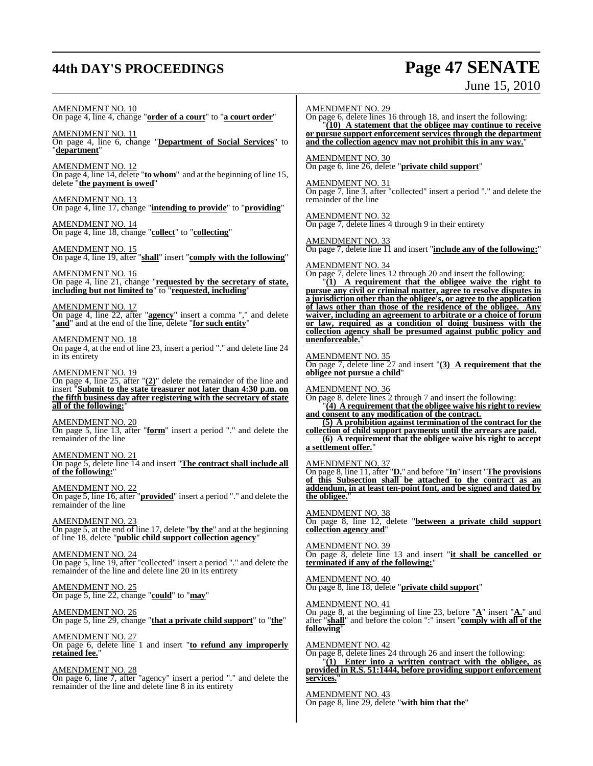## **44th DAY'S PROCEEDINGS Page 47 SENATE**

# June 15, 2010

AMENDMENT NO. 10 On page 4, line 4, change "**order of a court**" to "**a court order**" AMENDMENT NO. 11 On page 4, line 6, change "**Department of Social Services**" to "**department**" AMENDMENT NO. 12 On page 4, line 14, delete "**to whom**" and at the beginning of line 15, delete "**the payment is owed**" AMENDMENT NO. 13 On page 4, line 17, change "**intending to provide**" to "**providing**" AMENDMENT NO. 14 On page 4, line 18, change "**collect**" to "**collecting**" AMENDMENT NO. 15 On page 4, line 19, after "**shall**" insert "**comply with the following**" AMENDMENT NO. 16 On page 4, line 21, change "**requested by the secretary of state, including but not limited to**" to "**requested, including**" AMENDMENT NO. 17 On page 4, line 22, after "**agency**" insert a comma "," and delete "**and**" and at the end of the line, delete "**for such entity**" AMENDMENT NO. 18 On page 4, at the end of line 23, insert a period "." and delete line 24 in its entirety AMENDMENT NO. 19 On page 4, line 25, after "**(2)**" delete the remainder of the line and insert "**Submit to the state treasurer not later than 4:30 p.m. on the fifth business day after registering with the secretary of state all of the following:**" AMENDMENT NO. 20 On page 5, line 13, after "**form**" insert a period "." and delete the remainder of the line AMENDMENT NO. 21 On page 5, delete line 14 and insert "**The contract shall include all of the following:**" AMENDMENT NO. 22 On page 5, line 16, after "**provided**" insert a period "." and delete the remainder of the line AMENDMENT NO. 23 On page 5, at the end of line 17, delete "**by the**" and at the beginning of line 18, delete "**public child support collection agency**" AMENDMENT NO. 24 On page 5, line 19, after "collected" insert a period "." and delete the remainder of the line and delete line 20 in its entirety AMENDMENT NO. 25 On page 5, line 22, change "**could**" to "**may**" AMENDMENT NO. 26 On page 5, line 29, change "**that a private child support**" to "**the**" AMENDMENT NO. 27 On page 6, delete line 1 and insert "**to refund any improperly retained fee.**" AMENDMENT NO. 28 On page 6, line 7, after "agency" insert a period "." and delete the remainder of the line and delete line 8 in its entirety AMENDMENT NO. 29 On page 6, delete lines 16 through 18, and insert the following: "**(10) A statement that the obligee may continue to receive or pursue support enforcement services through the department and the collection agency may not prohibit this in any way.**" AMENDMENT NO. 30 On page 6, line 26, delete "**private child support**" AMENDMENT NO. 31 On page 7, line 3, after "collected" insert a period "." and delete the remainder of the line AMENDMENT NO. 32 On page 7, delete lines  $\overline{4}$  through 9 in their entirety AMENDMENT NO. 33 On page 7, delete line 11 and insert "**include any of the following:**" AMENDMENT NO. 34 On page 7, delete lines 12 through 20 and insert the following: "**(1) A requirement that the obligee waive the right to pursue any civil or criminal matter, agree to resolve disputes in a jurisdiction other than the obligee's, or agree to the application of laws other than those of the residence of the obligee. Any waiver, including an agreement to arbitrate or a choice of forum or law, required as a condition of doing business with the collection agency shall be presumed against public policy and unenforceable.**" AMENDMENT NO. 35 On page 7, delete line 27 and insert "**(3) A requirement that the obligee not pursue a child**" AMENDMENT NO. 36 On page 8, delete lines 2 through 7 and insert the following: "**(4) A requirement that the obligee waive his right to review and consent to any modification of the contract. (5) A prohibition against termination of the contract for the collection of child support payments until the arrears are paid. (6) A requirement that the obligee waive his right to accept a settlement offer.**" AMENDMENT NO. 37 On page 8, line 11, after "**D.**" and before "**In**" insert "**The provisions of this Subsection shall be attached to the contract as an addendum, in at least ten-point font, and be signed and dated by the obligee.**" AMENDMENT NO. 38 On page 8, line 12, delete "**between a private child support collection agency and**" AMENDMENT NO. 39 On page 8, delete line 13 and insert "**it shall be cancelled or terminated if any of the following:**" AMENDMENT NO. 40 On page 8, line 18, delete "**private child support**" AMENDMENT NO. 41 On page 8, at the beginning of line 23, before "**A**" insert "**A.**" and after "**shall**" and before the colon ":" insert "**comply with all of the following**" AMENDMENT NO. 42 On page 8, delete lines 24 through 26 and insert the following: "**(1) Enter into a written contract with the obligee, as provided in R.S. 51:1444, before providing support enforcement services.**" AMENDMENT NO. 43 On page 8, line 29, delete "**with him that the**"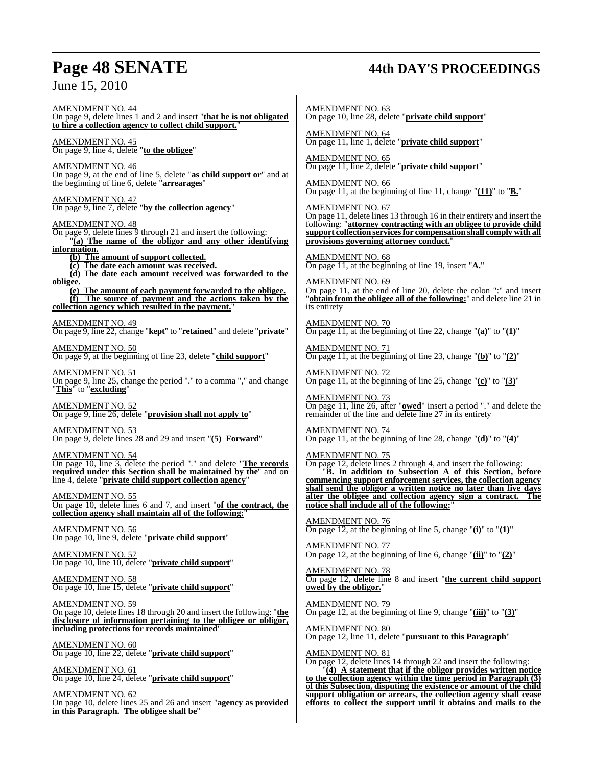## **Page 48 SENATE 44th DAY'S PROCEEDINGS**

AMENDMENT NO. 44 On page 9, delete lines 1 and 2 and insert "**that he is not obligated to hire a collection agency to collect child support.**" AMENDMENT NO. 45 On page 9, line 4, delete "**to the obligee**" AMENDMENT NO. 46 On page 9, at the end of line 5, delete "**as child support or**" and at the beginning of line 6, delete "**arrearages**" AMENDMENT NO. 47

On page 9, line 7, delete "**by the collection agency**"

AMENDMENT NO. 48

On page 9, delete lines 9 through 21 and insert the following: "**(a) The name of the obligor and any other identifying information.**

**(b) The amount of support collected.**

**(c) The date each amount was received.**

**(d) The date each amount received was forwarded to the obligee.**

**(e) The amount of each payment forwarded to the obligee. (f) The source of payment and the actions taken by the collection agency which resulted in the payment.**"

AMENDMENT NO. 49 On page 9, line 22, change "**kept**" to "**retained**" and delete "**private**"

AMENDMENT NO. 50 On page 9, at the beginning of line 23, delete "**child support**"

AMENDMENT NO. 51 On page 9, line 25, change the period "." to a comma "," and change "**This**" to "**excluding**"

AMENDMENT NO. 52 On page 9, line 26, delete "**provision shall not apply to**"

AMENDMENT NO. 53 On page 9, delete lines 28 and 29 and insert "**(5) Forward**"

AMENDMENT NO. 54 On page 10, line 3, delete the period "." and delete "**The records required under this Section shall be maintained by the**" and on line 4, delete "**private child support collection agency**"

AMENDMENT NO. 55 On page 10, delete lines 6 and 7, and insert "**of the contract, the collection agency shall maintain all of the following:**"

AMENDMENT NO. 56 On page 10, line 9, delete "**private child support**"

AMENDMENT NO. 57 On page 10, line 10, delete "**private child support**"

AMENDMENT NO. 58 On page 10, line 15, delete "**private child support**"

AMENDMENT NO. 59 On page 10, delete lines 18 through 20 and insert the following: "**the disclosure of information pertaining to the obligee or obligor, including protections for records maintained**"

AMENDMENT NO. 60 On page 10, line 22, delete "**private child support**"

AMENDMENT NO. 61 On page 10, line 24, delete "**private child support**"

AMENDMENT NO. 62 On page 10, delete lines 25 and 26 and insert "**agency as provided in this Paragraph. The obligee shall be**"

AMENDMENT NO. 63 On page 10, line 28, delete "**private child support**"

AMENDMENT NO. 64 On page 11, line 1, delete "**private child support**"

AMENDMENT NO. 65 On page 11, line 2, delete "**private child support**"

AMENDMENT NO. 66 On page 11, at the beginning of line 11, change "**(11)**" to "**B.**"

AMENDMENT NO. 67 On page 11, delete lines 13 through 16 in their entirety and insert the following: "**attorney contracting with an obligee to provide child support collection servicesfor compensation shall comply with all provisions governing attorney conduct.**"

AMENDMENT NO. 68 On page 11, at the beginning of line 19, insert "**A.**"

AMENDMENT NO. 69 On page 11, at the end of line 20, delete the colon ":" and insert "**obtain from the obligee all of the following:**" and delete line 21 in its entirety

AMENDMENT NO. 70 On page 11, at the beginning of line 22, change "**(a)**" to "**(1)**"

AMENDMENT NO. 71 On page 11, at the beginning of line 23, change "**(b)**" to "**(2)**"

AMENDMENT NO. 72  $\overline{On}$  page 11, at the beginning of line 25, change " $\overline{(c)}$ " to " $\overline{(3)}$ "

AMENDMENT NO. 73 On page 11, line 26, after "**owed**" insert a period "." and delete the remainder of the line and delete line 27 in its entirety

AMENDMENT NO. 74 On page 11, at the beginning of line 28, change "**(d)**" to "**(4)**"

AMENDMENT NO. 75 On page 12, delete lines 2 through 4, and insert the following: "**B. In addition to Subsection A of this Section, before commencing support enforcement services, the collection agency shall send the obligor a written notice no later than five days after the obligee and collection agency sign a contract. The notice shall include all of the following:**"

AMENDMENT NO. 76 On page 12, at the beginning of line 5, change "**(i)**" to "**(1)**"

AMENDMENT NO. 77 On page 12, at the beginning of line 6, change "**(ii)**" to "**(2)**"

AMENDMENT NO. 78 On page 12, delete line 8 and insert "**the current child support owed by the obligor.**"

AMENDMENT NO. 79 On page 12, at the beginning of line 9, change "**(iii)**" to "**(3)**"

AMENDMENT NO. 80 On page 12, line 11, delete "**pursuant to this Paragraph**"

AMENDMENT NO. 81

On page 12, delete lines 14 through 22 and insert the following: "**(4) A statement that if the obligor provides written notice to the collection agency within the time period in Paragraph (3) of this Subsection, disputing the existence or amount of the child support obligation or arrears, the collection agency shall cease efforts to collect the support until it obtains and mails to the**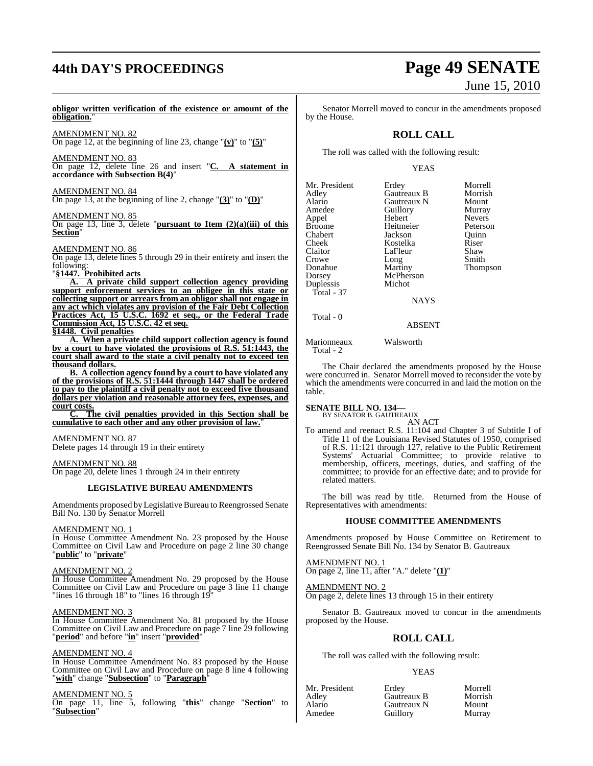# **44th DAY'S PROCEEDINGS Page 49 SENATE**

### **obligor written verification of the existence or amount of the obligation.**"

AMENDMENT NO. 82 On page 12, at the beginning of line 23, change "**(v)**" to "**(5)**"

AMENDMENT NO. 83 On page 12, delete line 26 and insert "**C. A statement in accordance with Subsection B(4)**"

AMENDMENT NO. 84

On page 13, at the beginning of line 2, change "**(3)**" to "**(D)**"

### AMENDMENT NO. 85

On page 13, line 3, delete "**pursuant to Item (2)(a)(iii) of this Section**"

AMENDMENT NO. 86

On page 13, delete lines 5 through 29 in their entirety and insert the following:

### "**§1447. Prohibited acts**

**A. A private child support collection agency providing support enforcement services to an obligee in this state or collecting support or arrears from an obligor shall not engage in any act which violates any provision of the Fair Debt Collection Practices Act, 15 U.S.C. 1692 et seq., or the Federal Trade Commission Act, 15 U.S.C. 42 et seq. §1448. Civil penalties**

**A. When a private child support collection agency is found by a court to have violated the provisions of R.S. 51:1443, the court shall award to the state a civil penalty not to exceed ten thousand dollars.**

**B. A collection agency found by a court to have violated any of the provisions of R.S. 51:1444 through 1447 shall be ordered to pay to the plaintiff a civil penalty not to exceed five thousand dollars per violation and reasonable attorney fees, expenses, and court costs.**

**C. The civil penalties provided in this Section shall be cumulative to each other and any other provision of law.**"

### AMENDMENT NO. 87

Delete pages 14 through 19 in their entirety

### AMENDMENT NO. 88

On page 20, delete lines 1 through 24 in their entirety

### **LEGISLATIVE BUREAU AMENDMENTS**

Amendments proposed by Legislative Bureau to Reengrossed Senate Bill No. 130 by Senator Morrell

#### AMENDMENT NO. 1

In House Committee Amendment No. 23 proposed by the House Committee on Civil Law and Procedure on page 2 line 30 change "**public**" to "**private**"

### AMENDMENT NO. 2

In House Committee Amendment No. 29 proposed by the House Committee on Civil Law and Procedure on page 3 line 11 change "lines 16 through 18" to "lines 16 through 19"

### AMENDMENT NO. 3

In House Committee Amendment No. 81 proposed by the House Committee on Civil Law and Procedure on page 7 line 29 following "**period**" and before "**in**" insert "**provided**"

#### AMENDMENT NO. 4

In House Committee Amendment No. 83 proposed by the House Committee on Civil Law and Procedure on page 8 line 4 following "**with**" change "**Subsection**" to "**Paragraph**"

### AMENDMENT NO. 5

On page 11, line 5, following "**this**" change "**Section**" to "**Subsection**"

# June 15, 2010

Senator Morrell moved to concur in the amendments proposed by the House.

### **ROLL CALL**

The roll was called with the following result:

### YEAS

| Mr. President | Erdey       | Morrell       |
|---------------|-------------|---------------|
| Adley         | Gautreaux B | Morrish       |
| Alario        | Gautreaux N | Mount         |
| Amedee        | Guillory    | Murray        |
| Appel         | Hebert      | <b>Nevers</b> |
| <b>Broome</b> | Heitmeier   | Peterson      |
| Chabert       | Jackson     | Ouinn         |
| Cheek         | Kostelka    | Riser         |
| Claitor       | LaFleur     | Shaw          |
| Crowe         | Long        | Smith         |
| Donahue       | Martiny     | <b>Thomps</b> |
| Dorsey        | McPherson   |               |
| Duplessis     | Michot      |               |
| Total - 37    |             |               |
|               | NAYS        |               |
|               |             |               |

Murray ert Nevers<br>
meier Peterso meier Peterson<br>Son Ouinn son Quinn<br>elka Riser Thompson

### ABSENT

Marionneaux Walsworth Total - 2

Total - 0

The Chair declared the amendments proposed by the House were concurred in. Senator Morrell moved to reconsider the vote by which the amendments were concurred in and laid the motion on the table.

#### **SENATE BILL NO. 134—** BY SENATOR B. GAUTREAUX

AN ACT

To amend and reenact R.S. 11:104 and Chapter 3 of Subtitle I of Title 11 of the Louisiana Revised Statutes of 1950, comprised of R.S. 11:121 through 127, relative to the Public Retirement Systems' Actuarial Committee; to provide relative to membership, officers, meetings, duties, and staffing of the committee; to provide for an effective date; and to provide for related matters.

The bill was read by title. Returned from the House of Representatives with amendments:

### **HOUSE COMMITTEE AMENDMENTS**

Amendments proposed by House Committee on Retirement to Reengrossed Senate Bill No. 134 by Senator B. Gautreaux

AMENDMENT NO. 1 On page 2, line 11, after "A." delete "**(1)**"

AMENDMENT NO. 2 On page 2, delete lines 13 through 15 in their entirety

Senator B. Gautreaux moved to concur in the amendments proposed by the House.

### **ROLL CALL**

The roll was called with the following result:

### YEAS

| Mr. President | Erdev       | Morrell |
|---------------|-------------|---------|
| Adley         | Gautreaux B | Morrish |
| Alario        | Gautreaux N | Mount   |
| Amedee        | Guillory    | Murray  |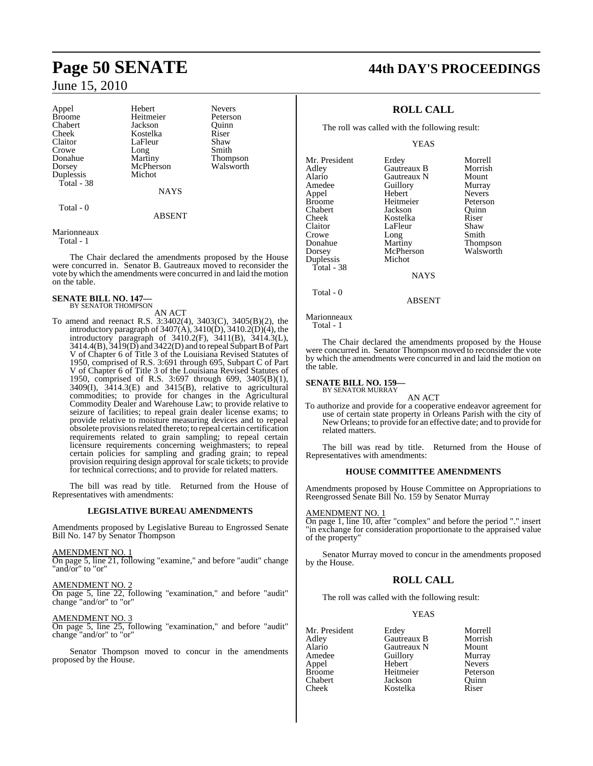Appel Hebert Nevers<br>Broome Heitmeier Peterson Chabert Jackson Quinn Cheek Kostelka Riser<br>Claitor LaFleur Shaw Crowe Long Smith<br>Donahue Martiny Thom Donahue Martiny Thompson Duplessis Total - 38

Heitmeier Peterson<br>Jackson Ouinn LaFleur McPherson<br>Michot

NAYS

ABSENT

### Marionneaux

Total - 0

Total - 1

The Chair declared the amendments proposed by the House were concurred in. Senator B. Gautreaux moved to reconsider the vote by which the amendments were concurred in and laid the motion on the table.

#### **SENATE BILL NO. 147—** BY SENATOR THOMPSON

AN ACT

To amend and reenact R.S. 3:3402(4), 3403(C), 3405(B)(2), the introductory paragraph of  $3407(A)$ ,  $3410(D)$ ,  $3410.2(D)(4)$ , the introductory paragraph of 3410.2(F), 3411(B), 3414.3(L), 3414.4(B),  $\overline{3419}$ (D) and 3422(D) and to repeal Subpart B of Part V of Chapter 6 of Title 3 of the Louisiana Revised Statutes of 1950, comprised of R.S. 3:691 through 695, Subpart C of Part V of Chapter 6 of Title 3 of the Louisiana Revised Statutes of 1950, comprised of R.S. 3:697 through 699, 3405(B)(1),  $3409(I)$ ,  $3414.3(E)$  and  $3415(B)$ , relative to agricultural commodities; to provide for changes in the Agricultural Commodity Dealer and Warehouse Law; to provide relative to seizure of facilities; to repeal grain dealer license exams; to provide relative to moisture measuring devices and to repeal obsolete provisions related thereto; to repeal certain certification requirements related to grain sampling; to repeal certain licensure requirements concerning weighmasters; to repeal certain policies for sampling and grading grain; to repeal provision requiring design approval for scale tickets; to provide for technical corrections; and to provide for related matters.

The bill was read by title. Returned from the House of Representatives with amendments:

### **LEGISLATIVE BUREAU AMENDMENTS**

Amendments proposed by Legislative Bureau to Engrossed Senate Bill No. 147 by Senator Thompson

AMENDMENT NO. 1

On page 5, line 21, following "examine," and before "audit" change "and/or" to "or"

AMENDMENT NO. 2 On page 5, line 22, following "examination," and before "audit" change "and/or" to "or"

AMENDMENT NO. 3 On page 5, line 25, following "examination," and before "audit" change "and/or" to "or"

Senator Thompson moved to concur in the amendments proposed by the House.

## **Page 50 SENATE 44th DAY'S PROCEEDINGS**

### **ROLL CALL**

The roll was called with the following result:

YEAS

Mr. President Erdey Morrell<br>Adley Gautreaux B Morrish **Gautreaux B** Morrish<br> **Gautreaux N** Mount Alario Gautreaux N Mount<br>Amedee Guillory Murray Amedeu<br>
Amedeu<br>
Amedeu<br>
Amedeu<br>
Nevers Appel Hebert Nevers Heitmeier Peterson<br>Jackson Ouinn Chabert Jackson Quinn Cheek Kostelka Riser Claitor LaFleur<br>Crowe Long Crowe Long Smith<br>Donahue Martiny Thom Donahue Martiny Thompson McPherson<br>Michot Duplessis Total - 38 **NAYS** 

Total - 0

Marionneaux

Total - 1

The Chair declared the amendments proposed by the House were concurred in. Senator Thompson moved to reconsider the vote by which the amendments were concurred in and laid the motion on the table.

ABSENT

#### **SENATE BILL NO. 159—** BY SENATOR MURRAY

AN ACT

To authorize and provide for a cooperative endeavor agreement for use of certain state property in Orleans Parish with the city of New Orleans; to provide for an effective date; and to provide for related matters.

The bill was read by title. Returned from the House of Representatives with amendments:

### **HOUSE COMMITTEE AMENDMENTS**

Amendments proposed by House Committee on Appropriations to Reengrossed Senate Bill No. 159 by Senator Murray

### AMENDMENT NO. 1

On page 1, line 10, after "complex" and before the period "." insert "in exchange for consideration proportionate to the appraised value of the property"

Senator Murray moved to concur in the amendments proposed by the House.

### **ROLL CALL**

The roll was called with the following result:

Kostelka

### YEAS

Mr. President Erdey Morrell<br>Adley Gautreaux B Morrish Adley Gautreaux B Morrish Alario Gautreaux N Mount<br>Amedee Guillory Murray Amedee Guillory Murray<br>Appel Hebert Nevers Appel Hebert Nevers Broome Heitmeier<br>Chabert Jackson Chabert Jackson Quinn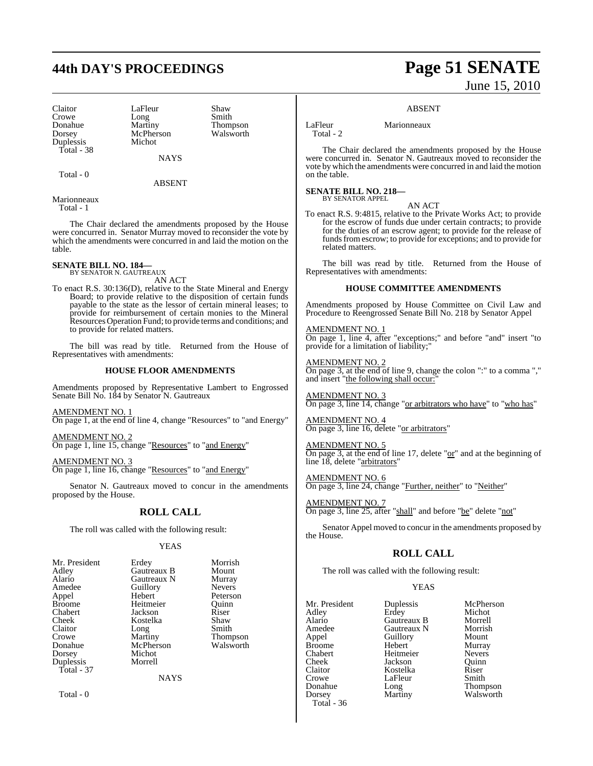## **44th DAY'S PROCEEDINGS Page 51 SENATE**

Claitor LaFleur Shaw<br>Crowe Long Smith Crowe Long<br>
Donahue Martiny Donahue Martiny Thompson<br>Dorsey McPherson Walsworth Duplessis Total - 38

McPherson<br>Michot

Total - 0

ABSENT

**NAYS** 

Marionneaux Total - 1

The Chair declared the amendments proposed by the House were concurred in. Senator Murray moved to reconsider the vote by which the amendments were concurred in and laid the motion on the table.

**SENATE BILL NO. 184—** BY SENATOR N. GAUTREAUX

AN ACT

To enact R.S. 30:136(D), relative to the State Mineral and Energy Board; to provide relative to the disposition of certain funds payable to the state as the lessor of certain mineral leases; to provide for reimbursement of certain monies to the Mineral ResourcesOperation Fund; to provide terms and conditions; and to provide for related matters.

The bill was read by title. Returned from the House of Representatives with amendments:

### **HOUSE FLOOR AMENDMENTS**

Amendments proposed by Representative Lambert to Engrossed Senate Bill No. 184 by Senator N. Gautreaux

AMENDMENT NO. 1 On page 1, at the end of line 4, change "Resources" to "and Energy"

AMENDMENT NO. 2 On page 1, line 15, change "Resources" to "and Energy"

AMENDMENT NO. 3 On page 1, line 16, change "Resources" to "and Energy"

Senator N. Gautreaux moved to concur in the amendments proposed by the House.

### **ROLL CALL**

The roll was called with the following result:

### YEAS

| Mr. President       | Erdey             | Morrish       |
|---------------------|-------------------|---------------|
| Adley               | Gautreaux B       | Mount         |
| Alario              | Gautreaux N       | Murray        |
| Amedee              | Guillory          | <b>Nevers</b> |
| Appel               | Hebert            | Peterson      |
| Broome              | Heitmeier         | Ouinn         |
| Chabert             | Jackson           | Riser         |
| Cheek               | Kostelka          | Shaw          |
| Claitor             | Long              | Smith         |
| Crowe               | Martiny           | Thompson      |
| Donahue             | McPherson         | Walsworth     |
| Dorsey<br>Duplessis | Michot<br>Morrell |               |
| Total $-37$         | <b>NAYS</b>       |               |

Total - 0

# June 15, 2010

### ABSENT

LaFleur Marionneaux

Total - 2

The Chair declared the amendments proposed by the House were concurred in. Senator N. Gautreaux moved to reconsider the vote bywhich the amendments were concurred in and laid the motion on the table.

**SENATE BILL NO. 218—** BY SENATOR APPEL

AN ACT

To enact R.S. 9:4815, relative to the Private Works Act; to provide for the escrow of funds due under certain contracts; to provide for the duties of an escrow agent; to provide for the release of funds from escrow; to provide for exceptions; and to provide for related matters.

The bill was read by title. Returned from the House of Representatives with amendments:

### **HOUSE COMMITTEE AMENDMENTS**

Amendments proposed by House Committee on Civil Law and Procedure to Reengrossed Senate Bill No. 218 by Senator Appel

AMENDMENT NO. 1 **On page 1, line 4, after "exceptions;" and before "and" insert "to** provide for a limitation of liability;"

AMENDMENT NO. 2 On page 3, at the end of line 9, change the colon ":" to a comma "," and insert "the following shall occur:

AMENDMENT NO. 3 On page 3, line 14, change "or arbitrators who have" to "who has"

AMENDMENT NO. 4 On page 3, line 16, delete "or arbitrators"

AMENDMENT NO. 5 On page 3, at the end of line 17, delete " $or$ " and at the beginning of line 18, delete "arbitrators"

AMENDMENT NO. 6 On page 3, line 24, change "Further, neither" to "Neither"

AMENDMENT NO. 7 On page 3, line 25, after "shall" and before "be" delete "not"

Senator Appel moved to concur in the amendments proposed by the House.

### **ROLL CALL**

The roll was called with the following result:

### YEAS

Mr. President Duplessis McPherson<br>Adley Erdey Michot Adley Erdey Michot Alario Gautreaux B Morrell Amedee Gautreaux N Morris<br>
Appel Guillory Mount Appel Guillory<br>Broome Hebert Broome Hebert Murray Example Heitmeier Nevers<br>
Cheek Jackson Ouinn Cheek Jackson<br>Claitor Kostelka Claitor **Kostelka** Riser<br>Crowe LaFleur Smith Crowe LaFleur<br>Donahue Long Donahue Long Thompson Total - 36

Martiny Walsworth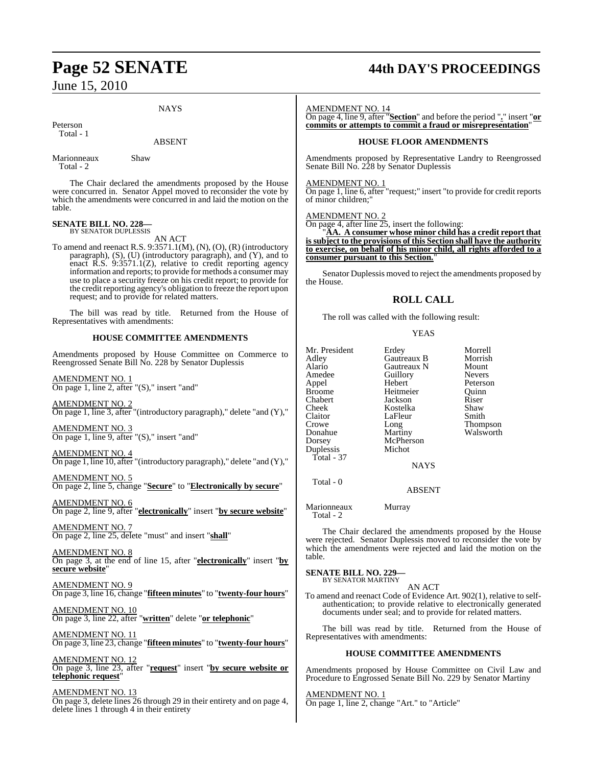### **NAYS**

Peterson Total - 1

### ABSENT

Marionneaux Shaw Total - 2

The Chair declared the amendments proposed by the House were concurred in. Senator Appel moved to reconsider the vote by which the amendments were concurred in and laid the motion on the table.

#### **SENATE BILL NO. 228—** BY SENATOR DUPLESSIS

AN ACT

To amend and reenact R.S.  $9:3571.1(M)$ ,  $(N)$ ,  $(O)$ ,  $(R)$  (introductory paragraph), (S), (U) (introductory paragraph), and (Y), and to enact R.S. 9:3571.1(Z), relative to credit reporting agency information and reports; to provide for methods a consumer may use to place a security freeze on his credit report; to provide for the credit reporting agency's obligation to freeze the report upon request; and to provide for related matters.

The bill was read by title. Returned from the House of Representatives with amendments:

### **HOUSE COMMITTEE AMENDMENTS**

Amendments proposed by House Committee on Commerce to Reengrossed Senate Bill No. 228 by Senator Duplessis

AMENDMENT NO. 1 On page 1, line 2, after "(S)," insert "and"

AMENDMENT NO. 2  $\overline{On}$  page 1, line 3, after "(introductory paragraph)," delete "and (Y),"

AMENDMENT NO. 3 On page 1, line 9, after "(S)," insert "and"

AMENDMENT NO. 4 On page 1, line 10, after "(introductory paragraph)," delete "and (Y),"

AMENDMENT NO. 5 On page 2, line 5, change "**Secure**" to "**Electronically by secure**"

AMENDMENT NO. 6 On page 2, line 9, after "**electronically**" insert "**by secure website**"

AMENDMENT NO. 7 On page 2, line 25, delete "must" and insert "**shall**"

AMENDMENT NO. 8 On page 3, at the end of line 15, after "**electronically**" insert "**by secure website**"

AMENDMENT NO. 9 On page 3, line 16, change "**fifteen minutes**" to "**twenty-four hours**"

AMENDMENT NO. 10 On page 3, line 22, after "**written**" delete "**or telephonic**"

AMENDMENT NO. 11 On page 3, line 23, change "**fifteen minutes**" to "**twenty-four hours**"

AMENDMENT NO. 12 On page 3, line 23, after "**request**" insert "**by secure website or telephonic request**"

### AMENDMENT NO. 13

On page 3, delete lines 26 through 29 in their entirety and on page 4, delete lines 1 through 4 in their entirety

## **Page 52 SENATE 44th DAY'S PROCEEDINGS**

AMENDMENT NO. 14

On page 4, line 9, after "**Section**" and before the period "**.**" insert "**or commits or attempts to commit a fraud or misrepresentation**"

### **HOUSE FLOOR AMENDMENTS**

Amendments proposed by Representative Landry to Reengrossed Senate Bill No. 228 by Senator Duplessis

### AMENDMENT NO. 1

On page 1, line 6, after "request;" insert "to provide for credit reports of minor children;"

### AMENDMENT NO. 2

On page 4, after line 25, insert the following:

"**AA. A consumer whose minor child has a credit report that is subject to the provisions of this Section shall have the authority to exercise, on behalf of his minor child, all rights afforded to a consumer pursuant to this Section.**"

Senator Duplessis moved to reject the amendments proposed by the House.

### **ROLL CALL**

The roll was called with the following result:

### YEAS

| Mr. President<br>Adley<br>Alario<br>Amedee<br>Appel<br>Broome<br>Chabert<br>Cheek<br>Claitor<br>Crowe<br>Donahue<br>Dorsey<br>Duplessis | Erdey<br>Gautreaux B<br>Gautreaux N<br>Guillory<br>Hebert<br>Heitmeier<br>Jackson<br>Kostelka<br>LaFleur<br>Long<br>Martiny<br>McPherson<br>Michot | Morrell<br>Morrish<br>Mount<br><b>Nevers</b><br>Peterson<br>Ouinn<br>Riser<br>Shaw<br>Smith<br>Thompson<br>Walsworth |
|-----------------------------------------------------------------------------------------------------------------------------------------|----------------------------------------------------------------------------------------------------------------------------------------------------|----------------------------------------------------------------------------------------------------------------------|
|                                                                                                                                         |                                                                                                                                                    |                                                                                                                      |
| Total - 37                                                                                                                              | <b>NAYS</b>                                                                                                                                        |                                                                                                                      |
| Total - 0                                                                                                                               |                                                                                                                                                    |                                                                                                                      |

ABSENT

Marionneaux Murray Total - 2

The Chair declared the amendments proposed by the House were rejected. Senator Duplessis moved to reconsider the vote by which the amendments were rejected and laid the motion on the table.

## **SENATE BILL NO. 229—** BY SENATOR MARTINY

AN ACT

To amend and reenact Code of Evidence Art. 902(1), relative to selfauthentication; to provide relative to electronically generated documents under seal; and to provide for related matters.

The bill was read by title. Returned from the House of Representatives with amendments:

### **HOUSE COMMITTEE AMENDMENTS**

Amendments proposed by House Committee on Civil Law and Procedure to Engrossed Senate Bill No. 229 by Senator Martiny

AMENDMENT NO. 1 On page 1, line 2, change "Art." to "Article"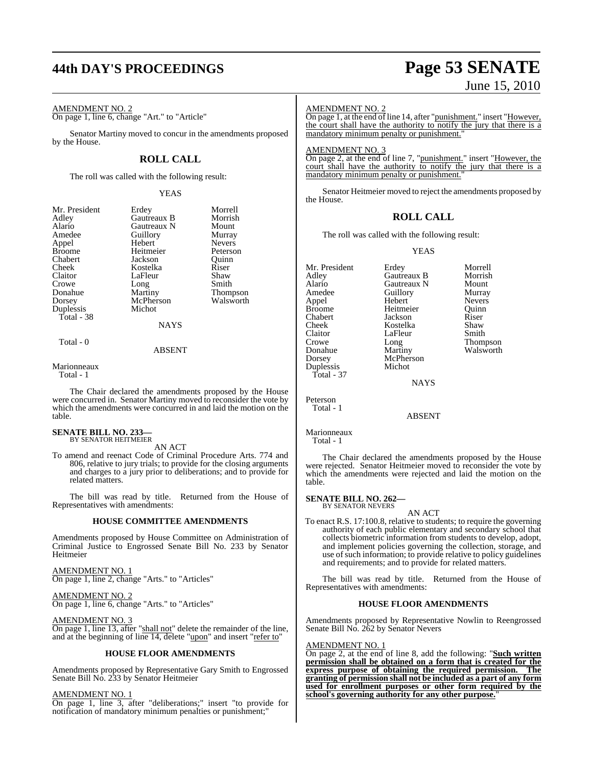# **44th DAY'S PROCEEDINGS Page 53 SENATE**

### AMENDMENT NO. 2

On page 1, line 6, change "Art." to "Article"

Senator Martiny moved to concur in the amendments proposed by the House.

### **ROLL CALL**

The roll was called with the following result:

YEAS

|               | Morrell                                     |
|---------------|---------------------------------------------|
|               |                                             |
|               | Morrish                                     |
|               | Mount                                       |
| Guillory      | Murray                                      |
| Hebert        | <b>Nevers</b>                               |
| Heitmeier     | Peterson                                    |
| Jackson       | Ouinn                                       |
| Kostelka      | Riser                                       |
| LaFleur       | Shaw                                        |
|               | Smith                                       |
| Martiny       | Thompson                                    |
| McPherson     | Walsworth                                   |
| Michot        |                                             |
|               |                                             |
| <b>NAYS</b>   |                                             |
|               |                                             |
| <b>ABSENT</b> |                                             |
|               | Erdey<br>Gautreaux B<br>Gautreaux N<br>Long |

Marionneaux Total - 1

The Chair declared the amendments proposed by the House were concurred in. Senator Martiny moved to reconsider the vote by which the amendments were concurred in and laid the motion on the table.

### **SENATE BILL NO. 233—** BY SENATOR HEITMEIER

AN ACT

To amend and reenact Code of Criminal Procedure Arts. 774 and 806, relative to jury trials; to provide for the closing arguments and charges to a jury prior to deliberations; and to provide for related matters.

The bill was read by title. Returned from the House of Representatives with amendments:

### **HOUSE COMMITTEE AMENDMENTS**

Amendments proposed by House Committee on Administration of Criminal Justice to Engrossed Senate Bill No. 233 by Senator Heitmeier

AMENDMENT NO. 1 On page 1, line 2, change "Arts." to "Articles"

### AMENDMENT NO. 2

On page 1, line 6, change "Arts." to "Articles"

### AMENDMENT NO. 3

On page 1, line 13, after "shall not" delete the remainder of the line, and at the beginning of line 14, delete "upon" and insert "refer to"

### **HOUSE FLOOR AMENDMENTS**

Amendments proposed by Representative Gary Smith to Engrossed Senate Bill No. 233 by Senator Heitmeier

### AMENDMENT NO. 1

On page 1, line 3, after "deliberations;" insert "to provide for notification of mandatory minimum penalties or punishment;"

# June 15, 2010

### AMENDMENT NO. 2

On page 1, at the end of line 14, after "<u>punishment.</u>" insert "However, the court shall have the authority to notify the jury that there is a mandatory minimum penalty or punishment."

### AMENDMENT NO. 3

On page 2, at the end of line 7, "punishment." insert "However, the court shall have the authority to notify the jury that there is a mandatory minimum penalty or punishment.

Senator Heitmeier moved to reject the amendments proposed by the House.

### **ROLL CALL**

The roll was called with the following result:

Gautreaux N

YEAS

Mr. President Erdey Morrell<br>Adley Gautreaux B Morrish Adley Gautreaux B Morrish Amedee Guillory Murray<br>Appel Hebert Nevers Appel Hebert Nevers Broome Heitmeier Quinn<br>Chabert Jackson Riser Chabert Jackson Riser Cheek Kostelka Shaw Claitor LaFleur<br>Crowe Long Crowe Long Thompson<br>
Donahue Martiny Walsworth Dorsey McPherson<br>Duplessis Michot Duplessis Total - 37 Peterson

NAYS

Walsworth

ABSENT

Marionneaux

Total - 1

Total - 1

The Chair declared the amendments proposed by the House were rejected. Senator Heitmeier moved to reconsider the vote by which the amendments were rejected and laid the motion on the table.

### **SENATE BILL NO. 262—** BY SENATOR NEVERS

AN ACT

To enact R.S. 17:100.8, relative to students; to require the governing authority of each public elementary and secondary school that collects biometric information from students to develop, adopt, and implement policies governing the collection, storage, and use of such information; to provide relative to policy guidelines and requirements; and to provide for related matters.

The bill was read by title. Returned from the House of Representatives with amendments:

### **HOUSE FLOOR AMENDMENTS**

Amendments proposed by Representative Nowlin to Reengrossed Senate Bill No. 262 by Senator Nevers

### AMENDMENT NO. 1

On page 2, at the end of line 8, add the following: "**Such written permission shall be obtained on a form that is created for the express purpose of obtaining the required permission. granting of permission shall not be included as a part of any form used for enrollment purposes or other form required by the school's governing authority for any other purpose.**"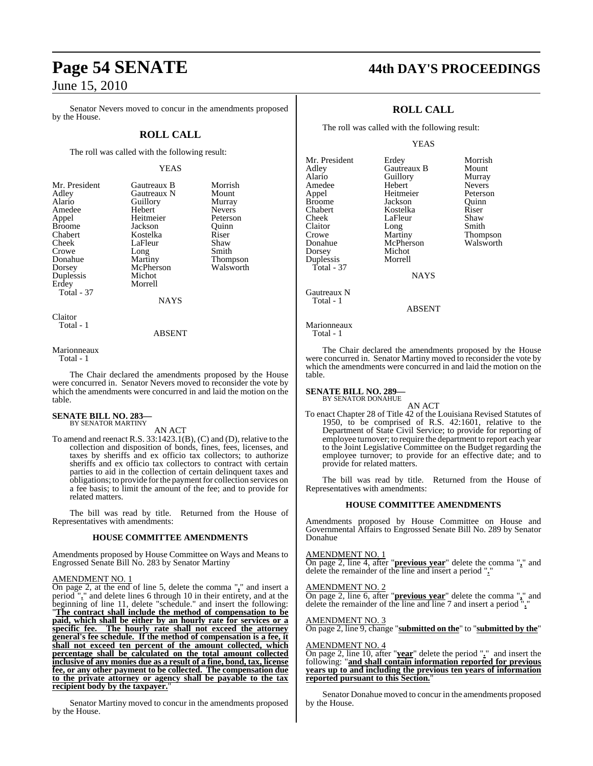Senator Nevers moved to concur in the amendments proposed by the House.

### **ROLL CALL**

The roll was called with the following result:

### YEAS

Nevers<br>Peterson

Thompson<br>Walsworth

| Mr. Preside    |
|----------------|
| Adley          |
| Alario         |
| Amedee         |
| Appel          |
| <b>Broome</b>  |
| <b>Chabert</b> |
| Cheek          |
| Crowe          |
| Donahue        |
| Dorsey         |
| Duplessis      |
| Erdey          |
| Total - 37     |

Morrish Cautreaux B<br>
Morrish Gautreaux N<br>
Mount Gautreaux N Mount<br>Guillory Murray Guillory<br>Hebert Heitmeier Peterson<br>Jackson Quinn Jackson Quinn<br>Kostelka Riser Kostelka Riser<br>LaFleur Shaw LaFleur Shaw<br>Long Smith Long<br>Martiny McPherson Michot Morrell **NAYS** 

Claitor Total - 1

ABSENT

Marionneaux Total - 1

table.

The Chair declared the amendments proposed by the House were concurred in. Senator Nevers moved to reconsider the vote by which the amendments were concurred in and laid the motion on the

### **SENATE BILL NO. 283—** BY SENATOR MARTINY

AN ACT

To amend and reenact R.S. 33:1423.1(B), (C) and (D), relative to the collection and disposition of bonds, fines, fees, licenses, and taxes by sheriffs and ex officio tax collectors; to authorize sheriffs and ex officio tax collectors to contract with certain parties to aid in the collection of certain delinquent taxes and obligations; to provide for the payment for collection services on a fee basis; to limit the amount of the fee; and to provide for related matters.

The bill was read by title. Returned from the House of Representatives with amendments:

### **HOUSE COMMITTEE AMENDMENTS**

Amendments proposed by House Committee on Ways and Means to Engrossed Senate Bill No. 283 by Senator Martiny

### AMENDMENT NO. 1

On page 2, at the end of line 5, delete the comma "**,**" and insert a period "**.**" and delete lines 6 through 10 in their entirety, and at the beginning of line 11, delete "schedule." and insert the following: "**The contract shall include the method of compensation to be paid, which shall be either by an hourly rate for services or a specific fee. The hourly rate shall not exceed the attorney general's fee schedule. If the method of compensation is a fee, it shall not exceed ten percent of the amount collected, which percentage shall be calculated on the total amount collected inclusive of any monies due as a result of a fine, bond, tax, license fee, or any other payment to be collected. The compensation due to the private attorney or agency shall be payable to the tax recipient body by the taxpayer.**"

Senator Martiny moved to concur in the amendments proposed by the House.

### **Page 54 SENATE 44th DAY'S PROCEEDINGS**

### **ROLL CALL**

The roll was called with the following result:

YEAS

| Mr. President | Erdey       | Morrish       |
|---------------|-------------|---------------|
| Adley         | Gautreaux B | Mount         |
| Alario        | Guillory    | Murray        |
| Amedee        | Hebert      | <b>Nevers</b> |
| Appel         | Heitmeier   | Peterson      |
| <b>Broome</b> | Jackson     | Ouinn         |
| Chabert       | Kostelka    | Riser         |
| Cheek         | LaFleur     | Shaw          |
| Claitor       | Long        | Smith         |
| Crowe         | Martiny     | Thompson      |
| Donahue       | McPherson   | Walsworth     |
| Dorsey        | Michot      |               |
| Duplessis     | Morrell     |               |
| Total - $37$  |             |               |
|               | NAYS        |               |

S

Gautreaux N Total - 1

ABSENT

Marionneaux Total - 1

The Chair declared the amendments proposed by the House were concurred in. Senator Martiny moved to reconsider the vote by which the amendments were concurred in and laid the motion on the table.

### **SENATE BILL NO. 289—** BY SENATOR DONAHUE

AN ACT To enact Chapter 28 of Title 42 of the Louisiana Revised Statutes of 1950, to be comprised of R.S. 42:1601, relative to the Department of State Civil Service; to provide for reporting of employee turnover; to require the department to report each year to the Joint Legislative Committee on the Budget regarding the employee turnover; to provide for an effective date; and to provide for related matters.

The bill was read by title. Returned from the House of Representatives with amendments:

### **HOUSE COMMITTEE AMENDMENTS**

Amendments proposed by House Committee on House and Governmental Affairs to Engrossed Senate Bill No. 289 by Senator Donahue

### AMENDMENT NO. 1

On page 2, line 4, after "**previous year**" delete the comma "**,**" and delete the remainder of the line and insert a period ".

AMENDMENT NO. 2

On page 2, line 6, after "**previous year**" delete the comma "**,**" and delete the remainder of the line and line 7 and insert a period "**.**"

AMENDMENT NO. 3

On page 2, line 9, change "**submitted on the**" to "**submitted by the**"

#### AMENDMENT NO. 4

On page 2, line 10, after "**year**" delete the period "**.**" and insert the following: "**and shall contain information reported for previous years up to and including the previous ten years of information reported pursuant to this Section.**"

Senator Donahue moved to concur in the amendments proposed by the House.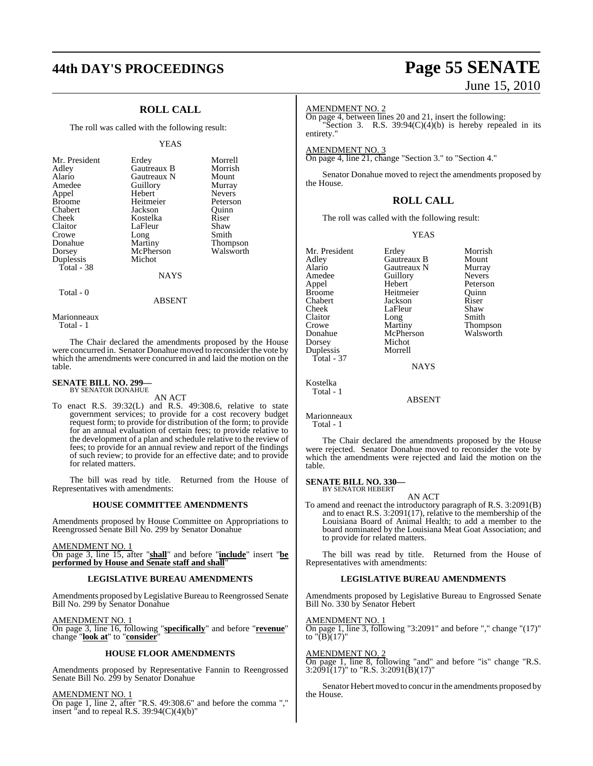### **44th DAY'S PROCEEDINGS Page 55 SENATE**

### **ROLL CALL**

The roll was called with the following result:

### YEAS

| McPherson<br>Dorsey<br>Michot<br>Duplessis<br>Total - 38<br><b>NAYS</b> | Murray<br><b>Nevers</b><br>Peterson<br>Ouinn<br>Smith<br>Thompson<br>Walsworth |
|-------------------------------------------------------------------------|--------------------------------------------------------------------------------|
|                                                                         |                                                                                |

### ABSENT

Marionneaux Total - 1

Total - 0

The Chair declared the amendments proposed by the House were concurred in. Senator Donahue moved to reconsider the vote by which the amendments were concurred in and laid the motion on the table.

#### **SENATE BILL NO. 299—** BY SENATOR DONAHUE

AN ACT

To enact R.S. 39:32(L) and R.S. 49:308.6, relative to state government services; to provide for a cost recovery budget request form; to provide for distribution of the form; to provide for an annual evaluation of certain fees; to provide relative to the development of a plan and schedule relative to the review of fees; to provide for an annual review and report of the findings of such review; to provide for an effective date; and to provide for related matters.

The bill was read by title. Returned from the House of Representatives with amendments:

### **HOUSE COMMITTEE AMENDMENTS**

Amendments proposed by House Committee on Appropriations to Reengrossed Senate Bill No. 299 by Senator Donahue

AMENDMENT NO. 1

On page 3, line 15, after "**shall**" and before "**include**" insert "**be performed by House and Senate staff and shall**"

### **LEGISLATIVE BUREAU AMENDMENTS**

Amendments proposed by Legislative Bureau to Reengrossed Senate Bill No. 299 by Senator Donahue

AMENDMENT NO. 1 On page 3, line 16, following "**specifically**" and before "**revenue**" change "**look at**" to "**consider**"

### **HOUSE FLOOR AMENDMENTS**

Amendments proposed by Representative Fannin to Reengrossed Senate Bill No. 299 by Senator Donahue

AMENDMENT NO. 1

On page 1, line 2, after "R.S. 49:308.6" and before the comma "," insert "and to repeal R.S.  $39:94(C)(4)(b)$ "

# June 15, 2010

### AMENDMENT NO. 2

On page 4, between lines 20 and 21, insert the following: "Section 3. R.S.  $39:94(C)(4)(b)$  is hereby repealed in its entirety."

AMENDMENT NO. 3

On page 4, line 21, change "Section 3." to "Section 4."

Senator Donahue moved to reject the amendments proposed by the House.

### **ROLL CALL**

The roll was called with the following result:

YEAS

Mr. President Erdey Morrish<br>Adley Gautreaux B Mount Adley Gautreaux B Mount Alario Gautreaux N Murray Amedeu<br>
Amedeu<br>
Amedeu<br>
Referson<br>
Referson Appel Broome Heitmeier Quinn<br>
Chabert Jackson Riser Chabert Jackson Riser LaFleur Shaw<br>Long Smith Claitor Long<br>Crowe Martiny Crowe Martiny Thompson<br>
Donahue McPherson Walsworth Donahue McPherson<br>Dorsey Michot Michot<br>Morrell Duplessis Total - 37 NAYS Kostelka Total - 1 ABSENT

Marionneaux Total - 1

The Chair declared the amendments proposed by the House were rejected. Senator Donahue moved to reconsider the vote by which the amendments were rejected and laid the motion on the table.

**SENATE BILL NO. 330—** BY SENATOR HEBERT

### AN ACT

To amend and reenact the introductory paragraph of R.S. 3:2091(B) and to enact R.S. 3:2091(17), relative to the membership of the Louisiana Board of Animal Health; to add a member to the board nominated by the Louisiana Meat Goat Association; and to provide for related matters.

The bill was read by title. Returned from the House of Representatives with amendments:

### **LEGISLATIVE BUREAU AMENDMENTS**

Amendments proposed by Legislative Bureau to Engrossed Senate Bill No. 330 by Senator Hebert

AMENDMENT NO. 1

On page 1, line 3, following "3:2091" and before "," change "(17)" to "(B)(17)"

AMENDMENT NO. 2

On page 1, line 8, following "and" and before "is" change "R.S.  $3:2091(17)$ " to "R.S.  $3:2091(B)(17)$ "

Senator Hebert moved to concur in the amendments proposed by the House.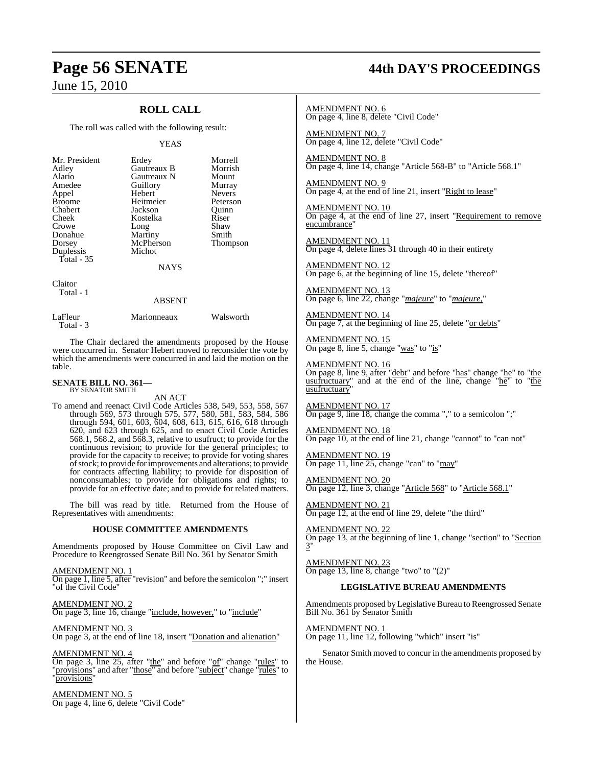### **ROLL CALL**

The roll was called with the following result:

### YEAS

| Mr. President<br>Adley<br>Alario<br>Amedee<br>Appel<br><b>Broome</b><br>Chabert<br>Cheek<br>Crowe<br>Donahue<br>Dorsey<br>Duplessis<br>Total $-35$ | Erdey<br>Gautreaux B<br>Gautreaux N<br>Guillory<br>Hebert<br>Heitmeier<br>Jackson<br>Kostelka<br>Long<br>Martiny<br>McPherson<br>Michot<br><b>NAYS</b> | Morrell<br>Morrish<br>Mount<br>Murray<br><b>Nevers</b><br>Peterson<br>Ouinn<br>Riser<br>Shaw<br>Smith<br>Thompson |
|----------------------------------------------------------------------------------------------------------------------------------------------------|--------------------------------------------------------------------------------------------------------------------------------------------------------|-------------------------------------------------------------------------------------------------------------------|
| Claitor<br>Total - 1                                                                                                                               |                                                                                                                                                        |                                                                                                                   |

ABSENT LaFleur Marionneaux Walsworth Total - 3

The Chair declared the amendments proposed by the House were concurred in. Senator Hebert moved to reconsider the vote by which the amendments were concurred in and laid the motion on the table.

### **SENATE BILL NO. 361—** BY SENATOR SMITH

AN ACT

To amend and reenact Civil Code Articles 538, 549, 553, 558, 567 through 569, 573 through 575, 577, 580, 581, 583, 584, 586 through 594, 601, 603, 604, 608, 613, 615, 616, 618 through 620, and 623 through 625, and to enact Civil Code Articles 568.1, 568.2, and 568.3, relative to usufruct; to provide for the continuous revision; to provide for the general principles; to provide for the capacity to receive; to provide for voting shares of stock; to provide for improvements and alterations; to provide for contracts affecting liability; to provide for disposition of nonconsumables; to provide for obligations and rights; to provide for an effective date; and to provide for related matters.

The bill was read by title. Returned from the House of Representatives with amendments:

### **HOUSE COMMITTEE AMENDMENTS**

Amendments proposed by House Committee on Civil Law and Procedure to Reengrossed Senate Bill No. 361 by Senator Smith

AMENDMENT NO. 1 On page 1, line 5, after "revision" and before the semicolon ";" insert "of the Civil Code"

<u>AMENDMENT NO. 2</u> On page 3, line 16, change "include, however," to "include"

AMENDMENT NO. 3 On page 3, at the end of line 18, insert "Donation and alienation"

AMENDMENT NO. 4 On page 3, line 25, after "the" and before "of" change "rules" to "<u>provisions"</u> and after "those" and before "subject" change "rules" to "provisions"

AMENDMENT NO. 5 On page 4, line 6, delete "Civil Code"

# **Page 56 SENATE 44th DAY'S PROCEEDINGS**

AMENDMENT NO. 6 On page 4, line 8, delete "Civil Code"

AMENDMENT NO. 7 On page 4, line 12, delete "Civil Code"

AMENDMENT NO. 8 On page 4, line 14, change "Article 568-B" to "Article 568.1"

AMENDMENT NO. 9 On page 4, at the end of line 21, insert "Right to lease"

AMENDMENT NO. 10 On page 4, at the end of line 27, insert "Requirement to remove encumbrance"

AMENDMENT NO. 11 On page 4, delete lines 31 through 40 in their entirety

AMENDMENT NO. 12 On page 6, at the beginning of line 15, delete "thereof"

AMENDMENT NO. 13 On page 6, line 22, change "*majeure*" to "*majeure,*"

AMENDMENT NO. 14 On page 7, at the beginning of line 25, delete "or debts"

AMENDMENT NO. 15 On page 8, line 5, change "was" to "is"

AMENDMENT NO. 16

On page 8, line 9, after "debt" and before "has" change "he" to "the usufructuary" and at the end of the line, change "he" to "the usufructuary

AMENDMENT NO. 17 On page 9, line 18, change the comma "," to a semicolon ";"

AMENDMENT NO. 18 On page 10, at the end of line 21, change "cannot" to "can not"

AMENDMENT NO. 19 On page 11, line 25, change "can" to "may"

AMENDMENT NO. 20 On page 12, line 3, change "Article 568" to "Article 568.1"

AMENDMENT NO. 21 On page 12, at the end of line 29, delete "the third"

AMENDMENT NO. 22 On page 13, at the beginning of line 1, change "section" to "Section 3"

AMENDMENT NO. 23 On page 13, line 8, change "two" to "(2)"

### **LEGISLATIVE BUREAU AMENDMENTS**

Amendments proposed by Legislative Bureau to Reengrossed Senate Bill No. 361 by Senator Smith

AMENDMENT NO. 1

On page 11, line 12, following "which" insert "is"

Senator Smith moved to concur in the amendments proposed by the House.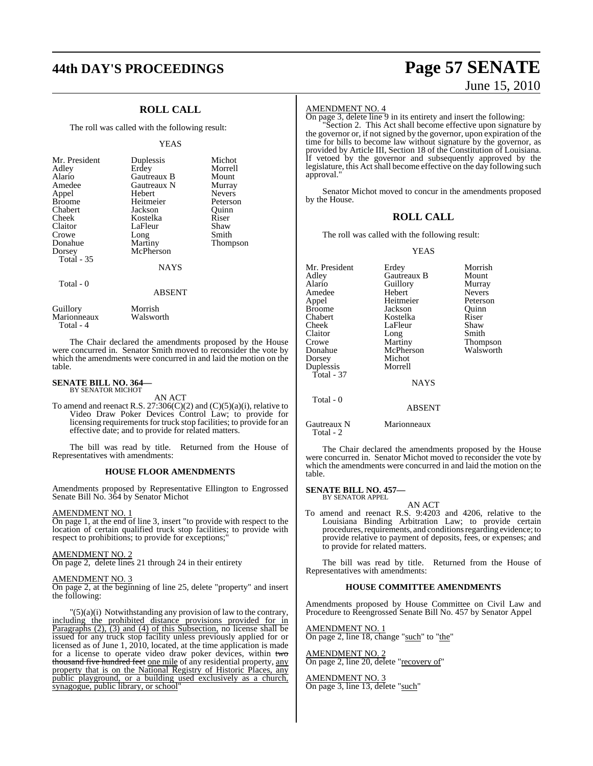### **44th DAY'S PROCEEDINGS Page 57 SENATE**

### **ROLL CALL**

The roll was called with the following result:

### YEAS

#### ABSENT

Guillory Morrish<br>
Marionneaux Walsworth Marionneaux Total - 4

The Chair declared the amendments proposed by the House were concurred in. Senator Smith moved to reconsider the vote by which the amendments were concurred in and laid the motion on the table.

### **SENATE BILL NO. 364—** BY SENATOR MICHOT

AN ACT

To amend and reenact R.S.  $27:306(C)(2)$  and  $(C)(5)(a)(i)$ , relative to Video Draw Poker Devices Control Law; to provide for licensing requirements for truck stop facilities; to provide for an effective date; and to provide for related matters.

The bill was read by title. Returned from the House of Representatives with amendments:

#### **HOUSE FLOOR AMENDMENTS**

Amendments proposed by Representative Ellington to Engrossed Senate Bill No. 364 by Senator Michot

### AMENDMENT NO. 1

On page 1, at the end of line 3, insert "to provide with respect to the location of certain qualified truck stop facilities; to provide with respect to prohibitions; to provide for exceptions;"

### AMENDMENT NO. 2

On page 2, delete lines 21 through 24 in their entirety

### AMENDMENT NO. 3

On page 2, at the beginning of line 25, delete "property" and insert the following:

 $'(5)(a)(i)$  Notwithstanding any provision of law to the contrary, including the prohibited distance provisions provided for in Paragraphs (2), (3) and (4) of this Subsection, no license shall be issued for any truck stop facility unless previously applied for or licensed as of June 1, 2010, located, at the time application is made for a license to operate video draw poker devices, within two thousand five hundred feet one mile of any residential property, any property that is on the National Registry of Historic Places, any public playground, or a building used exclusively as a church, synagogue, public library, or school"

# June 15, 2010

### AMENDMENT NO. 4

On page 3, delete line 9 in its entirety and insert the following: "Section 2. This Act shall become effective upon signature by the governor or, if not signed by the governor, upon expiration of the time for bills to become law without signature by the governor, as provided by Article III, Section 18 of the Constitution of Louisiana. If vetoed by the governor and subsequently approved by the legislature, this Act shall become effective on the day following such approval."

Senator Michot moved to concur in the amendments proposed by the House.

### **ROLL CALL**

The roll was called with the following result:

### YEAS

| Mr. President | Erdey         | Morrish       |
|---------------|---------------|---------------|
| Adley         | Gautreaux B   | Mount         |
| Alario        | Guillory      | Murray        |
| Amedee        | Hebert        | <b>Nevers</b> |
| Appel         | Heitmeier     | Peterson      |
| <b>Broome</b> | Jackson       | Ouinn         |
| Chabert       | Kostelka      | Riser         |
| Cheek         | LaFleur       | Shaw          |
| Claitor       | Long          | Smith         |
| Crowe         | Martiny       | Thompson      |
| Donahue       | McPherson     | Walsworth     |
| Dorsey        | Michot        |               |
| Duplessis     | Morrell       |               |
| Total - $37$  |               |               |
|               | <b>NAYS</b>   |               |
| Total - 0     |               |               |
|               | <b>ABSENT</b> |               |
| Gautreaux N   | Marionneaux   |               |

Total - 2

The Chair declared the amendments proposed by the House were concurred in. Senator Michot moved to reconsider the vote by which the amendments were concurred in and laid the motion on the table.

#### **SENATE BILL NO. 457—** BY SENATOR APPEL

AN ACT

To amend and reenact R.S. 9:4203 and 4206, relative to the Louisiana Binding Arbitration Law; to provide certain procedures, requirements, and conditions regarding evidence; to provide relative to payment of deposits, fees, or expenses; and to provide for related matters.

The bill was read by title. Returned from the House of Representatives with amendments:

### **HOUSE COMMITTEE AMENDMENTS**

Amendments proposed by House Committee on Civil Law and Procedure to Reengrossed Senate Bill No. 457 by Senator Appel

AMENDMENT NO. 1 On page 2, line 18, change "such" to "the"

AMENDMENT NO. 2 On page 2, line 20, delete "recovery of"

AMENDMENT NO. 3 On page 3, line 13, delete "such"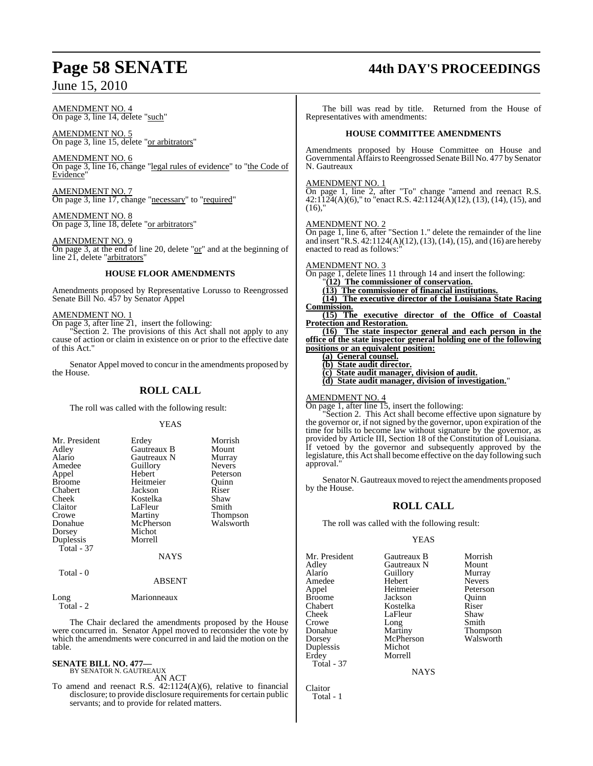AMENDMENT NO. 4 On page 3, line 14, delete "such"

AMENDMENT NO. 5 On page 3, line 15, delete "or arbitrators"

AMENDMENT NO. 6 On page 3, line 16, change "legal rules of evidence" to "the Code of Evidence"

AMENDMENT NO. 7 On page 3, line 17, change "necessary" to "required"

AMENDMENT NO. 8 On page 3, line 18, delete "or arbitrators"

AMENDMENT NO. 9 On page 3, at the end of line 20, delete "or" and at the beginning of line 21, delete "arbitrators"

### **HOUSE FLOOR AMENDMENTS**

Amendments proposed by Representative Lorusso to Reengrossed Senate Bill No. 457 by Senator Appel

### AMENDMENT NO. 1

On page 3, after line 21, insert the following:

Section 2. The provisions of this Act shall not apply to any cause of action or claim in existence on or prior to the effective date of this Act."

Senator Appel moved to concur in the amendments proposed by the House.

### **ROLL CALL**

The roll was called with the following result:

### YEAS

| Mr. President | Erdey       | Morrish         |
|---------------|-------------|-----------------|
| Adlev         | Gautreaux B | Mount           |
|               |             |                 |
| Alario        | Gautreaux N | Murray          |
| Amedee        | Guillory    | <b>Nevers</b>   |
| Appel         | Hebert      | Peterson        |
| Broome        | Heitmeier   | Ouinn           |
| Chabert       | Jackson     | Riser           |
| Cheek         | Kostelka    | Shaw            |
| Claitor       | LaFleur     | Smith           |
| Crowe         | Martiny     | <b>Thompson</b> |
| Donahue       | McPherson   | Walsworth       |
| Dorsey        | Michot      |                 |
| Duplessis     | Morrell     |                 |
| Total - 37    |             |                 |
|               | <b>NAYS</b> |                 |
| Total - 0     |             |                 |

### ABSENT

Long Marionneaux Total - 2

The Chair declared the amendments proposed by the House were concurred in. Senator Appel moved to reconsider the vote by which the amendments were concurred in and laid the motion on the table.

#### **SENATE BILL NO. 477—** BY SENATOR N. GAUTREAUX

AN ACT

To amend and reenact R.S.  $42:1124(A)(6)$ , relative to financial disclosure; to provide disclosure requirements for certain public servants; and to provide for related matters.

## **Page 58 SENATE 44th DAY'S PROCEEDINGS**

The bill was read by title. Returned from the House of Representatives with amendments:

### **HOUSE COMMITTEE AMENDMENTS**

Amendments proposed by House Committee on House and Governmental Affairs to Reengrossed Senate Bill No. 477 by Senator N. Gautreaux

AMENDMENT NO. 1

On page 1, line 2, after "To" change "amend and reenact R.S.  $42:1124(A)(6)$ ," to "enact R.S.  $42:1124(A)(12)$ ,  $(13)$ ,  $(14)$ ,  $(15)$ , and  $(16)$ ,"

### AMENDMENT NO. 2

On page 1, line 6, after "Section 1." delete the remainder of the line and insert "R.S. 42:1124(A)(12),(13), (14), (15), and (16) are hereby enacted to read as follows:

AMENDMENT NO. 3

On page 1, delete lines 11 through 14 and insert the following: "**(12) The commissioner of conservation.**

**(13) The commissioner of financial institutions.**

**(14) The executive director of the Louisiana State Racing Commission.**

**(15) The executive director of the Office of Coastal Protection and Restoration.**

**(16) The state inspector general and each person in the office of the state inspector general holding one of the following positions or an equivalent position:**

**(a) General counsel.**

**(b) State audit director.**

**(c) State audit manager, division of audit.**

**(d) State audit manager, division of investigation.**"

AMENDMENT NO. 4

On page 1, after line 15, insert the following:

Section 2. This Act shall become effective upon signature by the governor or, if not signed by the governor, upon expiration of the time for bills to become law without signature by the governor, as provided by Article III, Section 18 of the Constitution of Louisiana. If vetoed by the governor and subsequently approved by the legislature, this Act shall become effective on the day following such approval.

Senator N. Gautreaux moved to reject the amendments proposed by the House.

### **ROLL CALL**

The roll was called with the following result:

### YEAS

Mr. President Gautreaux B Morrish<br>Adley Gautreaux N Mount Adley Gautreaux N Mount Amedee Hebert Nevers<br>
Appel Heitmeier Peterson Appel Heitmeier Peterson Broome Jackson Quinn<br>Chabert Kostelka Riser Cheek LaFleur Shaw<br>Crowe Long Smith Crowe Long<br>
Donahue Martiny Donahue Martiny Thompson Duplessis<br>Erdey Total - 37

Kostelka Morrell

Guillory Murray<br>Hebert Nevers McPherson Walsworth<br>Michot

**NAYS** 

Claitor Total - 1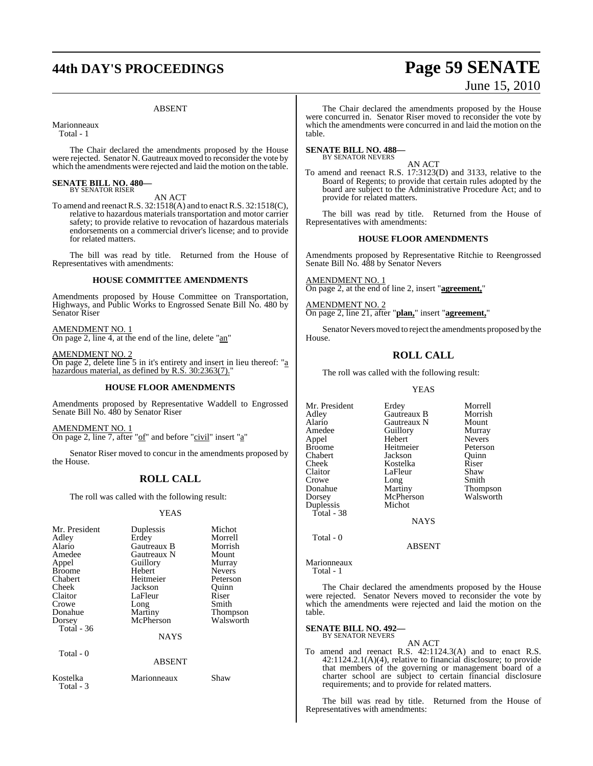## **44th DAY'S PROCEEDINGS Page 59 SENATE**

#### ABSENT

Marionneaux

Total - 1

The Chair declared the amendments proposed by the House were rejected. Senator N. Gautreaux moved to reconsider the vote by which the amendments were rejected and laid the motion on the table.

#### **SENATE BILL NO. 480—** BY SENATOR RISER

### AN ACT

To amend and reenactR.S. 32:1518(A) and to enactR.S. 32:1518(C), relative to hazardous materials transportation and motor carrier safety; to provide relative to revocation of hazardous materials endorsements on a commercial driver's license; and to provide for related matters.

The bill was read by title. Returned from the House of Representatives with amendments:

### **HOUSE COMMITTEE AMENDMENTS**

Amendments proposed by House Committee on Transportation, Highways, and Public Works to Engrossed Senate Bill No. 480 by Senator Riser

AMENDMENT NO. 1 On page 2, line 4, at the end of the line, delete "an"

AMENDMENT NO. 2 On page 2, delete line 5 in it's entirety and insert in lieu thereof: "a hazardous material, as defined by R.S. 30:2363(7)."

### **HOUSE FLOOR AMENDMENTS**

Amendments proposed by Representative Waddell to Engrossed Senate Bill No. 480 by Senator Riser

AMENDMENT NO. 1 On page 2, line 7, after "of" and before "civil" insert "a"

Senator Riser moved to concur in the amendments proposed by the House.

### **ROLL CALL**

The roll was called with the following result:

#### YEAS

| Mr. President<br>Adley<br>Alario<br>Amedee<br>Appel<br><b>Broome</b><br>Chabert<br>Cheek<br>Claitor<br>Crowe<br>Donahue | Duplessis<br>Erdey<br>Gautreaux B<br>Gautreaux N<br>Guillory<br>Hebert<br>Heitmeier<br>Jackson<br>LaFleur<br>Long | Michot<br>Morrell<br>Morrish<br>Mount<br>Murray<br><b>Nevers</b><br>Peterson<br>Ouinn<br>Riser<br>Smith |
|-------------------------------------------------------------------------------------------------------------------------|-------------------------------------------------------------------------------------------------------------------|---------------------------------------------------------------------------------------------------------|
| Dorsey                                                                                                                  | Martiny<br>McPherson                                                                                              | <b>Thompson</b><br>Walsworth                                                                            |
| Total - 36                                                                                                              | <b>NAYS</b>                                                                                                       |                                                                                                         |
| Total - 0                                                                                                               | <b>ABSENT</b>                                                                                                     |                                                                                                         |
| Kostelka<br>Total - 3                                                                                                   | Marionneaux                                                                                                       | Shaw                                                                                                    |

The Chair declared the amendments proposed by the House were concurred in. Senator Riser moved to reconsider the vote by which the amendments were concurred in and laid the motion on the table.

#### **SENATE BILL NO. 488—** BY SENATOR NEVERS

AN ACT

To amend and reenact R.S. 17:3123(D) and 3133, relative to the Board of Regents; to provide that certain rules adopted by the board are subject to the Administrative Procedure Act; and to provide for related matters.

The bill was read by title. Returned from the House of Representatives with amendments:

### **HOUSE FLOOR AMENDMENTS**

Amendments proposed by Representative Ritchie to Reengrossed Senate Bill No. 488 by Senator Nevers

AMENDMENT NO. 1 On page 2, at the end of line 2, insert "**agreement,**"

MENDMENT NO. 2 On page 2, line 21, after "**plan,**" insert "**agreement,**"

Senator Nevers moved to reject the amendments proposed by the House.

### **ROLL CALL**

The roll was called with the following result:

### YEAS

| Mr. President | Erdey       | Morrell         |
|---------------|-------------|-----------------|
| Adley         | Gautreaux B | Morrish         |
| Alario        | Gautreaux N | Mount           |
| Amedee        | Guillory    | Murray          |
| Appel         | Hebert      | <b>Nevers</b>   |
| Broome        | Heitmeier   | Peterson        |
| Chabert       | Jackson     | Ouinn           |
| Cheek         | Kostelka    | Riser           |
| Claitor       | LaFleur     | Shaw            |
| Crowe         | Long        | Smith           |
| Donahue       | Martiny     | <b>Thompson</b> |
| Dorsey        | McPherson   | Walsworth       |
| Duplessis     | Michot      |                 |
| Total - 38    |             |                 |
|               | <b>NAYS</b> |                 |
|               |             |                 |

Total - 0

Marionneaux Total - 1

The Chair declared the amendments proposed by the House were rejected. Senator Nevers moved to reconsider the vote by which the amendments were rejected and laid the motion on the table.

ABSENT

**SENATE BILL NO. 492—** BY SENATOR NEVERS

AN ACT To amend and reenact R.S. 42:1124.3(A) and to enact R.S. 42:1124.2.1(A)(4), relative to financial disclosure; to provide that members of the governing or management board of a charter school are subject to certain financial disclosure requirements; and to provide for related matters.

The bill was read by title. Returned from the House of Representatives with amendments:

# June 15, 2010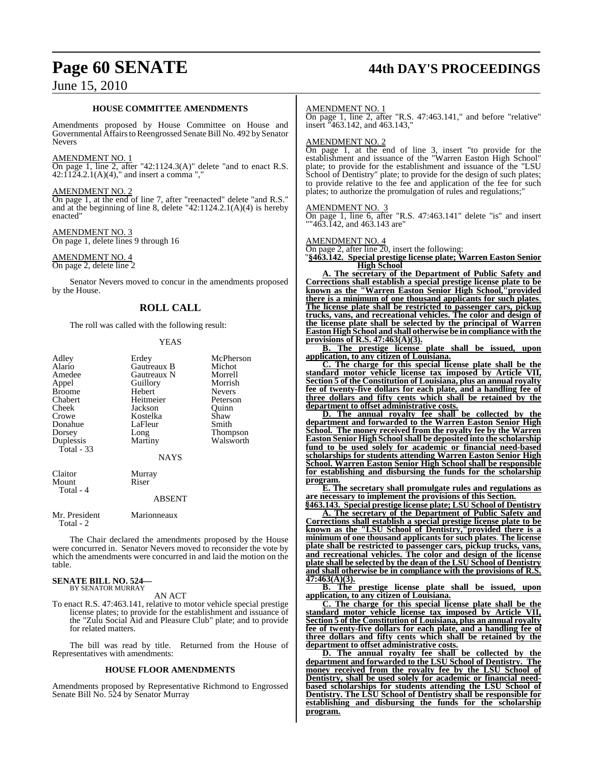## **Page 60 SENATE 44th DAY'S PROCEEDINGS**

### **HOUSE COMMITTEE AMENDMENTS**

Amendments proposed by House Committee on House and Governmental Affairs to Reengrossed Senate Bill No. 492 by Senator Nevers

### AMENDMENT NO. 1

On page 1, line 2, after "42:1124.3(A)" delete "and to enact R.S.  $42:1124.2.1(A)(4)$ ," and insert a comma ","

### AMENDMENT NO. 2

On page 1, at the end of line 7, after "reenacted" delete "and R.S." and at the beginning of line 8, delete "42:1124.2.1(A)(4) is hereby enacted"

### AMENDMENT NO. 3

On page 1, delete lines 9 through 16

### AMENDMENT NO. 4

On page 2, delete line 2

Senator Nevers moved to concur in the amendments proposed by the House.

### **ROLL CALL**

The roll was called with the following result:

### YEAS

| Adley<br>Alario<br>Amedee<br>Appel<br><b>Broome</b><br>Chabert<br>Cheek<br>Crowe<br>Donahue<br>Dorsey<br>Duplessis<br>Total - 33 | Erdey<br>Gautreaux B<br>Gautreaux N<br>Guillory<br>Hebert<br>Heitmeier<br>Jackson<br>Kostelka<br>LaFleur<br>Long<br>Martiny<br><b>NAYS</b> | McPherson<br>Michot<br>Morrell<br>Morrish<br>Nevers<br>Peterson<br>Quinn<br>Shaw<br>Smith<br>Thompson<br>Walsworth |
|----------------------------------------------------------------------------------------------------------------------------------|--------------------------------------------------------------------------------------------------------------------------------------------|--------------------------------------------------------------------------------------------------------------------|
| Claitor<br>Mount<br>Total - 4                                                                                                    | Murray<br>Riser<br><b>ABSENT</b>                                                                                                           |                                                                                                                    |
| Mr. President<br>Total - 2                                                                                                       | Marionneaux                                                                                                                                |                                                                                                                    |

The Chair declared the amendments proposed by the House were concurred in. Senator Nevers moved to reconsider the vote by which the amendments were concurred in and laid the motion on the table.

### **SENATE BILL NO. 524—** BY SENATOR MURRAY

### AN ACT

To enact R.S. 47:463.141, relative to motor vehicle special prestige license plates; to provide for the establishment and issuance of the "Zulu Social Aid and Pleasure Club" plate; and to provide for related matters.

The bill was read by title. Returned from the House of Representatives with amendments:

### **HOUSE FLOOR AMENDMENTS**

Amendments proposed by Representative Richmond to Engrossed Senate Bill No. 524 by Senator Murray

### AMENDMENT NO. 1

On page 1, line 2, after "R.S. 47:463.141," and before "relative" insert "463.142, and 463.143,"

### AMENDMENT NO. 2

On page 1, at the end of line 3, insert "to provide for the establishment and issuance of the "Warren Easton High School" plate; to provide for the establishment and issuance of the "LSU School of Dentistry" plate; to provide for the design of such plates; to provide relative to the fee and application of the fee for such plates; to authorize the promulgation of rules and regulations;"

#### AMENDMENT NO. 3

On page 1, line 6, after "R.S. 47:463.141" delete "is" and insert "463.142, and 463.143 are"

### AMENDMENT NO. 4

On page 2, after line 20, insert the following:

"**§463.142. Special prestige license plate; Warren Easton Senior High School**

**A. The secretary of the Department of Public Safety and Corrections shall establish a special prestige license plate to be known as the "Warren Easton Senior High School,"provided there is a minimum of one thousand applicants for such plates**. **The license plate shall be restricted to passenger cars, pickup trucks, vans, and recreational vehicles. The color and design of the license plate shall be selected by the principal of Warren Easton High School and shall otherwise be in compliance with the provisions of R.S. 47:463(A)(3).**

**B. The prestige license plate shall be issued, upon application, to any citizen of Louisiana.**

**C. The charge for this special license plate shall be the standard motor vehicle license tax imposed by Article VII, Section 5 of the Constitution of Louisiana, plus an annual royalty fee of twenty-five dollars for each plate, and a handling fee of three dollars and fifty cents which shall be retained by the department to offset administrative costs.**

**D. The annual royalty fee shall be collected by the department and forwarded to the Warren Easton Senior High School. The money received from the royalty fee by the Warren Easton Senior High Schoolshall be deposited into the scholarship fund to be used solely for academic or financial need-based scholarships for students attending Warren Easton Senior High School. Warren Easton Senior High School shall be responsible for establishing and disbursing the funds for the scholarship program.**

**E. The secretary shall promulgate rules and regulations as are necessary to implement the provisions of this Section.**

**"§463.143. Special prestige license plate; LSU School of Dentistry A. The secretary of the Department of Public Safety and Corrections shall establish a special prestige license plate to be known as the "LSU School of Dentistry,"provided there is a minimum of one thousand applicants for such plates**. **The license plate shall be restricted to passenger cars, pickup trucks, vans, and recreational vehicles. The color and design of the license plate shall be selected by the dean of the LSU School of Dentistry and shall otherwise be in compliance with the provisions of R.S. 47:463(A)(3).**

**B. The prestige license plate shall be issued, upon application, to any citizen of Louisiana.**

**C. The charge for this special license plate shall be the standard motor vehicle license tax imposed by Article VII, Section 5 of the Constitution of Louisiana, plus an annual royalty fee of twenty-five dollars for each plate, and a handling fee of three dollars and fifty cents which shall be retained by the department to offset administrative costs.**

**D. The annual royalty fee shall be collected by the department and forwarded to the LSU School of Dentistry. The money received from the royalty fee by the LSU School of Dentistry, shall be used solely for academic or financial needbased scholarships for students attending the LSU School of Dentistry. The LSU School of Dentistry shall be responsible for establishing and disbursing the funds for the scholarship program.**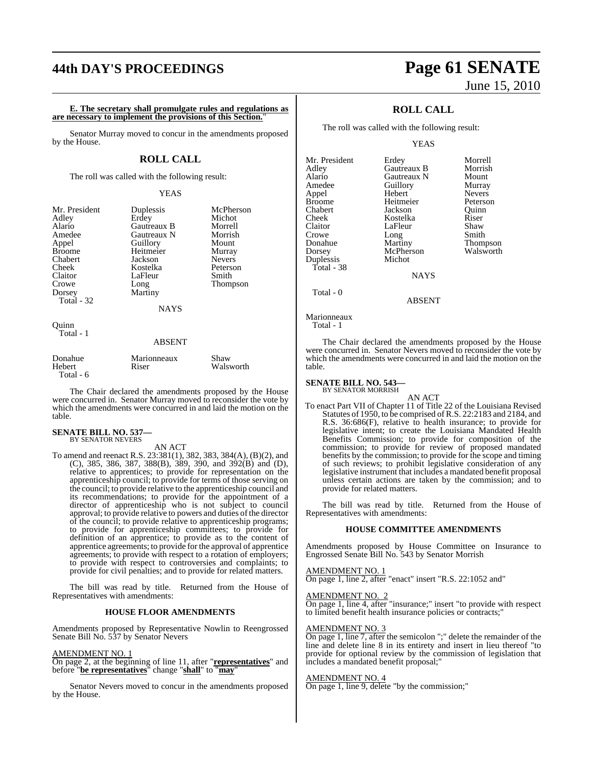### **44th DAY'S PROCEEDINGS Page 61 SENATE**

**E. The secretary shall promulgate rules and regulations as are necessary to implement the provisions of this Section.**"

Senator Murray moved to concur in the amendments proposed by the House.

### **ROLL CALL**

The roll was called with the following result:

### YEAS

| Mr. President<br>Adley<br>Alario<br>Amedee<br>Appel<br><b>Broome</b><br>Chabert<br>Cheek<br>Claitor<br>Crowe<br>Dorsey<br>Total $-32$<br>Ouinn | Duplessis<br>Erdey<br>Gautreaux B<br>Gautreaux N<br>Guillory<br>Heitmeier<br>Jackson<br>Kostelka<br>LaFleur<br>Long<br>Martiny<br><b>NAYS</b> | McPherson<br>Michot<br>Morrell<br>Morrish<br>Mount<br>Murray<br><b>Nevers</b><br>Peterson<br>Smith<br>Thompson |
|------------------------------------------------------------------------------------------------------------------------------------------------|-----------------------------------------------------------------------------------------------------------------------------------------------|----------------------------------------------------------------------------------------------------------------|
| Total - 1                                                                                                                                      | <b>ABSENT</b>                                                                                                                                 |                                                                                                                |
| Donahue<br>Hebert                                                                                                                              | Marionneaux<br>Riser                                                                                                                          | Shaw<br>Walsworth                                                                                              |

The Chair declared the amendments proposed by the House were concurred in. Senator Murray moved to reconsider the vote by which the amendments were concurred in and laid the motion on the table.

### **SENATE BILL NO. 537—** BY SENATOR NEVERS

Total - 6

AN ACT

To amend and reenact R.S. 23:381(1), 382, 383, 384(A), (B)(2), and (C), 385, 386, 387, 388(B), 389, 390, and 392(B) and (D), relative to apprentices; to provide for representation on the apprenticeship council; to provide for terms of those serving on the council; to provide relative to the apprenticeship council and its recommendations; to provide for the appointment of a director of apprenticeship who is not subject to council approval; to provide relative to powers and duties of the director of the council; to provide relative to apprenticeship programs; to provide for apprenticeship committees; to provide for definition of an apprentice; to provide as to the content of apprentice agreements; to provide for the approval of apprentice agreements; to provide with respect to a rotation of employers; to provide with respect to controversies and complaints; to provide for civil penalties; and to provide for related matters.

The bill was read by title. Returned from the House of Representatives with amendments:

### **HOUSE FLOOR AMENDMENTS**

Amendments proposed by Representative Nowlin to Reengrossed Senate Bill No. 537 by Senator Nevers

#### AMENDMENT NO. 1

On page 2, at the beginning of line 11, after "**representatives**" and before "**be representatives**" change "**shall**" to "**may**"

Senator Nevers moved to concur in the amendments proposed by the House.

# June 15, 2010

### **ROLL CALL**

The roll was called with the following result:

#### YEAS

| Mr. President | Erdey       | Morrell         |
|---------------|-------------|-----------------|
| Adley         | Gautreaux B | Morrish         |
| Alario        | Gautreaux N | Mount           |
| Amedee        | Guillory    | Murray          |
| Appel         | Hebert      | <b>Nevers</b>   |
| <b>Broome</b> | Heitmeier   | Peterson        |
| Chabert       | Jackson     | Ouinn           |
| Cheek         | Kostelka    | Riser           |
| Claitor       | LaFleur     | Shaw            |
| Crowe         | Long        | Smith           |
| Donahue       | Martiny     | <b>Thompson</b> |
| Dorsey        | McPherson   | Walsworth       |
| Duplessis     | Michot      |                 |
| Total - 38    |             |                 |
|               | <b>NAYS</b> |                 |
| Total - 0     |             |                 |

Marionneaux

Total - 1

The Chair declared the amendments proposed by the House were concurred in. Senator Nevers moved to reconsider the vote by which the amendments were concurred in and laid the motion on the table.

ABSENT

### **SENATE BILL NO. 543—** BY SENATOR MORRISH

AN ACT

To enact Part VII of Chapter 11 of Title 22 of the Louisiana Revised Statutes of 1950, to be comprised ofR.S. 22:2183 and 2184, and R.S. 36:686(F), relative to health insurance; to provide for legislative intent; to create the Louisiana Mandated Health Benefits Commission; to provide for composition of the commission; to provide for review of proposed mandated benefits by the commission; to provide for the scope and timing of such reviews; to prohibit legislative consideration of any legislative instrument that includes a mandated benefit proposal unless certain actions are taken by the commission; and to provide for related matters.

The bill was read by title. Returned from the House of Representatives with amendments:

### **HOUSE COMMITTEE AMENDMENTS**

Amendments proposed by House Committee on Insurance to Engrossed Senate Bill No. 543 by Senator Morrish

### AMENDMENT NO. 1

On page 1, line 2, after "enact" insert "R.S. 22:1052 and"

### AMENDMENT NO. 2

On page 1, line 4, after "insurance;" insert "to provide with respect to limited benefit health insurance policies or contracts;"

### AMENDMENT NO. 3

On page 1, line 7, after the semicolon ";" delete the remainder of the line and delete line 8 in its entirety and insert in lieu thereof "to provide for optional review by the commission of legislation that includes a mandated benefit proposal;"

### AMENDMENT NO. 4

**On page 1, line 9, delete** "by the commission;"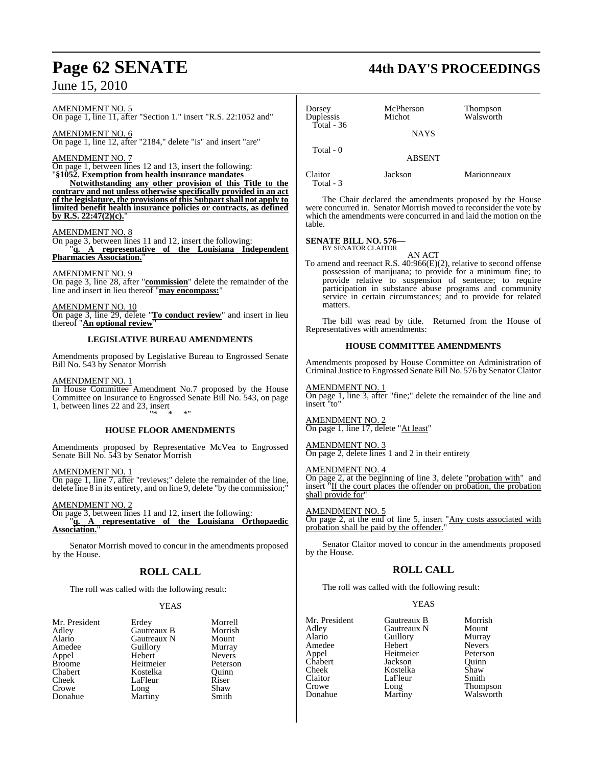### AMENDMENT NO. 5 On page 1, line 11, after "Section 1." insert "R.S. 22:1052 and"

AMENDMENT NO. 6 On page 1, line 12, after "2184," delete "is" and insert "are"

### AMENDMENT NO. 7

On page 1, between lines 12 and 13, insert the following:

"**§1052. Exemption from health insurance mandates Notwithstanding any other provision of this Title to the**

**contrary and not unless otherwise specifically provided in an act of the legislature, the provisions of this Subpartshall not apply to limited benefit health insurance policies or contracts, as defined by R.S. 22:47(2)(c).**"

### AMENDMENT NO. 8

On page 3, between lines 11 and 12, insert the following: "**q. A representative of the Louisiana Independent Pharmacies Association.**"

AMENDMENT NO. 9 On page 3, line 28, after "**commission**" delete the remainder of the line and insert in lieu thereof "**may encompass:**"

AMENDMENT NO. 10 On page 3, line 29, delete "**To conduct review**" and insert in lieu thereof "**An optional review**"

### **LEGISLATIVE BUREAU AMENDMENTS**

Amendments proposed by Legislative Bureau to Engrossed Senate Bill No. 543 by Senator Morrish

### AMENDMENT NO. 1

In House Committee Amendment No.7 proposed by the House Committee on Insurance to Engrossed Senate Bill No. 543, on page 1, between lines 22 and 23, insert "\* \* \*"

### **HOUSE FLOOR AMENDMENTS**

Amendments proposed by Representative McVea to Engrossed Senate Bill No. 543 by Senator Morrish

### AMENDMENT NO. 1

On page 1, line 7, after "reviews;" delete the remainder of the line, delete line 8 in its entirety, and on line 9, delete "by the commission;"

### AMENDMENT NO. 2

On page 3, between lines 11 and 12, insert the following: "**q. A representative of the Louisiana Orthopaedic Association.**"

Senator Morrish moved to concur in the amendments proposed by the House.

### **ROLL CALL**

The roll was called with the following result:

### **YEAS**

| Mr. President |
|---------------|
| Adley         |
| Alario        |
| Amedee        |
| Appel         |
| <b>Broome</b> |
| Chabert       |
| Cheek         |
| Crowe         |
| Donahue       |

Erdey Morrell<br>Gautreaux B Morrish Gautreaux B Morrish<br>Gautreaux N Mount **Alaricaux N** Mount<br> **Alarica**<br> **Alarica**<br> **Alarica** Amedeuthory<br>
Hebert Mevers Hebert Nevers<br>
Heitmeier Peterson Heitmeier Peterson<br>
Kostelka Ouinn Kostelka LaFleur Riser<br>Long Shaw Crowe Long Shaw Martiny Smith

# **Page 62 SENATE 44th DAY'S PROCEEDINGS**

| Dorsey<br>Duplessis | McPherson<br>Michot | Thompson<br>Walsworth |
|---------------------|---------------------|-----------------------|
| Total - $36$        | <b>NAYS</b>         |                       |
| Total - 0           | <b>ABSENT</b>       |                       |
| Claitor             | Jackson             | Marionneaux           |

The Chair declared the amendments proposed by the House were concurred in. Senator Morrish moved to reconsider the vote by which the amendments were concurred in and laid the motion on the table.

### **SENATE BILL NO. 576—** BY SENATOR CLAITOR

Total - 3

AN ACT

To amend and reenact R.S. 40:966(E)(2), relative to second offense possession of marijuana; to provide for a minimum fine; to provide relative to suspension of sentence; to require participation in substance abuse programs and community service in certain circumstances; and to provide for related matters.

The bill was read by title. Returned from the House of Representatives with amendments:

### **HOUSE COMMITTEE AMENDMENTS**

Amendments proposed by House Committee on Administration of Criminal Justice to Engrossed Senate Bill No. 576 by Senator Claitor

### AMENDMENT NO. 1

On page 1, line 3, after "fine;" delete the remainder of the line and insert "to"

### AMENDMENT NO. 2 On page 1, line 17, delete "At least"

AMENDMENT NO. 3 On page 2, delete lines 1 and 2 in their entirety

### AMENDMENT NO. 4

On page 2, at the beginning of line 3, delete "probation with" and insert "If the court places the offender on probation, the probation shall provide for

### AMENDMENT NO. 5

On page 2, at the end of line 5, insert "Any costs associated with probation shall be paid by the offender."

Senator Claitor moved to concur in the amendments proposed by the House.

### **ROLL CALL**

The roll was called with the following result:

### YEAS

| Mr. President | Gautreaux B | Morrish       |
|---------------|-------------|---------------|
| Adley         | Gautreaux N | Mount         |
| Alario        | Guillory    | Murray        |
| Amedee        | Hebert      | <b>Nevers</b> |
| Appel         | Heitmeier   | Peterson      |
| Chabert       | Jackson     | Ouinn         |
| Cheek         | Kostelka    | Shaw          |
| Claitor       | LaFleur     | Smith         |
| Crowe         | Long        | Thompson      |
| Donahue       | Martiny     | Walsworth     |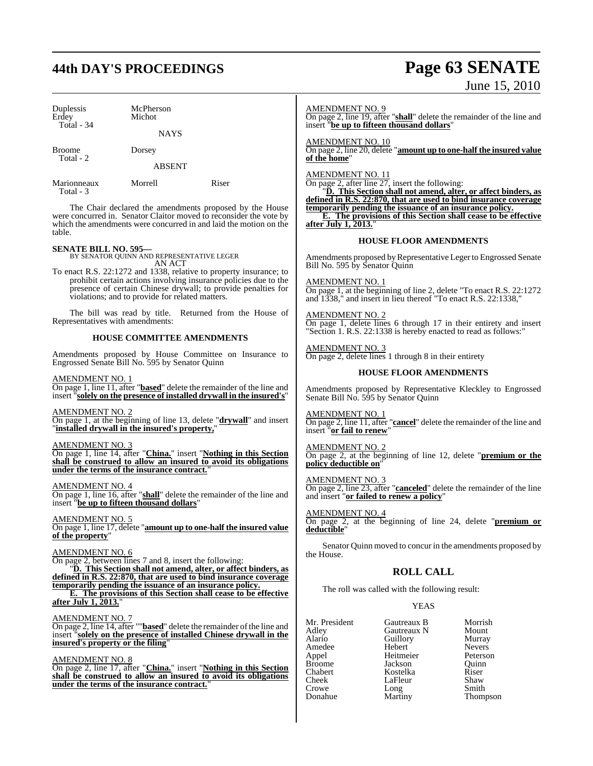# **44th DAY'S PROCEEDINGS Page 63 SENATE**

| Duplessis<br>Erdey<br>Total - 34 | McPherson<br>Michot<br><b>NAYS</b> |       |
|----------------------------------|------------------------------------|-------|
| Broome<br>Total - 2              | Dorsey<br><b>ABSENT</b>            |       |
| Marionneaux                      | Morrell                            | Riser |

Total - 3

The Chair declared the amendments proposed by the House were concurred in. Senator Claitor moved to reconsider the vote by which the amendments were concurred in and laid the motion on the table.

**SENATE BILL NO. 595—** BY SENATOR QUINN AND REPRESENTATIVE LEGER AN ACT

To enact R.S. 22:1272 and 1338, relative to property insurance; to prohibit certain actions involving insurance policies due to the presence of certain Chinese drywall; to provide penalties for violations; and to provide for related matters.

The bill was read by title. Returned from the House of Representatives with amendments:

### **HOUSE COMMITTEE AMENDMENTS**

Amendments proposed by House Committee on Insurance to Engrossed Senate Bill No. 595 by Senator Quinn

AMENDMENT NO. 1

On page 1, line 11, after "**based**" delete the remainder of the line and insert "**solely on the presence of installed drywall in the insured's**"

AMENDMENT NO. 2 On page 1, at the beginning of line 13, delete "**drywall**" and insert "**installed drywall in the insured's property,**"

AMENDMENT NO. 3

On page 1, line 14, after "**China.**" insert "**Nothing in this Section shall be construed to allow an insured to avoid its obligations under the terms of the insurance contract.**"

### AMENDMENT NO. 4

On page 1, line 16, after "**shall**" delete the remainder of the line and insert "**be up to fifteen thousand dollars**"

AMENDMENT NO. 5

On page 1, line 17, delete "**amount up to one-half the insured value of the property**"

AMENDMENT NO. 6

On page 2, between lines 7 and 8, insert the following:

"**D. This Section shall not amend, alter, or affect binders, as defined in R.S. 22:870, that are used to bind insurance coverage temporarily pending the issuance of an insurance policy.**

**E. The provisions of this Section shall cease to be effective after July 1, 2013.**"

AMENDMENT NO. 7

On page 2, line 14, after ""**based**" delete the remainder of the line and insert "**solely on the presence of installed Chinese drywall in the insured's property or the filing**"

AMENDMENT NO. 8

On page 2, line 17, after "**China.**" insert "**Nothing in this Section** shall be construed to allow an insured to avoid its obligations **under the terms of the insurance contract.** 

# June 15, 2010

AMENDMENT NO. 9

On page 2, line 19, after "**shall**" delete the remainder of the line and insert "**be up to fifteen thousand dollars**"

AMENDMENT NO. 10 On page 2, line 20, delete "**amount up to one-half the insured value of the home**"

AMENDMENT NO. 11

On page 2, after line  $\overline{27}$ , insert the following:

"**D. This Section shall not amend, alter, or affect binders, as defined in R.S. 22:870, that are used to bind insurance coverage temporarily pending the issuance of an insurance policy.**

**E. The provisions of this Section shall cease to be effective after July 1, 2013.**"

### **HOUSE FLOOR AMENDMENTS**

Amendments proposed by Representative Leger to Engrossed Senate Bill No. 595 by Senator Quinn

AMENDMENT NO. 1 On page 1, at the beginning of line 2, delete "To enact R.S. 22:1272 and 1338," and insert in lieu thereof "To enact R.S. 22:1338,"

AMENDMENT NO. 2 On page 1, delete lines 6 through 17 in their entirety and insert "Section 1. R.S. 22:1338 is hereby enacted to read as follows:"

AMENDMENT NO. 3 On page 2, delete lines 1 through 8 in their entirety

### **HOUSE FLOOR AMENDMENTS**

Amendments proposed by Representative Kleckley to Engrossed Senate Bill No. 595 by Senator Quinn

AMENDMENT NO. 1 On page 2, line 11, after "**cancel**" delete the remainder of the line and insert "**or fail to renew**"

AMENDMENT NO. 2 On page 2, at the beginning of line 12, delete "**premium or the policy deductible on**"

AMENDMENT NO. 3

On page 2, line 23, after "**canceled**" delete the remainder of the line and insert "**or failed to renew a policy**"

AMENDMENT NO. 4 On page 2, at the beginning of line 24, delete "**premium or deductible**"

Senator Quinn moved to concur in the amendments proposed by the House.

### **ROLL CALL**

The roll was called with the following result:

YEAS

Mr. President Gautreaux B Morrish<br>Adley Gautreaux N Mount Adley Gautreaux N Mount Amedee Hebert Nevers<br>
Appel Heitmeier Peterson Appel Heitmeier Peterson Broome **Jackson** Quinr<br>Chabert **Broome** Chabert **Chabert** Chabert **Kostelka** Riser<br>Cheek LaFleur Shaw Cheek LaFleur<br>Crowe Long Crowe Long Smith

Alario Guillory<br>
Hebert Nevers Thompson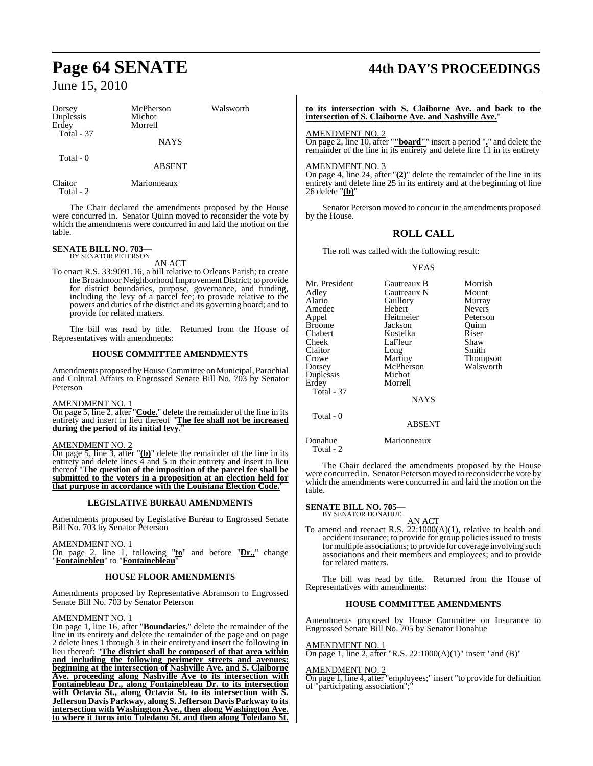| Dorsey<br>Duplessis<br>Erdey<br><b>Total - 37</b> | McPherson<br>Michot<br>Morrell<br><b>NAYS</b> | Walsworth | to its intersec<br>intersection of<br><b>AMENDMENT</b><br>On page 2, line<br>remainder of th |
|---------------------------------------------------|-----------------------------------------------|-----------|----------------------------------------------------------------------------------------------|
| Total - 0                                         | <b>ABSENT</b>                                 |           | <b>AMENDMENT</b>                                                                             |
| Claitor<br>Total - 2                              | Marionneaux                                   |           | On page 4, line<br>entirety and del<br>26 delete " $(b)$ "                                   |

The Chair declared the amendments proposed by the House were concurred in. Senator Quinn moved to reconsider the vote by which the amendments were concurred in and laid the motion on the table.

### **SENATE BILL NO. 703—** BY SENATOR PETERSON

AN ACT

To enact R.S. 33:9091.16, a bill relative to Orleans Parish; to create the Broadmoor Neighborhood Improvement District; to provide for district boundaries, purpose, governance, and funding, including the levy of a parcel fee; to provide relative to the powers and duties of the district and its governing board; and to provide for related matters.

The bill was read by title. Returned from the House of Representatives with amendments:

### **HOUSE COMMITTEE AMENDMENTS**

Amendments proposed by House Committee on Municipal, Parochial and Cultural Affairs to Engrossed Senate Bill No. 703 by Senator Peterson

### AMENDMENT NO. 1

On page 5, line 2, after "**Code.**" delete the remainder of the line in its entirety and insert in lieu thereof "**The fee shall not be increased during the period of its initial levy.**"

### AMENDMENT NO. 2

On page 5, line 3, after "**(b)**" delete the remainder of the line in its entirety and delete lines  $\overline{4}$  and 5 in their entirety and insert in lieu thereof "**The question of the imposition of the parcel fee shall be submitted to the voters in a proposition at an election held for that purpose in accordance with the Louisiana Election Code.**"

### **LEGISLATIVE BUREAU AMENDMENTS**

Amendments proposed by Legislative Bureau to Engrossed Senate Bill No. 703 by Senator Peterson

### AMENDMENT NO. 1

On page 2, line 1, following "**to**" and before "**Dr.,**" change "**Fontainebleu**" to "**Fontainebleau**"

### **HOUSE FLOOR AMENDMENTS**

Amendments proposed by Representative Abramson to Engrossed Senate Bill No. 703 by Senator Peterson

### AMENDMENT NO. 1

On page 1, line 16, after "**Boundaries.**" delete the remainder of the line in its entirety and delete the remainder of the page and on page 2 delete lines 1 through 3 in their entirety and insert the following in lieu thereof: "**The district shall be composed of that area within and including the following perimeter streets and avenues: beginning at the intersection of Nashville Ave. and S. Claiborne Ave. proceeding along Nashville Ave to its intersection with Fontainebleau Dr., along Fontainebleau Dr. to its intersection with Octavia St., along Octavia St. to its intersection with S. Jefferson Davis Parkway, along S. Jefferson Davis Parkway to its intersection with Washington Ave., then along Washington Ave. to where it turns into Toledano St. and then along Toledano St.**

# **Page 64 SENATE 44th DAY'S PROCEEDINGS**

**ition** with S. Claiborne Ave. and back to the **is. Claiborne Ave. and Nashville Ave.'** 

### $NO. 2$

10, after "**"board"**" insert a period "." and delete the re line in its entirety and delete line  $11$  in its entirety

### $N<sub>0</sub>$  3

 $\overline{24}$ , after " $\overline{(2)}$ " delete the remainder of the line in its ete line  $25$  in its entirety and at the beginning of line 26 delete "**(b)**"

Senator Peterson moved to concur in the amendments proposed by the House.

### **ROLL CALL**

The roll was called with the following result:

YEAS

| Mr. President<br>Adley<br>Alario<br>Amedee<br>Appel<br>Broome<br>Chabert<br>Cheek<br>Claitor<br>Crowe<br>Dorsey<br>Duplessis<br>Erdey<br><b>Total - 37</b> | Gautreaux B<br>Gautreaux N<br>Guillory<br>Hebert<br>Heitmeier<br>Jackson<br>Kostelka<br>LaFleur<br>Long<br>Martiny<br>McPherson<br>Michot<br>Morrell<br><b>NAYS</b> | Morrish<br>Mount<br>Murray<br><b>Nevers</b><br>Peterson<br>Ouinn<br>Riser<br>Shaw<br>Smith<br>Thompson<br>Walsworth |
|------------------------------------------------------------------------------------------------------------------------------------------------------------|---------------------------------------------------------------------------------------------------------------------------------------------------------------------|---------------------------------------------------------------------------------------------------------------------|
|                                                                                                                                                            |                                                                                                                                                                     |                                                                                                                     |
| Total - 0                                                                                                                                                  | ABSENT                                                                                                                                                              |                                                                                                                     |

Donahue Marionneaux

Total - 2

The Chair declared the amendments proposed by the House were concurred in. Senator Peterson moved to reconsider the vote by which the amendments were concurred in and laid the motion on the table.

## **SENATE BILL NO. 705—** BY SENATOR DONAHUE

AN ACT

To amend and reenact R.S.  $22:1000(A)(1)$ , relative to health and accident insurance; to provide for group policies issued to trusts formultiple associations; to provide for coverage involving such associations and their members and employees; and to provide for related matters.

The bill was read by title. Returned from the House of Representatives with amendments:

### **HOUSE COMMITTEE AMENDMENTS**

Amendments proposed by House Committee on Insurance to Engrossed Senate Bill No. 705 by Senator Donahue

### AMENDMENT NO. 1

On page 1, line 2, after "R.S. 22:1000(A)(1)" insert "and (B)"

### AMENDMENT NO. 2

On page 1, line 4, after "employees;" insert "to provide for definition of "participating association";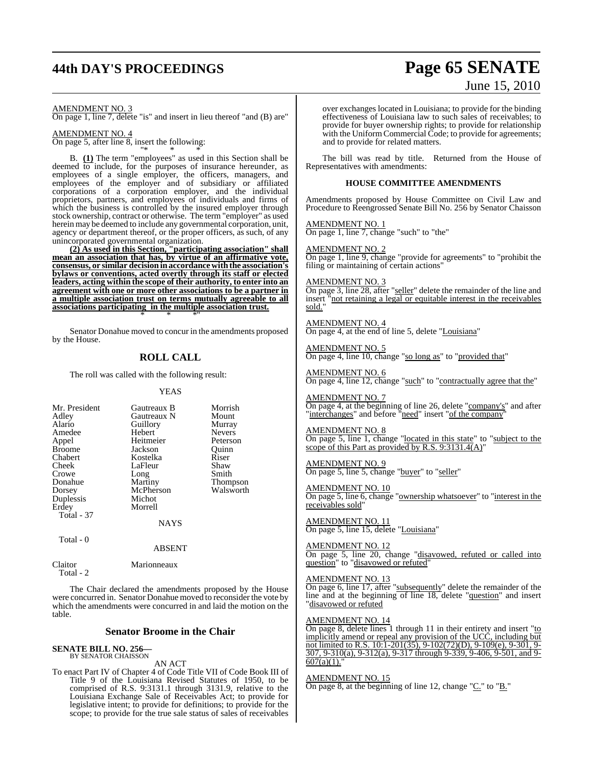# **44th DAY'S PROCEEDINGS Page 65 SENATE**

### AMENDMENT NO. 3

On page 1, line 7, delete "is" and insert in lieu thereof "and (B) are"

### AMENDMENT NO. 4

On page 5, after line 8, insert the following: "\* \* \*

B. **(1)** The term "employees" as used in this Section shall be deemed to include, for the purposes of insurance hereunder, as employees of a single employer, the officers, managers, and employees of the employer and of subsidiary or affiliated corporations of a corporation employer, and the individual proprietors, partners, and employees of individuals and firms of which the business is controlled by the insured employer through stock ownership, contract or otherwise. The term "employer" as used herein may be deemed to include any governmental corporation, unit, agency or department thereof, or the proper officers, as such, of any unincorporated governmental organization.

**(2) As used in this Section, "participating association" shall mean an association that has, by virtue of an affirmative vote, consensus, or similar decision inaccordancewiththe association's bylaws or conventions, acted overtly through its staff or elected leaders, acting within the scope of their authority, to enter into an agreement with one or more other associations to be a partner in a multiple association trust on terms mutually agreeable to all associations participating in the multiple association trust.** \* \* \*"

Senator Donahue moved to concur in the amendments proposed by the House.

### **ROLL CALL**

The roll was called with the following result:

#### YEAS

| Mr. President | Gautreaux B | Morrish         |
|---------------|-------------|-----------------|
| Adley         | Gautreaux N | Mount           |
| Alario        | Guillory    | Murray          |
| Amedee        | Hebert      | <b>Nevers</b>   |
| Appel         | Heitmeier   | Peterson        |
| <b>Broome</b> | Jackson     | Ouinn           |
| Chabert       | Kostelka    | Riser           |
| Cheek         | LaFleur     | Shaw            |
| Crowe         | Long        | Smith           |
| Donahue       | Martiny     | <b>Thompson</b> |
| Dorsey        | McPherson   | Walsworth       |
| Duplessis     | Michot      |                 |
| Erdey         | Morrell     |                 |
| Total - 37    |             |                 |
|               | NAYS        |                 |
|               |             |                 |

Total - 0

#### ABSENT

Claitor Marionneaux Total - 2

The Chair declared the amendments proposed by the House were concurred in. Senator Donahue moved to reconsider the vote by which the amendments were concurred in and laid the motion on the table.

### **Senator Broome in the Chair**

### **SENATE BILL NO. 256—** BY SENATOR CHAISSON

AN ACT

To enact Part IV of Chapter 4 of Code Title VII of Code Book III of Title 9 of the Louisiana Revised Statutes of 1950, to be comprised of R.S. 9:3131.1 through 3131.9, relative to the Louisiana Exchange Sale of Receivables Act; to provide for legislative intent; to provide for definitions; to provide for the scope; to provide for the true sale status of sales of receivables

over exchanges located in Louisiana; to provide for the binding effectiveness of Louisiana law to such sales of receivables; to provide for buyer ownership rights; to provide for relationship with the Uniform Commercial Code; to provide for agreements; and to provide for related matters.

The bill was read by title. Returned from the House of Representatives with amendments:

### **HOUSE COMMITTEE AMENDMENTS**

Amendments proposed by House Committee on Civil Law and Procedure to Reengrossed Senate Bill No. 256 by Senator Chaisson

AMENDMENT NO. 1 On page 1, line 7, change "such" to "the"

AMENDMENT NO. 2

On page 1, line 9, change "provide for agreements" to "prohibit the filing or maintaining of certain actions"

AMENDMENT NO. 3

On page 3, line 28, after "seller" delete the remainder of the line and insert "not retaining a legal or equitable interest in the receivables sold."

AMENDMENT NO. 4 On page 4, at the end of line 5, delete "Louisiana"

AMENDMENT NO. 5 On page 4, line 10, change "so long as" to "provided that"

AMENDMENT NO. 6 On page 4, line 12, change "such" to "contractually agree that the"

AMENDMENT NO. 7 On page 4, at the beginning of line 26, delete "company's" and after "interchanges" and before "need" insert "of the company"

AMENDMENT NO. 8 On page 5, line 1, change "located in this state" to "subject to the scope of this Part as provided by R.S. 9:3131.4(A)"

AMENDMENT NO. 9 On page 5, line 5, change "buyer" to "seller"

AMENDMENT NO. 10 On page 5, line 6, change "ownership whatsoever" to "interest in the receivables sold

AMENDMENT NO. 11 On page 5, line 15, delete "Louisiana"

AMENDMENT NO. 12 On page 5, line 20, change "disavowed, refuted or called into question" to "disavowed or refuted"

#### AMENDMENT NO. 13

On page 6, line 17, after "subsequently" delete the remainder of the line and at the beginning of line 18, delete "question" and insert "disavowed or refuted

### AMENDMENT NO. 14

On page 8, delete lines 1 through 11 in their entirety and insert "to implicitly amend or repeal any provision of the UCC, including but not limited to R.S. 10:1-201(35), 9-102(72)(D), 9-109(e), 9-301, 9- 307, 9-310(a), 9-312(a), 9-317 through 9-339, 9-406, 9-501, and 9-  $\frac{607(a)(1)}{607(a)}$ 

AMENDMENT NO. 15

On page 8, at the beginning of line 12, change " $C$ ." to " $B$ ."

# June 15, 2010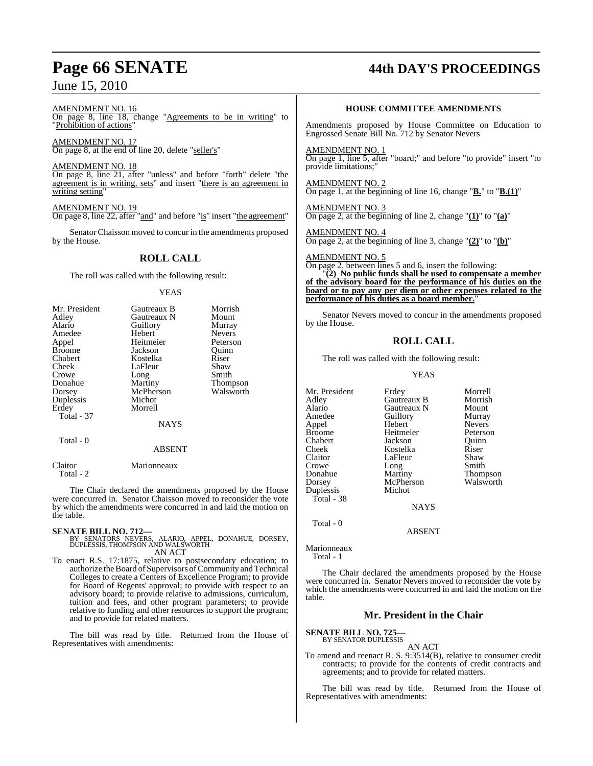### AMENDMENT NO. 16 On page 8, line 18, change "Agreements to be in writing" to "Prohibition of actions"

AMENDMENT NO. 17 On page 8, at the end of line 20, delete "seller's"

AMENDMENT NO. 18 On page 8, line 21, after "unless" and before "forth" delete "the agreement is in writing, sets" and insert "there is an agreement in writing setting'

AMENDMENT NO. 19 On page 8, line 22, after "and" and before "is" insert "the agreement"

SenatorChaisson moved to concur in the amendments proposed by the House.

### **ROLL CALL**

The roll was called with the following result:

### YEAS

| Mr. President | Gautreaux B   | Morrish       |
|---------------|---------------|---------------|
| Adley         | Gautreaux N   | Mount         |
| Alario        | Guillory      | Murray        |
| Amedee        | Hebert        | <b>Nevers</b> |
| Appel         | Heitmeier     | Peterson      |
| <b>Broome</b> | Jackson       | Quinn         |
| Chabert       | Kostelka      | Riser         |
| Cheek         | LaFleur       | Shaw          |
| Crowe         | Long          | Smith         |
| Donahue       | Martiny       | Thompson      |
| Dorsey        | McPherson     | Walsworth     |
| Duplessis     | Michot        |               |
| Erdey         | Morrell       |               |
| Total - 37    |               |               |
|               | <b>NAYS</b>   |               |
| Total - 0     |               |               |
|               | <b>ABSENT</b> |               |
| Claitor       | Marionneaux   |               |

Total - 2

The Chair declared the amendments proposed by the House were concurred in. Senator Chaisson moved to reconsider the vote by which the amendments were concurred in and laid the motion on the table.

**SENATE BILL NO. 712—**<br>BY SENATORS NEVERS, ALARIO, APPEL, DONAHUE, DORSEY,<br>DUPLESSIS, THOMPSON AND WALSWORTH AN ACT

To enact R.S. 17:1875, relative to postsecondary education; to authorize the Board of Supervisors of Community and Technical Colleges to create a Centers of Excellence Program; to provide for Board of Regents' approval; to provide with respect to an advisory board; to provide relative to admissions, curriculum, tuition and fees, and other program parameters; to provide relative to funding and other resources to support the program; and to provide for related matters.

The bill was read by title. Returned from the House of Representatives with amendments:

## **Page 66 SENATE 44th DAY'S PROCEEDINGS**

### **HOUSE COMMITTEE AMENDMENTS**

Amendments proposed by House Committee on Education to Engrossed Senate Bill No. 712 by Senator Nevers

AMENDMENT NO. 1 On page 1, line 5, after "board;" and before "to provide" insert "to provide limitations;"

### AMENDMENT NO. 2 On page 1, at the beginning of line 16, change "**B.**" to "**B.(1)**"

AMENDMENT NO. 3 On page 2, at the beginning of line 2, change "**(1)**" to "**(a)**"

AMENDMENT NO. 4 On page 2, at the beginning of line 3, change "**(2)**" to "**(b)**"

AMENDMENT NO. 5

On page 2, between lines 5 and 6, insert the following:

"**(2) No public funds shall be used to compensate a member of the advisory board for the performance of his duties on the board or to pay any per diem or other expenses related to the performance of his duties as a board member.**"

Senator Nevers moved to concur in the amendments proposed by the House.

### **ROLL CALL**

The roll was called with the following result:

### YEAS

Mr. President Erdey Morrell<br>Adley Gautreaux B Morrish Adley Gautreaux B Morrish Alario Gautreaux N Mount Amedeu<br>
Amedeu<br>
Amedeu<br>
Amedeu<br>
Nevers Appel Broome Heitmeier Peterson<br>
Chabert Jackson Quinn Chabert Jackson Quinn Cheek Kostelka Riser<br>Claitor LaFleur Shaw LaFleur Shaw<br>Long Smith Crowe Long<br>
Donahue Martiny Donahue Martiny Thompson<br>
Dorsey McPherson Walsworth McPherson<br>Michot Duplessis Total - 38 **NAYS** 

ABSENT

Marionneaux Total - 1

Total - 0

The Chair declared the amendments proposed by the House were concurred in. Senator Nevers moved to reconsider the vote by which the amendments were concurred in and laid the motion on the table.

### **Mr. President in the Chair**

**SENATE BILL NO. 725** 

BY SENATOR DUPLESSIS AN ACT

To amend and reenact R. S. 9:3514(B), relative to consumer credit contracts; to provide for the contents of credit contracts and agreements; and to provide for related matters.

The bill was read by title. Returned from the House of Representatives with amendments: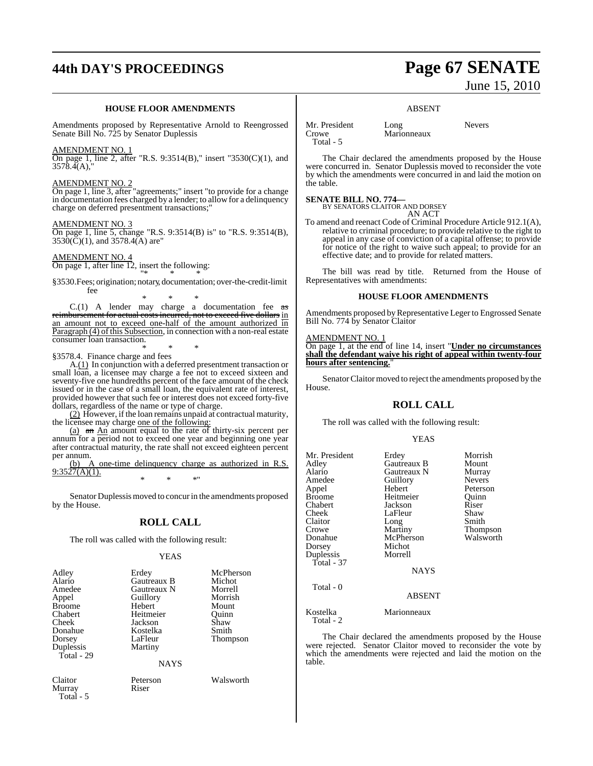# **44th DAY'S PROCEEDINGS Page 67 SENATE**

### **HOUSE FLOOR AMENDMENTS**

Amendments proposed by Representative Arnold to Reengrossed Senate Bill No. 725 by Senator Duplessis

#### AMENDMENT NO. 1

On page 1, line 2, after "R.S. 9:3514(B)," insert "3530(C)(1), and 3578.4(A),"

### AMENDMENT NO. 2

On page 1, line 3, after "agreements;" insert "to provide for a change in documentation fees charged by a lender; to allow for a delinquency charge on deferred presentment transactions;"

#### AMENDMENT NO. 3

On page 1, line 5, change "R.S. 9:3514(B) is" to "R.S. 9:3514(B),  $3530(\overline{C})(1)$ , and  $3578.4(A)$  are"

### AMENDMENT NO. 4

On page 1, after line 12, insert the following: "\* \* \*

§3530.Fees; origination; notary, documentation; over-the-credit-limit fee

\* \* \*  $C.(1)$  A lender may charge a documentation fee  $\frac{1}{3}$ reimbursement for actual costs incurred, not to exceed five dollars in an amount not to exceed one-half of the amount authorized in Paragraph (4) of this Subsection, in connection with a non-real estate consumer loan transaction. \* \* \*

§3578.4. Finance charge and fees

A.(1) In conjunction with a deferred presentment transaction or small loan, a licensee may charge a fee not to exceed sixteen and seventy-five one hundredths percent of the face amount of the check issued or in the case of a small loan, the equivalent rate of interest, provided however that such fee or interest does not exceed forty-five dollars, regardless of the name or type of charge.

 $(2)$  However, if the loan remains unpaid at contractual maturity, the licensee may charge one of the following:

(a) an An amount equal to the rate of thirty-six percent per annum for a period not to exceed one year and beginning one year after contractual maturity, the rate shall not exceed eighteen percent per annum.<br>(b) A

one-time delinquency charge as authorized in R.S.  $9:3527(A)(1)$ . \* \* \*"

Senator Duplessis moved to concur in the amendments proposed by the House.

### **ROLL CALL**

The roll was called with the following result:

### YEAS

| Adley<br>Alario | Erdey<br>Gautreaux B | McPherson<br>Michot |
|-----------------|----------------------|---------------------|
| Amedee          | Gautreaux N          | Morrell             |
| Appel           | Guillory             | Morrish             |
| <b>Broome</b>   | Hebert               | Mount               |
| Chabert         | Heitmeier            | Ouinn               |
| Cheek           | Jackson              | Shaw                |
| Donahue         | Kostelka             | Smith               |
| Dorsey          | LaFleur              | <b>Thompson</b>     |
| Duplessis       | Martiny              |                     |
| Total - $29$    |                      |                     |
|                 | <b>NAYS</b>          |                     |

Claitor Peterson Walsworth Murray Total - 5

# June 15, 2010

### ABSENT

Mr. President Long Nevers<br>Crowe Marionneaux Total - 5

Marionneaux

The Chair declared the amendments proposed by the House were concurred in. Senator Duplessis moved to reconsider the vote by which the amendments were concurred in and laid the motion on the table.

**SENATE BILL NO. 774—** BY SENATORS CLAITOR AND DORSEY AN ACT

To amend and reenact Code of Criminal Procedure Article 912.1(A), relative to criminal procedure; to provide relative to the right to appeal in any case of conviction of a capital offense; to provide for notice of the right to waive such appeal; to provide for an effective date; and to provide for related matters.

The bill was read by title. Returned from the House of Representatives with amendments:

### **HOUSE FLOOR AMENDMENTS**

Amendments proposed by Representative Leger to Engrossed Senate Bill No. 774 by Senator Claitor

### AMENDMENT NO. 1

On page 1, at the end of line 14, insert "**Under no circumstances shall the defendant waive his right of appeal within twenty-four hours after sentencing.**"

Senator Claitor moved to reject the amendments proposed by the House.

### **ROLL CALL**

The roll was called with the following result:

### YEAS

| Mr. President<br>Adley<br>Alario<br>Amedee<br>Appel<br><b>Broome</b><br>Chabert<br>Cheek<br>Claitor<br>Crowe<br>Donahue<br>Dorsey<br>Duplessis<br>Total - 37 | Erdey<br>Gautreaux B<br>Gautreaux N<br>Guillory<br>Hebert<br>Heitmeier<br>Jackson<br>LaFleur<br>Long<br>Martiny<br>McPherson<br>Michot<br>Morrell<br><b>NAYS</b> | Morrish<br>Mount<br>Murray<br><b>Nevers</b><br>Peterson<br>Ouinn<br>Riser<br>Shaw<br>Smith<br><b>Thompson</b><br>Walsworth |
|--------------------------------------------------------------------------------------------------------------------------------------------------------------|------------------------------------------------------------------------------------------------------------------------------------------------------------------|----------------------------------------------------------------------------------------------------------------------------|
| Total - 0                                                                                                                                                    | <b>ABSENT</b>                                                                                                                                                    |                                                                                                                            |
| Kostelka                                                                                                                                                     | Marionneaux                                                                                                                                                      |                                                                                                                            |

Total - 2

The Chair declared the amendments proposed by the House were rejected. Senator Claitor moved to reconsider the vote by which the amendments were rejected and laid the motion on the table.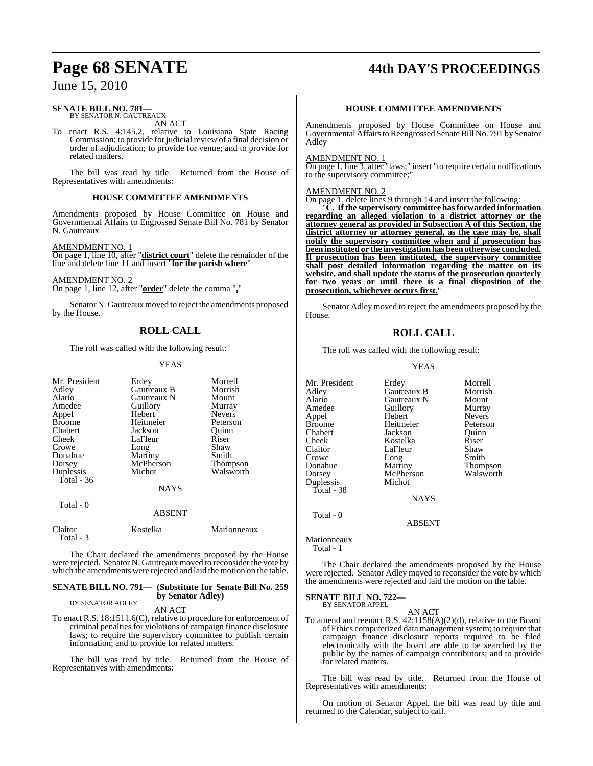#### **SENATE BILL NO. 781—** BY SENATOR N. GAUTREAUX

AN ACT

To enact R.S. 4:145.2, relative to Louisiana State Racing Commission; to provide for judicial review of a final decision or order of adjudication; to provide for venue; and to provide for related matters.

The bill was read by title. Returned from the House of Representatives with amendments:

### **HOUSE COMMITTEE AMENDMENTS**

Amendments proposed by House Committee on House and Governmental Affairs to Engrossed Senate Bill No. 781 by Senator N. Gautreaux

### AMENDMENT NO. 1

On page 1, line 10, after "**district court**" delete the remainder of the line and delete line 11 and insert "**for the parish where**"

AMENDMENT NO. 2 On page 1, line 12, after "**order**" delete the comma "**,**"

Senator N. Gautreaux moved to reject the amendments proposed by the House.

### **ROLL CALL**

The roll was called with the following result:

### YEAS

| Mr. President<br>Adley<br>Alario<br>Amedee<br>Appel<br><b>Broome</b><br>Chabert<br>Cheek<br>Crowe<br>Donahue<br>Dorsey<br>Duplessis<br>Total - 36<br>Total - 0 | Erdey<br>Gautreaux B<br>Gautreaux N<br>Guillory<br>Hebert<br>Heitmeier<br>Jackson<br>LaFleur<br>Long<br>Martiny<br>McPherson<br>Michot<br><b>NAYS</b><br>ABSENT | Morrell<br>Morrish<br>Mount<br>Murray<br><b>Nevers</b><br>Peterson<br>Ouinn<br>Riser<br>Shaw<br>Smith<br><b>Thompson</b><br>Walsworth |
|----------------------------------------------------------------------------------------------------------------------------------------------------------------|-----------------------------------------------------------------------------------------------------------------------------------------------------------------|---------------------------------------------------------------------------------------------------------------------------------------|
|                                                                                                                                                                |                                                                                                                                                                 |                                                                                                                                       |
| Claitor<br>Total - 3                                                                                                                                           | Kostelka                                                                                                                                                        | Marionneaux                                                                                                                           |

The Chair declared the amendments proposed by the House were rejected. Senator N. Gautreaux moved to reconsider the vote by which the amendments were rejected and laid the motion on the table.

#### **SENATE BILL NO. 791— (Substitute for Senate Bill No. 259 by Senator Adley)** BY SENATOR ADLEY

#### AN ACT

To enact R.S. 18:1511.6(C), relative to procedure for enforcement of criminal penalties for violations of campaign finance disclosure laws; to require the supervisory committee to publish certain information; and to provide for related matters.

The bill was read by title. Returned from the House of Representatives with amendments:

## **Page 68 SENATE 44th DAY'S PROCEEDINGS**

### **HOUSE COMMITTEE AMENDMENTS**

Amendments proposed by House Committee on House and Governmental Affairs to Reengrossed Senate Bill No. 791 by Senator Adley

#### AMENDMENT NO.

On page 1, line 3, after "laws;" insert "to require certain notifications to the supervisory committee;"

### AMENDMENT NO. 2

On page 1, delete lines 9 through 14 and insert the following:

"**C. If the supervisory committee has forwarded information regarding an alleged violation to a district attorney or the attorney general as provided in Subsection A of this Section, the district attorney or attorney general, as the case may be, shall notify the supervisory committee when and if prosecution has been instituted or the investigation has been otherwise concluded. If prosecution has been instituted, the supervisory committee shall post detailed information regarding the matter on its website, and shall update the status of the prosecution quarterly for two years or until there is a final disposition of the prosecution, whichever occurs first.**"

Senator Adley moved to reject the amendments proposed by the House.

### **ROLL CALL**

The roll was called with the following result:

### YEAS

| Mr. President | Erdey<br>Gautreaux B | Morrell<br>Morrish |
|---------------|----------------------|--------------------|
| Adley         |                      |                    |
| Alario        | Gautreaux N          | Mount              |
| Amedee        | Guillory             | Murray             |
| Appel         | Hebert               | <b>Nevers</b>      |
| <b>Broome</b> | Heitmeier            | Peterson           |
| Chabert       | Jackson              | Ouinn              |
| Cheek         | Kostelka             | Riser              |
| Claitor       | LaFleur              | Shaw               |
| Crowe         | Long                 | Smith              |
| Donahue       | Martiny              | <b>Thompson</b>    |
| Dorsey        | McPherson            | Walsworth          |
| Duplessis     | Michot               |                    |
| Total - 38    |                      |                    |
|               | <b>NAYS</b>          |                    |
| Total - 0     | <b>ABSENT</b>        |                    |

Marionneaux Total - 1

The Chair declared the amendments proposed by the House were rejected. Senator Adley moved to reconsider the vote by which the amendments were rejected and laid the motion on the table.

#### **SENATE BILL NO. 722—** BY SENATOR APPEL

AN ACT

To amend and reenact R.S. 42:1158(A)(2)(d), relative to the Board of Ethics computerized data management system; to require that campaign finance disclosure reports required to be filed electronically with the board are able to be searched by the public by the names of campaign contributors; and to provide for related matters.

The bill was read by title. Returned from the House of Representatives with amendments:

On motion of Senator Appel, the bill was read by title and returned to the Calendar, subject to call.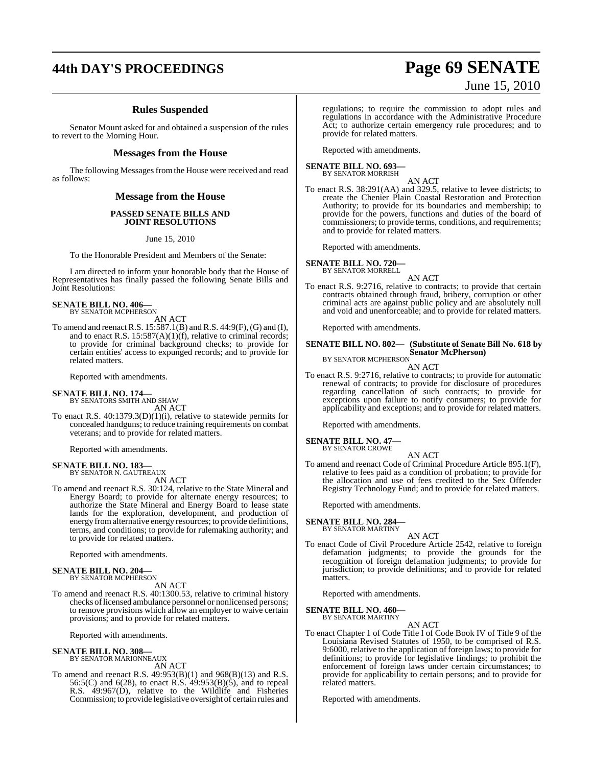### **Rules Suspended**

Senator Mount asked for and obtained a suspension of the rules to revert to the Morning Hour.

### **Messages from the House**

The following Messages from the House were received and read as follows:

### **Message from the House**

### **PASSED SENATE BILLS AND JOINT RESOLUTIONS**

June 15, 2010

To the Honorable President and Members of the Senate:

I am directed to inform your honorable body that the House of Representatives has finally passed the following Senate Bills and Joint Resolutions:

### **SENATE BILL NO. 406—**<br>BY SENATOR MCPHERSON

- AN ACT
- To amend and reenactR.S. 15:587.1(B) and R.S. 44:9(F),(G) and (I), and to enact R.S.  $15:587(A)(1)(f)$ , relative to criminal records; to provide for criminal background checks; to provide for certain entities' access to expunged records; and to provide for related matters.

Reported with amendments.

### **SENATE BILL NO. 174—**

BY SENATORS SMITH AND SHAW AN ACT

To enact R.S. 40:1379.3(D)(1)(i), relative to statewide permits for concealed handguns; to reduce training requirements on combat veterans; and to provide for related matters.

Reported with amendments.

### **SENATE BILL NO. 183—**

BY SENATOR N. GAUTREAUX AN ACT

To amend and reenact R.S. 30:124, relative to the State Mineral and Energy Board; to provide for alternate energy resources; to authorize the State Mineral and Energy Board to lease state lands for the exploration, development, and production of energy fromalternative energy resources; to provide definitions, terms, and conditions; to provide for rulemaking authority; and to provide for related matters.

Reported with amendments.

#### **SENATE BILL NO. 204—** BY SENATOR MCPHERSON

AN ACT

To amend and reenact R.S. 40:1300.53, relative to criminal history checks of licensed ambulance personnel or nonlicensed persons; to remove provisions which allow an employer to waive certain provisions; and to provide for related matters.

Reported with amendments.

### **SENATE BILL NO. 308—**

BY SENATOR MARIONNEAUX AN ACT

To amend and reenact R.S. 49:953(B)(1) and 968(B)(13) and R.S. 56:5(C) and 6(28), to enact R.S. 49:953(B)(5), and to repeal R.S. 49:967(D), relative to the Wildlife and Fisheries Commission; to provide legislative oversight of certain rules and

#### regulations; to require the commission to adopt rules and regulations in accordance with the Administrative Procedure Act; to authorize certain emergency rule procedures; and to provide for related matters.

Reported with amendments.

#### **SENATE BILL NO. 693—** BY SENATOR MORRISH

AN ACT

To enact R.S. 38:291(AA) and 329.5, relative to levee districts; to create the Chenier Plain Coastal Restoration and Protection Authority; to provide for its boundaries and membership; to provide for the powers, functions and duties of the board of commissioners; to provide terms, conditions, and requirements; and to provide for related matters.

Reported with amendments.

### **SENATE BILL NO. 720—**

BY SENATOR MORRELL AN ACT

To enact R.S. 9:2716, relative to contracts; to provide that certain contracts obtained through fraud, bribery, corruption or other criminal acts are against public policy and are absolutely null and void and unenforceable; and to provide for related matters.

Reported with amendments.

### **SENATE BILL NO. 802— (Substitute of Senate Bill No. 618 by Senator McPherson)** BY SENATOR MCPHERSON

AN ACT

To enact R.S. 9:2716, relative to contracts; to provide for automatic renewal of contracts; to provide for disclosure of procedures regarding cancellation of such contracts; to provide for exceptions upon failure to notify consumers; to provide for applicability and exceptions; and to provide for related matters.

Reported with amendments.

### **SENATE BILL NO. 47—**

BY SENATOR CROWE

AN ACT To amend and reenact Code of Criminal Procedure Article 895.1(F), relative to fees paid as a condition of probation; to provide for the allocation and use of fees credited to the Sex Offender Registry Technology Fund; and to provide for related matters.

Reported with amendments.

**SENATE BILL NO. 284** BY SENATOR MARTINY

AN ACT

To enact Code of Civil Procedure Article 2542, relative to foreign defamation judgments; to provide the grounds for the recognition of foreign defamation judgments; to provide for jurisdiction; to provide definitions; and to provide for related matters.

Reported with amendments.

**SENATE BILL NO. 460—** BY SENATOR MARTINY

AN ACT

To enact Chapter 1 of Code Title I of Code Book IV of Title 9 of the Louisiana Revised Statutes of 1950, to be comprised of R.S. 9:6000, relative to the application of foreign laws; to provide for definitions; to provide for legislative findings; to prohibit the enforcement of foreign laws under certain circumstances; to provide for applicability to certain persons; and to provide for related matters.

Reported with amendments.

**44th DAY'S PROCEEDINGS Page 69 SENATE** June 15, 2010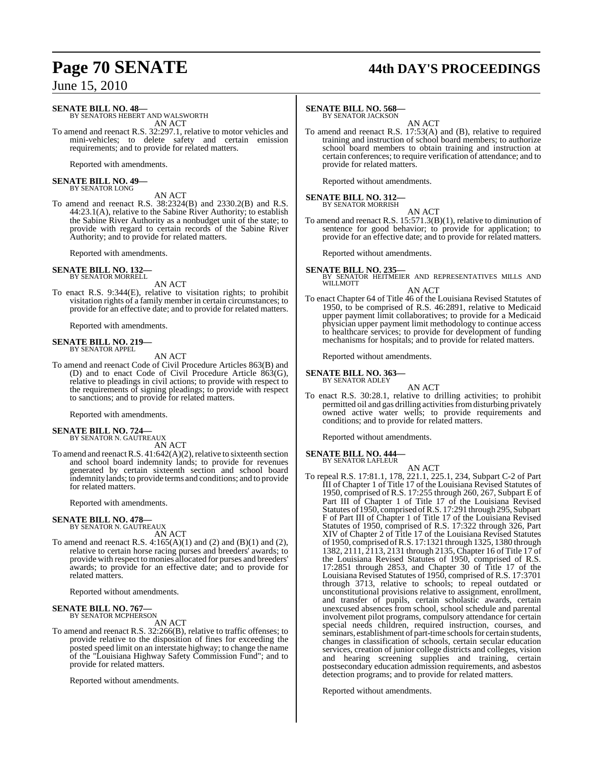## **Page 70 SENATE 44th DAY'S PROCEEDINGS**

June 15, 2010

### **SENATE BILL NO. 48—**

BY SENATORS HEBERT AND WALSWORTH AN ACT

To amend and reenact R.S. 32:297.1, relative to motor vehicles and mini-vehicles; to delete safety and certain emission requirements; and to provide for related matters.

Reported with amendments.

#### **SENATE BILL NO. 49—** BY SENATOR LONG

AN ACT

To amend and reenact R.S. 38:2324(B) and 2330.2(B) and R.S. 44:23.1(A), relative to the Sabine River Authority; to establish the Sabine River Authority as a nonbudget unit of the state; to provide with regard to certain records of the Sabine River Authority; and to provide for related matters.

Reported with amendments.

#### **SENATE BILL NO. 132—** BY SENATOR MORRELL

AN ACT

To enact R.S. 9:344(E), relative to visitation rights; to prohibit visitation rights of a family member in certain circumstances; to provide for an effective date; and to provide for related matters.

Reported with amendments.

#### **SENATE BILL NO. 219—** BY SENATOR APPEL

AN ACT

To amend and reenact Code of Civil Procedure Articles 863(B) and (D) and to enact Code of Civil Procedure Article 863(G), relative to pleadings in civil actions; to provide with respect to the requirements of signing pleadings; to provide with respect to sanctions; and to provide for related matters.

Reported with amendments.

### **SENATE BILL NO. 724—**

BY SENATOR N. GAUTREAUX AN ACT

To amend and reenact R.S.  $41:642(A)(2)$ , relative to sixteenth section and school board indemnity lands; to provide for revenues generated by certain sixteenth section and school board indemnity lands; to provide terms and conditions; and to provide for related matters.

Reported with amendments.

### **SENATE BILL NO. 478—** BY SENATOR N. GAUTREAUX

AN ACT

To amend and reenact R.S.  $4:165(A)(1)$  and  $(2)$  and  $(B)(1)$  and  $(2)$ , relative to certain horse racing purses and breeders' awards; to provide with respect to monies allocated for purses and breeders' awards; to provide for an effective date; and to provide for related matters.

Reported without amendments.

### **SENATE BILL NO. 767—**<br>BY SENATOR MCPHERSON

AN ACT

To amend and reenact R.S. 32:266(B), relative to traffic offenses; to provide relative to the disposition of fines for exceeding the posted speed limit on an interstate highway; to change the name of the "Louisiana Highway Safety Commission Fund"; and to provide for related matters.

Reported without amendments.

### **SENATE BILL NO. 568—**

BY SENATOR JACKSON

AN ACT To amend and reenact R.S. 17:53(A) and (B), relative to required training and instruction of school board members; to authorize school board members to obtain training and instruction at certain conferences; to require verification of attendance; and to provide for related matters.

Reported without amendments.

## **SENATE BILL NO. 312—** BY SENATOR MORRISH

AN ACT To amend and reenact R.S. 15:571.3(B)(1), relative to diminution of sentence for good behavior; to provide for application; to provide for an effective date; and to provide for related matters.

Reported without amendments.

### **SENATE BILL NO. 235—**

BY SENATOR HEITMEIER AND REPRESENTATIVES MILLS AND WILLMOTT

AN ACT

To enact Chapter 64 of Title 46 of the Louisiana Revised Statutes of 1950, to be comprised of R.S. 46:2891, relative to Medicaid upper payment limit collaboratives; to provide for a Medicaid physician upper payment limit methodology to continue access to healthcare services; to provide for development of funding mechanisms for hospitals; and to provide for related matters.

Reported without amendments.

**SENATE BILL NO. 363—** BY SENATOR ADLEY

- AN ACT
- To enact R.S. 30:28.1, relative to drilling activities; to prohibit permitted oil and gas drilling activities from disturbing privately owned active water wells; to provide requirements and conditions; and to provide for related matters.

Reported without amendments.

#### **SENATE BILL NO. 444—** BY SENATOR LAFLEUR

AN ACT To repeal R.S. 17:81.1, 178, 221.1, 225.1, 234, Subpart C-2 of Part III of Chapter 1 of Title 17 of the Louisiana Revised Statutes of 1950, comprised of R.S. 17:255 through 260, 267, Subpart E of Part III of Chapter 1 of Title 17 of the Louisiana Revised Statutes of 1950, comprised of R.S. 17:291 through 295, Subpart F of Part III of Chapter 1 of Title 17 of the Louisiana Revised Statutes of 1950, comprised of R.S. 17:322 through 326, Part XIV of Chapter 2 of Title 17 of the Louisiana Revised Statutes of 1950, comprised ofR.S. 17:1321 through 1325, 1380 through 1382, 2111, 2113, 2131 through 2135, Chapter 16 of Title 17 of the Louisiana Revised Statutes of 1950, comprised of R.S. 17:2851 through 2853, and Chapter 30 of Title 17 of the Louisiana Revised Statutes of 1950, comprised of R.S. 17:3701 through 3713, relative to schools; to repeal outdated or unconstitutional provisions relative to assignment, enrollment, and transfer of pupils, certain scholastic awards, certain unexcused absences from school, school schedule and parental involvement pilot programs, compulsory attendance for certain special needs children, required instruction, courses, and seminars, establishment of part-time schools for certain students, changes in classification of schools, certain secular education services, creation of junior college districts and colleges, vision and hearing screening supplies and training, certain postsecondary education admission requirements, and asbestos detection programs; and to provide for related matters.

Reported without amendments.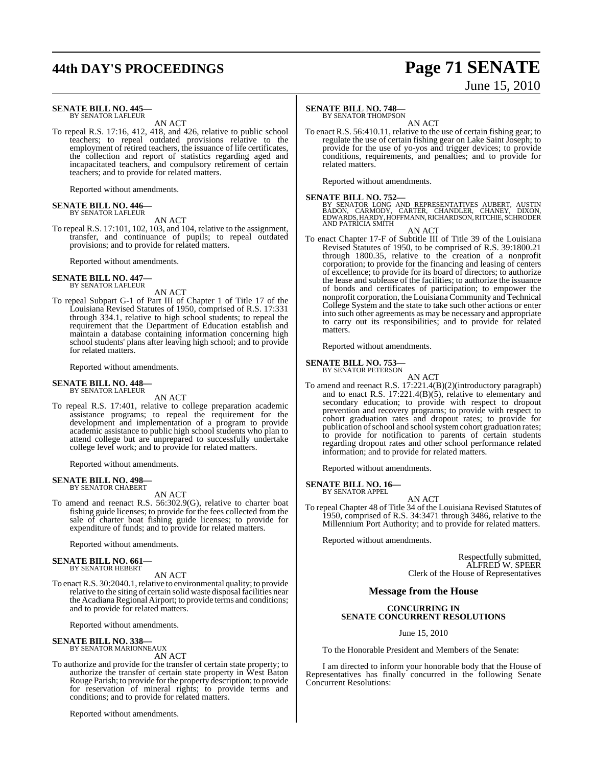## **44th DAY'S PROCEEDINGS Page 71 SENATE**

#### **SENATE BILL NO. 445—** BY SENATOR LAFLEUR

AN ACT

To repeal R.S. 17:16, 412, 418, and 426, relative to public school teachers; to repeal outdated provisions relative to the employment of retired teachers, the issuance of life certificates, the collection and report of statistics regarding aged and incapacitated teachers, and compulsory retirement of certain teachers; and to provide for related matters.

Reported without amendments.

#### **SENATE BILL NO. 446—** BY SENATOR LAFLEUR

AN ACT

To repeal R.S. 17:101, 102, 103, and 104, relative to the assignment, transfer, and continuance of pupils; to repeal outdated provisions; and to provide for related matters.

Reported without amendments.

#### **SENATE BILL NO. 447—** BY SENATOR LAFLEUR

AN ACT

To repeal Subpart G-1 of Part III of Chapter 1 of Title 17 of the Louisiana Revised Statutes of 1950, comprised of R.S. 17:331 through 334.1, relative to high school students; to repeal the requirement that the Department of Education establish and maintain a database containing information concerning high school students' plans after leaving high school; and to provide for related matters.

Reported without amendments.

#### **SENATE BILL NO. 448—** BY SENATOR LAFLEUR

AN ACT

To repeal R.S. 17:401, relative to college preparation academic assistance programs; to repeal the requirement for the development and implementation of a program to provide academic assistance to public high school students who plan to attend college but are unprepared to successfully undertake college level work; and to provide for related matters.

Reported without amendments.

### **SENATE BILL NO. 498—** BY SENATOR CHABERT

AN ACT

To amend and reenact R.S. 56:302.9(G), relative to charter boat fishing guide licenses; to provide for the fees collected from the sale of charter boat fishing guide licenses; to provide for expenditure of funds; and to provide for related matters.

Reported without amendments.

#### **SENATE BILL NO. 661—** BY SENATOR HEBERT

AN ACT

To enact R.S. 30:2040.1, relative to environmental quality; to provide relative to the siting of certain solid waste disposal facilities near the Acadiana Regional Airport; to provide terms and conditions; and to provide for related matters.

Reported without amendments.

#### **SENATE BILL NO. 338—** BY SENATOR MARIONNEAUX

AN ACT

To authorize and provide for the transfer of certain state property; to authorize the transfer of certain state property in West Baton Rouge Parish; to provide for the property description; to provide for reservation of mineral rights; to provide terms and conditions; and to provide for related matters.

Reported without amendments.

### **SENATE BILL NO. 748—**

BY SENATOR THOMPSON

AN ACT To enact R.S. 56:410.11, relative to the use of certain fishing gear; to regulate the use of certain fishing gear on Lake Saint Joseph; to provide for the use of yo-yos and trigger devices; to provide conditions, requirements, and penalties; and to provide for related matters.

Reported without amendments.

**SENATE BILL NO. 752—**<br>BY SENATOR LONG AND REPRESENTATIVES AUBERT, AUSTIN<br>BADON, CARMODY, CARTER, CHANDLER, CHANEY, DIXON,<br>EDWARDS, HARDY, HOFFMANN, RICHARDSON, RITCHIE, SCHRODER AND PATRICIA SMITH

AN ACT

To enact Chapter 17-F of Subtitle III of Title 39 of the Louisiana Revised Statutes of 1950, to be comprised of R.S. 39:1800.21 through 1800.35, relative to the creation of a nonprofit corporation; to provide for the financing and leasing of centers of excellence; to provide for its board of directors; to authorize the lease and sublease of the facilities; to authorize the issuance of bonds and certificates of participation; to empower the nonprofit corporation, the Louisiana Community and Technical College System and the state to take such other actions or enter into such other agreements as may be necessary and appropriate to carry out its responsibilities; and to provide for related matters.

Reported without amendments.

### **SENATE BILL NO. 753—** BY SENATOR PETERSON

AN ACT To amend and reenact R.S. 17:221.4(B)(2)(introductory paragraph) and to enact R.S. 17:221.4(B)(5), relative to elementary and secondary education; to provide with respect to dropout prevention and recovery programs; to provide with respect to cohort graduation rates and dropout rates; to provide for publication of school and school system cohort graduation rates; to provide for notification to parents of certain students regarding dropout rates and other school performance related information; and to provide for related matters.

Reported without amendments.

**SENATE BILL NO. 16—** BY SENATOR APPEL

AN ACT

To repeal Chapter 48 of Title 34 of the Louisiana Revised Statutes of 1950, comprised of R.S. 34:3471 through 3486, relative to the Millennium Port Authority; and to provide for related matters.

Reported without amendments.

Respectfully submitted, ALFRED W. SPEER Clerk of the House of Representatives

### **Message from the House**

### **CONCURRING IN SENATE CONCURRENT RESOLUTIONS**

June 15, 2010

To the Honorable President and Members of the Senate:

I am directed to inform your honorable body that the House of Representatives has finally concurred in the following Senate Concurrent Resolutions:

# June 15, 2010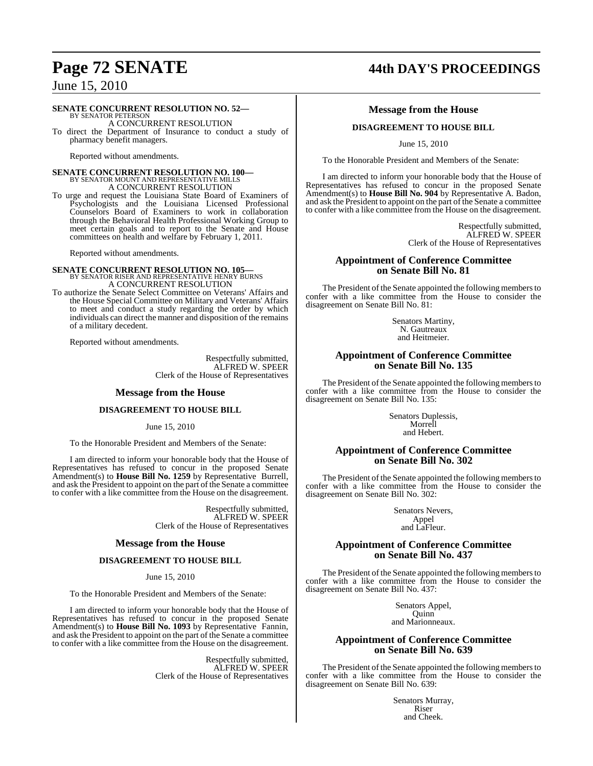### **SENATE CONCURRENT RESOLUTION NO. 52—**

BY SENATOR PETERSON A CONCURRENT RESOLUTION

To direct the Department of Insurance to conduct a study of pharmacy benefit managers.

Reported without amendments.

# **SENATE CONCURRENT RESOLUTION NO. 100—**<br>BY SENATOR MOUNT AND REPRESENTATIVE MILLS A CONCURRENT RESOLUTION

To urge and request the Louisiana State Board of Examiners of Psychologists and the Louisiana Licensed Professional Counselors Board of Examiners to work in collaboration through the Behavioral Health Professional Working Group to meet certain goals and to report to the Senate and House committees on health and welfare by February 1, 2011.

Reported without amendments.

# **SENATE CONCURRENT RESOLUTION NO. 105—**<br>BY SENATOR RISER AND REPRESENTATIVE HENRY BURNS A CONCURRENT RESOLUTION

To authorize the Senate Select Committee on Veterans' Affairs and the House Special Committee on Military and Veterans' Affairs to meet and conduct a study regarding the order by which individuals can direct the manner and disposition of the remains of a military decedent.

Reported without amendments.

Respectfully submitted, ALFRED W. SPEER Clerk of the House of Representatives

### **Message from the House**

### **DISAGREEMENT TO HOUSE BILL**

June 15, 2010

To the Honorable President and Members of the Senate:

I am directed to inform your honorable body that the House of Representatives has refused to concur in the proposed Senate Amendment(s) to **House Bill No. 1259** by Representative Burrell, and ask the President to appoint on the part of the Senate a committee to confer with a like committee from the House on the disagreement.

> Respectfully submitted, ALFRED W. SPEER Clerk of the House of Representatives

### **Message from the House**

### **DISAGREEMENT TO HOUSE BILL**

June 15, 2010

To the Honorable President and Members of the Senate:

I am directed to inform your honorable body that the House of Representatives has refused to concur in the proposed Senate Amendment(s) to **House Bill No. 1093** by Representative Fannin, and ask the President to appoint on the part of the Senate a committee to confer with a like committee from the House on the disagreement.

> Respectfully submitted, ALFRED W. SPEER Clerk of the House of Representatives

## **Page 72 SENATE 44th DAY'S PROCEEDINGS**

### **Message from the House**

### **DISAGREEMENT TO HOUSE BILL**

June 15, 2010

To the Honorable President and Members of the Senate:

I am directed to inform your honorable body that the House of Representatives has refused to concur in the proposed Senate Amendment(s) to **House Bill No. 904** by Representative A. Badon, and ask the President to appoint on the part of the Senate a committee to confer with a like committee from the House on the disagreement.

> Respectfully submitted, ALFRED W. SPEER Clerk of the House of Representatives

### **Appointment of Conference Committee on Senate Bill No. 81**

The President of the Senate appointed the following members to confer with a like committee from the House to consider the disagreement on Senate Bill No. 81:

> Senators Martiny, N. Gautreaux and Heitmeier.

### **Appointment of Conference Committee on Senate Bill No. 135**

The President of the Senate appointed the following members to confer with a like committee from the House to consider the disagreement on Senate Bill No. 135:

> Senators Duplessis, Morrell and Hebert.

### **Appointment of Conference Committee on Senate Bill No. 302**

The President of the Senate appointed the following members to confer with a like committee from the House to consider the disagreement on Senate Bill No. 302:

> Senators Nevers, Appel and LaFleur.

### **Appointment of Conference Committee on Senate Bill No. 437**

The President of the Senate appointed the following members to confer with a like committee from the House to consider the disagreement on Senate Bill No. 437:

> Senators Appel, Quinn

and Marionneaux.

### **Appointment of Conference Committee on Senate Bill No. 639**

The President of the Senate appointed the following members to confer with a like committee from the House to consider the disagreement on Senate Bill No. 639:

> Senators Murray, Riser and Cheek.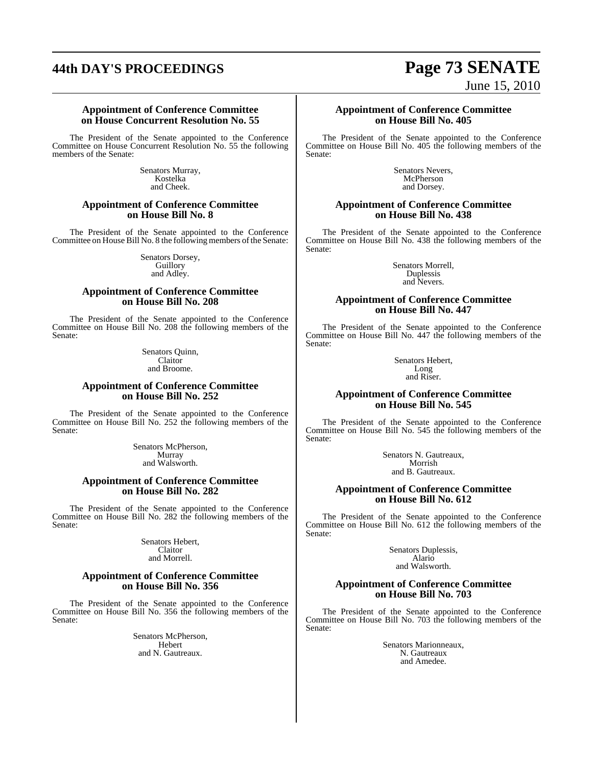# **44th DAY'S PROCEEDINGS Page 73 SENATE**

# June 15, 2010

#### **Appointment of Conference Committee on House Concurrent Resolution No. 55**

The President of the Senate appointed to the Conference Committee on House Concurrent Resolution No. 55 the following members of the Senate:

> Senators Murray, Kostelka and Cheek.

### **Appointment of Conference Committee on House Bill No. 8**

The President of the Senate appointed to the Conference Committee on House Bill No. 8 the following members of the Senate:

> Senators Dorsey, Guillory and Adley.

### **Appointment of Conference Committee on House Bill No. 208**

The President of the Senate appointed to the Conference Committee on House Bill No. 208 the following members of the Senate:

> Senators Quinn, Claitor and Broome.

### **Appointment of Conference Committee on House Bill No. 252**

The President of the Senate appointed to the Conference Committee on House Bill No. 252 the following members of the Senate:

> Senators McPherson, Murray and Walsworth.

### **Appointment of Conference Committee on House Bill No. 282**

The President of the Senate appointed to the Conference Committee on House Bill No. 282 the following members of the Senate:

> Senators Hebert, Claitor and Morrell.

#### **Appointment of Conference Committee on House Bill No. 356**

The President of the Senate appointed to the Conference Committee on House Bill No. 356 the following members of the Senate:

> Senators McPherson, Hebert and N. Gautreaux.

#### **Appointment of Conference Committee on House Bill No. 405**

The President of the Senate appointed to the Conference Committee on House Bill No. 405 the following members of the Senate:

> Senators Nevers, **McPherson** and Dorsey.

#### **Appointment of Conference Committee on House Bill No. 438**

The President of the Senate appointed to the Conference Committee on House Bill No. 438 the following members of the Senate:

> Senators Morrell, Duplessis and Nevers.

#### **Appointment of Conference Committee on House Bill No. 447**

The President of the Senate appointed to the Conference Committee on House Bill No. 447 the following members of the Senate:

> Senators Hebert, Long and Riser.

### **Appointment of Conference Committee on House Bill No. 545**

The President of the Senate appointed to the Conference Committee on House Bill No. 545 the following members of the Senate:

> Senators N. Gautreaux, Morrish and B. Gautreaux.

### **Appointment of Conference Committee on House Bill No. 612**

The President of the Senate appointed to the Conference Committee on House Bill No. 612 the following members of the Senate:

> Senators Duplessis, Alario and Walsworth.

### **Appointment of Conference Committee on House Bill No. 703**

The President of the Senate appointed to the Conference Committee on House Bill No. 703 the following members of the Senate:

> Senators Marionneaux, N. Gautreaux and Amedee.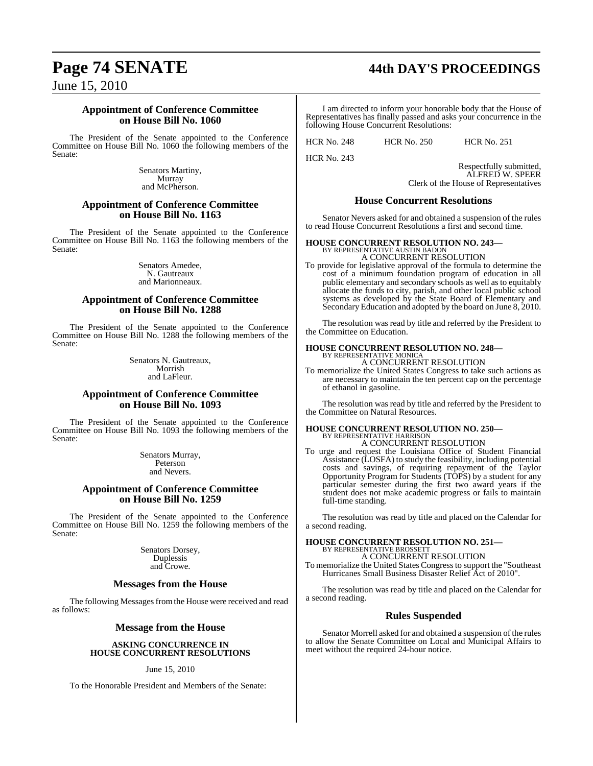# **Page 74 SENATE 44th DAY'S PROCEEDINGS**

June 15, 2010

### **Appointment of Conference Committee on House Bill No. 1060**

The President of the Senate appointed to the Conference Committee on House Bill No. 1060 the following members of the Senate:

> Senators Martiny, Murray and McPherson.

### **Appointment of Conference Committee on House Bill No. 1163**

The President of the Senate appointed to the Conference Committee on House Bill No. 1163 the following members of the Senate:

> Senators Amedee, N. Gautreaux and Marionneaux.

### **Appointment of Conference Committee on House Bill No. 1288**

The President of the Senate appointed to the Conference Committee on House Bill No. 1288 the following members of the Senate:

> Senators N. Gautreaux, Morrish and LaFleur.

### **Appointment of Conference Committee on House Bill No. 1093**

The President of the Senate appointed to the Conference Committee on House Bill No. 1093 the following members of the Senate:

> Senators Murray, Peterson and Nevers.

### **Appointment of Conference Committee on House Bill No. 1259**

The President of the Senate appointed to the Conference Committee on House Bill No. 1259 the following members of the Senate:

> Senators Dorsey, Duplessis and Crowe.

### **Messages from the House**

The following Messages from the House were received and read as follows:

### **Message from the House**

#### **ASKING CONCURRENCE IN HOUSE CONCURRENT RESOLUTIONS**

June 15, 2010

To the Honorable President and Members of the Senate:

I am directed to inform your honorable body that the House of Representatives has finally passed and asks your concurrence in the following House Concurrent Resolutions:

HCR No. 248 HCR No. 250 HCR No. 251

HCR No. 243

Respectfully submitted, ALFRED W. SPEER

Clerk of the House of Representatives

### **House Concurrent Resolutions**

Senator Nevers asked for and obtained a suspension of the rules to read House Concurrent Resolutions a first and second time.

#### **HOUSE CONCURRENT RESOLUTION NO. 243—**

BY REPRESENTATIVE AUSTIN BADON A CONCURRENT RESOLUTION

To provide for legislative approval of the formula to determine the cost of a minimum foundation program of education in all public elementary and secondary schools as well as to equitably allocate the funds to city, parish, and other local public school systems as developed by the State Board of Elementary and Secondary Education and adopted by the board on June 8, 2010.

The resolution was read by title and referred by the President to the Committee on Education.

#### **HOUSE CONCURRENT RESOLUTION NO. 248—** BY REPRESENTATIVE MONICA A CONCURRENT RESOLUTION

To memorialize the United States Congress to take such actions as are necessary to maintain the ten percent cap on the percentage of ethanol in gasoline.

The resolution was read by title and referred by the President to the Committee on Natural Resources.

#### **HOUSE CONCURRENT RESOLUTION NO. 250—** BY REPRESENTATIVE HARRISON A CONCURRENT RESOLUTION

To urge and request the Louisiana Office of Student Financial Assistance (LOSFA) to study the feasibility, including potential costs and savings, of requiring repayment of the Taylor Opportunity Program for Students (TOPS) by a student for any particular semester during the first two award years if the student does not make academic progress or fails to maintain full-time standing.

The resolution was read by title and placed on the Calendar for a second reading.

# **HOUSE CONCURRENT RESOLUTION NO. 251—** BY REPRESENTATIVE BROSSETT

A CONCURRENT RESOLUTION

To memorialize the United States Congressto support the "Southeast Hurricanes Small Business Disaster Relief Act of 2010".

The resolution was read by title and placed on the Calendar for a second reading.

### **Rules Suspended**

Senator Morrell asked for and obtained a suspension of the rules to allow the Senate Committee on Local and Municipal Affairs to meet without the required 24-hour notice.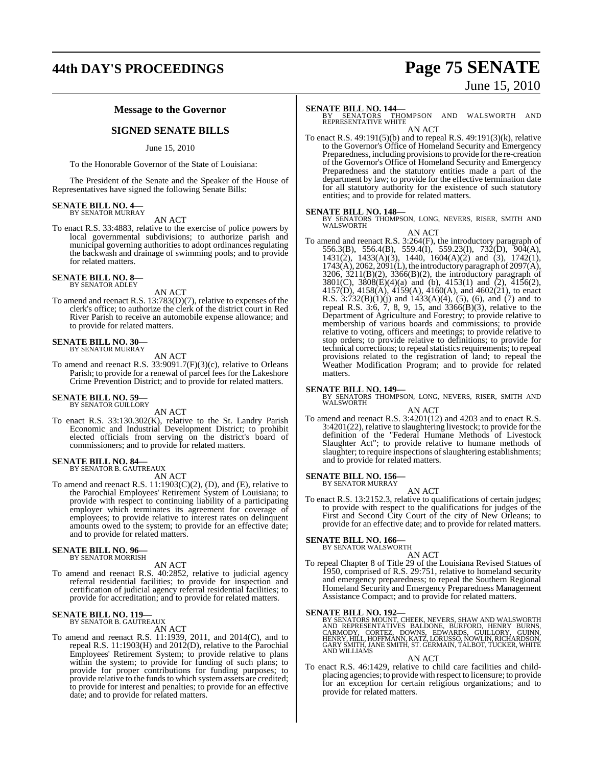## **44th DAY'S PROCEEDINGS Page 75 SENATE**

# June 15, 2010

### **Message to the Governor**

### **SIGNED SENATE BILLS**

#### June 15, 2010

To the Honorable Governor of the State of Louisiana:

The President of the Senate and the Speaker of the House of Representatives have signed the following Senate Bills:

## **SENATE BILL NO. 4—** BY SENATOR MURRAY

AN ACT

To enact R.S. 33:4883, relative to the exercise of police powers by local governmental subdivisions; to authorize parish and municipal governing authorities to adopt ordinances regulating the backwash and drainage of swimming pools; and to provide for related matters.

#### **SENATE BILL NO. 8—** BY SENATOR ADLEY

AN ACT

To amend and reenact R.S. 13:783(D)(7), relative to expenses of the clerk's office; to authorize the clerk of the district court in Red River Parish to receive an automobile expense allowance; and to provide for related matters.

### **SENATE BILL NO. 30—** BY SENATOR MURRAY

AN ACT

To amend and reenact R.S. 33:9091.7(F)(3)(c), relative to Orleans Parish; to provide for a renewal of parcel fees for the Lakeshore Crime Prevention District; and to provide for related matters.

### **SENATE BILL NO. 59—**<br>BY SENATOR GUILLORY

AN ACT

To enact R.S. 33:130.302(K), relative to the St. Landry Parish Economic and Industrial Development District; to prohibit elected officials from serving on the district's board of commissioners; and to provide for related matters.

#### **SENATE BILL NO. 84—** BY SENATOR B. GAUTREAUX

AN ACT

To amend and reenact R.S. 11:1903(C)(2), (D), and (E), relative to the Parochial Employees' Retirement System of Louisiana; to provide with respect to continuing liability of a participating employer which terminates its agreement for coverage of employees; to provide relative to interest rates on delinquent amounts owed to the system; to provide for an effective date; and to provide for related matters.

### **SENATE BILL NO. 96—** BY SENATOR MORRISH

AN ACT

To amend and reenact R.S. 40:2852, relative to judicial agency referral residential facilities; to provide for inspection and certification of judicial agency referral residential facilities; to provide for accreditation; and to provide for related matters.

#### **SENATE BILL NO. 119—** BY SENATOR B. GAUTREAUX

AN ACT

To amend and reenact R.S. 11:1939, 2011, and 2014(C), and to repeal R.S. 11:1903(H) and 2012(D), relative to the Parochial Employees' Retirement System; to provide relative to plans within the system; to provide for funding of such plans; to provide for proper contributions for funding purposes; to provide relative to the funds to which system assets are credited; to provide for interest and penalties; to provide for an effective date; and to provide for related matters.

**SENATE BILL NO. 144—**<br>BY SENATORS THOMPSON AND WALSWORTH AND<br>REPRESENTATIVE WHITE AN ACT

To enact R.S. 49:191(5)(b) and to repeal R.S. 49:191(3)(k), relative to the Governor's Office of Homeland Security and Emergency Preparedness, including provisionsto provide for the re-creation of the Governor's Office of Homeland Security and Emergency Preparedness and the statutory entities made a part of the department by law; to provide for the effective termination date for all statutory authority for the existence of such statutory entities; and to provide for related matters.

#### **SENATE BILL NO. 148—**

BY SENATORS THOMPSON, LONG, NEVERS, RISER, SMITH AND WALSWORTH AN ACT

To amend and reenact R.S. 3:264(F), the introductory paragraph of 556.3(B), 556.4(B), 559.4(I), 559.23(I), 732(D), 904(A), 1431(2), 1433(A)(3), 1440, 1604(A)(2) and (3), 1742(1), 1743(A), 2062, 2091(L), the introductory paragraph of 2097(A), 3206, 3211(B)(2), 3366(B)(2), the introductory paragraph of 3801(C), 3808(E)(4)(a) and (b), 4153(1) and (2), 4156(2), 4157(D), 4158(A), 4159(A), 4160(A), and 4602(21), to enact R.S. 3:732(B)(1)(j) and 1433(A)(4), (5), (6), and (7) and to repeal R.S. 3:6, 7, 8, 9, 15, and 3366(B)(3), relative to the Department of Agriculture and Forestry; to provide relative to membership of various boards and commissions; to provide relative to voting, officers and meetings; to provide relative to stop orders; to provide relative to definitions; to provide for technical corrections; to repeal statistics requirements; to repeal provisions related to the registration of land; to repeal the Weather Modification Program; and to provide for related matters.

### **SENATE BILL NO. 149—**

BY SENATORS THOMPSON, LONG, NEVERS, RISER, SMITH AND WALSWORTH AN ACT

To amend and reenact R.S. 3:4201(12) and 4203 and to enact R.S. 3:4201(22), relative to slaughtering livestock; to provide for the definition of the "Federal Humane Methods of Livestock Slaughter Act"; to provide relative to humane methods of slaughter; to require inspections of slaughtering establishments; and to provide for related matters.

### **SENATE BILL NO. 156—** BY SENATOR MURRAY

AN ACT

To enact R.S. 13:2152.3, relative to qualifications of certain judges; to provide with respect to the qualifications for judges of the First and Second City Court of the city of New Orleans; to provide for an effective date; and to provide for related matters.

### **SENATE BILL NO. 166—** BY SENATOR WALSWORTH

AN ACT

To repeal Chapter 8 of Title 29 of the Louisiana Revised Statues of 1950, comprised of R.S. 29:751, relative to homeland security and emergency preparedness; to repeal the Southern Regional Homeland Security and Emergency Preparedness Management Assistance Compact; and to provide for related matters.

#### **SENATE BILL NO. 192—**

BY SENATORS MOUNT, CHEEK, NEVERS, SHAW AND WALSWORTH<br>AND REPRESENTATIVES BALDONE, BURFORD, HENRY BURNS,<br>CARMODY, CORTEZ, DOWNS, EDWARDS, GUILLORY, GUINN<br>HENRY, HILL, HOFFMANN, KATZ, LORUSSO, NOWLIN, RICHARDSON, GARY SMITH, JANE SMITH, ST. GERMAIN, TALBOT, TUCKER, WHITE AND WILLIAMS

#### AN ACT

To enact R.S. 46:1429, relative to child care facilities and childplacing agencies; to provide with respect to licensure; to provide for an exception for certain religious organizations; and to provide for related matters.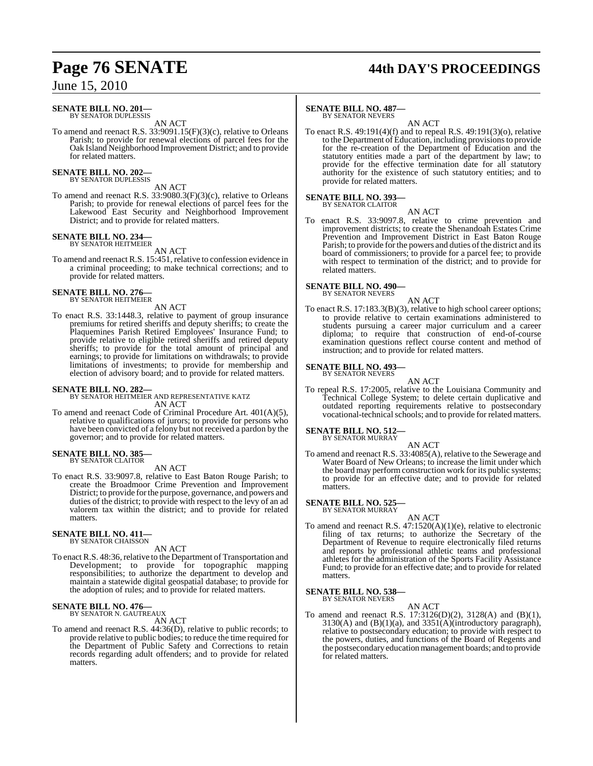# **Page 76 SENATE 44th DAY'S PROCEEDINGS**

### June 15, 2010

#### **SENATE BILL NO. 201—** BY SENATOR DUPLESSIS

AN ACT

To amend and reenact R.S. 33:9091.15(F)(3)(c), relative to Orleans Parish; to provide for renewal elections of parcel fees for the Oak Island Neighborhood Improvement District; and to provide for related matters.

#### **SENATE BILL NO. 202—** BY SENATOR DUPLESSIS

AN ACT

To amend and reenact R.S. 33:9080.3(F)(3)(c), relative to Orleans Parish; to provide for renewal elections of parcel fees for the Lakewood East Security and Neighborhood Improvement District; and to provide for related matters.

# **SENATE BILL NO. 234—** BY SENATOR HEITMEIER

AN ACT

To amend and reenact R.S. 15:451, relative to confession evidence in a criminal proceeding; to make technical corrections; and to provide for related matters.

# **SENATE BILL NO. 276—** BY SENATOR HEITMEIER

AN ACT

To enact R.S. 33:1448.3, relative to payment of group insurance premiums for retired sheriffs and deputy sheriffs; to create the Plaquemines Parish Retired Employees' Insurance Fund; to provide relative to eligible retired sheriffs and retired deputy sheriffs; to provide for the total amount of principal and earnings; to provide for limitations on withdrawals; to provide limitations of investments; to provide for membership and election of advisory board; and to provide for related matters.

#### **SENATE BILL NO. 282—**

BY SENATOR HEITMEIER AND REPRESENTATIVE KATZ AN ACT

To amend and reenact Code of Criminal Procedure Art. 401(A)(5), relative to qualifications of jurors; to provide for persons who have been convicted of a felony but not received a pardon by the governor; and to provide for related matters.

#### **SENATE BILL NO. 385—** BY SENATOR CLAITOR

AN ACT

To enact R.S. 33:9097.8, relative to East Baton Rouge Parish; to create the Broadmoor Crime Prevention and Improvement District; to provide for the purpose, governance, and powers and duties of the district; to provide with respect to the levy of an ad valorem tax within the district; and to provide for related matters.

## **SENATE BILL NO. 411—** BY SENATOR CHAISSON

AN ACT

To enact R.S. 48:36, relative to the Department of Transportation and Development; to provide for topographic mapping responsibilities; to authorize the department to develop and maintain a statewide digital geospatial database; to provide for the adoption of rules; and to provide for related matters.

# **SENATE BILL NO. 476—** BY SENATOR N. GAUTREAUX

AN ACT

To amend and reenact R.S. 44:36(D), relative to public records; to provide relative to public bodies; to reduce the time required for the Department of Public Safety and Corrections to retain records regarding adult offenders; and to provide for related matters.

### **SENATE BILL NO. 487—**

BY SENATOR NEVERS AN ACT

To enact R.S. 49:191(4)(f) and to repeal R.S. 49:191(3)(o), relative to the Department of Education, including provisionsto provide for the re-creation of the Department of Education and the statutory entities made a part of the department by law; to provide for the effective termination date for all statutory authority for the existence of such statutory entities; and to provide for related matters.

#### **SENATE BILL NO. 393—** BY SENATOR CLAITOR

AN ACT To enact R.S. 33:9097.8, relative to crime prevention and improvement districts; to create the Shenandoah Estates Crime Prevention and Improvement District in East Baton Rouge Parish; to provide for the powers and duties of the district and its board of commissioners; to provide for a parcel fee; to provide with respect to termination of the district; and to provide for

### **SENATE BILL NO. 490—**

related matters.

BY SENATOR NEVERS AN ACT

To enact R.S. 17:183.3(B)(3), relative to high school career options; to provide relative to certain examinations administered to students pursuing a career major curriculum and a career diploma; to require that construction of end-of-course examination questions reflect course content and method of instruction; and to provide for related matters.

### **SENATE BILL NO. 493—**

BY SENATOR NEVERS AN ACT

To repeal R.S. 17:2005, relative to the Louisiana Community and Technical College System; to delete certain duplicative and outdated reporting requirements relative to postsecondary vocational-technical schools; and to provide for related matters.

#### **SENATE BILL NO. 512—**

BY SENATOR MURRAY

AN ACT To amend and reenact R.S. 33:4085(A), relative to the Sewerage and Water Board of New Orleans; to increase the limit under which the board may perform construction work for its public systems; to provide for an effective date; and to provide for related matters.

**SENATE BILL NO. 525—** BY SENATOR MURRAY

- AN ACT
- To amend and reenact R.S. 47:1520(A)(1)(e), relative to electronic filing of tax returns; to authorize the Secretary of the Department of Revenue to require electronically filed returns and reports by professional athletic teams and professional athletes for the administration of the Sports Facility Assistance Fund; to provide for an effective date; and to provide for related matters.

#### **SENATE BILL NO. 538—**

BY SENATOR NEVERS AN ACT

To amend and reenact R.S. 17:3126(D)(2), 3128(A) and (B)(1), 3130(A) and (B)(1)(a), and 3351(A)(introductory paragraph), relative to postsecondary education; to provide with respect to the powers, duties, and functions of the Board of Regents and the postsecondary education management boards; and to provide for related matters.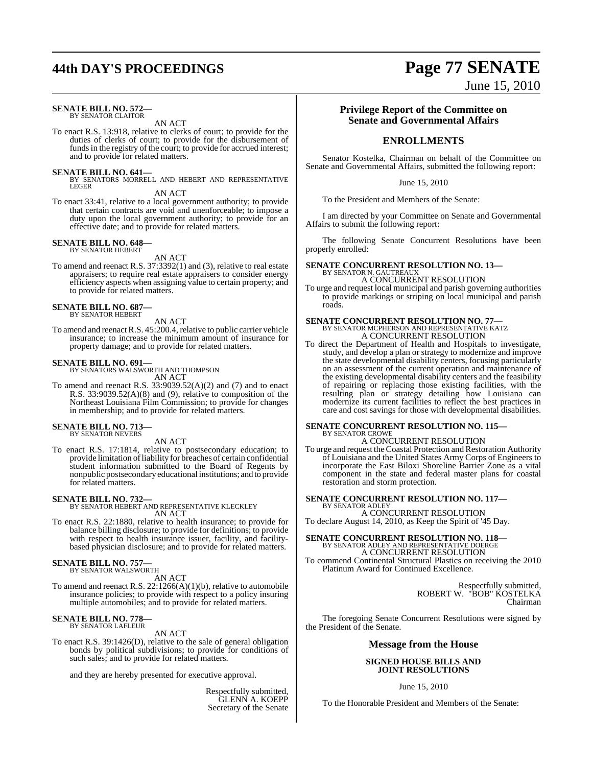# **44th DAY'S PROCEEDINGS Page 77 SENATE**

#### **SENATE BILL NO. 572—** BY SENATOR CLAITOR

AN ACT

To enact R.S. 13:918, relative to clerks of court; to provide for the duties of clerks of court; to provide for the disbursement of funds in the registry of the court; to provide for accrued interest; and to provide for related matters.

**SENATE BILL NO. 641—**<br>BY SENATORS MORRELL AND HEBERT AND REPRESENTATIVE<br>LEGER

AN ACT

To enact 33:41, relative to a local government authority; to provide that certain contracts are void and unenforceable; to impose a duty upon the local government authority; to provide for an effective date; and to provide for related matters.

#### **SENATE BILL NO. 648—** BY SENATOR HEBERT

AN ACT

To amend and reenact R.S. 37:3392(1) and (3), relative to real estate appraisers; to require real estate appraisers to consider energy efficiency aspects when assigning value to certain property; and to provide for related matters.

### **SENATE BILL NO. 687—** BY SENATOR HEBERT

AN ACT

To amend and reenact R.S. 45:200.4, relative to public carrier vehicle insurance; to increase the minimum amount of insurance for property damage; and to provide for related matters.

### **SENATE BILL NO. 691—** BY SENATORS WALSWORTH AND THOMPSON

AN ACT

To amend and reenact R.S.  $33:9039.52(A)(2)$  and (7) and to enact R.S. 33:9039.52(A)(8) and (9), relative to composition of the Northeast Louisiana Film Commission; to provide for changes in membership; and to provide for related matters.

#### **SENATE BILL NO. 713—** BY SENATOR NEVERS

AN ACT

To enact R.S. 17:1814, relative to postsecondary education; to provide limitation of liability for breaches of certain confidential student information submitted to the Board of Regents by nonpublic postsecondary educational institutions; and to provide for related matters.

**SENATE BILL NO. 732—** BY SENATOR HEBERT AND REPRESENTATIVE KLECKLEY AN ACT

To enact R.S. 22:1880, relative to health insurance; to provide for balance billing disclosure; to provide for definitions; to provide with respect to health insurance issuer, facility, and facilitybased physician disclosure; and to provide for related matters.

### **SENATE BILL NO. 757—** BY SENATOR WALSWORTH

AN ACT

To amend and reenact R.S. 22:1266(A)(1)(b), relative to automobile insurance policies; to provide with respect to a policy insuring multiple automobiles; and to provide for related matters.

### **SENATE BILL NO. 778—** BY SENATOR LAFLEUR

AN ACT

To enact R.S. 39:1426(D), relative to the sale of general obligation bonds by political subdivisions; to provide for conditions of such sales; and to provide for related matters.

and they are hereby presented for executive approval.

Respectfully submitted, GLENN A. KOEPP Secretary of the Senate

### **Privilege Report of the Committee on Senate and Governmental Affairs**

June 15, 2010

### **ENROLLMENTS**

Senator Kostelka, Chairman on behalf of the Committee on Senate and Governmental Affairs, submitted the following report:

June 15, 2010

To the President and Members of the Senate:

I am directed by your Committee on Senate and Governmental Affairs to submit the following report:

The following Senate Concurrent Resolutions have been properly enrolled:

# **SENATE CONCURRENT RESOLUTION NO. 13—** BY SENATOR N. GAUTREAUX

A CONCURRENT RESOLUTION To urge and request local municipal and parish governing authorities to provide markings or striping on local municipal and parish roads.

### **SENATE CONCURRENT RESOLUTION NO. 77—** BY SENATOR MCPHERSON AND REPRESENTATIVE KATZ A CONCURRENT RESOLUTION

To direct the Department of Health and Hospitals to investigate, study, and develop a plan or strategy to modernize and improve the state developmental disability centers, focusing particularly on an assessment of the current operation and maintenance of the existing developmental disability centers and the feasibility of repairing or replacing those existing facilities, with the resulting plan or strategy detailing how Louisiana can modernize its current facilities to reflect the best practices in care and cost savings for those with developmental disabilities.

#### **SENATE CONCURRENT RESOLUTION NO. 115—** BY SENATOR CROWE

A CONCURRENT RESOLUTION

To urge and request the Coastal Protection and Restoration Authority of Louisiana and the United States Army Corps of Engineers to incorporate the East Biloxi Shoreline Barrier Zone as a vital component in the state and federal master plans for coastal restoration and storm protection.

## **SENATE CONCURRENT RESOLUTION NO. 117—** BY SENATOR ADLEY

A CONCURRENT RESOLUTION To declare August 14, 2010, as Keep the Spirit of '45 Day.

**SENATE CONCURRENT RESOLUTION NO. 118—** BY SENATOR ADLEY AND REPRESENTATIVE DOERGE A CONCURRENT RESOLUTION

To commend Continental Structural Plastics on receiving the 2010 Platinum Award for Continued Excellence.

> Respectfully submitted, ROBERT W. "BOB" KOSTELKA Chairman

The foregoing Senate Concurrent Resolutions were signed by the President of the Senate.

#### **Message from the House**

#### **SIGNED HOUSE BILLS AND JOINT RESOLUTIONS**

June 15, 2010

To the Honorable President and Members of the Senate: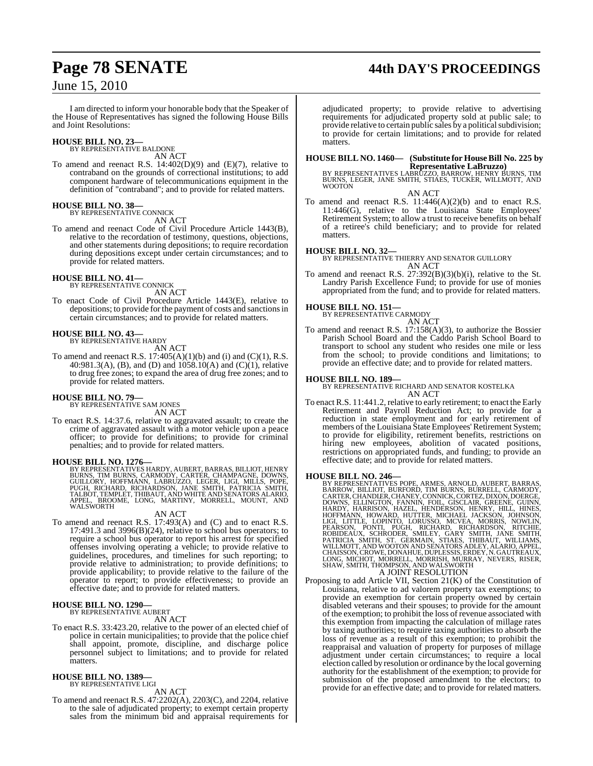# **Page 78 SENATE 44th DAY'S PROCEEDINGS**

### June 15, 2010

I am directed to inform your honorable body that the Speaker of the House of Representatives has signed the following House Bills and Joint Resolutions:

## **HOUSE BILL NO. 23—** BY REPRESENTATIVE BALDONE

AN ACT

To amend and reenact R.S. 14:402(D)(9) and (E)(7), relative to contraband on the grounds of correctional institutions; to add component hardware of telecommunications equipment in the definition of "contraband"; and to provide for related matters.

#### **HOUSE BILL NO. 38—**

BY REPRESENTATIVE CONNICK AN ACT

To amend and reenact Code of Civil Procedure Article 1443(B), relative to the recordation of testimony, questions, objections, and other statements during depositions; to require recordation during depositions except under certain circumstances; and to provide for related matters.

#### **HOUSE BILL NO. 41—**

BY REPRESENTATIVE CONNICK AN ACT

To enact Code of Civil Procedure Article 1443(E), relative to depositions; to provide for the payment of costs and sanctions in certain circumstances; and to provide for related matters.

#### **HOUSE BILL NO. 43—** BY REPRESENTATIVE HARDY

AN ACT

To amend and reenact R.S.  $17:405(A)(1)(b)$  and (i) and (C)(1), R.S. 40:981.3(A), (B), and (D) and  $1058.10(A)$  and (C)(1), relative to drug free zones; to expand the area of drug free zones; and to provide for related matters.

#### **HOUSE BILL NO. 79—**

BY REPRESENTATIVE SAM JONES AN ACT

To enact R.S. 14:37.6, relative to aggravated assault; to create the crime of aggravated assault with a motor vehicle upon a peace officer; to provide for definitions; to provide for criminal penalties; and to provide for related matters.

**HOUSE BILL NO. 1276**<br>BY REPRESENTATIVES HARDY, AUBERT, BARRAS, BILLIOT, HENRY<br>BURNS, TIM BURNS, CARMODY, CARTER, CHAMPAGNE, DOWNS,<br>GUILLORY, HOFFMANN, LABRUZZO, LEGER, LIGI, MILLS, POPE,<br>PUGH, RICHARD, RICHARDSON, JANE SM

#### AN ACT

To amend and reenact R.S. 17:493(A) and (C) and to enact R.S. 17:491.3 and 3996(B)(24), relative to school bus operators; to require a school bus operator to report his arrest for specified offenses involving operating a vehicle; to provide relative to guidelines, procedures, and timelines for such reporting; to provide relative to administration; to provide definitions; to provide applicability; to provide relative to the failure of the operator to report; to provide effectiveness; to provide an effective date; and to provide for related matters.

#### **HOUSE BILL NO. 1290—**

BY REPRESENTATIVE AUBERT AN ACT

To enact R.S. 33:423.20, relative to the power of an elected chief of police in certain municipalities; to provide that the police chief shall appoint, promote, discipline, and discharge police personnel subject to limitations; and to provide for related matters.

### **HOUSE BILL NO. 1389—** BY REPRESENTATIVE LIGI

AN ACT

To amend and reenact R.S. 47:2202(A), 2203(C), and 2204, relative to the sale of adjudicated property; to exempt certain property sales from the minimum bid and appraisal requirements for

adjudicated property; to provide relative to advertising requirements for adjudicated property sold at public sale; to provide relative to certain public sales by a political subdivision; to provide for certain limitations; and to provide for related matters.

# **HOUSE BILL NO. 1460— (Substitute for HouseBill No. 225 by**

**Representative LaBruzzo)**<br>BY REPRESENTATIVES LABRUZZO, BARROW, HENRY BURNS, TIM<br>BURNS, LEGER, JANE SMITH, STIAES, TUCKER, WILLMOTT, AND<br>WOOTON AN ACT

To amend and reenact R.S. 11:446(A)(2)(b) and to enact R.S. 11:446(G), relative to the Louisiana State Employees' Retirement System; to allow a trust to receive benefits on behalf of a retiree's child beneficiary; and to provide for related matters.

**HOUSE BILL NO. 32—** BY REPRESENTATIVE THIERRY AND SENATOR GUILLORY AN ACT

To amend and reenact R.S. 27:392(B)(3)(b)(i), relative to the St. Landry Parish Excellence Fund; to provide for use of monies appropriated from the fund; and to provide for related matters.

# **HOUSE BILL NO. 151—** BY REPRESENTATIVE CARMODY

- AN ACT
- To amend and reenact R.S.  $17:158(A)(3)$ , to authorize the Bossier Parish School Board and the Caddo Parish School Board to transport to school any student who resides one mile or less from the school; to provide conditions and limitations; to provide an effective date; and to provide for related matters.

#### **HOUSE BILL NO. 189—**

BY REPRESENTATIVE RICHARD AND SENATOR KOSTELKA AN ACT

To enact R.S. 11:441.2, relative to early retirement; to enact the Early Retirement and Payroll Reduction Act; to provide for a reduction in state employment and for early retirement of members of the Louisiana Štate Employees' Retirement System; to provide for eligibility, retirement benefits, restrictions on hiring new employees, abolition of vacated positions, restrictions on appropriated funds, and funding; to provide an effective date; and to provide for related matters.

HOUSE BILL NO. 246—<br>
BY REPRESENTATIVES POPE, ARMES, ARNOLD, AUBERT, BARRAS, BARROW, BILLIOT, BURFORD, TIM BURNS, BURRELL, CARMODY,<br>CARTER, CHANDIER, CHANEY, CONNICK, CORTEZ, DIXON, DOERGE,<br>DOWNS, ELLINGTON, FANNIN, FOIL,

A JOINT RESOLUTION<br>Proposing to add Article VII, Section 21(K) of the Constitution of Louisiana, relative to ad valorem property tax exemptions; to provide an exemption for certain property owned by certain disabled veterans and their spouses; to provide for the amount of the exemption; to prohibit the loss of revenue associated with this exemption from impacting the calculation of millage rates by taxing authorities; to require taxing authorities to absorb the loss of revenue as a result of this exemption; to prohibit the reappraisal and valuation of property for purposes of millage adjustment under certain circumstances; to require a local election called by resolution or ordinance by the local governing authority for the establishment of the exemption; to provide for submission of the proposed amendment to the electors; to provide for an effective date; and to provide for related matters.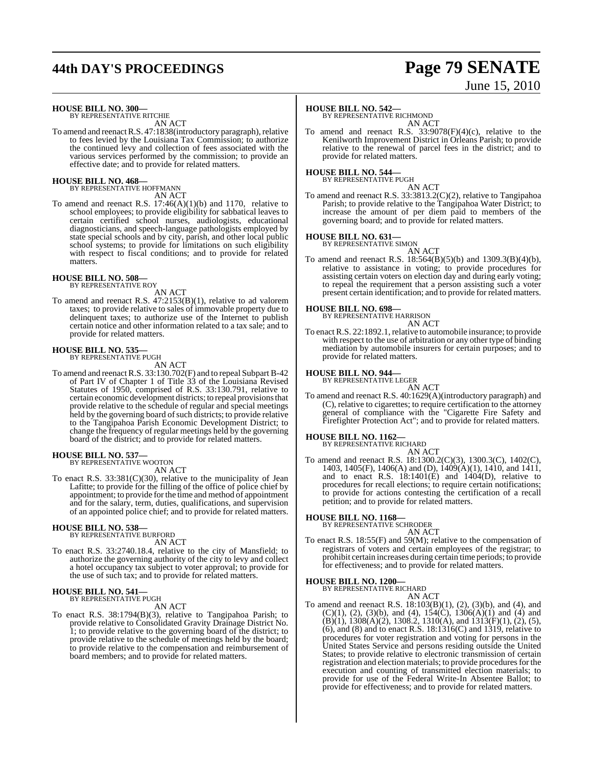# **44th DAY'S PROCEEDINGS Page 79 SENATE**

# June 15, 2010

### **HOUSE BILL NO. 300—** BY REPRESENTATIVE RITCHIE

AN ACT

To amend and reenact R.S. 47:1838(introductory paragraph), relative to fees levied by the Louisiana Tax Commission; to authorize the continued levy and collection of fees associated with the various services performed by the commission; to provide an effective date; and to provide for related matters.

#### **HOUSE BILL NO. 468—** BY REPRESENTATIVE HOFFMANN

AN ACT

To amend and reenact R.S. 17:46(A)(1)(b) and 1170, relative to school employees; to provide eligibility for sabbatical leaves to certain certified school nurses, audiologists, educational diagnosticians, and speech-language pathologists employed by state special schools and by city, parish, and other local public school systems; to provide for limitations on such eligibility with respect to fiscal conditions; and to provide for related matters.

#### **HOUSE BILL NO. 508—** BY REPRESENTATIVE ROY

AN ACT

To amend and reenact R.S. 47:2153(B)(1), relative to ad valorem taxes; to provide relative to sales of immovable property due to delinquent taxes; to authorize use of the Internet to publish certain notice and other information related to a tax sale; and to provide for related matters.

## **HOUSE BILL NO. 535—** BY REPRESENTATIVE PUGH

AN ACT

To amend and reenactR.S. 33:130.702(F) and to repeal Subpart B-42 of Part IV of Chapter 1 of Title 33 of the Louisiana Revised Statutes of 1950, comprised of R.S. 33:130.791, relative to certain economic development districts; to repeal provisions that provide relative to the schedule of regular and special meetings held by the governing board of such districts; to provide relative to the Tangipahoa Parish Economic Development District; to change the frequency of regular meetings held by the governing board of the district; and to provide for related matters.

### **HOUSE BILL NO. 537—** BY REPRESENTATIVE WOOTON

AN ACT

To enact R.S. 33:381(C)(30), relative to the municipality of Jean Lafitte; to provide for the filling of the office of police chief by appointment; to provide forthe time and method of appointment and for the salary, term, duties, qualifications, and supervision of an appointed police chief; and to provide for related matters.

#### **HOUSE BILL NO. 538—**

BY REPRESENTATIVE BURFORD AN ACT

To enact R.S. 33:2740.18.4, relative to the city of Mansfield; to authorize the governing authority of the city to levy and collect a hotel occupancy tax subject to voter approval; to provide for the use of such tax; and to provide for related matters.

#### **HOUSE BILL NO. 541—** BY REPRESENTATIVE PUGH

AN ACT

To enact R.S. 38:1794(B)(3), relative to Tangipahoa Parish; to provide relative to Consolidated Gravity Drainage District No. 1; to provide relative to the governing board of the district; to provide relative to the schedule of meetings held by the board; to provide relative to the compensation and reimbursement of board members; and to provide for related matters.

#### **HOUSE BILL NO. 542—**

BY REPRESENTATIVE RICHMOND AN ACT

To amend and reenact R.S. 33:9078(F)(4)(c), relative to the Kenilworth Improvement District in Orleans Parish; to provide relative to the renewal of parcel fees in the district; and to provide for related matters.

### **HOUSE BILL NO. 544—** BY REPRESENTATIVE PUGH

AN ACT To amend and reenact R.S. 33:3813.2(C)(2), relative to Tangipahoa Parish; to provide relative to the Tangipahoa Water District; to increase the amount of per diem paid to members of the governing board; and to provide for related matters.

## **HOUSE BILL NO. 631—** BY REPRESENTATIVE SIMON

AN ACT

To amend and reenact R.S. 18:564(B)(5)(b) and 1309.3(B)(4)(b), relative to assistance in voting; to provide procedures for assisting certain voters on election day and during early voting; to repeal the requirement that a person assisting such a voter present certain identification; and to provide for related matters.

#### **HOUSE BILL NO. 698—**

BY REPRESENTATIVE HARRISON

- AN ACT
- To enact R.S. 22:1892.1, relative to automobile insurance; to provide with respect to the use of arbitration or any other type of binding mediation by automobile insurers for certain purposes; and to provide for related matters.

### **HOUSE BILL NO. 944—** BY REPRESENTATIVE LEGER

AN ACT To amend and reenact R.S. 40:1629(A)(introductory paragraph) and (C), relative to cigarettes; to require certification to the attorney general of compliance with the "Cigarette Fire Safety and Firefighter Protection Act"; and to provide for related matters.

# **HOUSE BILL NO. 1162—** BY REPRESENTATIVE RICHARD

AN ACT To amend and reenact R.S. 18:1300.2(C)(3), 1300.3(C), 1402(C), 1403, 1405(F), 1406(A) and (D), 1409(A)(1), 1410, and 1411, and to enact R.S.  $18:1401(E)$  and  $1404(D)$ , relative to procedures for recall elections; to require certain notifications; to provide for actions contesting the certification of a recall petition; and to provide for related matters.

### **HOUSE BILL NO. 1168—** BY REPRESENTATIVE SCHRODER

AN ACT To enact R.S. 18:55(F) and 59(M); relative to the compensation of registrars of voters and certain employees of the registrar; to prohibit certain increases during certain time periods; to provide for effectiveness; and to provide for related matters.

#### **HOUSE BILL NO. 1200—**

BY REPRESENTATIVE RICHARD AN ACT

To amend and reenact R.S. 18:103(B)(1), (2), (3)(b), and (4), and  $(C)(1)$ ,  $(2)$ ,  $(3)(b)$ , and  $(4)$ ,  $154(C)$ ,  $1306(A)(1)$  and  $(4)$  and  $(B)(1)$ , 1308 $(A)(2)$ , 1308.2, 1310 $(A)$ , and 1313 $(F)(1)$ ,  $(2)$ ,  $(5)$ ,  $(6)$ , and  $(8)$  and to enact R.S. 18:1316 $(C)$  and 1319, relative to procedures for voter registration and voting for persons in the United States Service and persons residing outside the United States; to provide relative to electronic transmission of certain registration and election materials; to provide procedures for the execution and counting of transmitted election materials; to provide for use of the Federal Write-In Absentee Ballot; to provide for effectiveness; and to provide for related matters.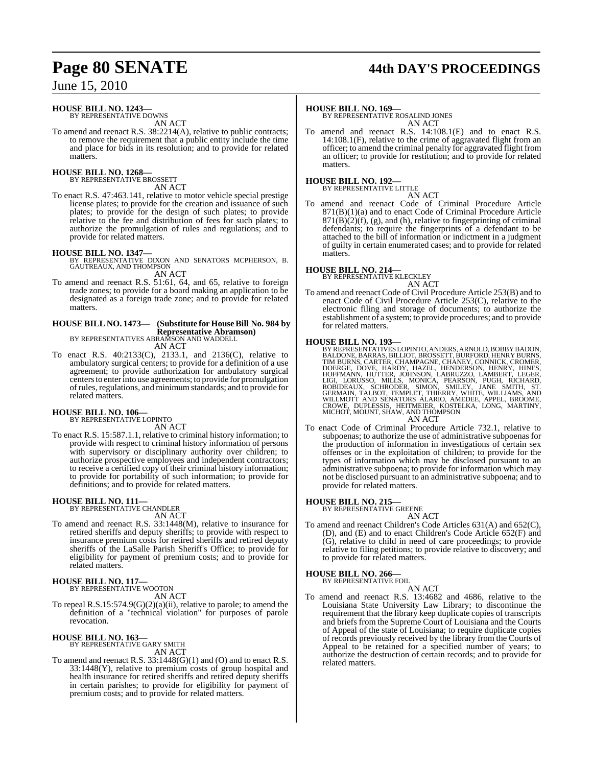# **Page 80 SENATE 44th DAY'S PROCEEDINGS**

June 15, 2010

### **HOUSE BILL NO. 1243—**

BY REPRESENTATIVE DOWNS AN ACT

To amend and reenact R.S. 38:2214(A), relative to public contracts; to remove the requirement that a public entity include the time and place for bids in its resolution; and to provide for related matters

#### **HOUSE BILL NO. 1268—**

BY REPRESENTATIVE BROSSETT AN ACT

To enact R.S. 47:463.141, relative to motor vehicle special prestige license plates; to provide for the creation and issuance of such plates; to provide for the design of such plates; to provide relative to the fee and distribution of fees for such plates; to authorize the promulgation of rules and regulations; and to provide for related matters.

**HOUSE BILL NO. 1347—** BY REPRESENTATIVE DIXON AND SENATORS MCPHERSON, B. GAUTREAUX, AND THOMPSON AN ACT

To amend and reenact R.S. 51:61, 64, and 65, relative to foreign trade zones; to provide for a board making an application to be designated as a foreign trade zone; and to provide for related matters.

**HOUSE BILL NO. 1473— (Substitute for HouseBill No. 984 by Representative Abramson)** BY REPRESENTATIVES ABRAMSON AND WADDELL AN ACT

- To enact R.S. 40:2133(C), 2133.1, and 2136(C), relative to ambulatory surgical centers; to provide for a definition of a use
- agreement; to provide authorization for ambulatory surgical centersto enterinto use agreements; to provide for promulgation ofrules, regulations, and minimumstandards; and to provide for related matters.

### **HOUSE BILL NO. 106—** BY REPRESENTATIVE LOPINTO

AN ACT

To enact R.S. 15:587.1.1, relative to criminal history information; to provide with respect to criminal history information of persons with supervisory or disciplinary authority over children; to authorize prospective employees and independent contractors; to receive a certified copy of their criminal history information; to provide for portability of such information; to provide for definitions; and to provide for related matters.

# **HOUSE BILL NO. 111—** BY REPRESENTATIVE CHANDLER

AN ACT

To amend and reenact R.S. 33:1448(M), relative to insurance for retired sheriffs and deputy sheriffs; to provide with respect to insurance premium costs for retired sheriffs and retired deputy sheriffs of the LaSalle Parish Sheriff's Office; to provide for eligibility for payment of premium costs; and to provide for related matters.

#### **HOUSE BILL NO. 117—** BY REPRESENTATIVE WOOTON

AN ACT

To repeal  $R.S.15:574.9(G)(2)(a)(ii)$ , relative to parole; to amend the definition of a "technical violation" for purposes of parole revocation.

#### **HOUSE BILL NO. 163—** BY REPRESENTATIVE GARY SMITH AN ACT

To amend and reenact R.S. 33:1448(G)(1) and (O) and to enact R.S. 33:1448(Y), relative to premium costs of group hospital and health insurance for retired sheriffs and retired deputy sheriffs in certain parishes; to provide for eligibility for payment of premium costs; and to provide for related matters.

#### **HOUSE BILL NO. 169—**

BY REPRESENTATIVE ROSALIND JONES AN ACT

To amend and reenact R.S. 14:108.1(E) and to enact R.S. 14:108.1(F), relative to the crime of aggravated flight from an officer; to amend the criminal penalty for aggravated flight from an officer; to provide for restitution; and to provide for related matters.

#### **HOUSE BILL NO. 192—**

BY REPRESENTATIVE LITTLE AN ACT

To amend and reenact Code of Criminal Procedure Article 871(B)(1)(a) and to enact Code of Criminal Procedure Article  $871(B)(2)(f)$ , (g), and (h), relative to fingerprinting of criminal defendants; to require the fingerprints of a defendant to be attached to the bill of information or indictment in a judgment of guilty in certain enumerated cases; and to provide for related matters.

#### **HOUSE BILL NO. 214—**

BY REPRESENTATIVE KLECKLEY

AN ACT To amend and reenact Code of Civil Procedure Article 253(B) and to enact Code of Civil Procedure Article 253(C), relative to the electronic filing and storage of documents; to authorize the establishment of a system; to provide procedures; and to provide for related matters.

#### **HOUSE BILL NO. 193—**

BY REPRESENTATIVES LOPINTO, ANDERS, ARNOLD, BOBBY BADON, BALDONE, BARRAS, BILLIOT, BROSSETT, BURFORD, HENRY BURNS, TIM BURNS, CARTER, CHAMPAGNE, CHÁNEY, CONNICK, CROMER, DOERGE, DOVE, HARDY, HAZEL, HENDERSON, HENRY, HINES, HOFFMANN, HUTTER, JOHNSON, LABRUZZO, LAMBERT, LEGER,<br>HOFFMANN, HUTTER, JOHNSON, LABRUZZO, LAMBERT, LEGER,<br>LIGI, LO AN ACT

To enact Code of Criminal Procedure Article 732.1, relative to subpoenas; to authorize the use of administrative subpoenas for the production of information in investigations of certain sex offenses or in the exploitation of children; to provide for the types of information which may be disclosed pursuant to an administrative subpoena; to provide for information which may not be disclosed pursuant to an administrative subpoena; and to provide for related matters.

# **HOUSE BILL NO. 215—** BY REPRESENTATIVE GREENE

- AN ACT To amend and reenact Children's Code Articles 631(A) and 652(C), (D), and (E) and to enact Children's Code Article 652(F) and
- (G), relative to child in need of care proceedings; to provide relative to filing petitions; to provide relative to discovery; and to provide for related matters.

#### **HOUSE BILL NO. 266—**

BY REPRESENTATIVE FOIL AN ACT

To amend and reenact R.S. 13:4682 and 4686, relative to the Louisiana State University Law Library; to discontinue the requirement that the library keep duplicate copies of transcripts and briefs from the Supreme Court of Louisiana and the Courts of Appeal of the state of Louisiana; to require duplicate copies of records previously received by the library from the Courts of Appeal to be retained for a specified number of years; to authorize the destruction of certain records; and to provide for related matters.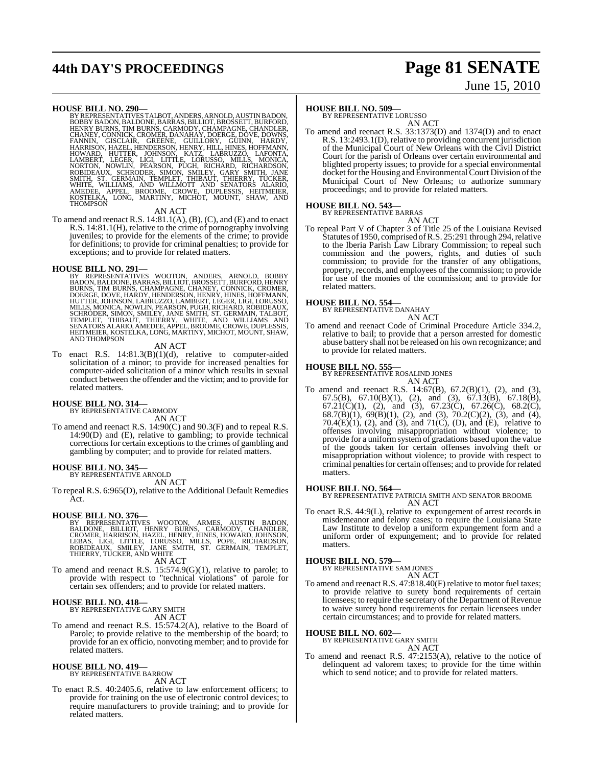# **44th DAY'S PROCEEDINGS Page 81 SENATE**

# June 15, 2010

HOUSE BILL NO. 290—<br>
BY REPRESENTATIVES TAIBOT, ANDERS, ARNOLD, AUSTIN BADON, BOBBY BADON, BALDONE, BARRAS, BILLIOT, BROSSETT, BURFORD, HENRY BURNS, TIM BURNS, CARMODY, CHAMPAGNE, CHANDLER, CHANDI, HARNEY, CONNICK, CROMER,

#### AN ACT

To amend and reenact R.S. 14:81.1(A), (B), (C), and (E) and to enact R.S. 14:81.1(H), relative to the crime of pornography involving juveniles; to provide for the elements of the crime; to provide for definitions; to provide for criminal penalties; to provide for exceptions; and to provide for related matters.

**HOUSE BILL NO. 291—**<br>BY REPRESENTATIVES WOOTON, ANDERS, ARNOLD, BOBBY<br>BADON, BALDONE, BARRAS, BILLIOT, BROSSETT, BURFORD, HENRY<br>BURNS, TIM BURNS, CHAMPAGNE, CHANEY, CONNICK, CROMER,<br>DOERGE, DOVE, HARDY, HENDERSON, HENRY, HUTTER, JOHNSON, LABRUZZO, LAMBERT, LEGER, LIGI, LORUSSO,<br>MILLS, MONICA, NOWLIN, PEARSON, PUGH, RICHARD, ROBIDEAUX,<br>SCHRODER, SIMON, SMILEY, JANE SMITH, ST. GERMAIN, TALBOT,<br>TEMPLET, "THIBAUT, "THIERRY, "WHITE, AND WILLIAM AND THOMPSON

#### AN ACT

To enact R.S. 14:81.3(B)(1)(d), relative to computer-aided solicitation of a minor; to provide for increased penalties for computer-aided solicitation of a minor which results in sexual conduct between the offender and the victim; and to provide for related matters.

## **HOUSE BILL NO. 314—** BY REPRESENTATIVE CARMODY

AN ACT

To amend and reenact R.S. 14:90(C) and 90.3(F) and to repeal R.S. 14:90(D) and (E), relative to gambling; to provide technical corrections for certain exceptions to the crimes of gambling and gambling by computer; and to provide for related matters.

#### **HOUSE BILL NO. 345—**

BY REPRESENTATIVE ARNOLD AN ACT

To repeal R.S. 6:965(D), relative to the Additional Default Remedies Act.

**HOUSE BILL NO. 376—**<br>BY REPRESENTATIVES WOOTON, ARMES, AUSTIN BADON,<br>BALDONE, BILLIOT, HENRY BURNS, CARMODY, CHANDLER,<br>CROMER, HARRISON, HAZEL, HENRY, HINES, HOWARD, JOHNSON,<br>LEBAS, LIGI, LITTLE, LORUSSO, MILLS, POPE, RIC

AN ACT

To amend and reenact R.S. 15:574.9(G)(1), relative to parole; to provide with respect to "technical violations" of parole for certain sex offenders; and to provide for related matters.

#### **HOUSE BILL NO. 418—** BY REPRESENTATIVE GARY SMITH

AN ACT

To amend and reenact R.S. 15:574.2(A), relative to the Board of Parole; to provide relative to the membership of the board; to provide for an ex officio, nonvoting member; and to provide for related matters.

#### **HOUSE BILL NO. 419—** BY REPRESENTATIVE BARROW

AN ACT

To enact R.S. 40:2405.6, relative to law enforcement officers; to provide for training on the use of electronic control devices; to require manufacturers to provide training; and to provide for related matters.

#### **HOUSE BILL NO. 509—**

BY REPRESENTATIVE LORUSSO AN ACT

To amend and reenact R.S. 33:1373(D) and 1374(D) and to enact R.S. 13:2493.1(D), relative to providing concurrent jurisdiction of the Municipal Court of New Orleans with the Civil District Court for the parish of Orleans over certain environmental and blighted property issues; to provide for a special environmental docket for the Housing and Environmental Court Division of the Municipal Court of New Orleans; to authorize summary proceedings; and to provide for related matters.

### **HOUSE BILL NO. 543—**

BY REPRESENTATIVE BARRAS

AN ACT To repeal Part V of Chapter 3 of Title 25 of the Louisiana Revised Statutes of 1950, comprised of R.S. 25:291 through 294, relative to the Iberia Parish Law Library Commission; to repeal such commission and the powers, rights, and duties of such commission; to provide for the transfer of any obligations, property, records, and employees of the commission; to provide for use of the monies of the commission; and to provide for

# related matters.

**HOUSE BILL NO. 554—** BY REPRESENTATIVE DANAHAY AN ACT

To amend and reenact Code of Criminal Procedure Article 334.2, relative to bail; to provide that a person arrested for domestic abuse battery shall not be released on his own recognizance; and to provide for related matters.

**HOUSE BILL NO. 555—** BY REPRESENTATIVE ROSALIND JONES AN ACT

To amend and reenact R.S. 14:67(B), 67.2(B)(1), (2), and (3), 67.5(B), 67.10(B)(1), (2), and (3), 67.13(B), 67.18(B), 67.21(C)(1), (2), and (3), 67.23(C), 67.26(C), 68.2(C), 68.7(B)(1), 69(B)(1), (2), and (3), 70.2(C)(2), (3), and (4), 70.4(E)(1), (2), and (3), and 71(C), (D), and (E), relative to offenses involving misappropriation without violence; to provide for a uniformsystemof gradations based upon the value of the goods taken for certain offenses involving theft or misappropriation without violence; to provide with respect to criminal penalties for certain offenses; and to provide for related matters.

**HOUSE BILL NO. 564—** BY REPRESENTATIVE PATRICIA SMITH AND SENATOR BROOME AN ACT

To enact R.S. 44:9(L), relative to expungement of arrest records in misdemeanor and felony cases; to require the Louisiana State Law Institute to develop a uniform expungement form and a uniform order of expungement; and to provide for related matters.

#### **HOUSE BILL NO. 579—**

BY REPRESENTATIVE SAM JONES

AN ACT To amend and reenact R.S. 47:818.40(F) relative to motor fuel taxes; to provide relative to surety bond requirements of certain licensees; to require the secretary of the Department of Revenue to waive surety bond requirements for certain licensees under certain circumstances; and to provide for related matters.

#### **HOUSE BILL NO. 602—**

BY REPRESENTATIVE GARY SMITH AN ACT

To amend and reenact R.S. 47:2153(A), relative to the notice of delinquent ad valorem taxes; to provide for the time within which to send notice; and to provide for related matters.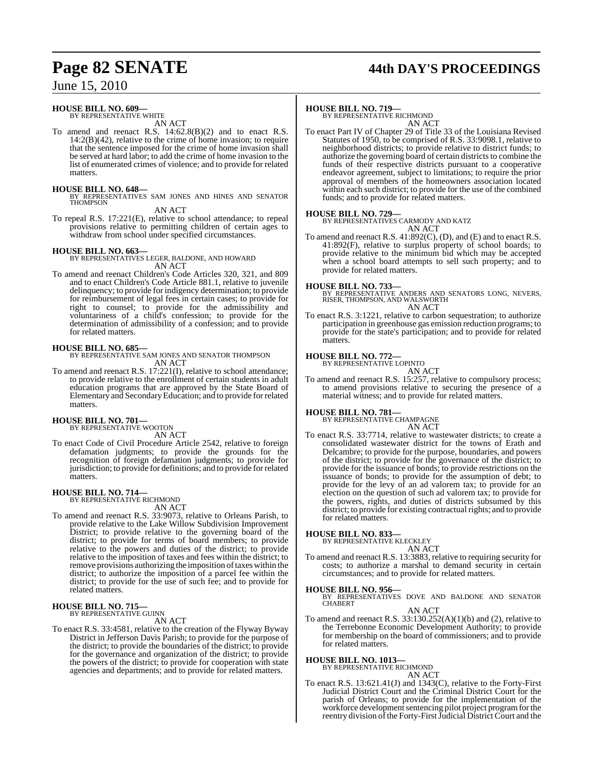# **Page 82 SENATE 44th DAY'S PROCEEDINGS**

June 15, 2010

#### **HOUSE BILL NO. 609—** BY REPRESENTATIVE WHITE

AN ACT

To amend and reenact R.S. 14:62.8(B)(2) and to enact R.S.  $14:2(B)(42)$ , relative to the crime of home invasion; to require that the sentence imposed for the crime of home invasion shall be served at hard labor; to add the crime of home invasion to the list of enumerated crimes of violence; and to provide for related matters.

#### **HOUSE BILL NO. 648—**

BY REPRESENTATIVES SAM JONES AND HINES AND SENATOR THOMPSON AN ACT

To repeal R.S. 17:221(E), relative to school attendance; to repeal provisions relative to permitting children of certain ages to withdraw from school under specified circumstances.

**HOUSE BILL NO. 663—** BY REPRESENTATIVES LEGER, BALDONE, AND HOWARD AN ACT

To amend and reenact Children's Code Articles 320, 321, and 809 and to enact Children's Code Article 881.1, relative to juvenile delinquency; to provide for indigency determination; to provide for reimbursement of legal fees in certain cases; to provide for right to counsel; to provide for the admissibility and voluntariness of a child's confession; to provide for the determination of admissibility of a confession; and to provide for related matters.

**HOUSE BILL NO. 685—** BY REPRESENTATIVE SAM JONES AND SENATOR THOMPSON AN ACT

To amend and reenact R.S. 17:221(I), relative to school attendance; to provide relative to the enrollment of certain students in adult education programs that are approved by the State Board of Elementary and Secondary Education; and to provide for related matters.

#### **HOUSE BILL NO. 701—** BY REPRESENTATIVE WOOTON

AN ACT

To enact Code of Civil Procedure Article 2542, relative to foreign defamation judgments; to provide the grounds for the recognition of foreign defamation judgments; to provide for jurisdiction; to provide for definitions; and to provide forrelated matters.

#### **HOUSE BILL NO. 714—**

BY REPRESENTATIVE RICHMOND

### AN ACT

To amend and reenact R.S. 33:9073, relative to Orleans Parish, to provide relative to the Lake Willow Subdivision Improvement District; to provide relative to the governing board of the district; to provide for terms of board members; to provide relative to the powers and duties of the district; to provide relative to the imposition of taxes and fees within the district; to remove provisions authorizing the imposition of taxes within the district; to authorize the imposition of a parcel fee within the district; to provide for the use of such fee; and to provide for related matters.

**HOUSE BILL NO. 715—** BY REPRESENTATIVE GUINN

AN ACT

To enact R.S. 33:4581, relative to the creation of the Flyway Byway District in Jefferson Davis Parish; to provide for the purpose of the district; to provide the boundaries of the district; to provide for the governance and organization of the district; to provide the powers of the district; to provide for cooperation with state agencies and departments; and to provide for related matters.

#### **HOUSE BILL NO. 719—**

BY REPRESENTATIVE RICHMOND AN ACT

To enact Part IV of Chapter 29 of Title 33 of the Louisiana Revised Statutes of 1950, to be comprised of R.S. 33:9098.1, relative to neighborhood districts; to provide relative to district funds; to authorize the governing board of certain districts to combine the funds of their respective districts pursuant to a cooperative endeavor agreement, subject to limitations; to require the prior approval of members of the homeowners association located within each such district; to provide for the use of the combined funds; and to provide for related matters.

#### **HOUSE BILL NO. 729—**

BY REPRESENTATIVES CARMODY AND KATZ AN ACT

To amend and reenact R.S. 41:892(C), (D), and (E) and to enact R.S. 41:892(F), relative to surplus property of school boards; to provide relative to the minimum bid which may be accepted when a school board attempts to sell such property; and to provide for related matters.

#### **HOUSE BILL NO. 733—**

BY REPRESENTATIVE ANDERS AND SENATORS LONG, NEVERS, RISER, THOMPSON, AND WALSWORTH AN ACT

To enact R.S. 3:1221, relative to carbon sequestration; to authorize participation in greenhouse gas emission reduction programs; to provide for the state's participation; and to provide for related matters.

### **HOUSE BILL NO. 772—** BY REPRESENTATIVE LOPINTO

AN ACT

To amend and reenact R.S. 15:257, relative to compulsory process; to amend provisions relative to securing the presence of a material witness; and to provide for related matters.

### **HOUSE BILL NO. 781—** BY REPRESENTATIVE CHAMPAGNE

AN ACT

To enact R.S. 33:7714, relative to wastewater districts; to create a consolidated wastewater district for the towns of Erath and Delcambre; to provide for the purpose, boundaries, and powers of the district; to provide for the governance of the district; to provide for the issuance of bonds; to provide restrictions on the issuance of bonds; to provide for the assumption of debt; to provide for the levy of an ad valorem tax; to provide for an election on the question of such ad valorem tax; to provide for the powers, rights, and duties of districts subsumed by this district; to provide for existing contractual rights; and to provide for related matters.

#### **HOUSE BILL NO. 833—**

BY REPRESENTATIVE KLECKLEY

- AN ACT
- To amend and reenact R.S. 13:3883, relative to requiring security for costs; to authorize a marshal to demand security in certain circumstances; and to provide for related matters.

#### **HOUSE BILL NO. 956—**

BY REPRESENTATIVES DOVE AND BALDONE AND SENATOR CHABERT AN ACT

- To amend and reenact R.S.  $33:130.252(A)(1)(b)$  and (2), relative to
- the Terrebonne Economic Development Authority; to provide for membership on the board of commissioners; and to provide for related matters.

**HOUSE BILL NO. 1013—** BY REPRESENTATIVE RICHMOND

#### AN ACT

To enact R.S. 13:621.41(J) and 1343(C), relative to the Forty-First Judicial District Court and the Criminal District Court for the parish of Orleans; to provide for the implementation of the workforce development sentencing pilot project program for the reentry division of the Forty-First Judicial District Court and the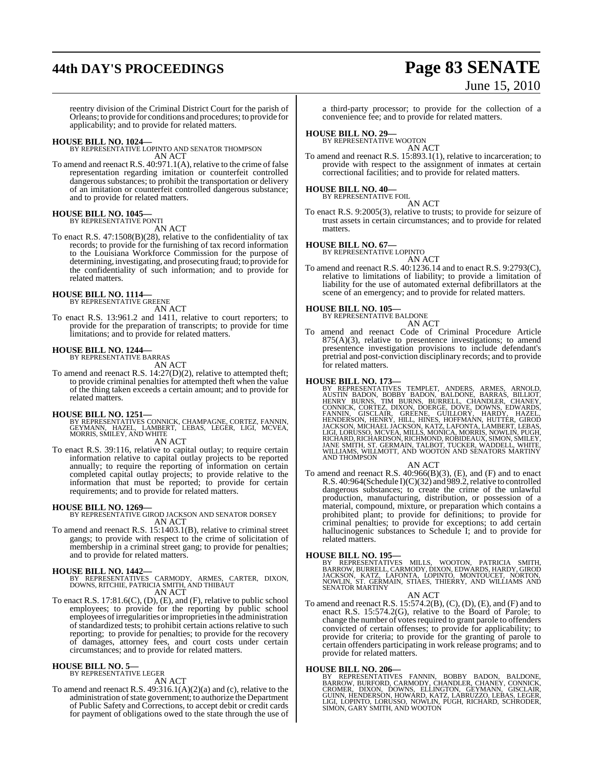# **44th DAY'S PROCEEDINGS Page 83 SENATE**

# June 15, 2010

reentry division of the Criminal District Court for the parish of Orleans; to provide for conditions and procedures; to provide for applicability; and to provide for related matters.

**HOUSE BILL NO. 1024—** BY REPRESENTATIVE LOPINTO AND SENATOR THOMPSON AN ACT

To amend and reenact R.S. 40:971.1(A), relative to the crime of false representation regarding imitation or counterfeit controlled dangerous substances; to prohibit the transportation or delivery of an imitation or counterfeit controlled dangerous substance; and to provide for related matters.

#### **HOUSE BILL NO. 1045—** BY REPRESENTATIVE PONTI

AN ACT

To enact R.S. 47:1508(B)(28), relative to the confidentiality of tax records; to provide for the furnishing of tax record information to the Louisiana Workforce Commission for the purpose of determining, investigating, and prosecuting fraud; to provide for the confidentiality of such information; and to provide for related matters.

### **HOUSE BILL NO. 1114—** BY REPRESENTATIVE GREENE

AN ACT

To enact R.S. 13:961.2 and 1411, relative to court reporters; to provide for the preparation of transcripts; to provide for time limitations; and to provide for related matters.

### **HOUSE BILL NO. 1244—** BY REPRESENTATIVE BARRAS

AN ACT

To amend and reenact R.S. 14:27(D)(2), relative to attempted theft; to provide criminal penalties for attempted theft when the value of the thing taken exceeds a certain amount; and to provide for related matters.

**HOUSE BILL NO. 1251—** BY REPRESENTATIVES CONNICK, CHAMPAGNE, CORTEZ, FANNIN, GEYMANN, HAZEL, LAMBERT, LEBAS, LEGER, LIGI, MCVEA, MORRIS, SMILEY, AND WHITE

#### AN ACT

To enact R.S. 39:116, relative to capital outlay; to require certain information relative to capital outlay projects to be reported annually; to require the reporting of information on certain completed capital outlay projects; to provide relative to the information that must be reported; to provide for certain requirements; and to provide for related matters.

#### **HOUSE BILL NO. 1269—**

BY REPRESENTATIVE GIROD JACKSON AND SENATOR DORSEY AN ACT

To amend and reenact R.S. 15:1403.1(B), relative to criminal street gangs; to provide with respect to the crime of solicitation of membership in a criminal street gang; to provide for penalties; and to provide for related matters.

#### **HOUSE BILL NO. 1442—**

- BY REPRESENTATIVES CARMODY, ARMES, CARTER, DIXON, DOWNS, RITCHIE, PATRICIA SMITH, AND THIBAUT AN ACT
- To enact R.S. 17:81.6(C), (D), (E), and (F), relative to public school employees; to provide for the reporting by public school employees of irregularities or improprieties in the administration of standardized tests; to prohibit certain actions relative to such reporting; to provide for penalties; to provide for the recovery of damages, attorney fees, and court costs under certain circumstances; and to provide for related matters.

#### **HOUSE BILL NO. 5—**

BY REPRESENTATIVE LEGER AN ACT

To amend and reenact R.S. 49:316.1(A)(2)(a) and (c), relative to the administration of state government; to authorize the Department of Public Safety and Corrections, to accept debit or credit cards for payment of obligations owed to the state through the use of

a third-party processor; to provide for the collection of a convenience fee; and to provide for related matters.

### **HOUSE BILL NO. 29—** BY REPRESENTATIVE WOOTON

AN ACT To amend and reenact R.S. 15:893.1(1), relative to incarceration; to provide with respect to the assignment of inmates at certain correctional facilities; and to provide for related matters.

## **HOUSE BILL NO. 40—** BY REPRESENTATIVE FOIL

AN ACT

To enact R.S. 9:2005(3), relative to trusts; to provide for seizure of trust assets in certain circumstances; and to provide for related matters.

#### **HOUSE BILL NO. 67—**

BY REPRESENTATIVE LOPINTO

AN ACT To amend and reenact R.S. 40:1236.14 and to enact R.S. 9:2793(C), relative to limitations of liability; to provide a limitation of liability for the use of automated external defibrillators at the scene of an emergency; and to provide for related matters.

# **HOUSE BILL NO. 105—** BY REPRESENTATIVE BALDONE

AN ACT

To amend and reenact Code of Criminal Procedure Article  $875(A)(3)$ , relative to presentence investigations; to amend presentence investigation provisions to include defendant's pretrial and post-conviction disciplinary records; and to provide for related matters.

HOUSE BILL NO. 173—<br>BY REPRESENTATIVES TEMPLET, ANDERS, ARMES, ARNOLD,<br>AUSTIN BADON, BOBBY BADON, BALDONE, BARRAS, BILLIOT,<br>HENRY BURNS, TIM BURNS, BURRELL, CHANDLER, CHANEY,<br>CONNICK, CORTEZ, DIXON, DOERGE, DOVE, DOWNS, ED

#### AN ACT

To amend and reenact R.S. 40:966(B)(3), (E), and (F) and to enact R.S. 40:964(Schedule I)(C)(32) and 989.2, relative to controlled dangerous substances; to create the crime of the unlawful production, manufacturing, distribution, or possession of a material, compound, mixture, or preparation which contains a prohibited plant; to provide for definitions; to provide for criminal penalties; to provide for exceptions; to add certain hallucinogenic substances to Schedule I; and to provide for related matters.

**HOUSE BILL NO. 195—**<br>BY REPRESENTATIVES MILLS, WOOTON, PATRICIA SMITH,<br>BARROW,BURRELL,CARMODY,DIXON,EDWARDS,HARDY,GIROD<br>JACKSON, KATZ, LAFONTA, LOPINTO, MONTOUCET, NORTON,<br>NOWLIN, ST. GERMAIN, STIAES, THIERRY, AND WILLIAM

AN ACT

To amend and reenact R.S. 15:574.2(B), (C), (D), (E), and (F) and to enact R.S. 15:574.2(G), relative to the Board of Parole; to change the number of votes required to grant parole to offenders convicted of certain offenses; to provide for applicability; to provide for criteria; to provide for the granting of parole to certain offenders participating in work release programs; and to provide for related matters.

**HOUSE BILL NO. 206—**<br>BY REPRESENTATIVES FANNIN, BOBBY BADON, BALDONE, BARROW, BURFORD, CARMODY, CHANDLER, CHANEY, CONNICK,<br>CROMER, DIXON, DOWNS, ELLINGTON, GEYMANN, GISCLAIR,<br>GUINN, HENDERSON, HOWARD, KATZ, LABRUZZO, LEBA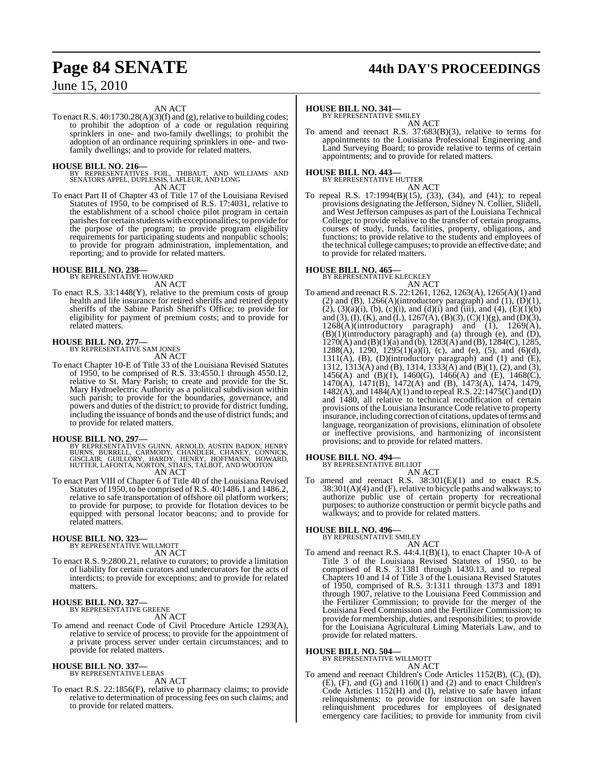# **Page 84 SENATE 44th DAY'S PROCEEDINGS**

### June 15, 2010

#### AN ACT

To enact R.S.  $40:1730.28(A)(3)(f)$  and (g), relative to building codes; to prohibit the adoption of a code or regulation requiring sprinklers in one- and two-family dwellings; to prohibit the adoption of an ordinance requiring sprinklers in one- and twofamily dwellings; and to provide for related matters.

**HOUSE BILL NO. 216—** BY REPRESENTATIVES FOIL, THIBAUT, AND WILLIAMS AND SENATORS APPEL, DUPLESSIS, LAFLEUR, AND LONG AN ACT

To enact Part II of Chapter 43 of Title 17 of the Louisiana Revised Statutes of 1950, to be comprised of R.S. 17:4031, relative to the establishment of a school choice pilot program in certain parishes for certain students with exceptionalities; to provide for the purpose of the program; to provide program eligibility requirements for participating students and nonpublic schools; to provide for program administration, implementation, and reporting; and to provide for related matters.

# **HOUSE BILL NO. 238—** BY REPRESENTATIVE HOWARD

AN ACT

To enact R.S. 33:1448(Y), relative to the premium costs of group health and life insurance for retired sheriffs and retired deputy sheriffs of the Sabine Parish Sheriff's Office; to provide for eligibility for payment of premium costs; and to provide for related matters.

#### **HOUSE BILL NO. 277—** BY REPRESENTATIVE SAM JONES

AN ACT

To enact Chapter 10-E of Title 33 of the Louisiana Revised Statutes of 1950, to be comprised of R.S. 33:4550.1 through 4550.12, relative to St. Mary Parish; to create and provide for the St. Mary Hydroelectric Authority as a political subdivision within such parish; to provide for the boundaries, governance, and powers and duties of the district; to provide for district funding, including the issuance of bonds and the use of district funds; and to provide for related matters.

#### **HOUSE BILL NO. 297—**

BY REPRESENTATIVES GUINN, ARNOLD, AUSTIN BADON, HENRY<br>BURNS, BURRELL, CARMODY, CHANDLER, CHANEY, CONNICK,<br>GISCLAIR, GUILLORY, HARDY, HENRY, HOFFMANN, HOWARD,<br>HUTTER, LAFONTA, NORTON, STIAES, TALBOT, AND WOOTON AN ACT

To enact Part VIII of Chapter 6 of Title 40 of the Louisiana Revised Statutes of 1950, to be comprised of R.S. 40:1486.1 and 1486.2, relative to safe transportation of offshore oil platform workers; to provide for purpose; to provide for flotation devices to be equipped with personal locator beacons; and to provide for related matters.

#### **HOUSE BILL NO. 323—** BY REPRESENTATIVE WILLMOTT

AN ACT

To enact R.S. 9:2800.21, relative to curators; to provide a limitation of liability for certain curators and undercurators for the acts of interdicts; to provide for exceptions; and to provide for related matters.

#### **HOUSE BILL NO. 327—** BY REPRESENTATIVE GREENE

AN ACT

To amend and reenact Code of Civil Procedure Article 1293(A), relative to service of process; to provide for the appointment of a private process server under certain circumstances; and to provide for related matters.

#### **HOUSE BILL NO. 337—** BY REPRESENTATIVE LEBAS

AN ACT

To enact R.S. 22:1856(F), relative to pharmacy claims; to provide relative to determination of processing fees on such claims; and to provide for related matters.

#### **HOUSE BILL NO. 341—**

BY REPRESENTATIVE SMILEY AN ACT

To amend and reenact R.S. 37:683(B)(3), relative to terms for appointments to the Louisiana Professional Engineering and Land Surveying Board; to provide relative to terms of certain appointments; and to provide for related matters.

### **HOUSE BILL NO. 443—** BY REPRESENTATIVE HUTTER

AN ACT

To repeal R.S. 17:1994(B)(15), (33), (34), and (41); to repeal provisions designating the Jefferson, Sidney N. Collier, Slidell, and West Jefferson campuses as part of the Louisiana Technical College; to provide relative to the transfer of certain programs, courses of study, funds, facilities, property, obligations, and functions; to provide relative to the students and employees of the technical college campuses; to provide an effective date; and to provide for related matters.

### **HOUSE BILL NO. 465—** BY REPRESENTATIVE KLECKLEY

AN ACT

To amend and reenact R.S. 22:1261, 1262, 1263(A), 1265(A)(1) and (2) and (B),  $1266(A)$ (introductory paragraph) and (1),  $(D)(1)$ , (2), (3)(a)(i), (b), (c)(i), and (d)(i) and (iii), and (4), (E)(1)(b) and (3), (I), (K), and (L), 1267(A), (B)(3), (C)(1)(g), and (D)(3),  $1268(A)$ (introductory paragraph) and  $(1)$ ,  $1269(A)$ , (B)(1)(introductory paragraph) and (a) through (e), and (D),  $1270(A)$  and  $(B)(1)(a)$  and  $(b)$ ,  $1283(A)$  and  $(B)$ ,  $1284(C)$ ,  $1285$ , 1288(A), 1290, 1295(1)(a)(i), (c), and (e), (5), and (6)(d),  $1311(A)$ ,  $(B)$ ,  $(D)$ (introductory paragraph) and  $(1)$  and  $(E)$ , 1312, 1313(A) and (B), 1314, 1333(A) and (B)(1), (2), and (3), 1456(A) and (B)(1), 1460(G), 1466(A) and (E), 1468(C), 1470(A), 1471(B), 1472(A) and (B), 1473(A), 1474, 1479, 1482(A), and 1484(A)(1) and to repeal R.S. 22:1475(C) and (D) and 1480, all relative to technical recodification of certain provisions of the Louisiana Insurance Code relative to property insurance, including correction of citations, updates of terms and language, reorganization of provisions, elimination of obsolete or ineffective provisions, and harmonizing of inconsistent provisions; and to provide for related matters.

#### **HOUSE BILL NO. 494—**

BY REPRESENTATIVE BILLIOT AN ACT

To amend and reenact R.S. 38:301(E)(1) and to enact R.S.  $38:301(A)(4)$  and (F), relative to bicycle paths and walkways; to authorize public use of certain property for recreational purposes; to authorize construction or permit bicycle paths and walkways; and to provide for related matters.

### **HOUSE BILL NO. 496—** BY REPRESENTATIVE SMILEY

- AN ACT
- To amend and reenact R.S. 44:4.1(B)(1), to enact Chapter 10-A of Title 3 of the Louisiana Revised Statutes of 1950, to be comprised of R.S. 3:1381 through 1430.13, and to repeal Chapters 10 and 14 of Title 3 of the Louisiana Revised Statutes of 1950, comprised of R.S. 3:1311 through 1373 and 1891 through 1907, relative to the Louisiana Feed Commission and the Fertilizer Commission; to provide for the merger of the Louisiana Feed Commission and the Fertilizer Commission; to provide for membership, duties, and responsibilities; to provide for the Louisiana Agricultural Liming Materials Law, and to provide for related matters.

### **HOUSE BILL NO. 504—** BY REPRESENTATIVE WILLMOTT

AN ACT

To amend and reenact Children's Code Articles 1152(B), (C), (D), (E), (F), and (G) and 1160(1) and (2) and to enact Children's Code Articles 1152(H) and (I), relative to safe haven infant relinquishments; to provide for instruction on safe haven relinquishment procedures for employees of designated emergency care facilities; to provide for immunity from civil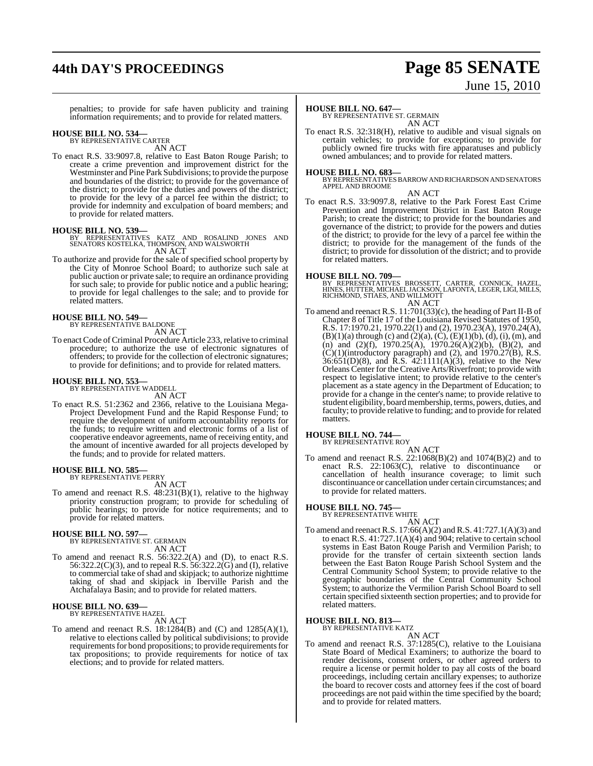# **44th DAY'S PROCEEDINGS Page 85 SENATE**

# June 15, 2010

penalties; to provide for safe haven publicity and training information requirements; and to provide for related matters.

### **HOUSE BILL NO. 534—** BY REPRESENTATIVE CARTER

AN ACT

To enact R.S. 33:9097.8, relative to East Baton Rouge Parish; to create a crime prevention and improvement district for the Westminster and Pine Park Subdivisions; to provide the purpose and boundaries of the district; to provide for the governance of the district; to provide for the duties and powers of the district; to provide for the levy of a parcel fee within the district; to provide for indemnity and exculpation of board members; and to provide for related matters.

#### **HOUSE BILL NO. 539—**

BY REPRESENTATIVES KATZ AND ROSALIND JONES AND SENATORS KOSTELKA, THOMPSON, AND WALSWORTH AN ACT

To authorize and provide for the sale of specified school property by the City of Monroe School Board; to authorize such sale at public auction or private sale; to require an ordinance providing for such sale; to provide for public notice and a public hearing; to provide for legal challenges to the sale; and to provide for related matters.

### **HOUSE BILL NO. 549—** BY REPRESENTATIVE BALDONE

AN ACT

To enact Code of Criminal Procedure Article 233, relative to criminal procedure; to authorize the use of electronic signatures of offenders; to provide for the collection of electronic signatures; to provide for definitions; and to provide for related matters.

## **HOUSE BILL NO. 553—** BY REPRESENTATIVE WADDELL

AN ACT

To enact R.S. 51:2362 and 2366, relative to the Louisiana Mega-Project Development Fund and the Rapid Response Fund; to require the development of uniform accountability reports for the funds; to require written and electronic forms of a list of cooperative endeavor agreements, name of receiving entity, and the amount of incentive awarded for all projects developed by the funds; and to provide for related matters.

### **HOUSE BILL NO. 585—** BY REPRESENTATIVE PERRY

AN ACT

To amend and reenact R.S.  $48:231(B)(1)$ , relative to the highway priority construction program; to provide for scheduling of public hearings; to provide for notice requirements; and to provide for related matters.

### **HOUSE BILL NO. 597—** BY REPRESENTATIVE ST. GERMAIN

AN ACT

To amend and reenact R.S. 56:322.2(A) and (D), to enact R.S. 56:322.2(C)(3), and to repeal R.S. 56:322.2(G) and (I), relative to commercial take of shad and skipjack; to authorize nighttime taking of shad and skipjack in Iberville Parish and the Atchafalaya Basin; and to provide for related matters.

## **HOUSE BILL NO. 639—** BY REPRESENTATIVE HAZEL

AN ACT

To amend and reenact R.S. 18:1284(B) and (C) and 1285(A)(1), relative to elections called by political subdivisions; to provide requirements for bond propositions; to provide requirements for tax propositions; to provide requirements for notice of tax elections; and to provide for related matters.

#### **HOUSE BILL NO. 647—**

BY REPRESENTATIVE ST. GERMAIN AN ACT

To enact R.S. 32:318(H), relative to audible and visual signals on certain vehicles; to provide for exceptions; to provide for publicly owned fire trucks with fire apparatuses and publicly owned ambulances; and to provide for related matters.

#### **HOUSE BILL NO. 683—**

BY REPRESENTATIVES BARROW AND RICHARDSON AND SENATORS APPEL AND BROOME

#### AN ACT

To enact R.S. 33:9097.8, relative to the Park Forest East Crime Prevention and Improvement District in East Baton Rouge Parish; to create the district; to provide for the boundaries and governance of the district; to provide for the powers and duties of the district; to provide for the levy of a parcel fee within the district; to provide for the management of the funds of the district; to provide for dissolution of the district; and to provide for related matters.

#### **HOUSE BILL NO. 709—**

BY REPRESENTATIVES BROSSETT, CARTER, CONNICK, HAZEL, HINES, HUTTER, MICHAEL JACKSON, LAFONTA, LEGER, LIGI, MILLS, RICHMOND, STIAES, AND WILLMOTT AN ACT

To amend and reenact R.S. 11:701(33)(c), the heading of Part II-B of Chapter 8 of Title 17 of the Louisiana Revised Statutes of 1950, R.S. 17:1970.21, 1970.22(1) and (2), 1970.23(A), 1970.24(A),  $(B)(1)(a)$  through (c) and (2)(a), (C), (E)(1)(b), (d), (i), (m), and (n) and  $(2)(f)$ , 1970.25(A), 1970.26(A)(2)(b), (B)(2), and  $(C)(1)$ (introductory paragraph) and (2), and 1970.27(B), R.S. 36:651(D)(8), and R.S. 42:1111(A)(3), relative to the New Orleans Center for the Creative Arts/Riverfront; to provide with respect to legislative intent; to provide relative to the center's placement as a state agency in the Department of Education; to provide for a change in the center's name; to provide relative to student eligibility, board membership, terms, powers, duties, and faculty; to provide relative to funding; and to provide for related matters.

### **HOUSE BILL NO. 744—** BY REPRESENTATIVE ROY

AN ACT To amend and reenact R.S. 22:1068(B)(2) and 1074(B)(2) and to enact R.S.  $22:1063(C)$ , relative to discontinuance cancellation of health insurance coverage; to limit such discontinuance or cancellation under certain circumstances; and to provide for related matters.

#### **HOUSE BILL NO. 745—**

BY REPRESENTATIVE WHITE

AN ACT To amend and reenact R.S. 17:66(A)(2) and R.S. 41:727.1(A)(3) and to enact R.S.  $41:727.1(A)(4)$  and 904; relative to certain school systems in East Baton Rouge Parish and Vermilion Parish; to provide for the transfer of certain sixteenth section lands between the East Baton Rouge Parish School System and the Central Community School System; to provide relative to the geographic boundaries of the Central Community School System; to authorize the Vermilion Parish School Board to sell certain specified sixteenth section properties; and to provide for related matters.

#### **HOUSE BILL NO. 813—**

BY REPRESENTATIVE KATZ

- AN ACT
- To amend and reenact R.S. 37:1285(C), relative to the Louisiana State Board of Medical Examiners; to authorize the board to render decisions, consent orders, or other agreed orders to require a license or permit holder to pay all costs of the board proceedings, including certain ancillary expenses; to authorize the board to recover costs and attorney fees if the cost of board proceedings are not paid within the time specified by the board; and to provide for related matters.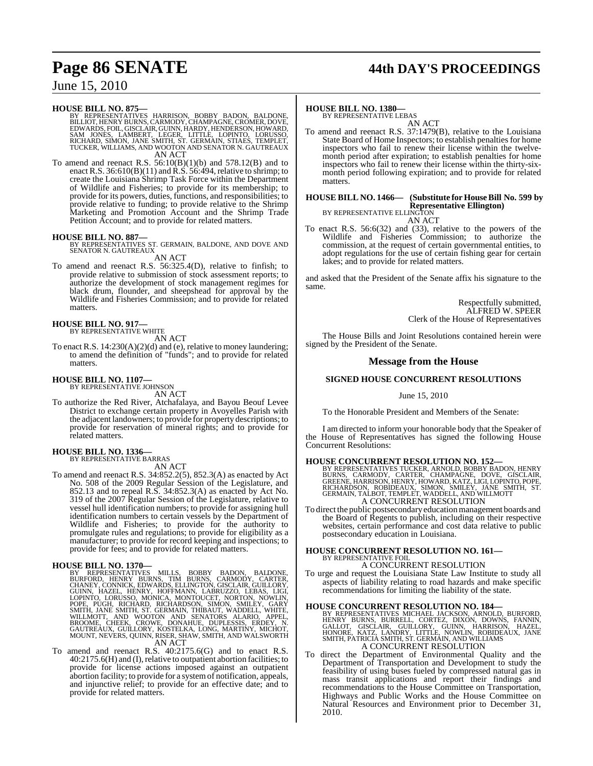# **Page 86 SENATE 44th DAY'S PROCEEDINGS**

### June 15, 2010

**HOUSE BILL NO. 875—**<br>BY REPRESENTATIVES HARRISON, BOBBY BADON, BALDONE,<br>BILLIOT, HENRY BURNS, CARMODY, CHAMPAGNE, CROMER, DOVE,<br>EDWARDS, FOIL, GISCLAIR, GUINN, HARDY, HENDERSON, HOWARD,<br>SAM JONES, LAMBERT, LEGER, LITTLE, TUCKER, WILLIAMS, AND WOOTON AND SENATOR N. GAUTREAUX AN ACT

To amend and reenact R.S.  $56:10(B)(1)(b)$  and  $578.12(B)$  and to enact R.S.  $36:610(B)(11)$  and  $\overrightarrow{R}$ .S.  $56:494$ , relative to shrimp; to create the Louisiana Shrimp Task Force within the Department of Wildlife and Fisheries; to provide for its membership; to provide for its powers, duties, functions, and responsibilities; to provide relative to funding; to provide relative to the Shrimp Marketing and Promotion Account and the Shrimp Trade Petition Account; and to provide for related matters.

**HOUSE BILL NO. 887—** BY REPRESENTATIVES ST. GERMAIN, BALDONE, AND DOVE AND SENATOR N. GAUTREAUX

AN ACT

To amend and reenact R.S. 56:325.4(D), relative to finfish; to provide relative to submission of stock assessment reports; to authorize the development of stock management regimes for black drum, flounder, and sheepshead for approval by the Wildlife and Fisheries Commission; and to provide for related matters.

#### **HOUSE BILL NO. 917—** BY REPRESENTATIVE WHITE

AN ACT

To enact R.S. 14:230(A)(2)(d) and (e), relative to money laundering; to amend the definition of "funds"; and to provide for related matters.

#### **HOUSE BILL NO. 1107—**

BY REPRESENTATIVE JOHNSON AN ACT

To authorize the Red River, Atchafalaya, and Bayou Beouf Levee District to exchange certain property in Avoyelles Parish with the adjacent landowners; to provide for property descriptions; to provide for reservation of mineral rights; and to provide for related matters.

#### **HOUSE BILL NO. 1336—** BY REPRESENTATIVE BARRAS

AN ACT

To amend and reenact R.S. 34:852.2(5), 852.3(A) as enacted by Act No. 508 of the 2009 Regular Session of the Legislature, and 852.13 and to repeal R.S. 34:852.3(A) as enacted by Act No. 319 of the 2007 Regular Session of the Legislature, relative to vessel hull identification numbers; to provide for assigning hull identification numbers to certain vessels by the Department of Wildlife and Fisheries; to provide for the authority to promulgate rules and regulations; to provide for eligibility as a manufacturer; to provide for record keeping and inspections; to provide for fees; and to provide for related matters.

HOUSE BILL NO. 1370—<br>BY REPRESENTATIVES MILLS, BOBBY BADON, BALDONE, BURFORD, HENRY BURNS, TIM BURNS, CARMODY, CARTER,<br>CHANEY, CONNICK, EDWARDS, ELLINGTON, GISCLAIR, GUILLORY,<br>GUINN, HAZEL, HENRY BURNS, ELLINGTON, GISCLAIR AN ACT

To amend and reenact R.S. 40:2175.6(G) and to enact R.S. 40:2175.6(H) and (I),relative to outpatient abortion facilities; to provide for license actions imposed against an outpatient abortion facility; to provide for a systemof notification, appeals, and injunctive relief; to provide for an effective date; and to provide for related matters.

### **HOUSE BILL NO. 1380—**

BY REPRESENTATIVE LEBAS AN ACT

To amend and reenact R.S. 37:1479(B), relative to the Louisiana State Board of Home Inspectors; to establish penalties for home inspectors who fail to renew their license within the twelvemonth period after expiration; to establish penalties for home inspectors who fail to renew their license within the thirty-sixmonth period following expiration; and to provide for related matters.

#### **HOUSE BILL NO. 1466— (Substitute for HouseBill No. 599 by Representative Ellington)** BY REPRESENTATIVE ELLINGTON

AN ACT To enact R.S. 56:6(32) and (33), relative to the powers of the Wildlife and Fisheries Commission; to authorize the commission, at the request of certain governmental entities, to adopt regulations for the use of certain fishing gear for certain lakes; and to provide for related matters.

and asked that the President of the Senate affix his signature to the same.

> Respectfully submitted, ALFRED W. SPEER Clerk of the House of Representatives

The House Bills and Joint Resolutions contained herein were signed by the President of the Senate.

#### **Message from the House**

#### **SIGNED HOUSE CONCURRENT RESOLUTIONS**

June 15, 2010

To the Honorable President and Members of the Senate:

I am directed to inform your honorable body that the Speaker of the House of Representatives has signed the following House Concurrent Resolutions:

#### **HOUSE CONCURRENT RESOLUTION NO. 152—**

BY REPRESENTATIVES TUCKER, ARNOLD, BOBBY BADON, HENRY<br>BURNS, CARMODY, CARTER, CHAMPAGNE, DOVE, GISCLAIR,<br>GREENE, HARRISON, HENRY, HOWARD, KATZ, LIGI, LOPINTO, POPE,<br>RICHARDSON, ROBIDEAUX, SIMON, SMILEY, JANE SMITH, ST.<br>GER

To direct the public postsecondary education management boards and the Board of Regents to publish, including on their respective websites, certain performance and cost data relative to public postsecondary education in Louisiana.

#### **HOUSE CONCURRENT RESOLUTION NO. 161—** BY REPRESENTATIVE FOIL

A CONCURRENT RESOLUTION

To urge and request the Louisiana State Law Institute to study all aspects of liability relating to road hazards and make specific recommendations for limiting the liability of the state.

### **HOUSE CONCURRENT RESOLUTION NO. 184—**

BY REPRESENTATIVES MICHAEL JACKSON, ARNOLD, BURFORD,<br>HENRY BURNS, BURRELL, CORTEZ, DIXON, DOWNS, FANNIN,<br>GALLOT, GISCLAIR, GUILLORY, GUINN, HARRISON, HAZEL,<br>HONORE, KATZ, LANDRY, LITTLE, NOWLIN, ROBIDEAUX, JANE<br>SMITH,PATRI A CONCURRENT RESOLUTION

To direct the Department of Environmental Quality and the Department of Transportation and Development to study the feasibility of using buses fueled by compressed natural gas in mass transit applications and report their findings and recommendations to the House Committee on Transportation, Highways and Public Works and the House Committee on Natural Resources and Environment prior to December 31, 2010.